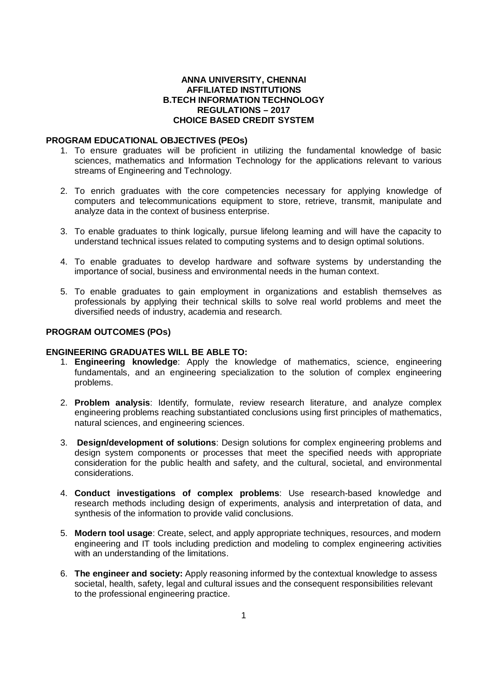### **ANNA UNIVERSITY, CHENNAI AFFILIATED INSTITUTIONS B.TECH INFORMATION TECHNOLOGY REGULATIONS – 2017 CHOICE BASED CREDIT SYSTEM**

### **PROGRAM EDUCATIONAL OBJECTIVES (PEOs)**

- 1. To ensure graduates will be proficient in utilizing the fundamental knowledge of basic sciences, mathematics and Information Technology for the applications relevant to various streams of Engineering and Technology.
- 2. To enrich graduates with the core competencies necessary for applying knowledge of computers and telecommunications equipment to store, retrieve, transmit, manipulate and analyze data in the context of business enterprise.
- 3. To enable graduates to think logically, pursue lifelong learning and will have the capacity to understand technical issues related to computing systems and to design optimal solutions.
- 4. To enable graduates to develop hardware and software systems by understanding the importance of social, business and environmental needs in the human context.
- 5. To enable graduates to gain employment in organizations and establish themselves as professionals by applying their technical skills to solve real world problems and meet the diversified needs of industry, academia and research.

### **PROGRAM OUTCOMES (POs)**

### **ENGINEERING GRADUATES WILL BE ABLE TO:**

- 1. **Engineering knowledge**: Apply the knowledge of mathematics, science, engineering fundamentals, and an engineering specialization to the solution of complex engineering problems.
- 2. **Problem analysis**: Identify, formulate, review research literature, and analyze complex engineering problems reaching substantiated conclusions using first principles of mathematics, natural sciences, and engineering sciences.
- 3. **Design/development of solutions**: Design solutions for complex engineering problems and design system components or processes that meet the specified needs with appropriate consideration for the public health and safety, and the cultural, societal, and environmental considerations.
- 4. **Conduct investigations of complex problems**: Use research-based knowledge and research methods including design of experiments, analysis and interpretation of data, and synthesis of the information to provide valid conclusions.
- 5. **Modern tool usage**: Create, select, and apply appropriate techniques, resources, and modern engineering and IT tools including prediction and modeling to complex engineering activities with an understanding of the limitations.
- 6. **The engineer and society:** Apply reasoning informed by the contextual knowledge to assess societal, health, safety, legal and cultural issues and the consequent responsibilities relevant to the professional engineering practice.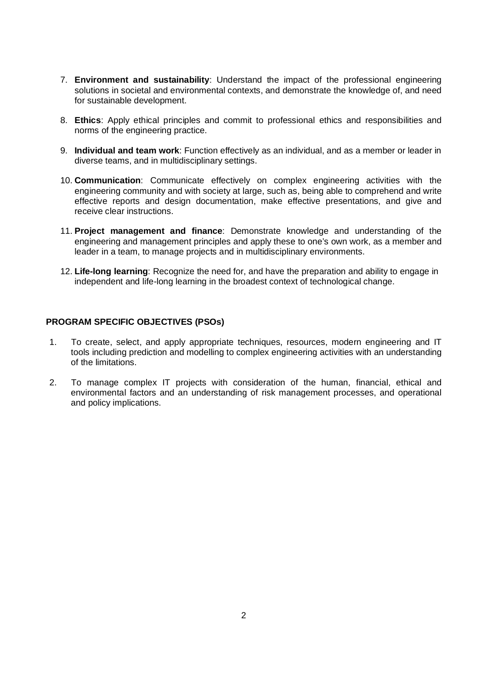- 7. **Environment and sustainability**: Understand the impact of the professional engineering solutions in societal and environmental contexts, and demonstrate the knowledge of, and need for sustainable development.
- 8. **Ethics**: Apply ethical principles and commit to professional ethics and responsibilities and norms of the engineering practice.
- 9. **Individual and team work**: Function effectively as an individual, and as a member or leader in diverse teams, and in multidisciplinary settings.
- 10. **Communication**: Communicate effectively on complex engineering activities with the engineering community and with society at large, such as, being able to comprehend and write effective reports and design documentation, make effective presentations, and give and receive clear instructions.
- 11. **Project management and finance**: Demonstrate knowledge and understanding of the engineering and management principles and apply these to one's own work, as a member and leader in a team, to manage projects and in multidisciplinary environments.
- 12. **Life-long learning**: Recognize the need for, and have the preparation and ability to engage in independent and life-long learning in the broadest context of technological change.

### **PROGRAM SPECIFIC OBJECTIVES (PSOs)**

- 1. To create, select, and apply appropriate techniques, resources, modern engineering and IT tools including prediction and modelling to complex engineering activities with an understanding of the limitations.
- 2. To manage complex IT projects with consideration of the human, financial, ethical and environmental factors and an understanding of risk management processes, and operational and policy implications.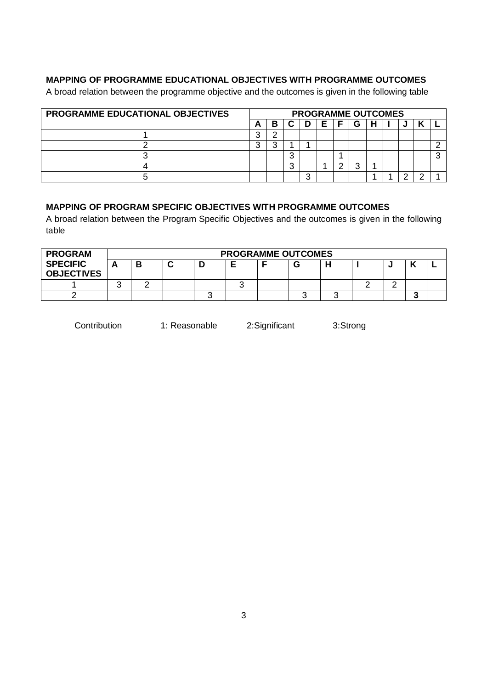### **MAPPING OF PROGRAMME EDUCATIONAL OBJECTIVES WITH PROGRAMME OUTCOMES**

A broad relation between the programme objective and the outcomes is given in the following table

| <b>PROGRAMME EDUCATIONAL OBJECTIVES</b> |   |   |        |   | <b>PROGRAMME OUTCOMES</b> |  |  |  |
|-----------------------------------------|---|---|--------|---|---------------------------|--|--|--|
|                                         | A | Β |        | Е | G                         |  |  |  |
|                                         |   |   |        |   |                           |  |  |  |
|                                         |   | ີ |        |   |                           |  |  |  |
|                                         |   |   | ⌒<br>u |   |                           |  |  |  |
|                                         |   |   | ◠<br>w |   |                           |  |  |  |
|                                         |   |   |        |   |                           |  |  |  |

### **MAPPING OF PROGRAM SPECIFIC OBJECTIVES WITH PROGRAMME OUTCOMES**

A broad relation between the Program Specific Objectives and the outcomes is given in the following table

| <b>PROGRAM</b>                       |   |  | <b>PROGRAMME OUTCOMES</b> |  |  |     |  |
|--------------------------------------|---|--|---------------------------|--|--|-----|--|
| <b>SPECIFIC</b><br><b>OBJECTIVES</b> | D |  |                           |  |  |     |  |
|                                      |   |  |                           |  |  |     |  |
|                                      |   |  |                           |  |  | . . |  |

Contribution 1: Reasonable 2:Significant 3:Strong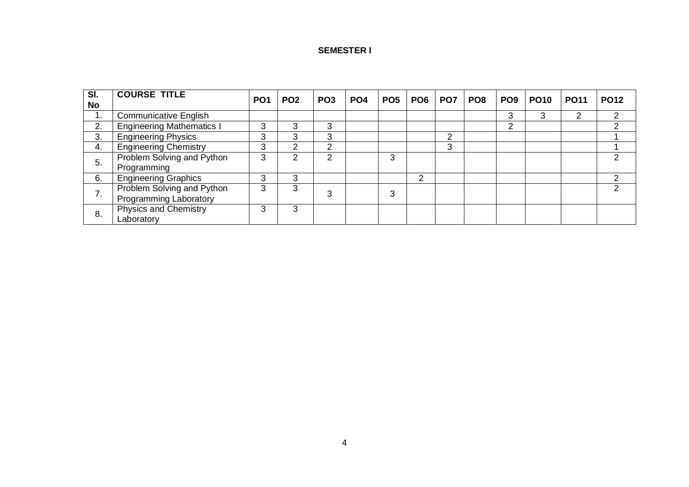### **SEMESTER I**

| SI.       | <b>COURSE TITLE</b>                                         | PO <sub>1</sub> | PO <sub>2</sub> | PO <sub>3</sub> | PO <sub>4</sub> | PO <sub>5</sub> |   | <b>PO6   PO7  </b> | PO <sub>8</sub> | PO <sub>9</sub> | <b>PO10</b> | <b>PO11</b> | <b>PO12</b> |
|-----------|-------------------------------------------------------------|-----------------|-----------------|-----------------|-----------------|-----------------|---|--------------------|-----------------|-----------------|-------------|-------------|-------------|
| <b>No</b> |                                                             |                 |                 |                 |                 |                 |   |                    |                 |                 |             |             |             |
| ι.        | <b>Communicative English</b>                                |                 |                 |                 |                 |                 |   |                    |                 | 3               | 3           |             |             |
| 2.        | <b>Engineering Mathematics I</b>                            | 3               | 3               | 3               |                 |                 |   |                    |                 | $\overline{2}$  |             |             |             |
| 3.        | <b>Engineering Physics</b>                                  | 3               | 3               | 3               |                 |                 |   | っ                  |                 |                 |             |             |             |
| 4.        | <b>Engineering Chemistry</b>                                | 3               | ⌒               | ⌒               |                 |                 |   | 3                  |                 |                 |             |             |             |
| 5.        | Problem Solving and Python<br>Programming                   | 3               |                 | ◠               |                 | 3               |   |                    |                 |                 |             |             |             |
| 6.        | <b>Engineering Graphics</b>                                 | 3               | 3               |                 |                 |                 | 2 |                    |                 |                 |             |             |             |
| 7.        | Problem Solving and Python<br><b>Programming Laboratory</b> | 3               | 3               | З               |                 | 3               |   |                    |                 |                 |             |             |             |
| 8.        | <b>Physics and Chemistry</b><br>Laboratory                  | 3               | 3               |                 |                 |                 |   |                    |                 |                 |             |             |             |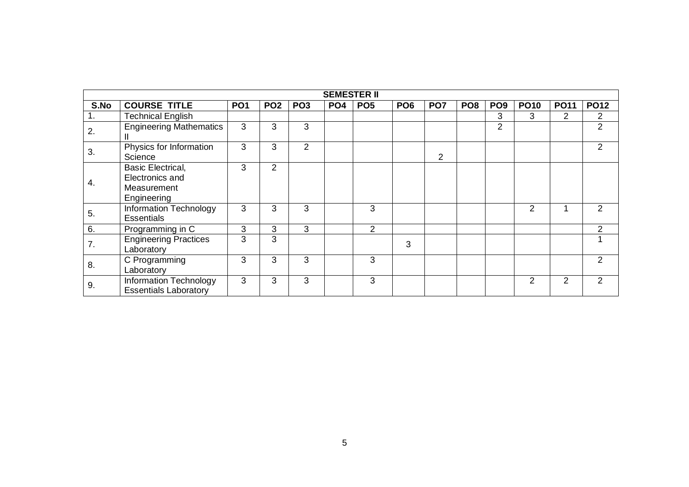|      |                                                                           |                 |                 |                 | <b>SEMESTER II</b> |                 |                 |                 |                 |                 |                |                |               |
|------|---------------------------------------------------------------------------|-----------------|-----------------|-----------------|--------------------|-----------------|-----------------|-----------------|-----------------|-----------------|----------------|----------------|---------------|
| S.No | <b>COURSE TITLE</b>                                                       | PO <sub>1</sub> | PO <sub>2</sub> | PO <sub>3</sub> | PO <sub>4</sub>    | PO <sub>5</sub> | PO <sub>6</sub> | PO <sub>7</sub> | PO <sub>8</sub> | PO <sub>9</sub> | <b>PO10</b>    | <b>PO11</b>    | <b>PO12</b>   |
| 1.   | <b>Technical English</b>                                                  |                 |                 |                 |                    |                 |                 |                 |                 | 3               | 3              | $\overline{2}$ | 2             |
| 2.   | <b>Engineering Mathematics</b>                                            | 3               | 3               | 3               |                    |                 |                 |                 |                 | $\overline{2}$  |                |                | 2             |
| 3.   | Physics for Information<br>Science                                        | 3               | 3               | $\overline{2}$  |                    |                 |                 | $\overline{2}$  |                 |                 |                |                | 2             |
| 4.   | <b>Basic Electrical,</b><br>Electronics and<br>Measurement<br>Engineering | 3               | 2               |                 |                    |                 |                 |                 |                 |                 |                |                |               |
| 5.   | Information Technology<br><b>Essentials</b>                               | 3               | 3               | 3               |                    | 3               |                 |                 |                 |                 | $\overline{2}$ |                | 2             |
| 6.   | Programming in C                                                          | 3               | 3               | 3               |                    | 2               |                 |                 |                 |                 |                |                | $\mathcal{P}$ |
| 7.   | <b>Engineering Practices</b><br>Laboratory                                | 3               | 3               |                 |                    |                 | 3               |                 |                 |                 |                |                |               |
| 8.   | C Programming<br>Laboratory                                               | 3               | 3               | 3               |                    | 3               |                 |                 |                 |                 |                |                | $\mathcal{P}$ |
| 9.   | Information Technology<br><b>Essentials Laboratory</b>                    | 3               | 3               | 3               |                    | 3               |                 |                 |                 |                 | 2              | $\overline{2}$ | 2             |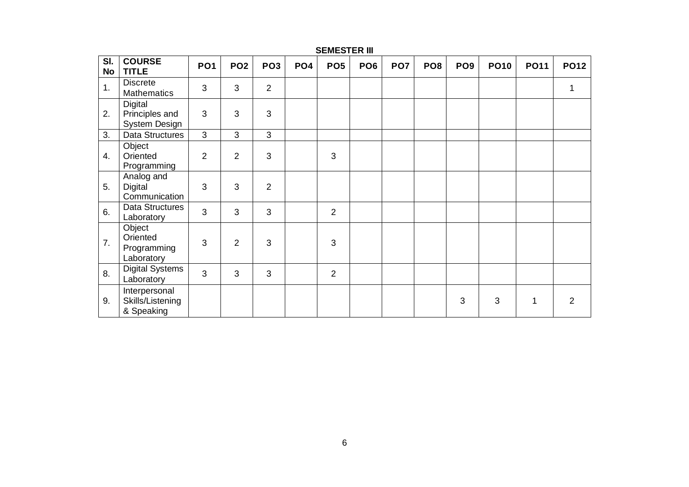### **SEMESTER III**

| SI.<br>No | <b>COURSE</b><br><b>TITLE</b>                     | PO <sub>1</sub> | PO <sub>2</sub> | PO <sub>3</sub> | PO <sub>4</sub> | PO <sub>5</sub> | PO <sub>6</sub> | PO <sub>7</sub> | PO <sub>8</sub> | PO <sub>9</sub> | <b>PO10</b> | <b>PO11</b> | <b>PO12</b>    |
|-----------|---------------------------------------------------|-----------------|-----------------|-----------------|-----------------|-----------------|-----------------|-----------------|-----------------|-----------------|-------------|-------------|----------------|
| 1.        | <b>Discrete</b><br><b>Mathematics</b>             | 3               | 3               | $\overline{2}$  |                 |                 |                 |                 |                 |                 |             |             | 1              |
| 2.        | <b>Digital</b><br>Principles and<br>System Design | 3               | 3               | 3               |                 |                 |                 |                 |                 |                 |             |             |                |
| 3.        | Data Structures                                   | $\overline{3}$  | 3               | 3               |                 |                 |                 |                 |                 |                 |             |             |                |
| 4.        | Object<br>Oriented<br>Programming                 | $\overline{2}$  | $\overline{2}$  | 3               |                 | 3               |                 |                 |                 |                 |             |             |                |
| 5.        | Analog and<br>Digital<br>Communication            | 3               | 3               | $\overline{2}$  |                 |                 |                 |                 |                 |                 |             |             |                |
| 6.        | Data Structures<br>Laboratory                     | $\overline{3}$  | 3               | 3               |                 | $\overline{2}$  |                 |                 |                 |                 |             |             |                |
| 7.        | Object<br>Oriented<br>Programming<br>Laboratory   | 3               | $\overline{2}$  | 3               |                 | 3               |                 |                 |                 |                 |             |             |                |
| 8.        | <b>Digital Systems</b><br>Laboratory              | $\overline{3}$  | 3               | 3               |                 | $\overline{2}$  |                 |                 |                 |                 |             |             |                |
| 9.        | Interpersonal<br>Skills/Listening<br>& Speaking   |                 |                 |                 |                 |                 |                 |                 |                 | 3               | 3           | 1           | $\overline{2}$ |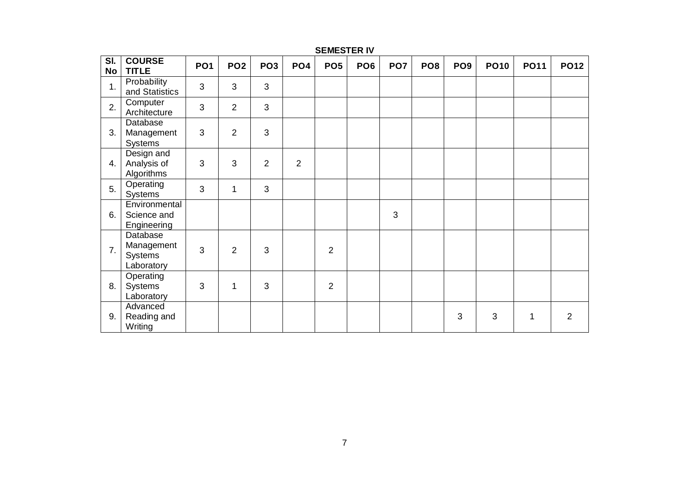| $\overline{\mathsf{SI}}$ .<br>No | <b>COURSE</b><br><b>TITLE</b>                   | PO <sub>1</sub> | PO <sub>2</sub> | PO <sub>3</sub> | PO <sub>4</sub> | PO <sub>5</sub> | PO <sub>6</sub> | PO <sub>7</sub> | PO <sub>8</sub> | PO <sub>9</sub> | <b>PO10</b> | <b>PO11</b> | <b>PO12</b>    |
|----------------------------------|-------------------------------------------------|-----------------|-----------------|-----------------|-----------------|-----------------|-----------------|-----------------|-----------------|-----------------|-------------|-------------|----------------|
| 1.                               | Probability<br>and Statistics                   | 3               | 3               | 3               |                 |                 |                 |                 |                 |                 |             |             |                |
| 2.                               | Computer<br>Architecture                        | 3               | $\overline{2}$  | 3               |                 |                 |                 |                 |                 |                 |             |             |                |
| 3.                               | Database<br>Management<br><b>Systems</b>        | $\mathfrak{S}$  | $\overline{2}$  | 3               |                 |                 |                 |                 |                 |                 |             |             |                |
| 4.                               | Design and<br>Analysis of<br>Algorithms         | 3               | 3               | $\overline{2}$  | $\overline{2}$  |                 |                 |                 |                 |                 |             |             |                |
| 5.                               | Operating<br>Systems                            | 3               | 1               | 3               |                 |                 |                 |                 |                 |                 |             |             |                |
| 6.                               | Environmental<br>Science and<br>Engineering     |                 |                 |                 |                 |                 |                 | 3               |                 |                 |             |             |                |
| 7.                               | Database<br>Management<br>Systems<br>Laboratory | $\mathfrak{S}$  | $\overline{2}$  | 3               |                 | $\overline{2}$  |                 |                 |                 |                 |             |             |                |
| 8.                               | Operating<br>Systems<br>Laboratory              | 3               | 1               | 3               |                 | $\overline{2}$  |                 |                 |                 |                 |             |             |                |
| 9.                               | Advanced<br>Reading and<br>Writing              |                 |                 |                 |                 |                 |                 |                 |                 | 3               | 3           | 1           | $\overline{2}$ |

### **SEMESTER IV**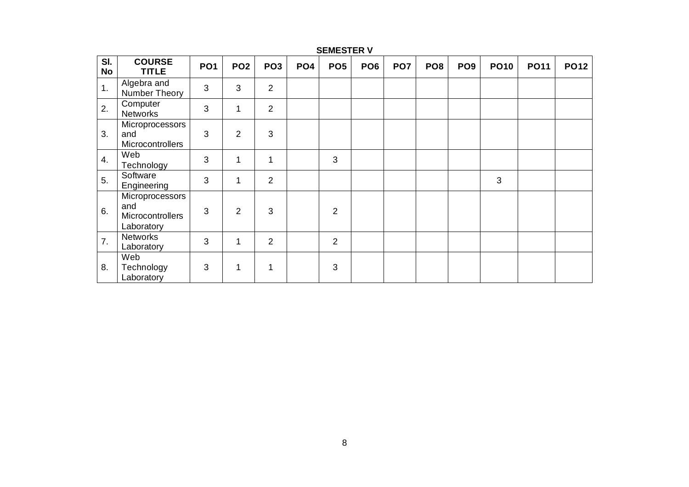| SI.<br><b>No</b> | <b>COURSE</b><br><b>TITLE</b>                            | PO <sub>1</sub> | PO <sub>2</sub> | PO <sub>3</sub> | PO <sub>4</sub> | PO <sub>5</sub> | PO <sub>6</sub> | PO <sub>7</sub> | PO <sub>8</sub> | PO <sub>9</sub> | <b>PO10</b>    | <b>PO11</b> | <b>PO12</b> |
|------------------|----------------------------------------------------------|-----------------|-----------------|-----------------|-----------------|-----------------|-----------------|-----------------|-----------------|-----------------|----------------|-------------|-------------|
| 1.               | Algebra and<br>Number Theory                             | 3               | 3               | $\overline{2}$  |                 |                 |                 |                 |                 |                 |                |             |             |
| 2.               | Computer<br><b>Networks</b>                              | 3               | 1               | $\overline{2}$  |                 |                 |                 |                 |                 |                 |                |             |             |
| 3.               | Microprocessors<br>and<br>Microcontrollers               | 3               | $\overline{2}$  | 3               |                 |                 |                 |                 |                 |                 |                |             |             |
| $\overline{4}$ . | Web<br>Technology                                        | 3               | 1               | $\mathbf{1}$    |                 | 3               |                 |                 |                 |                 |                |             |             |
| 5.               | Software<br>Engineering                                  | 3               | 1               | $\overline{2}$  |                 |                 |                 |                 |                 |                 | $\mathfrak{S}$ |             |             |
| 6.               | Microprocessors<br>and<br>Microcontrollers<br>Laboratory | 3               | $\overline{2}$  | 3               |                 | $\overline{2}$  |                 |                 |                 |                 |                |             |             |
| 7.               | <b>Networks</b><br>Laboratory                            | 3               | $\mathbf{1}$    | $\overline{2}$  |                 | $\overline{2}$  |                 |                 |                 |                 |                |             |             |
| 8.               | Web<br>Technology<br>Laboratory                          | 3               | 1               | 1               |                 | 3               |                 |                 |                 |                 |                |             |             |

### **SEMESTER V**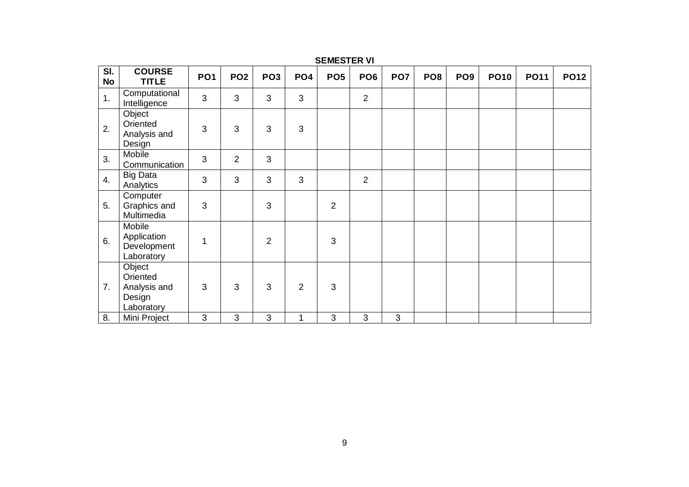| SI.<br><b>No</b> | <b>COURSE</b><br><b>TITLE</b>                              | PO <sub>1</sub> | PO <sub>2</sub> | PO <sub>3</sub> | PO <sub>4</sub> | PO <sub>5</sub> | PO <sub>6</sub> | PO <sub>7</sub> | PO <sub>8</sub> | PO <sub>9</sub> | <b>PO10</b> | <b>PO11</b> | <b>PO12</b> |
|------------------|------------------------------------------------------------|-----------------|-----------------|-----------------|-----------------|-----------------|-----------------|-----------------|-----------------|-----------------|-------------|-------------|-------------|
| 1.               | Computational<br>Intelligence                              | $\overline{3}$  | 3               | 3               | 3               |                 | $\overline{2}$  |                 |                 |                 |             |             |             |
| 2.               | Object<br>Oriented<br>Analysis and<br>Design               | 3               | 3               | 3               | 3               |                 |                 |                 |                 |                 |             |             |             |
| 3.               | Mobile<br>Communication                                    | 3               | $\overline{2}$  | 3               |                 |                 |                 |                 |                 |                 |             |             |             |
| 4.               | <b>Big Data</b><br>Analytics                               | 3               | 3               | 3               | 3               |                 | 2               |                 |                 |                 |             |             |             |
| 5.               | Computer<br>Graphics and<br>Multimedia                     | 3               |                 | 3               |                 | $\overline{2}$  |                 |                 |                 |                 |             |             |             |
| 6.               | Mobile<br>Application<br>Development<br>Laboratory         | 1               |                 | $\overline{2}$  |                 | 3               |                 |                 |                 |                 |             |             |             |
| 7.               | Object<br>Oriented<br>Analysis and<br>Design<br>Laboratory | 3               | 3               | 3               | 2               | 3               |                 |                 |                 |                 |             |             |             |
| 8.               | Mini Project                                               | 3               | 3               | 3               | 1               | 3               | 3               | 3               |                 |                 |             |             |             |

**SEMESTER VI**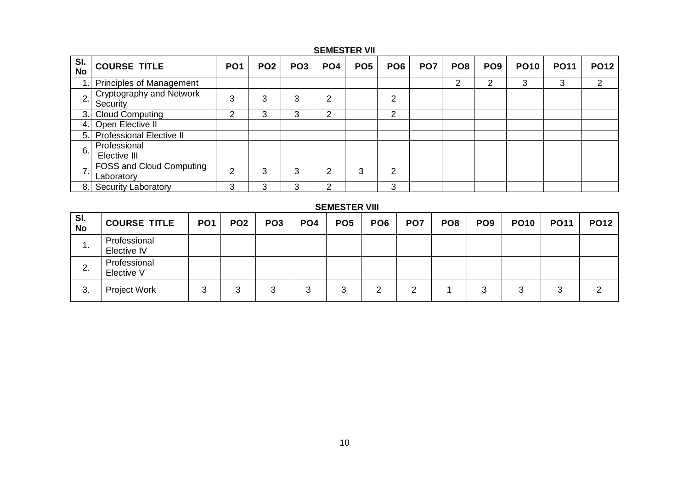### **SEMESTER VII**

| SI.<br><b>No</b> | <b>COURSE TITLE</b>                           | <b>PO1</b> | PO <sub>2</sub> | PO <sub>3</sub> | PO <sub>4</sub> | PO <sub>5</sub> | PO <sub>6</sub> | PO <sub>7</sub> | PO <sub>8</sub> | PO <sub>9</sub> | <b>PO10</b> | <b>PO11</b> | <b>PO12</b> |
|------------------|-----------------------------------------------|------------|-----------------|-----------------|-----------------|-----------------|-----------------|-----------------|-----------------|-----------------|-------------|-------------|-------------|
|                  | <b>Principles of Management</b>               |            |                 |                 |                 |                 |                 |                 | っ               | っ               | 3           | 3           | ⌒           |
| 2.               | Cryptography and Network<br>Security          | 3          | 3               | 3               | ◠               |                 | າ               |                 |                 |                 |             |             |             |
| 3.I              | <b>Cloud Computing</b>                        | ⌒          | 3               | 3               | っ               |                 | າ               |                 |                 |                 |             |             |             |
| 4.               | Open Elective II                              |            |                 |                 |                 |                 |                 |                 |                 |                 |             |             |             |
| 5.1              | <b>Professional Elective II</b>               |            |                 |                 |                 |                 |                 |                 |                 |                 |             |             |             |
| 6.               | Professional<br>Elective III                  |            |                 |                 |                 |                 |                 |                 |                 |                 |             |             |             |
| 7.1              | <b>FOSS and Cloud Computing</b><br>Laboratory | ◠          | 3               | 3               | ⌒               | 3               | っ               |                 |                 |                 |             |             |             |
| 8.1              | <b>Security Laboratory</b>                    | 3          | 3               |                 |                 |                 | 3               |                 |                 |                 |             |             |             |

### **SEMESTER VIII**

| SI.<br><b>No</b> | <b>COURSE TITLE</b>         | PO <sub>1</sub> | PO <sub>2</sub> | PO <sub>3</sub> | PO <sub>4</sub> | PO <sub>5</sub> | PO <sub>6</sub> | PO <sub>7</sub> | PO <sub>8</sub> | PO <sub>9</sub> | <b>PO10</b> | <b>PO11</b>              | <b>PO12</b> |
|------------------|-----------------------------|-----------------|-----------------|-----------------|-----------------|-----------------|-----------------|-----------------|-----------------|-----------------|-------------|--------------------------|-------------|
| ι.               | Professional<br>Elective IV |                 |                 |                 |                 |                 |                 |                 |                 |                 |             |                          |             |
| C<br>۷.          | Professional<br>Elective V  |                 |                 |                 |                 |                 |                 |                 |                 |                 |             |                          |             |
| 3.               | Project Work                | J               |                 | 3               | 3               |                 |                 |                 |                 |                 |             | $\overline{\phantom{a}}$ |             |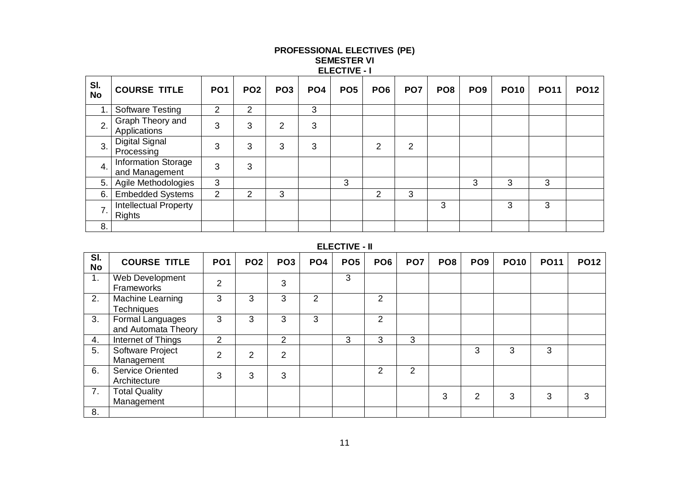|                  |                                               |                 |                 |                 |                 | <b>ELECTIVE - I</b> |                 |                 |                 |                 |             |             |             |
|------------------|-----------------------------------------------|-----------------|-----------------|-----------------|-----------------|---------------------|-----------------|-----------------|-----------------|-----------------|-------------|-------------|-------------|
| SI.<br><b>No</b> | <b>COURSE TITLE</b>                           | PO <sub>1</sub> | PO <sub>2</sub> | PO <sub>3</sub> | PO <sub>4</sub> | PO <sub>5</sub>     | PO <sub>6</sub> | PO <sub>7</sub> | PO <sub>8</sub> | PO <sub>9</sub> | <b>PO10</b> | <b>PO11</b> | <b>PO12</b> |
| 1.               | Software Testing                              | 2               | 2               |                 | 3               |                     |                 |                 |                 |                 |             |             |             |
| 2.               | Graph Theory and<br>Applications              | 3               | 3               | 2               | 3               |                     |                 |                 |                 |                 |             |             |             |
| 3.               | <b>Digital Signal</b><br>Processing           | 3               | 3               | 3               | 3               |                     | 2               | $\overline{2}$  |                 |                 |             |             |             |
| 4.               | Information Storage<br>and Management         | 3               | 3               |                 |                 |                     |                 |                 |                 |                 |             |             |             |
| 5.               | Agile Methodologies                           | 3               |                 |                 |                 | 3                   |                 |                 |                 | 3               | 3           | 3           |             |
| 6.               | <b>Embedded Systems</b>                       | $\overline{2}$  | 2               | 3               |                 |                     | 2               | 3               |                 |                 |             |             |             |
| 7.               | <b>Intellectual Property</b><br><b>Rights</b> |                 |                 |                 |                 |                     |                 |                 | 3               |                 | 3           | 3           |             |
| 8.               |                                               |                 |                 |                 |                 |                     |                 |                 |                 |                 |             |             |             |

### **PROFESSIONAL ELECTIVES (PE) SEMESTER VI**

### **ELECTIVE - II**

| SI.<br><b>No</b> | <b>COURSE TITLE</b>                     | PO <sub>1</sub> | PO <sub>2</sub> | PO <sub>3</sub> | PO <sub>4</sub> | PO <sub>5</sub> | PO <sub>6</sub> | PO <sub>7</sub> | PO <sub>8</sub> | PO <sub>9</sub> | <b>PO10</b> | <b>PO11</b> | <b>PO12</b> |
|------------------|-----------------------------------------|-----------------|-----------------|-----------------|-----------------|-----------------|-----------------|-----------------|-----------------|-----------------|-------------|-------------|-------------|
| 1 <sub>1</sub>   | Web Development<br>Frameworks           | $\overline{2}$  |                 | 3               |                 | 3               |                 |                 |                 |                 |             |             |             |
| 2.               | Machine Learning<br><b>Techniques</b>   | 3               | 3               | 3               | 2               |                 | 2               |                 |                 |                 |             |             |             |
| 3.               | Formal Languages<br>and Automata Theory | 3               | 3               | 3               | 3               |                 | $\mathcal{P}$   |                 |                 |                 |             |             |             |
| 4.               | Internet of Things                      | 2               |                 | 2               |                 | 3               | 3               | 3               |                 |                 |             |             |             |
| 5.               | Software Project<br>Management          | $\overline{2}$  | 2               | $\overline{2}$  |                 |                 |                 |                 |                 | 3               | 3           | 3           |             |
| 6.               | <b>Service Oriented</b><br>Architecture | 3               | 3               | 3               |                 |                 | 2               | 2               |                 |                 |             |             |             |
| 7.               | <b>Total Quality</b><br>Management      |                 |                 |                 |                 |                 |                 |                 | 3               | $\overline{2}$  | 3           | 3           | 3           |
| 8.               |                                         |                 |                 |                 |                 |                 |                 |                 |                 |                 |             |             |             |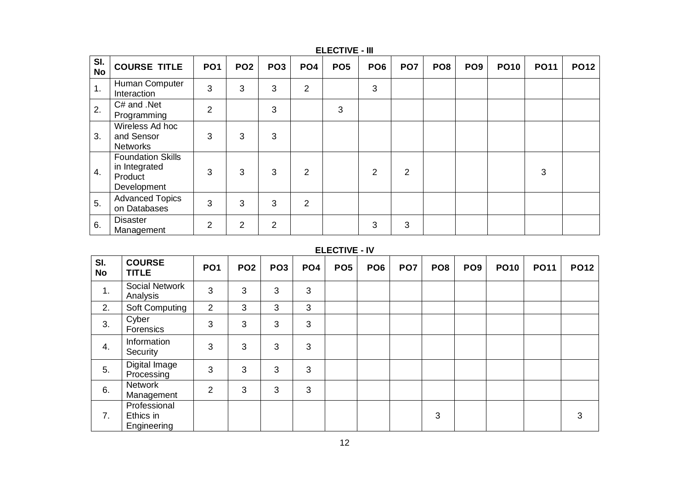| SI.<br><b>No</b> | <b>COURSE TITLE</b>                                                 | PO <sub>1</sub> | PO <sub>2</sub> | PO <sub>3</sub> | PO <sub>4</sub> | PO <sub>5</sub> | PO <sub>6</sub> | PO <sub>7</sub> | PO <sub>8</sub> | PO <sub>9</sub> | <b>PO10</b> | <b>PO11</b> | <b>PO12</b> |
|------------------|---------------------------------------------------------------------|-----------------|-----------------|-----------------|-----------------|-----------------|-----------------|-----------------|-----------------|-----------------|-------------|-------------|-------------|
| 1.               | Human Computer<br>Interaction                                       | 3               | 3               | 3               | $\overline{2}$  |                 | 3               |                 |                 |                 |             |             |             |
| 2.               | C# and .Net<br>Programming                                          | 2               |                 | 3               |                 | 3               |                 |                 |                 |                 |             |             |             |
| 3.               | Wireless Ad hoc<br>and Sensor<br><b>Networks</b>                    | 3               | 3               | 3               |                 |                 |                 |                 |                 |                 |             |             |             |
| 4.               | <b>Foundation Skills</b><br>in Integrated<br>Product<br>Development | 3               | 3               | 3               | 2               |                 | $\overline{2}$  | $\overline{2}$  |                 |                 |             | 3           |             |
| 5.               | <b>Advanced Topics</b><br>on Databases                              | 3               | 3               | 3               | $\overline{2}$  |                 |                 |                 |                 |                 |             |             |             |
| 6.               | <b>Disaster</b><br>Management                                       | $\overline{2}$  | $\overline{2}$  | $\overline{2}$  |                 |                 | 3               | 3               |                 |                 |             |             |             |

### **ELECTIVE - III**

### **ELECTIVE - IV**

| SI.<br><b>No</b> | <b>COURSE</b><br><b>TITLE</b>            | PO <sub>1</sub> | PO <sub>2</sub> | PO <sub>3</sub> | PO <sub>4</sub> | PO <sub>5</sub> | PO <sub>6</sub> | PO <sub>7</sub> | PO <sub>8</sub> | PO <sub>9</sub> | <b>PO10</b> | <b>PO11</b> | <b>PO12</b> |
|------------------|------------------------------------------|-----------------|-----------------|-----------------|-----------------|-----------------|-----------------|-----------------|-----------------|-----------------|-------------|-------------|-------------|
| 1.               | Social Network<br>Analysis               | 3               | 3               | 3               | 3               |                 |                 |                 |                 |                 |             |             |             |
| 2.               | Soft Computing                           | $\overline{2}$  | 3               | 3               | 3               |                 |                 |                 |                 |                 |             |             |             |
| 3.               | Cyber<br>Forensics                       | 3               | 3               | 3               | 3               |                 |                 |                 |                 |                 |             |             |             |
| 4.               | Information<br>Security                  | 3               | 3               | 3               | 3               |                 |                 |                 |                 |                 |             |             |             |
| 5.               | Digital Image<br>Processing              | 3               | 3               | 3               | 3               |                 |                 |                 |                 |                 |             |             |             |
| 6.               | <b>Network</b><br>Management             | $\overline{2}$  | 3               | 3               | 3               |                 |                 |                 |                 |                 |             |             |             |
| 7.               | Professional<br>Ethics in<br>Engineering |                 |                 |                 |                 |                 |                 |                 | 3               |                 |             |             | 3           |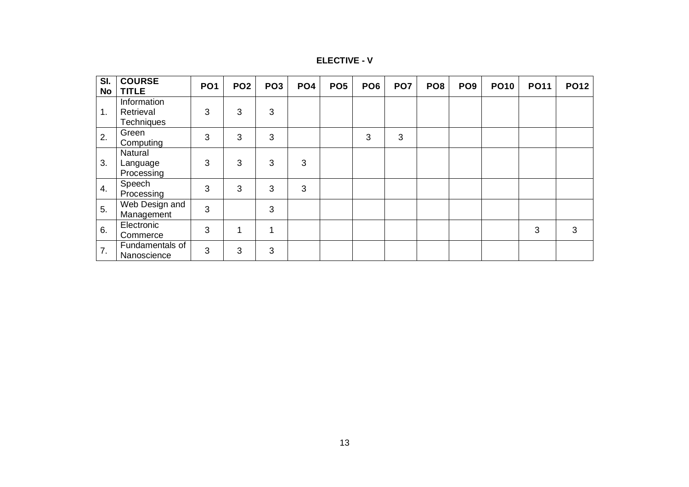| <b>ELECTIVE - V</b> |  |  |
|---------------------|--|--|
|---------------------|--|--|

| SI.<br>No | <b>COURSE</b><br><b>TITLE</b>                 | <b>PO1</b> | PO <sub>2</sub> | PO <sub>3</sub> | PO <sub>4</sub> | PO <sub>5</sub> | PO <sub>6</sub> | PO <sub>7</sub> | PO <sub>8</sub> | PO <sub>9</sub> | <b>PO10</b> | <b>PO11</b> | <b>PO12</b> |
|-----------|-----------------------------------------------|------------|-----------------|-----------------|-----------------|-----------------|-----------------|-----------------|-----------------|-----------------|-------------|-------------|-------------|
| 1.        | Information<br>Retrieval<br><b>Techniques</b> | 3          | 3               | 3               |                 |                 |                 |                 |                 |                 |             |             |             |
| 2.        | Green<br>Computing                            | 3          | 3               | 3               |                 |                 | 3               | 3               |                 |                 |             |             |             |
| 3.        | Natural<br>Language<br>Processing             | 3          | 3               | 3               | 3               |                 |                 |                 |                 |                 |             |             |             |
| 4.        | Speech<br>Processing                          | 3          | 3               | 3               | 3               |                 |                 |                 |                 |                 |             |             |             |
| 5.        | Web Design and<br>Management                  | 3          |                 | 3               |                 |                 |                 |                 |                 |                 |             |             |             |
| 6.        | Electronic<br>Commerce                        | 3          |                 | 1               |                 |                 |                 |                 |                 |                 |             | 3           | 3           |
| 7.        | Fundamentals of<br>Nanoscience                | 3          | 3               | 3               |                 |                 |                 |                 |                 |                 |             |             |             |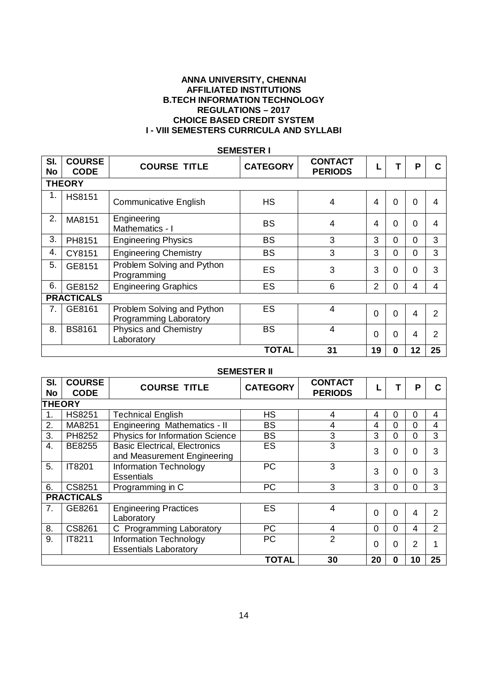### **ANNA UNIVERSITY, CHENNAI AFFILIATED INSTITUTIONS B.TECH INFORMATION TECHNOLOGY REGULATIONS – 2017 CHOICE BASED CREDIT SYSTEM I - VIII SEMESTERS CURRICULA AND SYLLABI**

| SI.<br>No | <b>COURSE</b><br><b>CODE</b> | <b>COURSE TITLE</b>                                  | <b>CATEGORY</b> | <b>CONTACT</b><br><b>PERIODS</b> |                |                | P        | C  |  |  |  |  |  |
|-----------|------------------------------|------------------------------------------------------|-----------------|----------------------------------|----------------|----------------|----------|----|--|--|--|--|--|
|           | <b>THEORY</b>                |                                                      |                 |                                  |                |                |          |    |  |  |  |  |  |
| 1.        | <b>HS8151</b>                | <b>Communicative English</b>                         | <b>HS</b>       | 4                                | 4              | $\Omega$       | $\Omega$ | 4  |  |  |  |  |  |
| 2.        | MA8151                       | Engineering<br>Mathematics - I                       | <b>BS</b>       | 4                                | 4              | 0              | 0        | 4  |  |  |  |  |  |
| 3.        | PH8151                       | <b>Engineering Physics</b>                           | <b>BS</b>       | 3                                | 3              | $\Omega$       | 0        | 3  |  |  |  |  |  |
| 4.        | CY8151                       | <b>Engineering Chemistry</b>                         | <b>BS</b>       | 3                                | 3              | $\Omega$       | 0        | 3  |  |  |  |  |  |
| 5.        | GE8151                       | Problem Solving and Python<br>Programming            | ES              | 3                                | 3              | $\overline{0}$ | $\Omega$ | 3  |  |  |  |  |  |
| 6.        | GE8152                       | <b>Engineering Graphics</b>                          | ES              | 6                                | $\overline{2}$ | 0              | 4        | 4  |  |  |  |  |  |
|           | <b>PRACTICALS</b>            |                                                      |                 |                                  |                |                |          |    |  |  |  |  |  |
| 7.        | GE8161                       | Problem Solving and Python<br>Programming Laboratory | ES              | $\overline{4}$                   | $\overline{0}$ | $\overline{0}$ | 4        | 2  |  |  |  |  |  |
| 8.        | <b>BS8161</b>                | <b>Physics and Chemistry</b><br>Laboratory           | <b>BS</b>       | 4                                | $\Omega$       | $\Omega$       | 4        | 2  |  |  |  |  |  |
|           |                              |                                                      | TOTAL           | 31                               | 19             | $\bf{0}$       | 12       | 25 |  |  |  |  |  |

### **SEMESTER I**

### **SEMESTER II**

| SI.<br>No     | <b>COURSE</b><br><b>CODE</b> | <b>COURSE TITLE</b>                                                 | <b>CATEGORY</b> | <b>CONTACT</b><br><b>PERIODS</b> |          |          | Р  |    |
|---------------|------------------------------|---------------------------------------------------------------------|-----------------|----------------------------------|----------|----------|----|----|
| <b>THEORY</b> |                              |                                                                     |                 |                                  |          |          |    |    |
| 1.            | <b>HS8251</b>                | <b>Technical English</b>                                            | <b>HS</b>       | 4                                | 4        | 0        | 0  | 4  |
| 2.            | MA8251                       | Engineering Mathematics - II                                        | <b>BS</b>       | 4                                | 4        | 0        | 0  | 4  |
| 3.            | PH8252                       | <b>Physics for Information Science</b>                              | <b>BS</b>       | 3                                | 3        | 0        | 0  | 3  |
| 4.            | BE8255                       | <b>Basic Electrical, Electronics</b><br>and Measurement Engineering | ES              | 3                                | 3        | 0        | 0  | 3  |
| 5.            | IT8201                       | <b>Information Technology</b><br><b>Essentials</b>                  | <b>PC</b>       | 3                                | 3        | 0        | 0  | 3  |
| 6.            | CS8251                       | Programming in C                                                    | <b>PC</b>       | 3                                | 3        | 0        | ი  | 3  |
|               | <b>PRACTICALS</b>            |                                                                     |                 |                                  |          |          |    |    |
| 7.            | GE8261                       | <b>Engineering Practices</b><br>Laboratory                          | ES              | 4                                | $\Omega$ | 0        | 4  |    |
| 8.            | CS8261                       | C Programming Laboratory                                            | <b>PC</b>       | 4                                | $\Omega$ | $\Omega$ | 4  | 2  |
| 9.            | IT8211                       | Information Technology<br><b>Essentials Laboratory</b>              | <b>PC</b>       | $\overline{2}$                   | $\Omega$ | 0        | 2  |    |
|               |                              |                                                                     | <b>TOTAL</b>    | 30                               | 20       | $\bf{0}$ | 10 | 25 |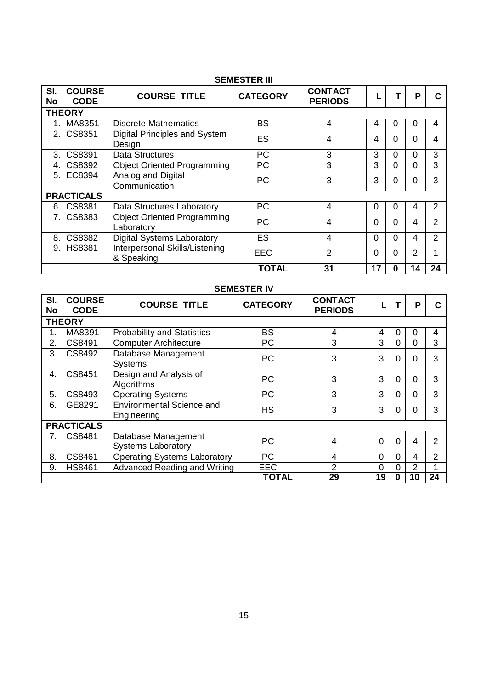### **SEMESTER III**

| SI.<br>No      | <b>COURSE</b><br><b>CODE</b> | <b>COURSE TITLE</b>                              | <b>CATEGORY</b> | <b>CONTACT</b><br><b>PERIODS</b> |          | т        | Ρ  |    |
|----------------|------------------------------|--------------------------------------------------|-----------------|----------------------------------|----------|----------|----|----|
|                | <b>THEORY</b>                |                                                  |                 |                                  |          |          |    |    |
|                | MA8351                       | <b>Discrete Mathematics</b>                      | <b>BS</b>       | 4                                | 4        | $\Omega$ | 0  | 4  |
| 2.             | CS8351                       | Digital Principles and System<br>Design          | ES              | 4                                | 4        | $\Omega$ | 0  | 4  |
| 3.             | CS8391                       | <b>Data Structures</b>                           | <b>PC</b>       | 3                                | 3        | $\Omega$ | 0  | 3  |
| 4.             | CS8392                       | <b>Object Oriented Programming</b>               | <b>PC</b>       | 3                                | 3        | $\Omega$ | 0  | 3  |
| 5.1            | EC8394                       | Analog and Digital<br>Communication              | <b>PC</b>       | 3                                | 3        | $\Omega$ | 0  | 3  |
|                | <b>PRACTICALS</b>            |                                                  |                 |                                  |          |          |    |    |
| 6.             | CS8381                       | Data Structures Laboratory                       | <b>PC</b>       | 4                                | $\Omega$ | $\Omega$ | 4  | 2  |
| $\overline{7}$ | CS8383                       | <b>Object Oriented Programming</b><br>Laboratory | <b>PC</b>       | 4                                | 0        | $\Omega$ | 4  | 2  |
| 8.             | CS8382                       | <b>Digital Systems Laboratory</b>                | ES              | 4                                | $\Omega$ | $\Omega$ | 4  | 2  |
| 9.             | <b>HS8381</b>                | Interpersonal Skills/Listening<br>& Speaking     | <b>EEC</b>      | 2                                | $\Omega$ | $\Omega$ | 2  |    |
|                |                              |                                                  | <b>TOTAL</b>    | 31                               | 17       | 0        | 14 | 24 |

### **SEMESTER IV**

| SI.<br><b>No</b> | <b>COURSE</b><br><b>CODE</b> | <b>COURSE TITLE</b>                              | <b>CATEGORY</b> | <b>CONTACT</b><br><b>PERIODS</b> |             |          | P              |                |
|------------------|------------------------------|--------------------------------------------------|-----------------|----------------------------------|-------------|----------|----------------|----------------|
|                  | <b>THEORY</b>                |                                                  |                 |                                  |             |          |                |                |
|                  | MA8391                       | <b>Probability and Statistics</b>                | <b>BS</b>       | 4                                | 4           | $\Omega$ | 0              | 4              |
| 2.               | CS8491                       | <b>Computer Architecture</b>                     | <b>PC</b>       | 3                                | 3           | 0        | 0              | 3              |
| 3.               | CS8492                       | Database Management<br><b>Systems</b>            | <b>PC</b>       | 3                                | 3           | $\Omega$ | 0              | 3              |
| 4.               | CS8451                       | Design and Analysis of<br>Algorithms             | <b>PC</b>       | 3                                | 3           | $\Omega$ | $\Omega$       | 3              |
| 5.               | CS8493                       | <b>Operating Systems</b>                         | <b>PC</b>       | 3                                | 3           | $\Omega$ | $\Omega$       | 3              |
| 6.               | GE8291                       | <b>Environmental Science and</b><br>Engineering  | <b>HS</b>       | 3                                | 3           | $\Omega$ | $\Omega$       | 3              |
|                  | <b>PRACTICALS</b>            |                                                  |                 |                                  |             |          |                |                |
| 7.               | CS8481                       | Database Management<br><b>Systems Laboratory</b> | <b>PC</b>       | 4                                | 0           | $\Omega$ | 4              | $\overline{2}$ |
| 8.               | CS8461                       | <b>Operating Systems Laboratory</b>              | <b>PC</b>       | 4                                | $\mathbf 0$ | $\Omega$ | 4              | $\overline{2}$ |
| 9.               | <b>HS8461</b>                | Advanced Reading and Writing                     | <b>EEC</b>      | 2                                | $\mathbf 0$ | $\Omega$ | $\overline{2}$ | 1              |
|                  |                              |                                                  | <b>TOTAL</b>    | 29                               | 19          | $\bf{0}$ | 10             | 24             |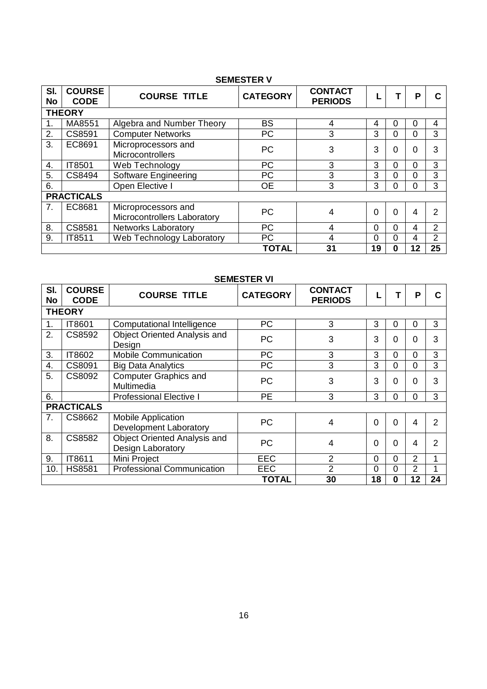### **SEMESTER V**

| SI.<br><b>No</b> | <b>COURSE</b><br><b>CODE</b> | <b>COURSE TITLE</b>                                | <b>CATEGORY</b> | <b>CONTACT</b><br><b>PERIODS</b> |                | т        | P  |                |
|------------------|------------------------------|----------------------------------------------------|-----------------|----------------------------------|----------------|----------|----|----------------|
|                  | <b>THEORY</b>                |                                                    |                 |                                  |                |          |    |                |
| 1.               | MA8551                       | Algebra and Number Theory                          | <b>BS</b>       | 4                                | 4              | 0        | 0  | 4              |
| 2.               | CS8591                       | <b>Computer Networks</b>                           | PC              | 3                                | 3              | $\Omega$ | 0  | 3              |
| 3.               | EC8691                       | Microprocessors and<br>Microcontrollers            | <b>PC</b>       | 3                                | 3              | 0        | 0  | 3              |
| 4.               | IT8501                       | Web Technology                                     | <b>PC</b>       | 3                                | 3              | $\Omega$ | 0  | 3              |
| 5.               | CS8494                       | Software Engineering                               | <b>PC</b>       | 3                                | 3              | $\Omega$ | 0  | 3              |
| 6.               |                              | Open Elective I                                    | <b>OE</b>       | 3                                | 3              | $\Omega$ | 0  | 3              |
|                  | <b>PRACTICALS</b>            |                                                    |                 |                                  |                |          |    |                |
| 7.               | EC8681                       | Microprocessors and<br>Microcontrollers Laboratory | <b>PC</b>       | 4                                | 0              | $\Omega$ | 4  | 2              |
| 8.               | CS8581                       | <b>Networks Laboratory</b>                         | <b>PC</b>       | 4                                | $\overline{0}$ | $\Omega$ | 4  | 2              |
| 9.               | IT8511                       | Web Technology Laboratory                          | <b>PC</b>       | 4                                | $\overline{0}$ | $\Omega$ | 4  | $\overline{2}$ |
|                  |                              |                                                    | <b>TOTAL</b>    | 31                               | 19             | 0        | 12 | 25             |

|                  | <b>SEMESTER VI</b>           |                                                          |                 |                                  |          |          |                |    |  |  |  |  |
|------------------|------------------------------|----------------------------------------------------------|-----------------|----------------------------------|----------|----------|----------------|----|--|--|--|--|
| SI.<br><b>No</b> | <b>COURSE</b><br><b>CODE</b> | <b>COURSE TITLE</b>                                      | <b>CATEGORY</b> | <b>CONTACT</b><br><b>PERIODS</b> |          |          | P              |    |  |  |  |  |
|                  | <b>THEORY</b>                |                                                          |                 |                                  |          |          |                |    |  |  |  |  |
| 1.               | IT8601                       | Computational Intelligence                               | <b>PC</b>       | 3                                | 3        | 0        | 0              | 3  |  |  |  |  |
| 2.               | CS8592                       | Object Oriented Analysis and<br>Design                   | <b>PC</b>       | 3                                | 3        | 0        | 0              | 3  |  |  |  |  |
| 3.               | IT8602                       | <b>Mobile Communication</b>                              | <b>PC</b>       | 3                                | 3        | $\Omega$ | ი              | 3  |  |  |  |  |
| 4.               | CS8091                       | <b>Big Data Analytics</b>                                | <b>PC</b>       | 3                                | 3        | 0        | 0              | 3  |  |  |  |  |
| 5.               | CS8092                       | <b>Computer Graphics and</b><br>Multimedia               | <b>PC</b>       | 3                                | 3        | $\Omega$ | 0              | 3  |  |  |  |  |
| 6.               |                              | <b>Professional Elective I</b>                           | <b>PE</b>       | 3                                | 3        | 0        | 0              | 3  |  |  |  |  |
|                  | <b>PRACTICALS</b>            |                                                          |                 |                                  |          |          |                |    |  |  |  |  |
| 7.               | CS8662                       | <b>Mobile Application</b><br>Development Laboratory      | PС              | 4                                | $\Omega$ | 0        | 4              | 2  |  |  |  |  |
| 8.               | CS8582                       | <b>Object Oriented Analysis and</b><br>Design Laboratory | <b>PC</b>       | 4                                | $\Omega$ | 0        | 4              | 2  |  |  |  |  |
| 9.               | IT8611                       | Mini Project                                             | <b>EEC</b>      | $\overline{2}$                   | $\Omega$ | 0        | $\overline{2}$ |    |  |  |  |  |
| 10.              | <b>HS8581</b>                | <b>Professional Communication</b>                        | EEC             | $\overline{2}$                   | $\Omega$ | 0        | $\overline{2}$ |    |  |  |  |  |
|                  |                              |                                                          | <b>TOTAL</b>    | 30                               | 18       | 0        | 12             | 24 |  |  |  |  |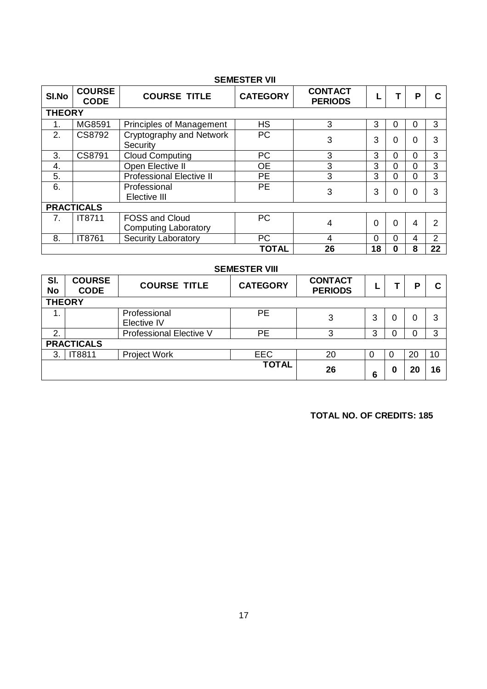|                  | <b>SEMESTER VII</b>          |                                                      |                 |                                  |          |          |   |               |  |  |  |  |
|------------------|------------------------------|------------------------------------------------------|-----------------|----------------------------------|----------|----------|---|---------------|--|--|--|--|
| SI.No            | <b>COURSE</b><br><b>CODE</b> | <b>COURSE TITLE</b>                                  | <b>CATEGORY</b> | <b>CONTACT</b><br><b>PERIODS</b> |          |          | P | C             |  |  |  |  |
| <b>THEORY</b>    |                              |                                                      |                 |                                  |          |          |   |               |  |  |  |  |
|                  | MG8591                       | <b>Principles of Management</b>                      | <b>HS</b>       | 3                                | 3        | 0        | 0 | 3             |  |  |  |  |
| $\overline{2}$ . | CS8792                       | Cryptography and Network<br>Security                 | <b>PC</b>       | 3                                | 3        | 0        | 0 |               |  |  |  |  |
| 3.               | CS8791                       | <b>Cloud Computing</b>                               | PC              | 3                                | 3        | $\Omega$ | ი | 3             |  |  |  |  |
| 4.               |                              | Open Elective II                                     | <b>OE</b>       | 3                                | 3        | $\Omega$ | 0 | 3             |  |  |  |  |
| 5.               |                              | <b>Professional Elective II</b>                      | <b>PE</b>       | 3                                | 3        | $\Omega$ | 0 | 3             |  |  |  |  |
| 6.               |                              | Professional<br>Elective III                         | <b>PE</b>       | 3                                | 3        | 0        |   |               |  |  |  |  |
|                  | <b>PRACTICALS</b>            |                                                      |                 |                                  |          |          |   |               |  |  |  |  |
| 7.               | IT8711                       | <b>FOSS and Cloud</b><br><b>Computing Laboratory</b> | <b>PC</b>       | 4                                | $\Omega$ | 0        | 4 |               |  |  |  |  |
| 8.               | IT8761                       | <b>Security Laboratory</b>                           | <b>PC</b>       | 4                                | $\Omega$ | 0        | 4 | $\mathcal{P}$ |  |  |  |  |
|                  |                              |                                                      | <b>TOTAL</b>    | 26                               | 18       | 0        | 8 | 22            |  |  |  |  |

|                  | <b>SEMESTER VIII</b>         |                             |                 |                                  |   |   |    |    |  |  |  |
|------------------|------------------------------|-----------------------------|-----------------|----------------------------------|---|---|----|----|--|--|--|
| SI.<br><b>No</b> | <b>COURSE</b><br><b>CODE</b> | <b>COURSE TITLE</b>         | <b>CATEGORY</b> | <b>CONTACT</b><br><b>PERIODS</b> |   |   | Р  | C. |  |  |  |
| <b>THEORY</b>    |                              |                             |                 |                                  |   |   |    |    |  |  |  |
| 1.               |                              | Professional<br>Elective IV | <b>PE</b>       | 3                                | 3 | 0 | 0  | 3  |  |  |  |
| 2.               |                              | Professional Elective V     | <b>PE</b>       | 3                                | 3 |   | 0  | 3  |  |  |  |
|                  | <b>PRACTICALS</b>            |                             |                 |                                  |   |   |    |    |  |  |  |
| 3.               | IT8811                       | <b>Project Work</b>         | <b>EEC</b>      | 20                               | 0 |   | 20 | 10 |  |  |  |
|                  |                              |                             | <b>TOTAL</b>    | 26                               | 6 | 0 | 20 | 16 |  |  |  |

 **TOTAL NO. OF CREDITS: 185**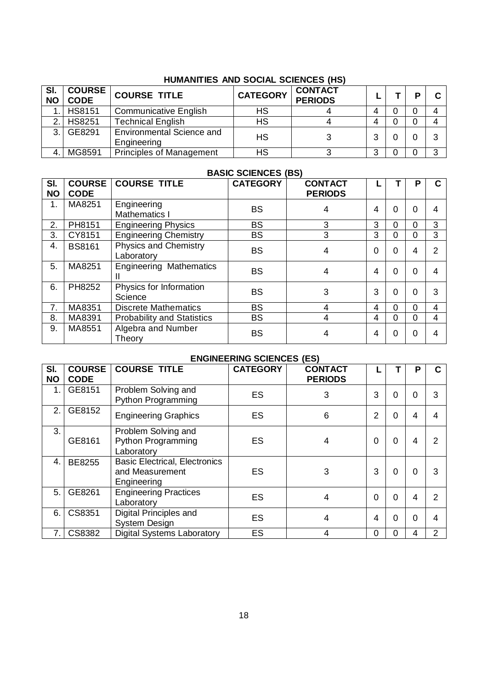| SI.<br><b>NO</b> | <b>COURSE</b><br><b>CODE</b> | <b>COURSE TITLE</b>                             | <b>CATEGORY</b> | <b>CONTACT</b><br><b>PERIODS</b> |   |  | D |  |  |  |  |
|------------------|------------------------------|-------------------------------------------------|-----------------|----------------------------------|---|--|---|--|--|--|--|
|                  | <b>HS8151</b>                | <b>Communicative English</b>                    | НS              |                                  | 4 |  |   |  |  |  |  |
| 2.1              | <b>HS8251</b>                | <b>Technical English</b>                        | НS              |                                  | 4 |  |   |  |  |  |  |
| 3.1              | GE8291                       | <b>Environmental Science and</b><br>Engineering | <b>HS</b>       |                                  |   |  |   |  |  |  |  |
|                  | MG8591                       | <b>Principles of Management</b>                 | HS              |                                  | 3 |  |   |  |  |  |  |

### **HUMANITIES AND SOCIAL SCIENCES (HS)**

### **BASIC SCIENCES (BS)**

| SI.<br><b>NO</b> | <b>COURSE</b><br><b>CODE</b> | <b>COURSE TITLE</b>                        | <b>CATEGORY</b> | <b>CONTACT</b><br><b>PERIODS</b> |          |          | Р        | C              |
|------------------|------------------------------|--------------------------------------------|-----------------|----------------------------------|----------|----------|----------|----------------|
| 1.               | MA8251                       | Engineering<br>Mathematics I               | <b>BS</b>       | 4                                | 4        | $\Omega$ | 0        | 4              |
| 2.               | PH8151                       | <b>Engineering Physics</b>                 | <b>BS</b>       | 3                                | 3        | $\Omega$ | 0        | 3              |
| 3.               | CY8151                       | <b>Engineering Chemistry</b>               | <b>BS</b>       | 3                                | 3        | $\Omega$ | 0        | 3              |
| 4.               | <b>BS8161</b>                | <b>Physics and Chemistry</b><br>Laboratory | <b>BS</b>       | 4                                | $\Omega$ | $\Omega$ | 4        | 2              |
| 5.               | MA8251                       | <b>Engineering Mathematics</b>             | <b>BS</b>       | 4                                | 4        | $\Omega$ | $\Omega$ | 4              |
| 6.               | PH8252                       | Physics for Information<br>Science         | <b>BS</b>       | 3                                | 3        | $\Omega$ | 0        | 3              |
| 7.               | MA8351                       | <b>Discrete Mathematics</b>                | <b>BS</b>       | 4                                | 4        | $\Omega$ | 0        | $\overline{4}$ |
| 8.               | MA8391                       | <b>Probability and Statistics</b>          | <b>BS</b>       | 4                                | 4        | $\Omega$ | 0        | 4              |
| 9.               | MA8551                       | Algebra and Number<br>Theory               | <b>BS</b>       | 4                                | 4        | $\Omega$ | ი        | 4              |

### **ENGINEERING SCIENCES (ES)**

| SI.<br><b>NO</b> | <b>COURSE</b><br><b>CODE</b> | <b>COURSE TITLE</b>                                                    | <b>CATEGORY</b> | <b>CONTACT</b><br><b>PERIODS</b> |                |   | Р |               |
|------------------|------------------------------|------------------------------------------------------------------------|-----------------|----------------------------------|----------------|---|---|---------------|
| 1.               | GE8151                       | Problem Solving and<br><b>Python Programming</b>                       | ES              | 3                                | 3              | 0 | 0 |               |
| 2.               | GE8152                       | <b>Engineering Graphics</b>                                            | <b>ES</b>       | 6                                | $\overline{2}$ | 0 | 4 |               |
| 3.               | GE8161                       | Problem Solving and<br><b>Python Programming</b><br>Laboratory         | ES              | 4                                | $\Omega$       | 0 |   |               |
| 4.               | BE8255                       | <b>Basic Electrical, Electronics</b><br>and Measurement<br>Engineering | ES              | 3                                | 3              | 0 | 0 |               |
| 5.               | GE8261                       | <b>Engineering Practices</b><br>Laboratory                             | ES              | 4                                | $\Omega$       | 0 | 4 |               |
| 6.               | CS8351                       | Digital Principles and<br><b>System Design</b>                         | <b>ES</b>       | 4                                | 4              | 0 | 0 |               |
| 7.               | CS8382                       | <b>Digital Systems Laboratory</b>                                      | <b>ES</b>       | 4                                | $\Omega$       | 0 | 4 | $\mathcal{P}$ |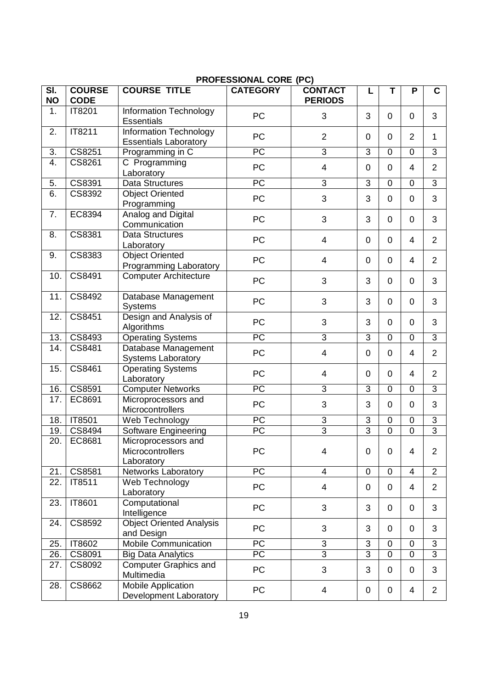|                                         |                              |                                                        | ן הערב אוטועמער ער גין |                                  |                |                |                |                           |
|-----------------------------------------|------------------------------|--------------------------------------------------------|------------------------|----------------------------------|----------------|----------------|----------------|---------------------------|
| $\overline{\mathsf{SI}}$ .<br><b>NO</b> | <b>COURSE</b><br><b>CODE</b> | <b>COURSE TITLE</b>                                    | <b>CATEGORY</b>        | <b>CONTACT</b><br><b>PERIODS</b> | L              | T              | P              | $\mathbf c$               |
| 1.                                      | IT8201                       | Information Technology<br><b>Essentials</b>            | PC                     | 3                                | 3              | $\mathbf 0$    | $\mathbf 0$    | 3                         |
| 2.                                      | IT8211                       | Information Technology<br><b>Essentials Laboratory</b> | PC                     | $\overline{2}$                   | $\mathbf 0$    | $\mathbf 0$    | $\overline{2}$ | 1                         |
| $\overline{3}$ .                        | CS8251                       | Programming in C                                       | $\overline{PC}$        | $\overline{3}$                   | $\overline{3}$ | $\mathbf 0$    | $\mathbf 0$    | $\overline{3}$            |
| $\overline{4}$ .                        | CS8261                       | C Programming                                          |                        |                                  |                |                |                |                           |
|                                         |                              | Laboratory                                             | PC                     | $\overline{\mathbf{4}}$          | $\pmb{0}$      | $\mathbf 0$    | $\overline{4}$ | $\overline{2}$            |
| 5.                                      | CS8391                       | <b>Data Structures</b>                                 | PC                     | 3                                | 3              | $\mathbf 0$    | $\overline{0}$ | 3                         |
| 6.                                      | CS8392                       | <b>Object Oriented</b><br>Programming                  | PC                     | 3                                | 3              | $\mathbf 0$    | $\mathbf 0$    | 3                         |
| 7.                                      | EC8394                       | Analog and Digital<br>Communication                    | PC                     | 3                                | 3              | $\mathbf 0$    | $\mathbf 0$    | 3                         |
| 8.                                      | CS8381                       | <b>Data Structures</b><br>Laboratory                   | PC                     | $\overline{4}$                   | $\mathbf 0$    | $\mathbf 0$    | $\overline{4}$ | $\overline{2}$            |
| 9.                                      | CS8383                       | <b>Object Oriented</b><br>Programming Laboratory       | PC                     | 4                                | $\mathbf 0$    | $\mathbf 0$    | $\overline{4}$ | 2                         |
| 10.                                     | CS8491                       | <b>Computer Architecture</b>                           | PC                     | 3                                | 3              | $\mathbf 0$    | $\mathbf 0$    | 3                         |
| 11.                                     | CS8492                       | Database Management<br><b>Systems</b>                  | PC                     | 3                                | 3              | $\mathbf 0$    | $\mathbf 0$    | 3                         |
| 12.                                     | CS8451                       | Design and Analysis of<br>Algorithms                   | PC                     | 3                                | 3              | $\mathbf 0$    | $\mathbf 0$    | 3                         |
| 13.                                     | CS8493                       | <b>Operating Systems</b>                               | PC                     | $\overline{3}$                   | 3              | $\mathbf 0$    | $\mathbf 0$    | 3                         |
| 14.                                     | CS8481                       | Database Management<br><b>Systems Laboratory</b>       | PC                     | 4                                | $\pmb{0}$      | $\mathbf 0$    | $\overline{4}$ | $\overline{2}$            |
| 15.                                     | CS8461                       | <b>Operating Systems</b><br>Laboratory                 | PC                     | $\overline{4}$                   | $\mathbf 0$    | $\mathbf 0$    | $\overline{4}$ | $\overline{2}$            |
| 16.                                     | CS8591                       | <b>Computer Networks</b>                               | PC                     | 3                                | 3              | $\mathbf 0$    | $\mathbf 0$    | 3                         |
| 17.                                     | EC8691                       | Microprocessors and<br>Microcontrollers                | PC                     | 3                                | 3              | $\mathbf 0$    | $\mathbf 0$    | 3                         |
| 18.                                     | IT8501                       | Web Technology                                         | $\overline{PC}$        | $\overline{3}$                   | $\mathfrak{S}$ | $\pmb{0}$      | $\mathbf 0$    | $\ensuremath{\mathsf{3}}$ |
| 19.                                     | CS8494                       | Software Engineering                                   | $\overline{PC}$        | $\overline{3}$                   | $\overline{3}$ | $\overline{0}$ | $\overline{0}$ | $\overline{3}$            |
| 20.                                     | EC8681                       | Microprocessors and<br>Microcontrollers<br>Laboratory  | PC                     | 4                                | $\mathbf 0$    | $\mathbf 0$    | 4              | $\overline{2}$            |
| 21.                                     | CS8581                       | Networks Laboratory                                    | $\overline{PC}$        | $\overline{4}$                   | $\mathbf 0$    | $\mathbf 0$    | $\overline{4}$ | $\overline{2}$            |
| $\overline{22}$ .                       | IT8511                       | Web Technology<br>Laboratory                           | PC                     | 4                                | $\mathbf 0$    | $\mathbf 0$    | 4              | $\overline{2}$            |
| 23.                                     | IT8601                       | Computational<br>Intelligence                          | <b>PC</b>              | 3                                | 3              | $\mathbf 0$    | $\mathbf 0$    | 3                         |
| 24.                                     | CS8592                       | <b>Object Oriented Analysis</b><br>and Design          | <b>PC</b>              | 3                                | 3              | $\mathbf 0$    | $\mathbf 0$    | 3                         |
| 25.                                     | IT8602                       | <b>Mobile Communication</b>                            | PC                     | 3                                | $\sqrt{3}$     | $\pmb{0}$      | $\mathbf 0$    | 3                         |
| 26.                                     | CS8091                       | <b>Big Data Analytics</b>                              | $\overline{PC}$        | $\overline{3}$                   | $\overline{3}$ | $\mathbf 0$    | $\mathbf 0$    | 3                         |
| 27.                                     | CS8092                       | <b>Computer Graphics and</b><br>Multimedia             | PC                     | 3                                | 3              | $\mathbf 0$    | $\mathbf 0$    | 3                         |
| 28.                                     | CS8662                       | Mobile Application<br>Development Laboratory           | PC                     | 4                                | $\pmb{0}$      | $\pmb{0}$      | 4              | $\overline{2}$            |

### **PROFESSIONAL CORE (PC)**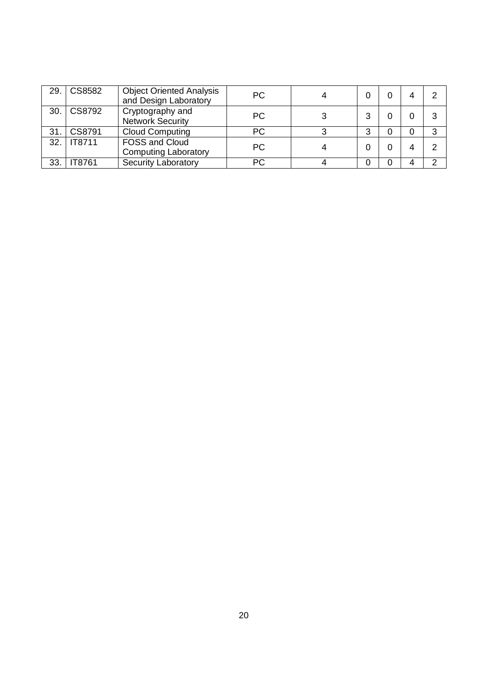| 29. | CS8582        | <b>Object Oriented Analysis</b><br>and Design Laboratory | <b>PC</b> |   |   |   |
|-----|---------------|----------------------------------------------------------|-----------|---|---|---|
|     | 30. CS8792    | Cryptography and<br><b>Network Security</b>              | <b>PC</b> | 3 |   |   |
| 31. | CS8791        | <b>Cloud Computing</b>                                   | <b>PC</b> | 3 | 0 | ◠ |
|     | 32. TF8711    | FOSS and Cloud<br><b>Computing Laboratory</b>            | <b>PC</b> |   |   |   |
| 33. | <b>IT8761</b> | <b>Security Laboratory</b>                               | PС        |   | 4 |   |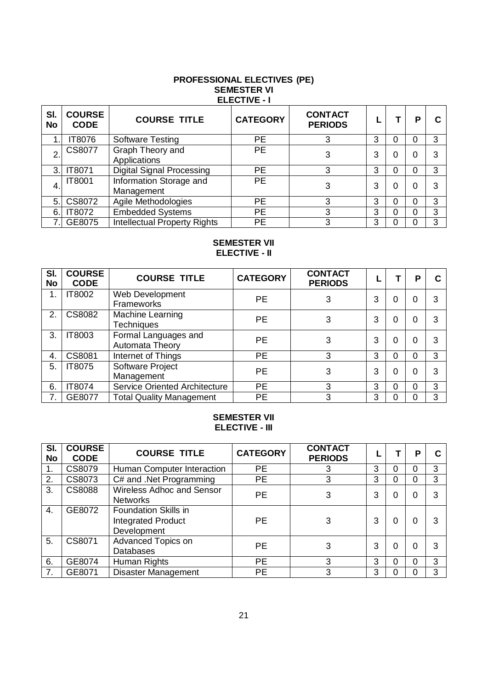### **PROFESSIONAL ELECTIVES (PE) SEMESTER VI ELECTIVE - I**

| SI.<br>No | <b>COURSE</b><br><b>CODE</b> | <b>COURSE TITLE</b>                   | <b>CATEGORY</b> | <b>CONTACT</b><br><b>PERIODS</b> |   |   | Р |   |
|-----------|------------------------------|---------------------------------------|-----------------|----------------------------------|---|---|---|---|
|           | IT8076                       | <b>Software Testing</b>               | <b>PE</b>       | 3                                | 3 | 0 |   | 3 |
| 2.        | <b>CS8077</b>                | Graph Theory and<br>Applications      | <b>PE</b>       | 3                                | 3 | ი |   |   |
| 3.1       | IT8071                       | <b>Digital Signal Processing</b>      | PЕ              | 3                                | 3 | 0 |   | 3 |
| 4.        | <b>IT8001</b>                | Information Storage and<br>Management | <b>PE</b>       | 3                                | 3 | 0 |   |   |
| 5.        | CS8072                       | Agile Methodologies                   | <b>PE</b>       | 3                                | 3 | 0 |   | З |
| 6.        | <b>IT8072</b>                | <b>Embedded Systems</b>               | <b>PE</b>       | 3                                | 3 | 0 |   | 3 |
|           | GE8075                       | <b>Intellectual Property Rights</b>   | <b>PE</b>       | 3                                | 3 |   |   | 3 |

### **SEMESTER VII ELECTIVE - II**

| SI.<br>No     | <b>COURSE</b><br><b>CODE</b> | <b>COURSE TITLE</b>                     | <b>CATEGORY</b> | <b>CONTACT</b><br><b>PERIODS</b> |   |          | P |   |
|---------------|------------------------------|-----------------------------------------|-----------------|----------------------------------|---|----------|---|---|
| $\mathbf 1$ . | IT8002                       | Web Development<br>Frameworks           | <b>PE</b>       | 3                                | 3 | 0        | ი |   |
| 2.            | CS8082                       | Machine Learning<br><b>Techniques</b>   | <b>PE</b>       | 3                                | 3 | 0        |   |   |
| 3.            | IT8003                       | Formal Languages and<br>Automata Theory | <b>PE</b>       | 3                                | 3 | 0        | ი | 3 |
| 4.            | CS8081                       | Internet of Things                      | <b>PE</b>       | 3                                | 3 | 0        | N | 3 |
| 5.            | <b>IT8075</b>                | Software Project<br>Management          | <b>PE</b>       | 3                                | 3 | 0        | 0 | 3 |
| 6.            | IT8074                       | Service Oriented Architecture           | <b>PE</b>       | 3                                | 3 | $\Omega$ | ი | 3 |
| 7.            | GE8077                       | <b>Total Quality Management</b>         | <b>PE</b>       | 3                                | 3 |          |   | 3 |

### **SEMESTER VII ELECTIVE - III**

| SI.<br><b>No</b> | <b>COURSE</b><br><b>CODE</b> | <b>COURSE TITLE</b>                                                     | <b>CATEGORY</b> | <b>CONTACT</b><br><b>PERIODS</b> |   |   | P |   |
|------------------|------------------------------|-------------------------------------------------------------------------|-----------------|----------------------------------|---|---|---|---|
| 1.               | CS8079                       | Human Computer Interaction                                              | PЕ              |                                  | 3 | 0 | ი | 3 |
| 2.               | CS8073                       | C# and .Net Programming                                                 | <b>PE</b>       | 3                                | 3 | 0 | 0 | 3 |
| 3.               | <b>CS8088</b>                | Wireless Adhoc and Sensor<br><b>Networks</b>                            | <b>PE</b>       | 3                                | 3 | 0 |   |   |
| 4.               | GE8072                       | <b>Foundation Skills in</b><br><b>Integrated Product</b><br>Development | <b>PE</b>       | 3                                | 3 | 0 | O |   |
| 5.               | CS8071                       | Advanced Topics on<br><b>Databases</b>                                  | <b>PE</b>       | 3                                | 3 | 0 | O |   |
| 6.               | GE8074                       | Human Rights                                                            | PE              | 3                                | 3 | 0 | ი | 3 |
| 7.               | GE8071                       | <b>Disaster Management</b>                                              | <b>PE</b>       | 3                                | 3 |   |   | 3 |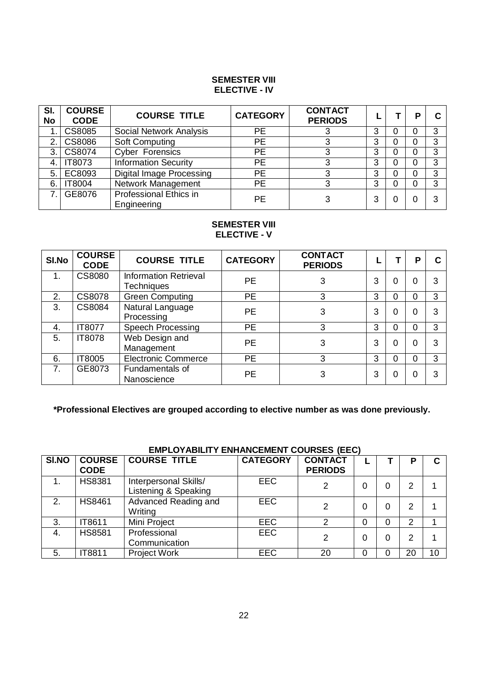### **SEMESTER VIII ELECTIVE - IV**

| SI.<br>No   | <b>COURSE</b><br><b>CODE</b> | <b>COURSE TITLE</b>                   | <b>CATEGORY</b> | <b>CONTACT</b><br><b>PERIODS</b> |   |   | Р | C        |
|-------------|------------------------------|---------------------------------------|-----------------|----------------------------------|---|---|---|----------|
| $\mathbf 1$ | <b>CS8085</b>                | <b>Social Network Analysis</b>        | <b>PE</b>       |                                  | 3 | 0 | 0 | ◠        |
| 2.          | CS8086                       | Soft Computing                        | PE              |                                  | 3 | 0 | 0 | <u>ົ</u> |
| 3.          | CS8074                       | <b>Cyber Forensics</b>                | <b>PE</b>       |                                  | 3 | 0 |   | ◠        |
| 4.          | <b>IT8073</b>                | <b>Information Security</b>           | <b>PE</b>       |                                  | 3 |   |   | ≏        |
| 5           | EC8093                       | Digital Image Processing              | PE              |                                  | 3 | 0 | 0 | ິ        |
| 6.          | IT8004                       | Network Management                    | PE              |                                  | 3 | 0 |   |          |
| 7           | GE8076                       | Professional Ethics in<br>Engineering | PE              |                                  | 3 |   |   |          |

### **SEMESTER VIII ELECTIVE - V**

| SI.No          | <b>COURSE</b><br><b>CODE</b> | <b>COURSE TITLE</b>                               | <b>CATEGORY</b> | <b>CONTACT</b><br><b>PERIODS</b> |   |   | Р |   |
|----------------|------------------------------|---------------------------------------------------|-----------------|----------------------------------|---|---|---|---|
|                | CS8080                       | <b>Information Retrieval</b><br><b>Techniques</b> | <b>PE</b>       | 3                                | 3 | 0 | 0 | 3 |
| 2.             | <b>CS8078</b>                | <b>Green Computing</b>                            | <b>PE</b>       | 3                                | 3 |   | ი | 3 |
| 3.             | CS8084                       | Natural Language<br>Processing                    | <b>PE</b>       | 3                                | 3 |   | ი | 3 |
| 4.             | IT8077                       | <b>Speech Processing</b>                          | <b>PE</b>       | 3                                | 3 |   | ი | 3 |
| 5.             | <b>IT8078</b>                | Web Design and<br>Management                      | PE              | 3                                | 3 |   | ი | 3 |
| 6.             | IT8005                       | <b>Electronic Commerce</b>                        | <b>PE</b>       | 3                                | 3 |   | 0 | 3 |
| 7 <sub>1</sub> | GE8073                       | Fundamentals of<br>Nanoscience                    | PE              | 3                                | 3 |   |   | 3 |

**\*Professional Electives are grouped according to elective number as was done previously.**

| EIVIFLUTABILITT ENTIANUEIVIENT UUUNSES (EEU) |                              |                                               |                 |                                  |   |  |    |    |  |  |
|----------------------------------------------|------------------------------|-----------------------------------------------|-----------------|----------------------------------|---|--|----|----|--|--|
| SI.NO                                        | <b>COURSE</b><br><b>CODE</b> | <b>COURSE TITLE</b>                           | <b>CATEGORY</b> | <b>CONTACT</b><br><b>PERIODS</b> |   |  | Р  | C. |  |  |
| 1                                            | <b>HS8381</b>                | Interpersonal Skills/<br>Listening & Speaking | <b>EEC</b>      | 2                                | 0 |  | 2  |    |  |  |
| 2.                                           | <b>HS8461</b>                | Advanced Reading and<br>Writing               | <b>EEC</b>      | 2                                | 0 |  | 2  |    |  |  |
| 3.                                           | IT8611                       | Mini Project                                  | <b>EEC</b>      | 2                                | 0 |  | 2  |    |  |  |
| 4.                                           | <b>HS8581</b>                | Professional<br>Communication                 | <b>EEC</b>      | 2                                | 0 |  | 2  |    |  |  |
| 5.                                           | IT8811                       | <b>Project Work</b>                           | <b>EEC</b>      | 20                               | 0 |  | 20 | 10 |  |  |

### **EMPLOYABILITY ENHANCEMENT COURSES (EEC)**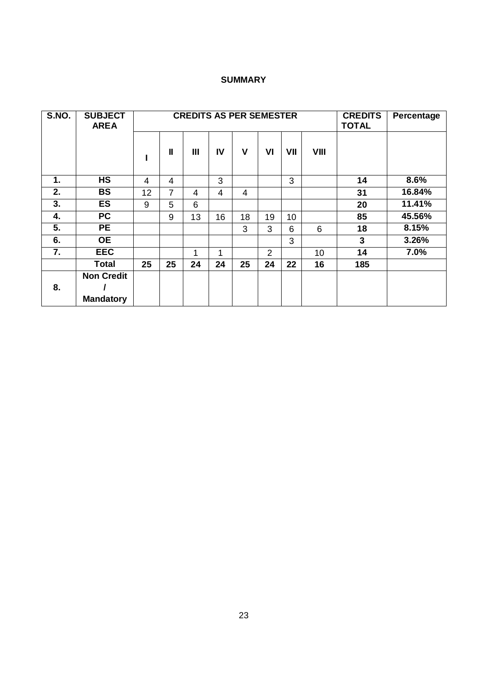### **SUMMARY**

| S.NO.         | <b>SUBJECT</b><br><b>AREA</b> |                |                | <b>CREDITS AS PER SEMESTER</b> |    |                |                |     |      | <b>CREDITS</b><br><b>TOTAL</b> | Percentage |
|---------------|-------------------------------|----------------|----------------|--------------------------------|----|----------------|----------------|-----|------|--------------------------------|------------|
|               |                               |                | $\mathbf{I}$   | $\mathbf{III}$                 | IV | V              | VI             | VII | VIII |                                |            |
| $\mathbf 1$ . | <b>HS</b>                     | $\overline{4}$ | 4              |                                | 3  |                |                | 3   |      | 14                             | 8.6%       |
| 2.            | <b>BS</b>                     | 12             | $\overline{7}$ | 4                              | 4  | $\overline{4}$ |                |     |      | 31                             | 16.84%     |
| 3.            | <b>ES</b>                     | 9              | 5              | 6                              |    |                |                |     |      | 20                             | 11.41%     |
| 4.            | <b>PC</b>                     |                | 9              | 13                             | 16 | 18             | 19             | 10  |      | 85                             | 45.56%     |
| 5.            | <b>PE</b>                     |                |                |                                |    | 3              | 3              | 6   | 6    | 18                             | 8.15%      |
| 6.            | <b>OE</b>                     |                |                |                                |    |                |                | 3   |      | 3                              | 3.26%      |
| 7.            | <b>EEC</b>                    |                |                | 1                              | 1  |                | $\overline{2}$ |     | 10   | 14                             | 7.0%       |
|               | <b>Total</b>                  | 25             | 25             | 24                             | 24 | 25             | 24             | 22  | 16   | 185                            |            |
|               | <b>Non Credit</b>             |                |                |                                |    |                |                |     |      |                                |            |
| 8.            |                               |                |                |                                |    |                |                |     |      |                                |            |
|               | <b>Mandatory</b>              |                |                |                                |    |                |                |     |      |                                |            |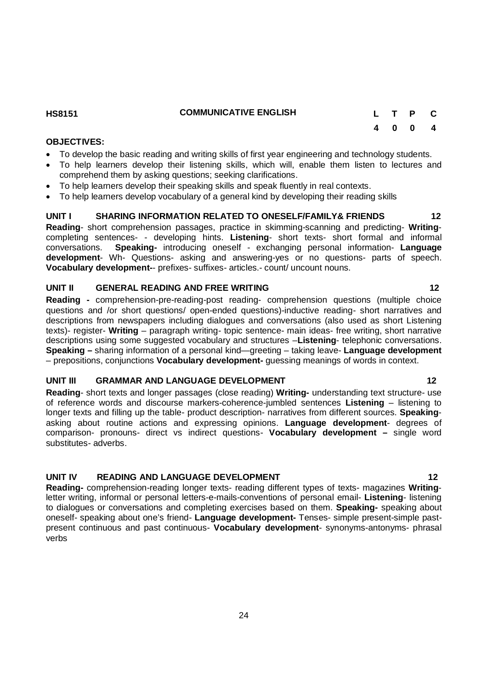### **UNIT III GRAMMAR AND LANGUAGE DEVELOPMENT 12** 12

**Reading**- short texts and longer passages (close reading) **Writing-** understanding text structure- use of reference words and discourse markers-coherence-jumbled sentences **Listening** – listening to longer texts and filling up the table- product description- narratives from different sources. **Speaking**asking about routine actions and expressing opinions. **Language development**- degrees of comparison- pronouns- direct vs indirect questions- **Vocabulary development –** single word substitutes- adverbs.

### **UNIT IV READING AND LANGUAGE DEVELOPMENT 12**

**Reading-** comprehension-reading longer texts- reading different types of texts- magazines **Writing**letter writing, informal or personal letters-e-mails-conventions of personal email- **Listening**- listening to dialogues or conversations and completing exercises based on them. **Speaking-** speaking about oneself- speaking about one's friend- **Language development-** Tenses- simple present-simple pastpresent continuous and past continuous- **Vocabulary development**- synonyms-antonyms- phrasal verbs

24

**Reading -** comprehension-pre-reading-post reading- comprehension questions (multiple choice questions and /or short questions/ open-ended questions)-inductive reading- short narratives and descriptions from newspapers including dialogues and conversations (also used as short Listening texts)- register- **Writing** – paragraph writing- topic sentence- main ideas- free writing, short narrative descriptions using some suggested vocabulary and structures –**Listening**- telephonic conversations. **Speaking –** sharing information of a personal kind—greeting – taking leave- **Language development** – prepositions, conjunctions **Vocabulary development-** guessing meanings of words in context.

### **UNIT II GENERAL READING AND FREE WRITING 12**

**OBJECTIVES:**

**UNIT I SHARING INFORMATION RELATED TO ONESELF/FAMILY& FRIENDS 12 Reading**- short comprehension passages, practice in skimming-scanning and predicting- **Writing**completing sentences- - developing hints. **Listening**- short texts- short formal and informal conversations. **Speaking-** introducing oneself - exchanging personal information- **Language development**- Wh- Questions- asking and answering-yes or no questions- parts of speech.

To develop the basic reading and writing skills of first year engineering and technology students.

- To help learners develop their listening skills, which will, enable them listen to lectures and comprehend them by asking questions; seeking clarifications.
- To help learners develop their speaking skills and speak fluently in real contexts.

**Vocabulary development-**- prefixes- suffixes- articles.- count/ uncount nouns.

### To help learners develop vocabulary of a general kind by developing their reading skills

### **HS8151 COMMUNICATIVE ENGLISH L T P C**

# **4 0 0 4**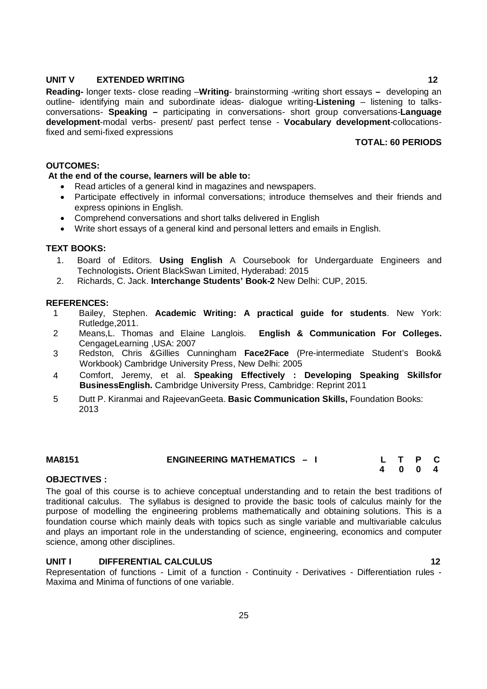### **UNIT V EXTENDED WRITING 12**

**Reading-** longer texts- close reading –**Writing**- brainstorming -writing short essays **–** developing an outline- identifying main and subordinate ideas- dialogue writing-**Listening** – listening to talksconversations- **Speaking –** participating in conversations- short group conversations-**Language development**-modal verbs- present/ past perfect tense - **Vocabulary development**-collocationsfixed and semi-fixed expressions

### **TOTAL: 60 PERIODS**

### **OUTCOMES:**

### **At the end of the course, learners will be able to:**

- Read articles of a general kind in magazines and newspapers.
- Participate effectively in informal conversations; introduce themselves and their friends and express opinions in English.
- Comprehend conversations and short talks delivered in English
- Write short essays of a general kind and personal letters and emails in English.

### **TEXT BOOKS:**

- 1. Board of Editors. **Using English** A Coursebook for Undergarduate Engineers and Technologists**.** Orient BlackSwan Limited, Hyderabad: 2015
- 2. Richards, C. Jack. **Interchange Students' Book-2** New Delhi: CUP, 2015.

### **REFERENCES:**

- 1 Bailey, Stephen. **Academic Writing: A practical guide for students**. New York: Rutledge,2011.
- 2 Means,L. Thomas and Elaine Langlois. **English & Communication For Colleges.**  CengageLearning ,USA: 2007
- 3 Redston, Chris &Gillies Cunningham **Face2Face** (Pre-intermediate Student's Book& Workbook) Cambridge University Press, New Delhi: 2005
- 4 Comfort, Jeremy, et al. **Speaking Effectively : Developing Speaking Skillsfor BusinessEnglish.** Cambridge University Press, Cambridge: Reprint 2011
- 5 Dutt P. Kiranmai and RajeevanGeeta. **Basic Communication Skills,** Foundation Books: 2013

## **MA8151 ENGINEERING MATHEMATICS – I L T P C**

 **4 0 0 4** 

### **OBJECTIVES :**

The goal of this course is to achieve conceptual understanding and to retain the best traditions of traditional calculus. The syllabus is designed to provide the basic tools of calculus mainly for the purpose of modelling the engineering problems mathematically and obtaining solutions. This is a foundation course which mainly deals with topics such as single variable and multivariable calculus and plays an important role in the understanding of science, engineering, economics and computer science, among other disciplines.

### **UNIT I DIFFERENTIAL CALCULUS 12**

Representation of functions - Limit of a function - Continuity - Derivatives - Differentiation rules - Maxima and Minima of functions of one variable.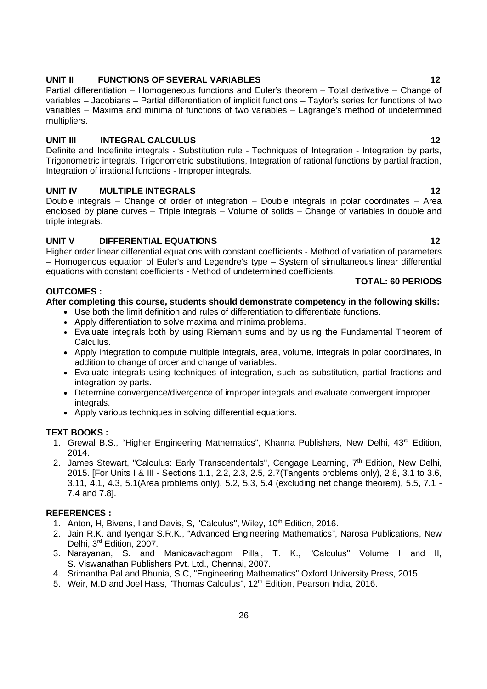### Apply differentiation to solve maxima and minima problems.

- Evaluate integrals both by using Riemann sums and by using the Fundamental Theorem of Calculus.
- Apply integration to compute multiple integrals, area, volume, integrals in polar coordinates, in addition to change of order and change of variables.
- Evaluate integrals using techniques of integration, such as substitution, partial fractions and integration by parts.
- Determine convergence/divergence of improper integrals and evaluate convergent improper integrals.
- Apply various techniques in solving differential equations.

### **TEXT BOOKS :**

**OUTCOMES :**

- 1. Grewal B.S., "Higher Engineering Mathematics", Khanna Publishers, New Delhi, 43<sup>rd</sup> Edition, 2014.
- 2. James Stewart, "Calculus: Early Transcendentals", Cengage Learning, 7<sup>th</sup> Edition, New Delhi, 2015. [For Units I & III - Sections 1.1, 2.2, 2.3, 2.5, 2.7(Tangents problems only), 2.8, 3.1 to 3.6, 3.11, 4.1, 4.3, 5.1(Area problems only), 5.2, 5.3, 5.4 (excluding net change theorem), 5.5, 7.1 - 7.4 and 7.8].

### **REFERENCES :**

- 1. Anton, H, Bivens, I and Davis, S, "Calculus", Wiley, 10<sup>th</sup> Edition, 2016.
- 2. Jain R.K. and Iyengar S.R.K., "Advanced Engineering Mathematics", Narosa Publications, New Delhi, 3<sup>rd</sup> Edition, 2007.
- 3. Narayanan, S. and Manicavachagom Pillai, T. K., "Calculus" Volume I and II, S. Viswanathan Publishers Pvt. Ltd., Chennai, 2007.

26

- 4. Srimantha Pal and Bhunia, S.C, "Engineering Mathematics" Oxford University Press, 2015.
- 5. Weir, M.D and Joel Hass, "Thomas Calculus", 12<sup>th</sup> Edition, Pearson India, 2016.

### **UNIT II** FUNCTIONS OF SEVERAL VARIABLES 12

Partial differentiation – Homogeneous functions and Euler's theorem – Total derivative – Change of variables – Jacobians – Partial differentiation of implicit functions – Taylor's series for functions of two variables – Maxima and minima of functions of two variables – Lagrange's method of undetermined multipliers.

### **UNIT III INTEGRAL CALCULUS 12**

Definite and Indefinite integrals - Substitution rule - Techniques of Integration - Integration by parts, Trigonometric integrals, Trigonometric substitutions, Integration of rational functions by partial fraction, Integration of irrational functions - Improper integrals.

### **UNIT IV MULTIPLE INTEGRALS** 12

Double integrals – Change of order of integration – Double integrals in polar coordinates – Area enclosed by plane curves – Triple integrals – Volume of solids – Change of variables in double and triple integrals.

### **UNIT V DIFFERENTIAL EQUATIONS 12**

Higher order linear differential equations with constant coefficients - Method of variation of parameters – Homogenous equation of Euler's and Legendre's type – System of simultaneous linear differential equations with constant coefficients - Method of undetermined coefficients.

Use both the limit definition and rules of differentiation to differentiate functions.

**After completing this course, students should demonstrate competency in the following skills:**

### **TOTAL: 60 PERIODS**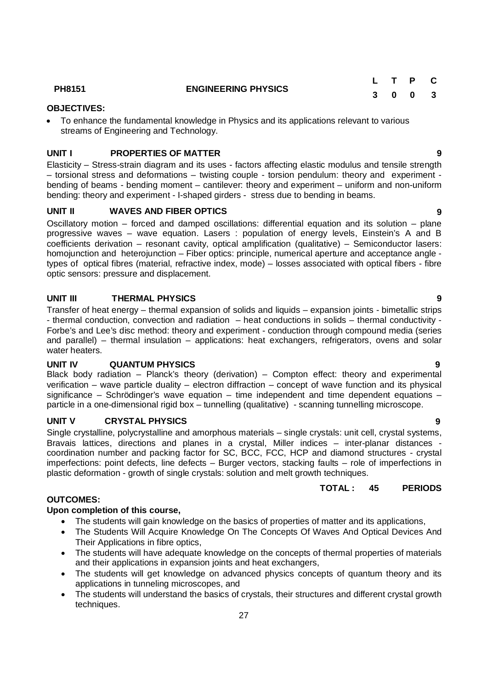- applications in tunneling microscopes, and
- The students will understand the basics of crystals, their structures and different crystal growth techniques.

Elasticity – Stress-strain diagram and its uses - factors affecting elastic modulus and tensile strength – torsional stress and deformations – twisting couple - torsion pendulum: theory and experiment bending of beams - bending moment – cantilever: theory and experiment – uniform and non-uniform bending: theory and experiment - I-shaped girders - stress due to bending in beams.

**UNIT I PROPERTIES OF MATTER 9**

### **UNIT II WAVES AND FIBER OPTICS 9**

streams of Engineering and Technology.

**OBJECTIVES:**

Oscillatory motion – forced and damped oscillations: differential equation and its solution – plane progressive waves – wave equation. Lasers : population of energy levels, Einstein's A and B coefficients derivation – resonant cavity, optical amplification (qualitative) – Semiconductor lasers: homojunction and heterojunction – Fiber optics: principle, numerical aperture and acceptance angle types of optical fibres (material, refractive index, mode) – losses associated with optical fibers - fibre optic sensors: pressure and displacement.

### **UNIT III THERMAL PHYSICS 9**

Transfer of heat energy – thermal expansion of solids and liquids – expansion joints - bimetallic strips - thermal conduction, convection and radiation – heat conductions in solids – thermal conductivity - Forbe's and Lee's disc method: theory and experiment - conduction through compound media (series and parallel) – thermal insulation – applications: heat exchangers, refrigerators, ovens and solar water heaters.

### **UNIT IV QUANTUM PHYSICS 9**

Black body radiation – Planck's theory (derivation) – Compton effect: theory and experimental verification – wave particle duality – electron diffraction – concept of wave function and its physical significance – Schrödinger's wave equation – time independent and time dependent equations – particle in a one-dimensional rigid box – tunnelling (qualitative) - scanning tunnelling microscope.

### **UNIT V CRYSTAL PHYSICS 9**

Single crystalline, polycrystalline and amorphous materials – single crystals: unit cell, crystal systems, Bravais lattices, directions and planes in a crystal, Miller indices – inter-planar distances coordination number and packing factor for SC, BCC, FCC, HCP and diamond structures - crystal imperfections: point defects, line defects – Burger vectors, stacking faults – role of imperfections in plastic deformation - growth of single crystals: solution and melt growth techniques.

### **OUTCOMES:**

### **Upon completion of this course,**

- The students will gain knowledge on the basics of properties of matter and its applications,
- The Students Will Acquire Knowledge On The Concepts Of Waves And Optical Devices And Their Applications in fibre optics,
- The students will have adequate knowledge on the concepts of thermal properties of materials
- and their applications in expansion joints and heat exchangers, • The students will get knowledge on advanced physics concepts of quantum theory and its

### **TOTAL : 45 PERIODS**

## **PH8151 ENGINEERING PHYSICS**

To enhance the fundamental knowledge in Physics and its applications relevant to various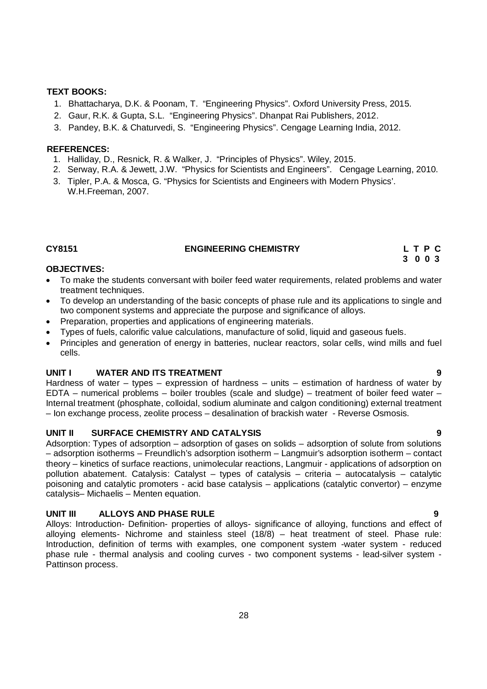### **TEXT BOOKS:**

- 1. Bhattacharya, D.K. & Poonam, T. "Engineering Physics". Oxford University Press, 2015.
- 2. Gaur, R.K. & Gupta, S.L. "Engineering Physics". Dhanpat Rai Publishers, 2012.
- 3. Pandey, B.K. & Chaturvedi, S. "Engineering Physics". Cengage Learning India, 2012.

### **REFERENCES:**

- 1. Halliday, D., Resnick, R. & Walker, J. "Principles of Physics". Wiley, 2015.
- 2. Serway, R.A. & Jewett, J.W. "Physics for Scientists and Engineers". Cengage Learning, 2010.
- 3. Tipler, P.A. & Mosca, G. "Physics for Scientists and Engineers with Modern Physics'. W.H.Freeman, 2007.

### **CY8151 ENGINEERING CHEMISTRY L T P C**

### **OBJECTIVES:**

- To make the students conversant with boiler feed water requirements, related problems and water treatment techniques.
- To develop an understanding of the basic concepts of phase rule and its applications to single and two component systems and appreciate the purpose and significance of alloys.
- Preparation, properties and applications of engineering materials.
- Types of fuels, calorific value calculations, manufacture of solid, liquid and gaseous fuels.
- Principles and generation of energy in batteries, nuclear reactors, solar cells, wind mills and fuel cells.

### **UNIT I WATER AND ITS TREATMENT 9**

Hardness of water – types – expression of hardness – units – estimation of hardness of water by EDTA – numerical problems – boiler troubles (scale and sludge) – treatment of boiler feed water – Internal treatment (phosphate, colloidal, sodium aluminate and calgon conditioning) external treatment – Ion exchange process, zeolite process – desalination of brackish water - Reverse Osmosis.

### **UNIT II SURFACE CHEMISTRY AND CATALYSIS 9**

Adsorption: Types of adsorption – adsorption of gases on solids – adsorption of solute from solutions – adsorption isotherms – Freundlich's adsorption isotherm – Langmuir's adsorption isotherm – contact theory – kinetics of surface reactions, unimolecular reactions, Langmuir - applications of adsorption on pollution abatement. Catalysis: Catalyst – types of catalysis – criteria – autocatalysis – catalytic poisoning and catalytic promoters - acid base catalysis – applications (catalytic convertor) – enzyme catalysis– Michaelis – Menten equation.

### **UNIT III ALLOYS AND PHASE RULE 9**

Alloys: Introduction- Definition- properties of alloys- significance of alloying, functions and effect of alloying elements- Nichrome and stainless steel (18/8) – heat treatment of steel. Phase rule: Introduction, definition of terms with examples, one component system -water system - reduced phase rule - thermal analysis and cooling curves - two component systems - lead-silver system - Pattinson process.

 **3 0 0 3**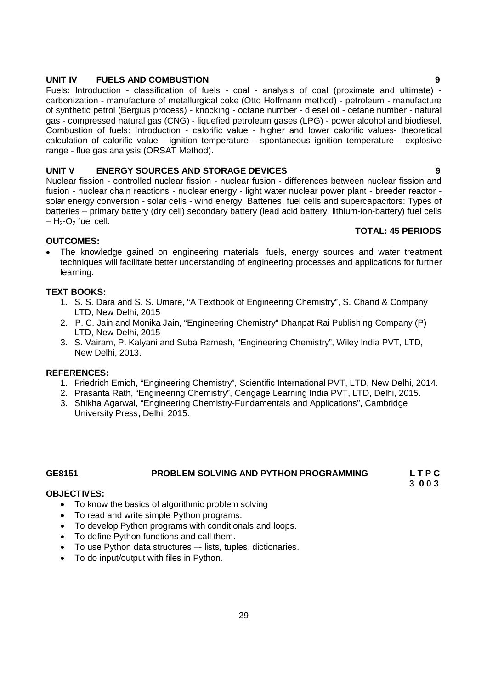### **UNIT IV FUELS AND COMBUSTION 9**

Fuels: Introduction - classification of fuels - coal - analysis of coal (proximate and ultimate) carbonization - manufacture of metallurgical coke (Otto Hoffmann method) - petroleum - manufacture of synthetic petrol (Bergius process) - knocking - octane number - diesel oil - cetane number - natural gas - compressed natural gas (CNG) - liquefied petroleum gases (LPG) - power alcohol and biodiesel. Combustion of fuels: Introduction - calorific value - higher and lower calorific values- theoretical calculation of calorific value - ignition temperature - spontaneous ignition temperature - explosive range - flue gas analysis (ORSAT Method).

### **UNIT V ENERGY SOURCES AND STORAGE DEVICES 9**

Nuclear fission - controlled nuclear fission - nuclear fusion - differences between nuclear fission and fusion - nuclear chain reactions - nuclear energy - light water nuclear power plant - breeder reactor solar energy conversion - solar cells - wind energy. Batteries, fuel cells and supercapacitors: Types of batteries – primary battery (dry cell) secondary battery (lead acid battery, lithium-ion-battery) fuel cells  $-$  H<sub>2</sub>-O<sub>2</sub> fuel cell.

### **OUTCOMES:**

• The knowledge gained on engineering materials, fuels, energy sources and water treatment techniques will facilitate better understanding of engineering processes and applications for further learning.

### **TEXT BOOKS:**

- 1. S. S. Dara and S. S. Umare, "A Textbook of Engineering Chemistry", S. Chand & Company LTD, New Delhi, 2015
- 2. P. C. Jain and Monika Jain, "Engineering Chemistry" Dhanpat Rai Publishing Company (P) LTD, New Delhi, 2015
- 3. S. Vairam, P. Kalyani and Suba Ramesh, "Engineering Chemistry", Wiley India PVT, LTD, New Delhi, 2013.

### **REFERENCES:**

- 1. Friedrich Emich, "Engineering Chemistry", Scientific International PVT, LTD, New Delhi, 2014.
- 2. Prasanta Rath, "Engineering Chemistry", Cengage Learning India PVT, LTD, Delhi, 2015.
- 3. Shikha Agarwal, "Engineering Chemistry-Fundamentals and Applications", Cambridge University Press, Delhi, 2015.

## GE8151 **PROBLEM SOLVING AND PYTHON PROGRAMMING** L T P C 2 0 0 3

 **3 0 0 3**

### **OBJECTIVES:**

- To know the basics of algorithmic problem solving
- To read and write simple Python programs.
- To develop Python programs with conditionals and loops.
- To define Python functions and call them.
- To use Python data structures –- lists, tuples, dictionaries.
- To do input/output with files in Python.

**TOTAL: 45 PERIODS**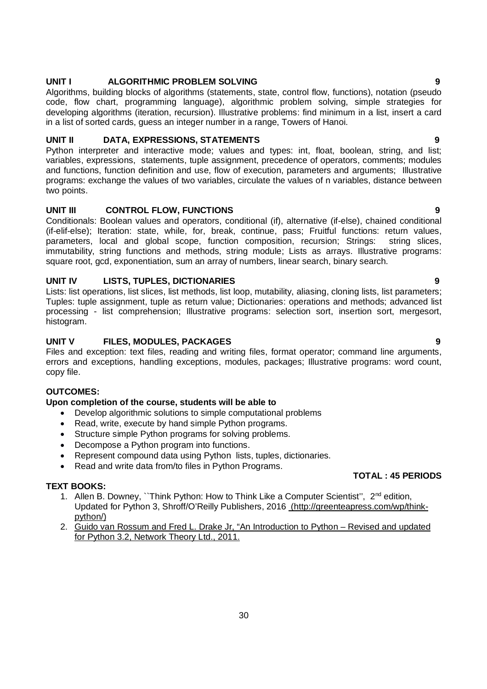### **UNIT I ALGORITHMIC PROBLEM SOLVING 9**

Algorithms, building blocks of algorithms (statements, state, control flow, functions), notation (pseudo code, flow chart, programming language), algorithmic problem solving, simple strategies for developing algorithms (iteration, recursion). Illustrative problems: find minimum in a list, insert a card in a list of sorted cards, guess an integer number in a range, Towers of Hanoi.

### **UNIT II DATA, EXPRESSIONS, STATEMENTS 9**

Python interpreter and interactive mode; values and types: int, float, boolean, string, and list; variables, expressions, statements, tuple assignment, precedence of operators, comments; modules and functions, function definition and use, flow of execution, parameters and arguments; Illustrative programs: exchange the values of two variables, circulate the values of n variables, distance between two points.

### **UNIT III CONTROL FLOW, FUNCTIONS 9**

Conditionals: Boolean values and operators, conditional (if), alternative (if-else), chained conditional (if-elif-else); Iteration: state, while, for, break, continue, pass; Fruitful functions: return values, parameters, local and global scope, function composition, recursion; Strings: string slices, immutability, string functions and methods, string module; Lists as arrays. Illustrative programs: square root, gcd, exponentiation, sum an array of numbers, linear search, binary search.

### **UNIT IV LISTS, TUPLES, DICTIONARIES 9**

Lists: list operations, list slices, list methods, list loop, mutability, aliasing, cloning lists, list parameters; Tuples: tuple assignment, tuple as return value; Dictionaries: operations and methods; advanced list processing - list comprehension; Illustrative programs: selection sort, insertion sort, mergesort, histogram.

### **UNIT V FILES, MODULES, PACKAGES 9**

Files and exception: text files, reading and writing files, format operator; command line arguments, errors and exceptions, handling exceptions, modules, packages; Illustrative programs: word count, copy file.

### **OUTCOMES:**

### **Upon completion of the course, students will be able to**

- Develop algorithmic solutions to simple computational problems
- Read, write, execute by hand simple Python programs.
- Structure simple Python programs for solving problems.
- Decompose a Python program into functions.
- Represent compound data using Python lists, tuples, dictionaries.
- Read and write data from/to files in Python Programs.

### **TEXT BOOKS:**

- 1. Allen B. Downey, "Think Python: How to Think Like a Computer Scientist", 2<sup>nd</sup> edition, Updated for Python 3, Shroff/O'Reilly Publishers, 2016 (http://greenteapress.com/wp/thinkpython/)
- 2. Guido van Rossum and Fred L. Drake Jr, "An Introduction to Python Revised and updated for Python 3.2, Network Theory Ltd., 2011.

### **TOTAL : 45 PERIODS**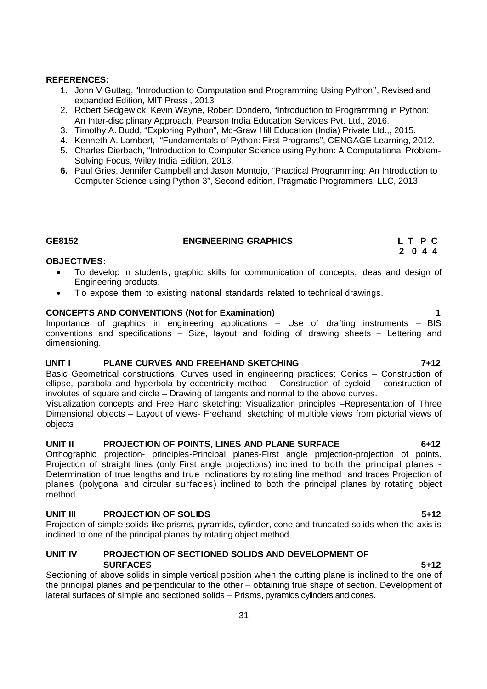### **REFERENCES:**

- 1. John V Guttag, "Introduction to Computation and Programming Using Python'', Revised and expanded Edition, MIT Press , 2013
- 2. Robert Sedgewick, Kevin Wayne, Robert Dondero, "Introduction to Programming in Python: An Inter-disciplinary Approach, Pearson India Education Services Pvt. Ltd., 2016.
- 3. Timothy A. Budd, "Exploring Python", Mc-Graw Hill Education (India) Private Ltd.,, 2015.
- 4. Kenneth A. Lambert, "Fundamentals of Python: First Programs", CENGAGE Learning, 2012.
- 5. Charles Dierbach, "Introduction to Computer Science using Python: A Computational Problem-Solving Focus, Wiley India Edition, 2013.
- **6.** Paul Gries, Jennifer Campbell and Jason Montojo, "Practical Programming: An Introduction to Computer Science using Python 3", Second edition, Pragmatic Programmers, LLC, 2013.

### **GE8152 ENGINEERING GRAPHICS L T P C**

### **OBJECTIVES:**

- To develop in students, graphic skills for communication of concepts, ideas and design of Engineering products.
- T o expose them to existing national standards related to technical drawings.

### **CONCEPTS AND CONVENTIONS (Not for Examination) 1**

Importance of graphics in engineering applications – Use of drafting instruments – BIS conventions and specifications – Size, layout and folding of drawing sheets – Lettering and dimensioning.

### **UNIT I PLANE CURVES AND FREEHAND SKETCHING 7+12**

Basic Geometrical constructions, Curves used in engineering practices: Conics – Construction of ellipse, parabola and hyperbola by eccentricity method – Construction of cycloid – construction of involutes of square and circle – Drawing of tangents and normal to the above curves.

Visualization concepts and Free Hand sketching: Visualization principles –Representation of Three Dimensional objects – Layout of views- Freehand sketching of multiple views from pictorial views of objects

### **UNIT II PROJECTION OF POINTS, LINES AND PLANE SURFACE 6+12**

Orthographic projection- principles-Principal planes-First angle projection-projection of points. Projection of straight lines (only First angle projections) inclined to both the principal planes - Determination of true lengths and true inclinations by rotating line method and traces Projection of planes (polygonal and circular surfaces) inclined to both the principal planes by rotating object method.

### **UNIT III PROJECTION OF SOLIDS 5+12**

Projection of simple solids like prisms, pyramids, cylinder, cone and truncated solids when the axis is inclined to one of the principal planes by rotating object method.

### **UNIT IV PROJECTION OF SECTIONED SOLIDS AND DEVELOPMENT OF SURFACES 5+12**

Sectioning of above solids in simple vertical position when the cutting plane is inclined to the one of the principal planes and perpendicular to the other – obtaining true shape of section. Development of lateral surfaces of simple and sectioned solids – Prisms, pyramids cylinders and cones.

 **2 0 4 4**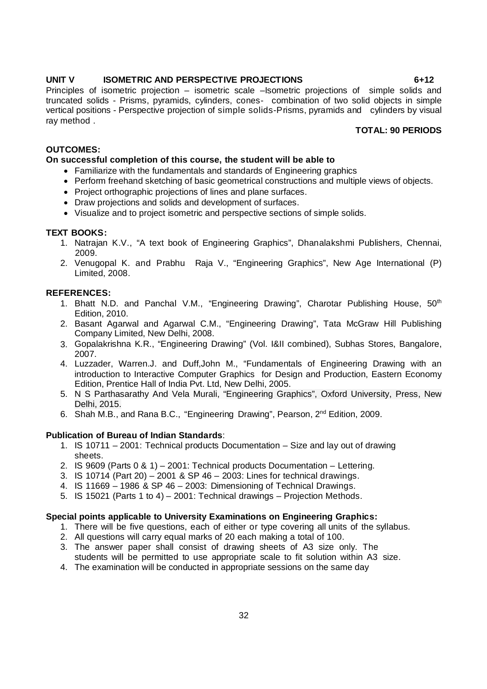### **UNIT V ISOMETRIC AND PERSPECTIVE PROJECTIONS 6+12**

Principles of isometric projection – isometric scale –Isometric projections of simple solids and truncated solids - Prisms, pyramids, cylinders, cones- combination of two solid objects in simple vertical positions - Perspective projection of simple solids-Prisms, pyramids and cylinders by visual ray method .

### **TOTAL: 90 PERIODS**

### **OUTCOMES:**

### **On successful completion of this course, the student will be able to**

- Familiarize with the fundamentals and standards of Engineering graphics
- Perform freehand sketching of basic geometrical constructions and multiple views of objects.
- Project orthographic projections of lines and plane surfaces.
- Draw projections and solids and development of surfaces.
- Visualize and to project isometric and perspective sections of simple solids.

### **TEXT BOOKS:**

- 1. Natrajan K.V., "A text book of Engineering Graphics", Dhanalakshmi Publishers, Chennai, 2009.
- 2. Venugopal K. and Prabhu Raja V., "Engineering Graphics", New Age International (P) Limited, 2008.

### **REFERENCES:**

- 1. Bhatt N.D. and Panchal V.M., "Engineering Drawing", Charotar Publishing House, 50<sup>th</sup> Edition, 2010.
- 2. Basant Agarwal and Agarwal C.M., "Engineering Drawing", Tata McGraw Hill Publishing Company Limited, New Delhi, 2008.
- 3. Gopalakrishna K.R., "Engineering Drawing" (Vol. I&II combined), Subhas Stores, Bangalore, 2007.
- 4. Luzzader, Warren.J. and Duff,John M., "Fundamentals of Engineering Drawing with an introduction to Interactive Computer Graphics for Design and Production, Eastern Economy Edition, Prentice Hall of India Pvt. Ltd, New Delhi, 2005.
- 5. N S Parthasarathy And Vela Murali, "Engineering Graphics", Oxford University, Press, New Delhi, 2015.
- 6. Shah M.B., and Rana B.C., "Engineering Drawing", Pearson, 2nd Edition, 2009.

### **Publication of Bureau of Indian Standards**:

- 1. IS 10711 2001: Technical products Documentation Size and lay out of drawing sheets.
- 2. IS 9609 (Parts 0 & 1) 2001: Technical products Documentation Lettering.
- 3. IS 10714 (Part 20) 2001 & SP 46 2003: Lines for technical drawings.
- 4. IS 11669 1986 & SP 46 2003: Dimensioning of Technical Drawings.
- 5. IS 15021 (Parts 1 to 4) 2001: Technical drawings Projection Methods.

### **Special points applicable to University Examinations on Engineering Graphics:**

- 1. There will be five questions, each of either or type covering all units of the syllabus.
- 2. All questions will carry equal marks of 20 each making a total of 100.
- 3. The answer paper shall consist of drawing sheets of A3 size only. The students will be permitted to use appropriate scale to fit solution within A3 size.
- 4. The examination will be conducted in appropriate sessions on the same day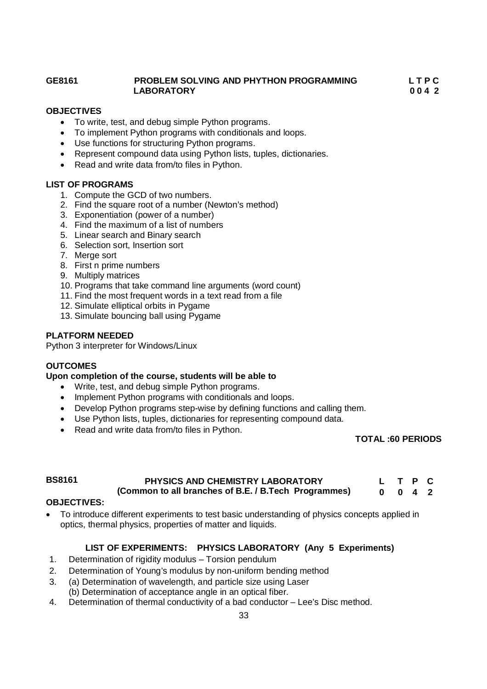### **GE8161 PROBLEM SOLVING AND PHYTHON PROGRAMMING L T P C LABORATORY 0 0 4 2**

**OBJECTIVES**

- To write, test, and debug simple Python programs.
- To implement Python programs with conditionals and loops.
- Use functions for structuring Python programs.
- Represent compound data using Python lists, tuples, dictionaries.
- Read and write data from/to files in Python.

### **LIST OF PROGRAMS**

- 1. Compute the GCD of two numbers.
- 2. Find the square root of a number (Newton's method)
- 3. Exponentiation (power of a number)
- 4. Find the maximum of a list of numbers
- 5. Linear search and Binary search
- 6. Selection sort, Insertion sort
- 7. Merge sort
- 8. First n prime numbers
- 9. Multiply matrices
- 10. Programs that take command line arguments (word count)
- 11. Find the most frequent words in a text read from a file
- 12. Simulate elliptical orbits in Pygame
- 13. Simulate bouncing ball using Pygame

### **PLATFORM NEEDED**

Python 3 interpreter for Windows/Linux

### **OUTCOMES**

### **Upon completion of the course, students will be able to**

- Write, test, and debug simple Python programs.
- Implement Python programs with conditionals and loops.
- Develop Python programs step-wise by defining functions and calling them.
- Use Python lists, tuples, dictionaries for representing compound data.
- Read and write data from/to files in Python.

### **TOTAL :60 PERIODS**

### **BS8161 PHYSICS AND CHEMISTRY LABORATORY (Common to all branches of B.E. / B.Tech Programmes) L T P C 0 0 4 2**

### **OBJECTIVES:**

 To introduce different experiments to test basic understanding of physics concepts applied in optics, thermal physics, properties of matter and liquids.

### **LIST OF EXPERIMENTS: PHYSICS LABORATORY (Any 5 Experiments)**

- 1. Determination of rigidity modulus Torsion pendulum
- 2. Determination of Young's modulus by non-uniform bending method
- 3. (a) Determination of wavelength, and particle size using Laser (b) Determination of acceptance angle in an optical fiber.
- 4. Determination of thermal conductivity of a bad conductor Lee's Disc method.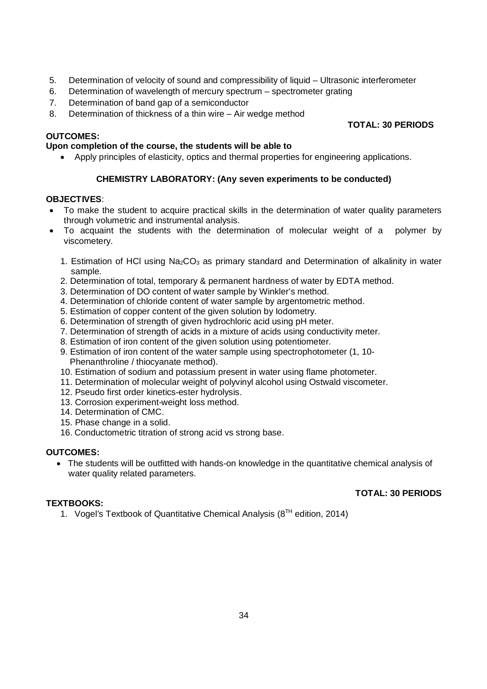- 5. Determination of velocity of sound and compressibility of liquid Ultrasonic interferometer
- 6. Determination of wavelength of mercury spectrum spectrometer grating
- 7. Determination of band gap of a semiconductor
- 8. Determination of thickness of a thin wire Air wedge method

### **OUTCOMES:**

### **Upon completion of the course, the students will be able to**

Apply principles of elasticity, optics and thermal properties for engineering applications.

### **CHEMISTRY LABORATORY: (Any seven experiments to be conducted)**

### **OBJECTIVES**:

- To make the student to acquire practical skills in the determination of water quality parameters through volumetric and instrumental analysis.
- To acquaint the students with the determination of molecular weight of a polymer by viscometery.
	- 1. Estimation of HCl using  $Na<sub>2</sub>CO<sub>3</sub>$  as primary standard and Determination of alkalinity in water sample.
	- 2. Determination of total, temporary & permanent hardness of water by EDTA method.
	- 3. Determination of DO content of water sample by Winkler's method.
	- 4. Determination of chloride content of water sample by argentometric method.
	- 5. Estimation of copper content of the given solution by Iodometry.
	- 6. Determination of strength of given hydrochloric acid using pH meter.
	- 7. Determination of strength of acids in a mixture of acids using conductivity meter.
	- 8. Estimation of iron content of the given solution using potentiometer.
	- 9. Estimation of iron content of the water sample using spectrophotometer (1, 10- Phenanthroline / thiocyanate method).
	- 10. Estimation of sodium and potassium present in water using flame photometer.
	- 11. Determination of molecular weight of polyvinyl alcohol using Ostwald viscometer.
	- 12. Pseudo first order kinetics-ester hydrolysis.
	- 13. Corrosion experiment-weight loss method.
	- 14. Determination of CMC.
	- 15. Phase change in a solid.
	- 16. Conductometric titration of strong acid vs strong base.

### **OUTCOMES:**

 The students will be outfitted with hands-on knowledge in the quantitative chemical analysis of water quality related parameters.

### **TEXTBOOKS:**

### **TOTAL: 30 PERIODS**

1. Vogel's Textbook of Quantitative Chemical Analysis  $(8<sup>TH</sup>$  edition, 2014)

### **TOTAL: 30 PERIODS**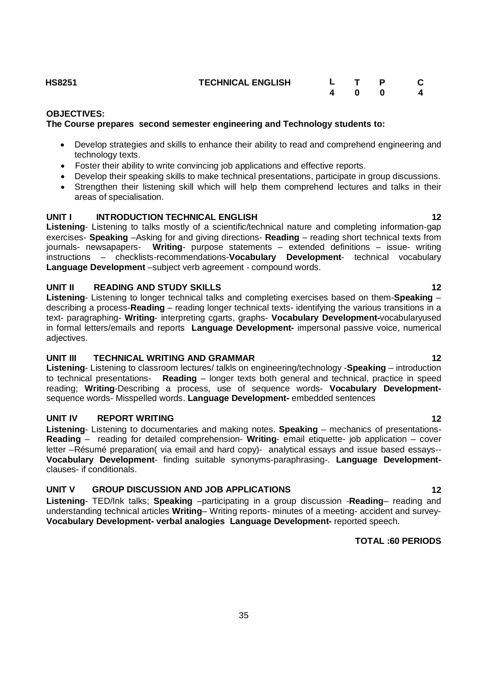**HS8251 TECHNICAL ENGLISH L T P C**

### **OBJECTIVES:**

### **The Course prepares second semester engineering and Technology students to:**

- Develop strategies and skills to enhance their ability to read and comprehend engineering and technology texts.
- Foster their ability to write convincing job applications and effective reports.
- Develop their speaking skills to make technical presentations, participate in group discussions.
- Strengthen their listening skill which will help them comprehend lectures and talks in their areas of specialisation.

### **UNIT I INTRODUCTION TECHNICAL ENGLISH 12** 12

**Listening**- Listening to talks mostly of a scientific/technical nature and completing information-gap exercises- **Speaking** –Asking for and giving directions- **Reading** – reading short technical texts from journals- newsapapers- **Writing**- purpose statements – extended definitions – issue- writing instructions – checklists-recommendations-**Vocabulary Development**- technical vocabulary **Language Development** –subject verb agreement - compound words.

### **UNIT II READING AND STUDY SKILLS 12**

**Listening**- Listening to longer technical talks and completing exercises based on them-**Speaking** – describing a process-**Reading** – reading longer technical texts- identifying the various transitions in a text- paragraphing- **Writing**- interpreting cgarts, graphs- **Vocabulary Development-**vocabularyused in formal letters/emails and reports **Language Development-** impersonal passive voice, numerical adiectives.

### **UNIT III TECHNICAL WRITING AND GRAMMAR 12** 12

**Listening**- Listening to classroom lectures/ talkls on engineering/technology -**Speaking** – introduction to technical presentations- **Reading** – longer texts both general and technical, practice in speed reading; **Writing**-Describing a process, use of sequence words- **Vocabulary Development**sequence words- Misspelled words. **Language Development-** embedded sentences

### **UNIT IV REPORT WRITING 12**

**Listening**- Listening to documentaries and making notes. **Speaking** – mechanics of presentations-**Reading** – reading for detailed comprehension- **Writing**- email etiquette- job application – cover letter –Résumé preparation( via email and hard copy)- analytical essays and issue based essays-- **Vocabulary Development**- finding suitable synonyms-paraphrasing-. **Language Development**clauses- if conditionals.

### **UNIT V GROUP DISCUSSION AND JOB APPLICATIONS 12**

**Listening**- TED/Ink talks; **Speaking** –participating in a group discussion -**Reading**– reading and understanding technical articles **Writing**– Writing reports- minutes of a meeting- accident and survey-**Vocabulary Development- verbal analogies Language Development-** reported speech.

### **TOTAL :60 PERIODS**

**4 0 0 4**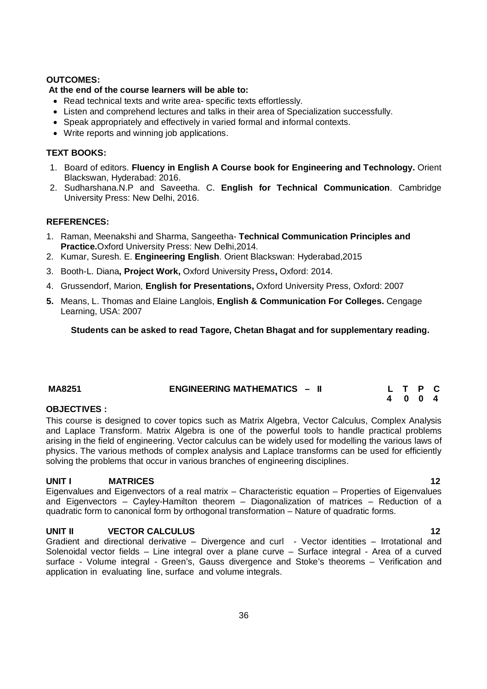### **OUTCOMES:**

### **At the end of the course learners will be able to:**

- Read technical texts and write area- specific texts effortlessly.
- Listen and comprehend lectures and talks in their area of Specialization successfully.
- Speak appropriately and effectively in varied formal and informal contexts.
- Write reports and winning job applications.

### **TEXT BOOKS:**

- 1. Board of editors. **Fluency in English A Course book for Engineering and Technology.** Orient Blackswan, Hyderabad: 2016.
- 2. Sudharshana.N.P and Saveetha. C. **English for Technical Communication**. Cambridge University Press: New Delhi, 2016.

### **REFERENCES:**

- 1. Raman, Meenakshi and Sharma, Sangeetha- **Technical Communication Principles and Practice.**Oxford University Press: New Delhi,2014.
- 2. Kumar, Suresh. E. **Engineering English**. Orient Blackswan: Hyderabad,2015
- 3. Booth-L. Diana**, Project Work,** Oxford University Press**,** Oxford: 2014.
- 4. Grussendorf, Marion, **English for Presentations,** Oxford University Press, Oxford: 2007
- **5.** Means, L. Thomas and Elaine Langlois, **English & Communication For Colleges.** Cengage Learning, USA: 2007

**Students can be asked to read Tagore, Chetan Bhagat and for supplementary reading.**

| <b>MA8251</b> | <b>ENGINEERING MATHEMATICS - II</b> | L T P C |  |  |
|---------------|-------------------------------------|---------|--|--|
|               |                                     | 4004    |  |  |

### **OBJECTIVES :**

This course is designed to cover topics such as Matrix Algebra, Vector Calculus, Complex Analysis and Laplace Transform. Matrix Algebra is one of the powerful tools to handle practical problems arising in the field of engineering. Vector calculus can be widely used for modelling the various laws of physics. The various methods of complex analysis and Laplace transforms can be used for efficiently solving the problems that occur in various branches of engineering disciplines.

### **UNIT I MATRICES 12**

Eigenvalues and Eigenvectors of a real matrix – Characteristic equation – Properties of Eigenvalues and Eigenvectors – Cayley-Hamilton theorem – Diagonalization of matrices – Reduction of a quadratic form to canonical form by orthogonal transformation – Nature of quadratic forms.

### **UNIT II VECTOR CALCULUS 12**

Gradient and directional derivative – Divergence and curl - Vector identities – Irrotational and Solenoidal vector fields – Line integral over a plane curve – Surface integral - Area of a curved surface - Volume integral - Green's, Gauss divergence and Stoke's theorems – Verification and application in evaluating line, surface and volume integrals.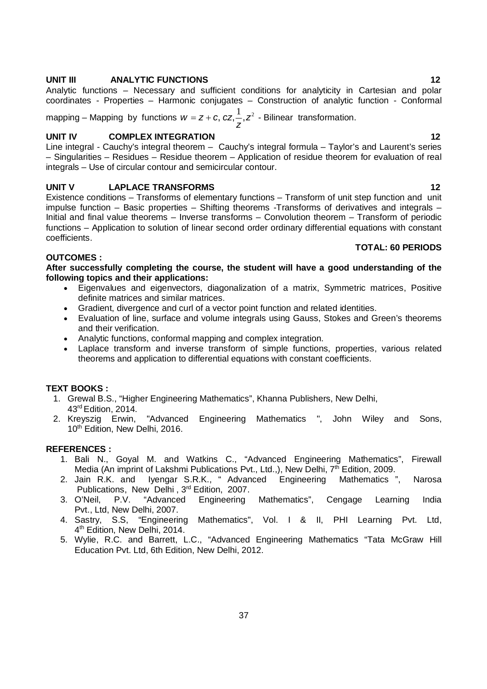#### **UNIT III ANALYTIC FUNCTIONS 12**

Analytic functions – Necessary and sufficient conditions for analyticity in Cartesian and polar coordinates - Properties – Harmonic conjugates – Construction of analytic function - Conformal

mapping – Mapping by functions  $w = z + c, \, cz, \stackrel{1}{\textbf{2}} z^2$ *z*  $w = z + c$ ,  $cz, -z^2$  - Bilinear transformation.

#### **UNIT IV COMPLEX INTEGRATION 12**

Line integral - Cauchy's integral theorem – Cauchy's integral formula – Taylor's and Laurent's series – Singularities – Residues – Residue theorem – Application of residue theorem for evaluation of real integrals – Use of circular contour and semicircular contour.

#### **UNIT V LAPLACE TRANSFORMS** 12

Existence conditions – Transforms of elementary functions – Transform of unit step function and unit impulse function – Basic properties – Shifting theorems -Transforms of derivatives and integrals – Initial and final value theorems – Inverse transforms – Convolution theorem – Transform of periodic functions – Application to solution of linear second order ordinary differential equations with constant coefficients.

#### **TOTAL: 60 PERIODS**

#### **OUTCOMES :**

**After successfully completing the course, the student will have a good understanding of the following topics and their applications:** 

- Eigenvalues and eigenvectors, diagonalization of a matrix, Symmetric matrices, Positive definite matrices and similar matrices.
- Gradient, divergence and curl of a vector point function and related identities.
- Evaluation of line, surface and volume integrals using Gauss, Stokes and Green's theorems and their verification.
- Analytic functions, conformal mapping and complex integration.
- Laplace transform and inverse transform of simple functions, properties, various related theorems and application to differential equations with constant coefficients.

#### **TEXT BOOKS :**

- 1. Grewal B.S., "Higher Engineering Mathematics", Khanna Publishers, New Delhi, 43rd Edition, 2014.
- 2. Kreyszig Erwin, "Advanced Engineering Mathematics ", John Wiley and Sons, 10<sup>th</sup> Edition, New Delhi, 2016.

#### **REFERENCES :**

- 1. Bali N., Goyal M. and Watkins C., "Advanced Engineering Mathematics", Firewall Media (An imprint of Lakshmi Publications Pvt., Ltd.,), New Delhi,  $7<sup>th</sup>$  Edition, 2009.
- 2. Jain R.K. and Iyengar S.R.K., " Advanced Engineering Mathematics ", Narosa Publications, New Delhi, 3rd Edition, 2007.
- 3. O'Neil, P.V. "Advanced Engineering Mathematics", Cengage Learning India Pvt., Ltd, New Delhi, 2007.
- 4. Sastry, S.S, "Engineering Mathematics", Vol. I & II, PHI Learning Pvt. Ltd, 4 th Edition, New Delhi, 2014.
- 5. Wylie, R.C. and Barrett, L.C., "Advanced Engineering Mathematics "Tata McGraw Hill Education Pvt. Ltd, 6th Edition, New Delhi, 2012.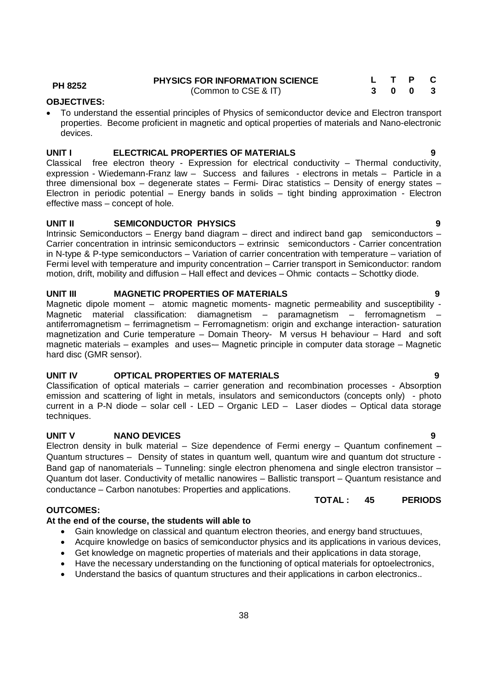Electron density in bulk material – Size dependence of Fermi energy – Quantum confinement – Quantum structures – Density of states in quantum well, quantum wire and quantum dot structure - Band gap of nanomaterials – Tunneling: single electron phenomena and single electron transistor – Quantum dot laser. Conductivity of metallic nanowires – Ballistic transport – Quantum resistance and conductance – Carbon nanotubes: Properties and applications.

#### **OUTCOMES:**

### **At the end of the course, the students will able to**

- Gain knowledge on classical and quantum electron theories, and energy band structuues,
- Acquire knowledge on basics of semiconductor physics and its applications in various devices,
- Get knowledge on magnetic properties of materials and their applications in data storage,
- Have the necessary understanding on the functioning of optical materials for optoelectronics,
- Understand the basics of quantum structures and their applications in carbon electronics..

**UNIT I ELECTRICAL PROPERTIES OF MATERIALS 9** Classical free electron theory - Expression for electrical conductivity – Thermal conductivity,

expression - Wiedemann-Franz law - Success and failures - electrons in metals - Particle in a three dimensional box – degenerate states – Fermi- Dirac statistics – Density of energy states – Electron in periodic potential – Energy bands in solids – tight binding approximation - Electron effective mass – concept of hole.

### **UNIT II SEMICONDUCTOR PHYSICS 9**

Intrinsic Semiconductors – Energy band diagram – direct and indirect band gap semiconductors – Carrier concentration in intrinsic semiconductors – extrinsic semiconductors - Carrier concentration in N-type & P-type semiconductors – Variation of carrier concentration with temperature – variation of Fermi level with temperature and impurity concentration – Carrier transport in Semiconductor: random motion, drift, mobility and diffusion – Hall effect and devices – Ohmic contacts – Schottky diode.

### **UNIT III MAGNETIC PROPERTIES OF MATERIALS 9**

Magnetic dipole moment – atomic magnetic moments- magnetic permeability and susceptibility - Magnetic material classification: diamagnetism – paramagnetism – ferromagnetism – antiferromagnetism – ferrimagnetism – Ferromagnetism: origin and exchange interaction- saturation magnetization and Curie temperature – Domain Theory- M versus H behaviour – Hard and soft magnetic materials – examples and uses-– Magnetic principle in computer data storage – Magnetic hard disc (GMR sensor).

### **UNIT IV OPTICAL PROPERTIES OF MATERIALS 9**

Classification of optical materials – carrier generation and recombination processes - Absorption emission and scattering of light in metals, insulators and semiconductors (concepts only) - photo current in a P-N diode – solar cell - LED – Organic LED – Laser diodes – Optical data storage techniques.

# **UNIT V NANO DEVICES 9**

## **OBJECTIVES:**

 To understand the essential principles of Physics of semiconductor device and Electron transport properties. Become proficient in magnetic and optical properties of materials and Nano-electronic devices.

(Common to CSE & IT)

**PH 8252 PHYSICS FOR INFORMATION SCIENCE**

**L T P C 3 0 0 3**

# **TOTAL : 45 PERIODS**

#### 38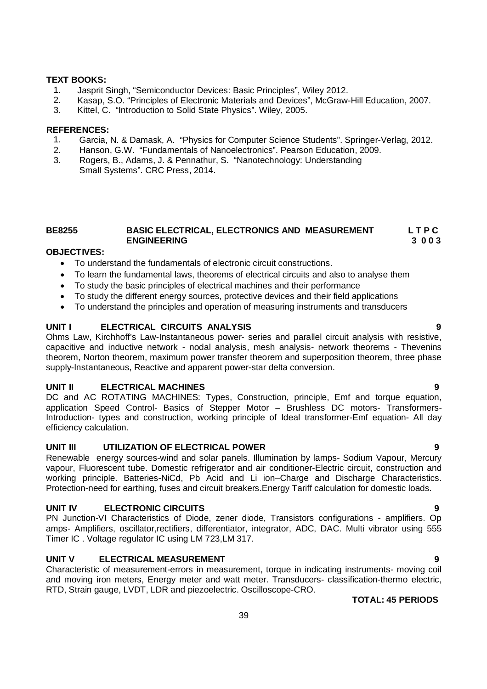#### **TEXT BOOKS:**

- 1. Jasprit Singh, "Semiconductor Devices: Basic Principles", Wiley 2012.<br>2. Kasap. S.O. "Principles of Electronic Materials and Devices". McGraw-
- 2. Kasap, S.O. "Principles of Electronic Materials and Devices", McGraw-Hill Education, 2007.
- 3. Kittel, C. "Introduction to Solid State Physics". Wiley, 2005.

#### **REFERENCES:**

- 1. Garcia, N. & Damask, A. "Physics for Computer Science Students". Springer-Verlag, 2012.
- 2. Hanson, G.W. "Fundamentals of Nanoelectronics". Pearson Education, 2009.
- 3. Rogers, B., Adams, J. & Pennathur, S. "Nanotechnology: Understanding Small Systems". CRC Press, 2014.

#### **BE8255 BASIC ELECTRICAL, ELECTRONICS AND MEASUREMENT L T P C ENGINEERING 3 0 0 3**

#### **OBJECTIVES:**

- To understand the fundamentals of electronic circuit constructions.
- To learn the fundamental laws, theorems of electrical circuits and also to analyse them
- To study the basic principles of electrical machines and their performance
- To study the different energy sources, protective devices and their field applications
- To understand the principles and operation of measuring instruments and transducers

#### **UNIT I ELECTRICAL CIRCUITS ANALYSIS 9**

Ohms Law, Kirchhoff's Law-Instantaneous power- series and parallel circuit analysis with resistive, capacitive and inductive network - nodal analysis, mesh analysis- network theorems - Thevenins theorem, Norton theorem, maximum power transfer theorem and superposition theorem, three phase supply-Instantaneous, Reactive and apparent power-star delta conversion.

#### **UNIT II ELECTRICAL MACHINES 9**

DC and AC ROTATING MACHINES: Types, Construction, principle, Emf and torque equation, application Speed Control- Basics of Stepper Motor – Brushless DC motors- Transformers-Introduction- types and construction, working principle of Ideal transformer-Emf equation- All day efficiency calculation.

#### **UNIT III UTILIZATION OF ELECTRICAL POWER 9**

Renewable energy sources-wind and solar panels. Illumination by lamps- Sodium Vapour, Mercury vapour, Fluorescent tube. Domestic refrigerator and air conditioner-Electric circuit, construction and working principle. Batteries-NiCd, Pb Acid and Li ion–Charge and Discharge Characteristics. Protection-need for earthing, fuses and circuit breakers.Energy Tariff calculation for domestic loads.

#### **UNIT IV ELECTRONIC CIRCUITS 9**

PN Junction-VI Characteristics of Diode, zener diode, Transistors configurations - amplifiers. Op amps- Amplifiers, oscillator,rectifiers, differentiator, integrator, ADC, DAC. Multi vibrator using 555 Timer IC . Voltage regulator IC using LM 723,LM 317.

#### **UNIT V ELECTRICAL MEASUREMENT 9**

Characteristic of measurement-errors in measurement, torque in indicating instruments- moving coil and moving iron meters, Energy meter and watt meter. Transducers- classification-thermo electric, RTD, Strain gauge, LVDT, LDR and piezoelectric. Oscilloscope-CRO.

- 
-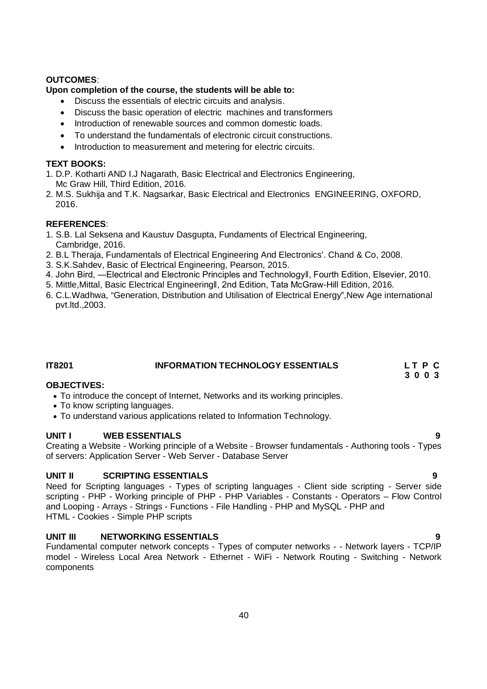#### **OUTCOMES**:

#### **Upon completion of the course, the students will be able to:**

- Discuss the essentials of electric circuits and analysis.
- Discuss the basic operation of electric machines and transformers
- Introduction of renewable sources and common domestic loads.
- To understand the fundamentals of electronic circuit constructions.
- Introduction to measurement and metering for electric circuits.

#### **TEXT BOOKS:**

- 1. D.P. Kotharti AND I.J Nagarath, Basic Electrical and Electronics Engineering, Mc Graw Hill, Third Edition, 2016.
- 2. M.S. Sukhija and T.K. Nagsarkar, Basic Electrical and Electronics ENGINEERING, OXFORD, 2016.

#### **REFERENCES**:

- 1. S.B. Lal Seksena and Kaustuv Dasgupta, Fundaments of Electrical Engineering, Cambridge, 2016.
- 2. B.L Theraja, Fundamentals of Electrical Engineering And Electronics'. Chand & Co, 2008.
- 3. S.K.Sahdev, Basic of Electrical Engineering, Pearson, 2015.
- 4. John Bird, ―Electrical and Electronic Principles and Technologyǁ, Fourth Edition, Elsevier, 2010.
- 5. Mittle,Mittal, Basic Electrical Engineeringǁ, 2nd Edition, Tata McGraw-Hill Edition, 2016.
- 6. C.L.Wadhwa, "Generation, Distribution and Utilisation of Electrical Energy",New Age international pvt.ltd.,2003.

### **IT8201 INFORMATION TECHNOLOGY ESSENTIALS L T P C**

 **3 0 0 3**

#### **OBJECTIVES:**

- To introduce the concept of Internet, Networks and its working principles.
- To know scripting languages.
- To understand various applications related to Information Technology.

### **UNIT I WEB ESSENTIALS 9**

Creating a Website - Working principle of a Website - Browser fundamentals - Authoring tools - Types of servers: Application Server - Web Server - Database Server

### **UNIT II SCRIPTING ESSENTIALS**

Need for Scripting languages - Types of scripting languages - Client side scripting - Server side scripting - PHP - Working principle of PHP - PHP Variables - Constants - Operators – Flow Control and Looping - Arrays - Strings - Functions - File Handling - PHP and MySQL - PHP and HTML - Cookies - Simple PHP scripts

### **UNIT III NETWORKING ESSENTIALS 9**

Fundamental computer network concepts - Types of computer networks - - Network layers - TCP/IP model - Wireless Local Area Network - Ethernet - WiFi - Network Routing - Switching - Network components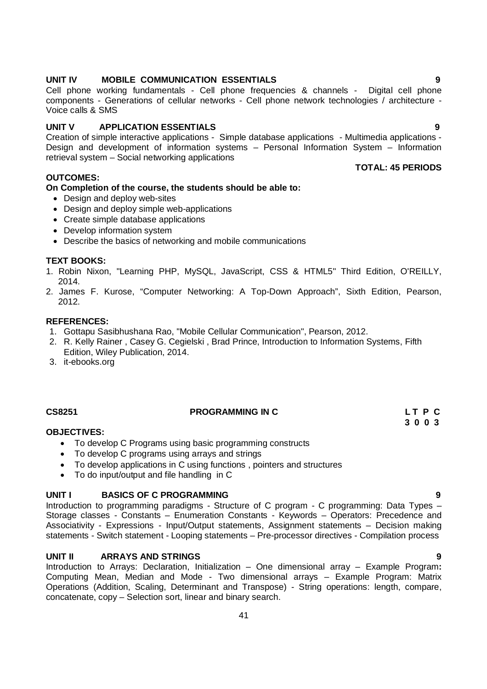#### 41

#### **UNIT IV MOBILE COMMUNICATION ESSENTIALS 9**

Cell phone working fundamentals - Cell phone frequencies & channels - Digital cell phone components - Generations of cellular networks - Cell phone network technologies / architecture - Voice calls & SMS

#### **UNIT V APPLICATION ESSENTIALS 9**

Creation of simple interactive applications - Simple database applications - Multimedia applications - Design and development of information systems – Personal Information System – Information retrieval system – Social networking applications

#### **OUTCOMES:**

### **On Completion of the course, the students should be able to:**

- Design and deploy web-sites
- Design and deploy simple web-applications
- Create simple database applications
- Develop information system
- Describe the basics of networking and mobile communications

#### **TEXT BOOKS:**

- 1. Robin Nixon, "Learning PHP, MySQL, JavaScript, CSS & HTML5" Third Edition, O'REILLY, 2014.
- 2. James F. Kurose, "Computer Networking: A Top-Down Approach", Sixth Edition, Pearson, 2012.

### **REFERENCES:**

- 1. Gottapu Sasibhushana Rao, "Mobile Cellular Communication", Pearson, 2012.
- 2. R. Kelly Rainer , Casey G. Cegielski , Brad Prince, Introduction to Information Systems, Fifth Edition, Wiley Publication, 2014.
- 3. it-ebooks.org

#### **CS8251 PROGRAMMING IN C L T P C**

 **3 0 0 3**

#### **OBJECTIVES:**

- To develop C Programs using basic programming constructs
- To develop C programs using arrays and strings
- To develop applications in C using functions , pointers and structures
- To do input/output and file handling in C

#### **UNIT I BASICS OF C PROGRAMMING 9**

Introduction to programming paradigms - Structure of C program - C programming: Data Types – Storage classes - Constants – Enumeration Constants - Keywords – Operators: Precedence and Associativity - Expressions - Input/Output statements, Assignment statements – Decision making statements - Switch statement - Looping statements – Pre-processor directives - Compilation process

#### **UNIT II ARRAYS AND STRINGS 9**

Introduction to Arrays: Declaration, Initialization – One dimensional array – Example Program**:** Computing Mean, Median and Mode - Two dimensional arrays – Example Program: Matrix Operations (Addition, Scaling, Determinant and Transpose) - String operations: length, compare, concatenate, copy – Selection sort, linear and binary search.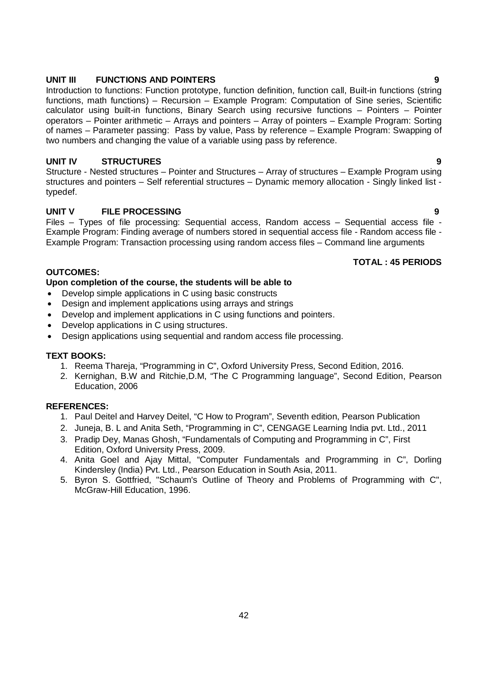#### **UNIT III FUNCTIONS AND POINTERS 9**

Introduction to functions: Function prototype, function definition, function call, Built-in functions (string functions, math functions) – Recursion – Example Program: Computation of Sine series, Scientific calculator using built-in functions, Binary Search using recursive functions – Pointers – Pointer operators – Pointer arithmetic – Arrays and pointers – Array of pointers – Example Program: Sorting of names – Parameter passing: Pass by value, Pass by reference – Example Program: Swapping of two numbers and changing the value of a variable using pass by reference.

#### **UNIT IV STRUCTURES 9**

Structure - Nested structures – Pointer and Structures – Array of structures – Example Program using structures and pointers – Self referential structures – Dynamic memory allocation - Singly linked list typedef.

#### **UNIT V FILE PROCESSING 9**

Files – Types of file processing: Sequential access, Random access – Sequential access file - Example Program: Finding average of numbers stored in sequential access file - Random access file - Example Program: Transaction processing using random access files – Command line arguments

#### **TOTAL : 45 PERIODS**

#### **OUTCOMES:**

#### **Upon completion of the course, the students will be able to**

- Develop simple applications in C using basic constructs
- Design and implement applications using arrays and strings
- Develop and implement applications in C using functions and pointers.
- Develop applications in C using structures.
- Design applications using sequential and random access file processing.

#### **TEXT BOOKS:**

- 1. Reema Thareja, "Programming in C", Oxford University Press, Second Edition, 2016.
- 2. Kernighan, B.W and Ritchie, D.M, "The C Programming language", Second Edition, Pearson Education, 2006

#### **REFERENCES:**

- 1. Paul Deitel and Harvey Deitel, "C How to Program", Seventh edition, Pearson Publication
- 2. Juneja, B. L and Anita Seth, "Programming in C", CENGAGE Learning India pvt. Ltd., 2011
- 3. Pradip Dey, Manas Ghosh, "Fundamentals of Computing and Programming in C", First Edition, Oxford University Press, 2009.
- 4. Anita Goel and Ajay Mittal, "Computer Fundamentals and Programming in C", Dorling Kindersley (India) Pvt. Ltd., Pearson Education in South Asia, 2011.
- 5. Byron S. Gottfried, "Schaum's Outline of Theory and Problems of Programming with C", McGraw-Hill Education, 1996.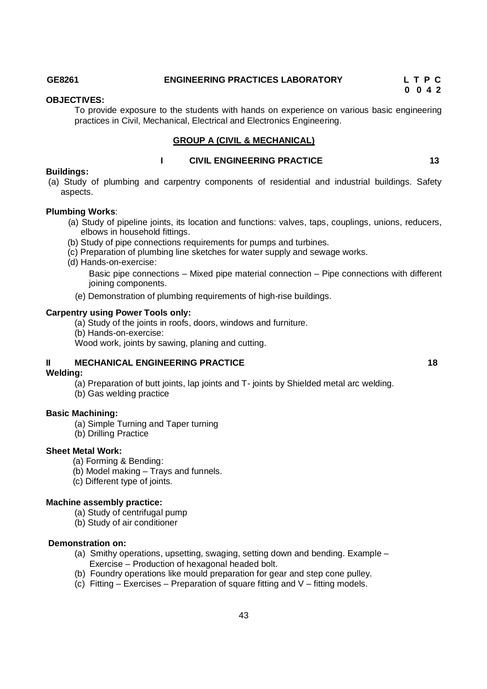### **GE8261 ENGINEERING PRACTICES LABORATORY L T P C**

 **0 0 4 2** 

#### **OBJECTIVES:**

To provide exposure to the students with hands on experience on various basic engineering practices in Civil, Mechanical, Electrical and Electronics Engineering.

**I** CIVIL ENGINEERING PRACTICE 13

#### **GROUP A (CIVIL & MECHANICAL)**

#### **Buildings:**

(a) Study of plumbing and carpentry components of residential and industrial buildings. Safety aspects.

#### **Plumbing Works**:

- (a) Study of pipeline joints, its location and functions: valves, taps, couplings, unions, reducers, elbows in household fittings.
- (b) Study of pipe connections requirements for pumps and turbines.
- (c) Preparation of plumbing line sketches for water supply and sewage works.
- (d) Hands-on-exercise:

Basic pipe connections – Mixed pipe material connection – Pipe connections with different joining components.

(e) Demonstration of plumbing requirements of high-rise buildings.

#### **Carpentry using Power Tools only:**

(a) Study of the joints in roofs, doors, windows and furniture.

(b) Hands-on-exercise:

Wood work, joints by sawing, planing and cutting.

#### **II MECHANICAL ENGINEERING PRACTICE 18** 18

#### **Welding:**

(a) Preparation of butt joints, lap joints and T- joints by Shielded metal arc welding.

(b) Gas welding practice

#### **Basic Machining:**

- (a) Simple Turning and Taper turning
- (b) Drilling Practice

#### **Sheet Metal Work:**

- (a) Forming & Bending:
- (b) Model making Trays and funnels.
- (c) Different type of joints.

#### **Machine assembly practice:**

- (a) Study of centrifugal pump
- (b) Study of air conditioner

#### **Demonstration on:**

- (a) Smithy operations, upsetting, swaging, setting down and bending. Example Exercise – Production of hexagonal headed bolt.
- (b) Foundry operations like mould preparation for gear and step cone pulley.
- (c) Fitting Exercises Preparation of square fitting and  $V$  fitting models.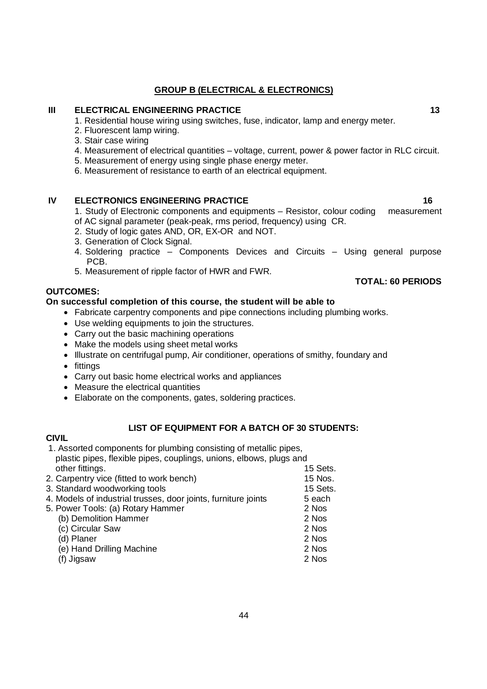### **GROUP B (ELECTRICAL & ELECTRONICS)**

#### **III ELECTRICAL ENGINEERING PRACTICE 13** 13

- 1. Residential house wiring using switches, fuse, indicator, lamp and energy meter.
- 2. Fluorescent lamp wiring.
- 3. Stair case wiring
- 4. Measurement of electrical quantities voltage, current, power & power factor in RLC circuit.
- 5. Measurement of energy using single phase energy meter.
- 6. Measurement of resistance to earth of an electrical equipment.

#### **IV ELECTRONICS ENGINEERING PRACTICE 16** 16

- 1. Study of Electronic components and equipments Resistor, colour coding measurement of AC signal parameter (peak-peak, rms period, frequency) using CR.
- 2. Study of logic gates AND, OR, EX-OR and NOT.
- 3. Generation of Clock Signal.
- 4. Soldering practice Components Devices and Circuits Using general purpose PCB.
- 5. Measurement of ripple factor of HWR and FWR.

#### **OUTCOMES:**

### **On successful completion of this course, the student will be able to**

- Fabricate carpentry components and pipe connections including plumbing works.
- Use welding equipments to join the structures.
- Carry out the basic machining operations
- Make the models using sheet metal works
- Illustrate on centrifugal pump, Air conditioner, operations of smithy, foundary and
- fittings
- Carry out basic home electrical works and appliances
- Measure the electrical quantities
- Elaborate on the components, gates, soldering practices.

#### **LIST OF EQUIPMENT FOR A BATCH OF 30 STUDENTS:**

#### **CIVIL**

- 1. Assorted components for plumbing consisting of metallic pipes, plastic pipes, flexible pipes, couplings, unions, elbows, plugs and other fittings. The contract of the contract of the contract of the contract of the contract of the contract of the contract of the contract of the contract of the contract of the contract of the contract of the contract o 2. Carpentry vice (fitted to work bench) 15 Nos.<br>3. Standard woodworking tools 15 Sets. 3. Standard woodworking tools.
- 4. Models of industrial trusses, door joints, furniture joints 5 each 5. Power Tools: (a) Rotary Hammer<br>
(b) Demolition Hammer 2 Nos (b) Demolition Hammer (c) Circular Saw 2 Nos
	- $(d)$  Planer
	- (e) Hand Drilling Machine 2 Nos
	- (f) Jigsaw 2 Nos

## **TOTAL: 60 PERIODS**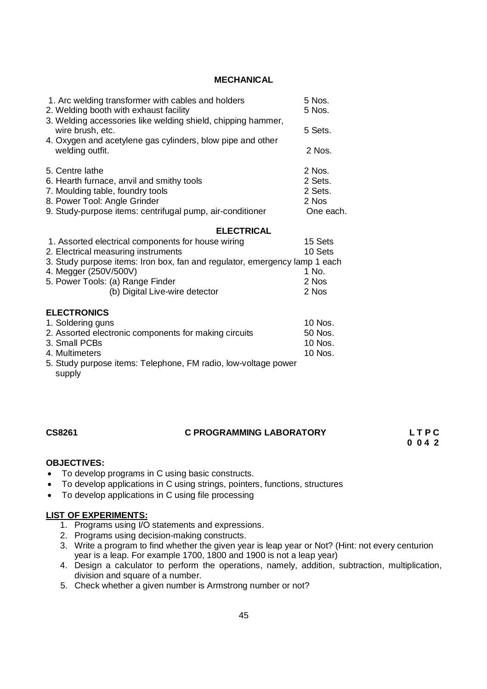#### **MECHANICAL**

| 1. Arc welding transformer with cables and holders<br>2. Welding booth with exhaust facility                                                   | 5 Nos.<br>5 Nos. |  |  |
|------------------------------------------------------------------------------------------------------------------------------------------------|------------------|--|--|
| 3. Welding accessories like welding shield, chipping hammer,<br>wire brush, etc.<br>4. Oxygen and acetylene gas cylinders, blow pipe and other | 5 Sets.          |  |  |
| welding outfit.                                                                                                                                | 2 Nos.           |  |  |
| 5. Centre lathe                                                                                                                                | 2 Nos.           |  |  |
| 6. Hearth furnace, anvil and smithy tools                                                                                                      | 2 Sets.          |  |  |
| 7. Moulding table, foundry tools                                                                                                               | 2 Sets.          |  |  |
| 8. Power Tool: Angle Grinder                                                                                                                   | 2 Nos            |  |  |
| 9. Study-purpose items: centrifugal pump, air-conditioner                                                                                      | One each.        |  |  |
| <b>ELECTRICAL</b>                                                                                                                              |                  |  |  |
| 1. Assorted electrical components for house wiring                                                                                             | 15 Sets          |  |  |
| 2. Electrical measuring instruments<br>10 Sets                                                                                                 |                  |  |  |
| 3. Study purpose items: Iron box, fan and regulator, emergency lamp 1 each                                                                     |                  |  |  |
| 4. Megger (250V/500V)                                                                                                                          | 1 No.            |  |  |
| 5. Power Tools: (a) Range Finder                                                                                                               | 2 Nos            |  |  |
| (b) Digital Live-wire detector                                                                                                                 | 2 Nos            |  |  |
| <b>ELECTRONICS</b>                                                                                                                             |                  |  |  |
| 1. Soldering guns                                                                                                                              | 10 Nos.          |  |  |
| 2. Assorted electronic components for making circuits                                                                                          | 50 Nos.          |  |  |
| 3. Small PCBs                                                                                                                                  | 10 Nos.          |  |  |
|                                                                                                                                                |                  |  |  |
| 4. Multimeters                                                                                                                                 | 10 Nos.          |  |  |
| 5. Study purpose items: Telephone, FM radio, low-voltage power<br>supply                                                                       |                  |  |  |

# **CS8261 C PROGRAMMING LABORATORY L T P C**

 **0 0 4 2**

### **OBJECTIVES:**

- To develop programs in C using basic constructs.
- To develop applications in C using strings, pointers, functions, structures
- To develop applications in C using file processing

#### **LIST OF EXPERIMENTS:**

- 1. Programs using I/O statements and expressions.
- 2. Programs using decision-making constructs.
- 3. Write a program to find whether the given year is leap year or Not? (Hint: not every centurion year is a leap. For example 1700, 1800 and 1900 is not a leap year)
- 4. Design a calculator to perform the operations, namely, addition, subtraction, multiplication, division and square of a number.
- 5. Check whether a given number is Armstrong number or not?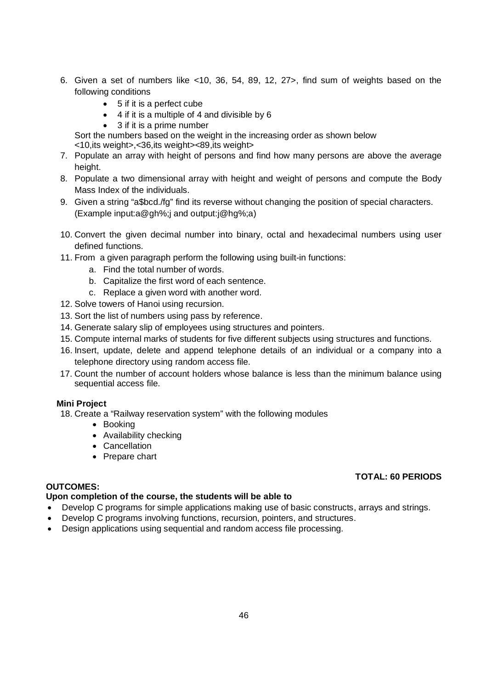- 6. Given a set of numbers like <10, 36, 54, 89, 12, 27>, find sum of weights based on the following conditions
	- 5 if it is a perfect cube
	- 4 if it is a multiple of 4 and divisible by 6
	- 3 if it is a prime number

Sort the numbers based on the weight in the increasing order as shown below <10,its weight>,<36,its weight><89,its weight>

- 7. Populate an array with height of persons and find how many persons are above the average height.
- 8. Populate a two dimensional array with height and weight of persons and compute the Body Mass Index of the individuals.
- 9. Given a string "a\$bcd./fg" find its reverse without changing the position of special characters. (Example input:a@gh%;j and output:j@hg%;a)
- 10. Convert the given decimal number into binary, octal and hexadecimal numbers using user defined functions.
- 11. From a given paragraph perform the following using built-in functions:
	- a. Find the total number of words.
	- b. Capitalize the first word of each sentence.
	- c. Replace a given word with another word.
- 12. Solve towers of Hanoi using recursion.
- 13. Sort the list of numbers using pass by reference.
- 14. Generate salary slip of employees using structures and pointers.
- 15. Compute internal marks of students for five different subjects using structures and functions.
- 16. Insert, update, delete and append telephone details of an individual or a company into a telephone directory using random access file.
- 17. Count the number of account holders whose balance is less than the minimum balance using sequential access file.

#### **Mini Project**

18. Create a "Railway reservation system" with the following modules

- Booking
- Availability checking
- Cancellation
- Prepare chart

### **TOTAL: 60 PERIODS**

#### **OUTCOMES:**

### **Upon completion of the course, the students will be able to**

- Develop C programs for simple applications making use of basic constructs, arrays and strings.
- Develop C programs involving functions, recursion, pointers, and structures.
- Design applications using sequential and random access file processing.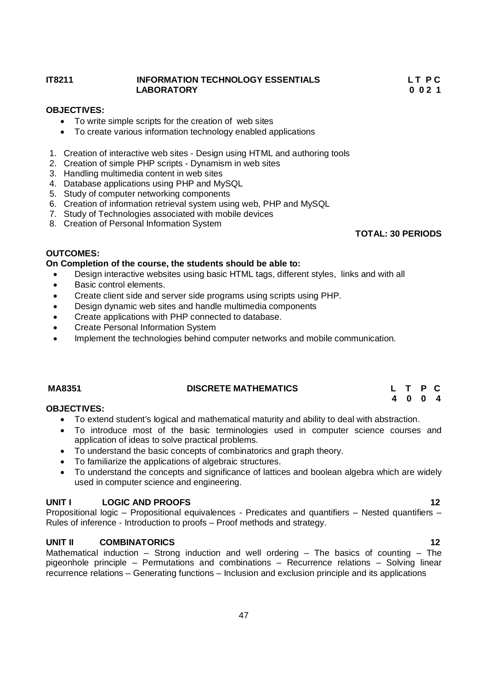#### **IT8211 INFORMATION TECHNOLOGY ESSENTIALS L T P C LABORATORY 0 0 2 1**

### **OBJECTIVES:**

- To write simple scripts for the creation of web sites
- To create various information technology enabled applications
- 1. Creation of interactive web sites Design using HTML and authoring tools
- 2. Creation of simple PHP scripts Dynamism in web sites
- 3. Handling multimedia content in web sites
- 4. Database applications using PHP and MySQL
- 5. Study of computer networking components
- 6. Creation of information retrieval system using web, PHP and MySQL
- 7. Study of Technologies associated with mobile devices
- 8. Creation of Personal Information System

#### **OUTCOMES: On Completion of the course, the students should be able to:**

- Design interactive websites using basic HTML tags, different styles, links and with all
- Basic control elements.
- Create client side and server side programs using scripts using PHP.
- Design dynamic web sites and handle multimedia components
- Create applications with PHP connected to database.
- Create Personal Information System
- Implement the technologies behind computer networks and mobile communication.

# **MA8351 DISCRETE MATHEMATICS L T P C**

#### **4 0 0 4 OBJECTIVES:**

- To extend student's logical and mathematical maturity and ability to deal with abstraction.
- To introduce most of the basic terminologies used in computer science courses and application of ideas to solve practical problems.
- To understand the basic concepts of combinatorics and graph theory.
- To familiarize the applications of algebraic structures.
- To understand the concepts and significance of lattices and boolean algebra which are widely used in computer science and engineering.

#### **UNIT I LOGIC AND PROOFS 12**

Propositional logic – Propositional equivalences - Predicates and quantifiers – Nested quantifiers – Rules of inference - Introduction to proofs – Proof methods and strategy.

#### **UNIT II COMBINATORICS 12**

Mathematical induction – Strong induction and well ordering – The basics of counting – The pigeonhole principle – Permutations and combinations – Recurrence relations – Solving linear recurrence relations – Generating functions – Inclusion and exclusion principle and its applications

# **TOTAL: 30 PERIODS**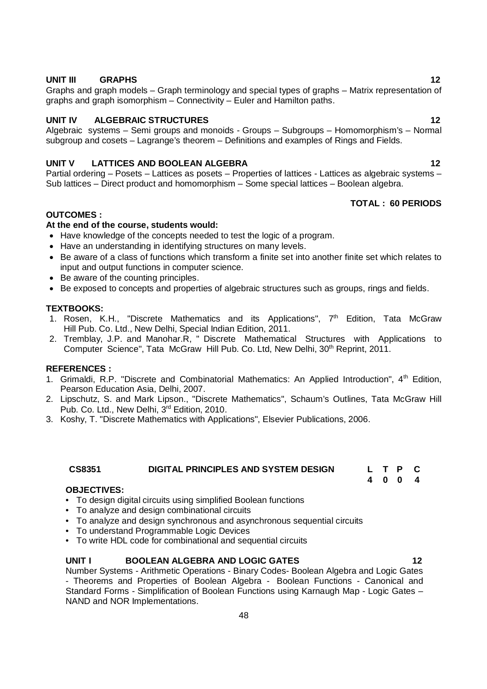#### **UNIT III GRAPHS 12**

Graphs and graph models – Graph terminology and special types of graphs – Matrix representation of graphs and graph isomorphism – Connectivity – Euler and Hamilton paths.

#### **UNIT IV ALGEBRAIC STRUCTURES** 12

Algebraic systems – Semi groups and monoids - Groups – Subgroups – Homomorphism's – Normal subgroup and cosets – Lagrange's theorem – Definitions and examples of Rings and Fields.

#### **UNIT V LATTICES AND BOOLEAN ALGEBRA 12**

Partial ordering – Posets – Lattices as posets – Properties of lattices - Lattices as algebraic systems – Sub lattices – Direct product and homomorphism – Some special lattices – Boolean algebra.

#### **TOTAL : 60 PERIODS**

#### **OUTCOMES :**

#### **At the end of the course, students would:**

- Have knowledge of the concepts needed to test the logic of a program.
- Have an understanding in identifying structures on many levels.
- Be aware of a class of functions which transform a finite set into another finite set which relates to input and output functions in computer science.
- Be aware of the counting principles.
- Be exposed to concepts and properties of algebraic structures such as groups, rings and fields.

#### **TEXTBOOKS:**

- 1. Rosen, K.H., "Discrete Mathematics and its Applications", 7th Edition, Tata McGraw Hill Pub. Co. Ltd., New Delhi, Special Indian Edition, 2011.
- 2. Tremblay, J.P. and Manohar.R, " Discrete Mathematical Structures with Applications to Computer Science", Tata McGraw Hill Pub. Co. Ltd, New Delhi, 30<sup>th</sup> Reprint, 2011.

#### **REFERENCES :**

- 1. Grimaldi, R.P. "Discrete and Combinatorial Mathematics: An Applied Introduction", 4<sup>th</sup> Edition, Pearson Education Asia, Delhi, 2007.
- 2. Lipschutz, S. and Mark Lipson., "Discrete Mathematics", Schaum's Outlines, Tata McGraw Hill Pub. Co. Ltd., New Delhi, 3rd Edition, 2010.
- 3. Koshy, T. "Discrete Mathematics with Applications", Elsevier Publications, 2006.

### **CS8351 DIGITAL PRINCIPLES AND SYSTEM DESIGN L T P C**

#### **OBJECTIVES:**

- To design digital circuits using simplified Boolean functions
- To analyze and design combinational circuits
- To analyze and design synchronous and asynchronous sequential circuits
- To understand Programmable Logic Devices
- To write HDL code for combinational and sequential circuits

#### **UNIT I BOOLEAN ALGEBRA AND LOGIC GATES 12**

Number Systems - Arithmetic Operations - Binary Codes- Boolean Algebra and Logic Gates - Theorems and Properties of Boolean Algebra - Boolean Functions - Canonical and Standard Forms - Simplification of Boolean Functions using Karnaugh Map - Logic Gates – NAND and NOR Implementations.

**4 0 0 4**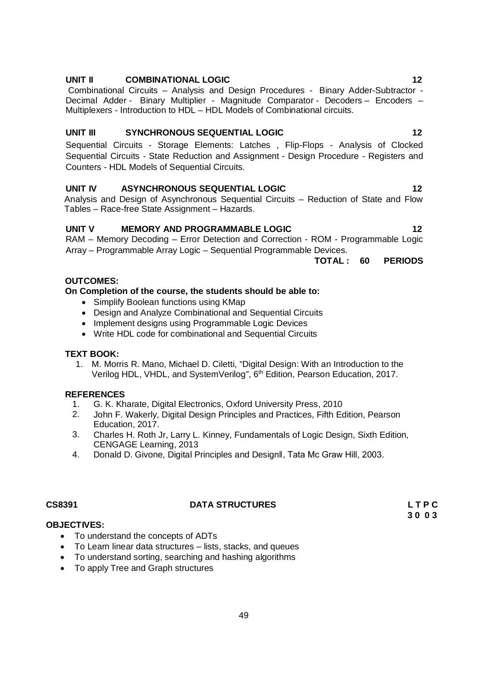#### **UNIT II COMBINATIONAL LOGIC 12**

Combinational Circuits – Analysis and Design Procedures - Binary Adder-Subtractor - Decimal Adder - Binary Multiplier - Magnitude Comparator - Decoders – Encoders – Multiplexers - Introduction to HDL – HDL Models of Combinational circuits.

#### **UNIT III SYNCHRONOUS SEQUENTIAL LOGIC 12**

Sequential Circuits - Storage Elements: Latches , Flip-Flops - Analysis of Clocked Sequential Circuits - State Reduction and Assignment - Design Procedure - Registers and Counters - HDL Models of Sequential Circuits.

#### **UNIT IV ASYNCHRONOUS SEQUENTIAL LOGIC 12**

Analysis and Design of Asynchronous Sequential Circuits – Reduction of State and Flow Tables – Race-free State Assignment – Hazards.

### **UNIT V MEMORY AND PROGRAMMABLE LOGIC 12**

RAM – Memory Decoding – Error Detection and Correction - ROM - Programmable Logic Array – Programmable Array Logic – Sequential Programmable Devices.

**TOTAL : 60 PERIODS**

#### **OUTCOMES:**

#### **On Completion of the course, the students should be able to:**

- Simplify Boolean functions using KMap
- Design and Analyze Combinational and Sequential Circuits
- Implement designs using Programmable Logic Devices
- Write HDL code for combinational and Sequential Circuits

#### **TEXT BOOK:**

1. M. Morris R. Mano, Michael D. Ciletti, "Digital Design: With an Introduction to the Verilog HDL, VHDL, and SystemVerilog", 6<sup>th</sup> Edition, Pearson Education, 2017.

#### **REFERENCES**

- 1. G. K. Kharate, Digital Electronics, Oxford University Press, 2010
- 2. John F. Wakerly, Digital Design Principles and Practices, Fifth Edition, Pearson Education, 2017.
- 3. Charles H. Roth Jr, Larry L. Kinney, Fundamentals of Logic Design, Sixth Edition, CENGAGE Learning, 2013
- 4. Donald D. Givone, Digital Principles and Designǁ, Tata Mc Graw Hill, 2003.

#### **CS8391 DATA STRUCTURES L T P C**

**3 0 0 3**

#### **OBJECTIVES:**

- To understand the concepts of ADTs
- To Learn linear data structures lists, stacks, and queues
- To understand sorting, searching and hashing algorithms
- To apply Tree and Graph structures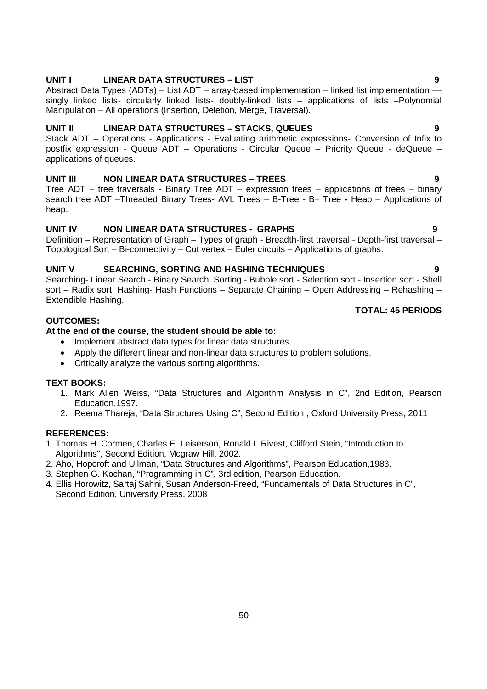### **UNIT I LINEAR DATA STRUCTURES – LIST 9**

Abstract Data Types (ADTs) – List ADT – array-based implementation – linked list implementation singly linked lists- circularly linked lists- doubly-linked lists – applications of lists –Polynomial Manipulation – All operations (Insertion, Deletion, Merge, Traversal).

#### **UNIT II LINEAR DATA STRUCTURES – STACKS, QUEUES 9**

Stack ADT – Operations - Applications - Evaluating arithmetic expressions- Conversion of Infix to postfix expression - Queue ADT – Operations - Circular Queue – Priority Queue - deQueue – applications of queues.

### **UNIT III NON LINEAR DATA STRUCTURES – TREES 9**

Tree ADT – tree traversals - Binary Tree ADT – expression trees – applications of trees – binary search tree ADT –Threaded Binary Trees- AVL Trees – B-Tree - B+ Tree **-** Heap – Applications of heap.

#### **UNIT IV NON LINEAR DATA STRUCTURES - GRAPHS 9**

Definition – Representation of Graph – Types of graph - Breadth-first traversal - Depth-first traversal – Topological Sort – Bi-connectivity – Cut vertex – Euler circuits – Applications of graphs.

#### **UNIT V SEARCHING, SORTING AND HASHING TECHNIQUES 9**

Searching- Linear Search - Binary Search. Sorting - Bubble sort - Selection sort - Insertion sort - Shell sort – Radix sort. Hashing- Hash Functions – Separate Chaining – Open Addressing – Rehashing – Extendible Hashing.

### **OUTCOMES:**

#### **At the end of the course, the student should be able to:**

- Implement abstract data types for linear data structures.
- Apply the different linear and non-linear data structures to problem solutions.
- Critically analyze the various sorting algorithms.

### **TEXT BOOKS:**

- 1. Mark Allen Weiss, "Data Structures and Algorithm Analysis in C", 2nd Edition, Pearson Education,1997.
- 2. Reema Thareja, "Data Structures Using C", Second Edition , Oxford University Press, 2011

#### **REFERENCES:**

- 1. Thomas H. Cormen, Charles E. Leiserson, Ronald L.Rivest, Clifford Stein, "Introduction to Algorithms", Second Edition, Mcgraw Hill, 2002.
- 2. Aho, Hopcroft and Ullman, "Data Structures and Algorithms", Pearson Education,1983.
- 3. Stephen G. Kochan, "Programming in C", 3rd edition, Pearson Education.
- 4. Ellis Horowitz, Sartaj Sahni, Susan Anderson-Freed, "Fundamentals of Data Structures in C", Second Edition, University Press, 2008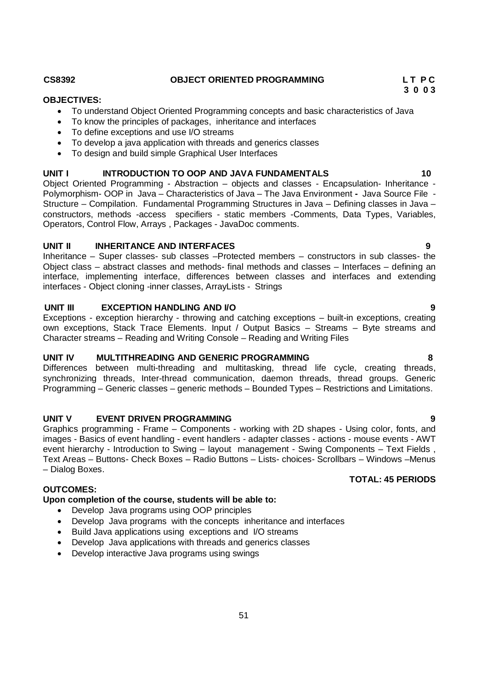#### CS8392 **CS8392** OBJECT ORIENTED PROGRAMMING L T P C

#### **OBJECTIVES:**

To understand Object Oriented Programming concepts and basic characteristics of Java

 **3 0 0 3**

- To know the principles of packages, inheritance and interfaces
- To define exceptions and use I/O streams
- To develop a java application with threads and generics classes
- To design and build simple Graphical User Interfaces

#### **UNIT I INTRODUCTION TO OOP AND JAVA FUNDAMENTALS 10**

Object Oriented Programming - Abstraction – objects and classes - Encapsulation- Inheritance - Polymorphism- OOP in Java – Characteristics of Java – The Java Environment **-** Java Source File - Structure – Compilation. Fundamental Programming Structures in Java – Defining classes in Java – constructors, methods -access specifiers - static members -Comments, Data Types, Variables, Operators, Control Flow, Arrays , Packages - JavaDoc comments.

#### **UNIT II INHERITANCE AND INTERFACES 9**

Inheritance – Super classes- sub classes –Protected members – constructors in sub classes- the Object class – abstract classes and methods- final methods and classes – Interfaces – defining an interface, implementing interface, differences between classes and interfaces and extending interfaces - Object cloning -inner classes, ArrayLists - Strings

#### **UNIT III EXCEPTION HANDLING AND I/O 9**

Exceptions - exception hierarchy - throwing and catching exceptions – built-in exceptions, creating own exceptions, Stack Trace Elements. Input / Output Basics – Streams – Byte streams and Character streams – Reading and Writing Console – Reading and Writing Files

#### **UNIT IV MULTITHREADING AND GENERIC PROGRAMMING 8**

Differences between multi-threading and multitasking, thread life cycle, creating threads, synchronizing threads, Inter-thread communication, daemon threads, thread groups. Generic Programming – Generic classes – generic methods – Bounded Types – Restrictions and Limitations.

### **UNIT V EVENT DRIVEN PROGRAMMING 9**

Graphics programming - Frame – Components - working with 2D shapes - Using color, fonts, and images - Basics of event handling - event handlers - adapter classes - actions - mouse events - AWT event hierarchy - Introduction to Swing – layout management - Swing Components – Text Fields , Text Areas – Buttons- Check Boxes – Radio Buttons – Lists- choices- Scrollbars – Windows –Menus – Dialog Boxes.

#### **OUTCOMES:**

#### **Upon completion of the course, students will be able to:**

- Develop Java programs using OOP principles
- Develop Java programs with the concepts inheritance and interfaces
- Build Java applications using exceptions and I/O streams
- Develop Java applications with threads and generics classes
- Develop interactive Java programs using swings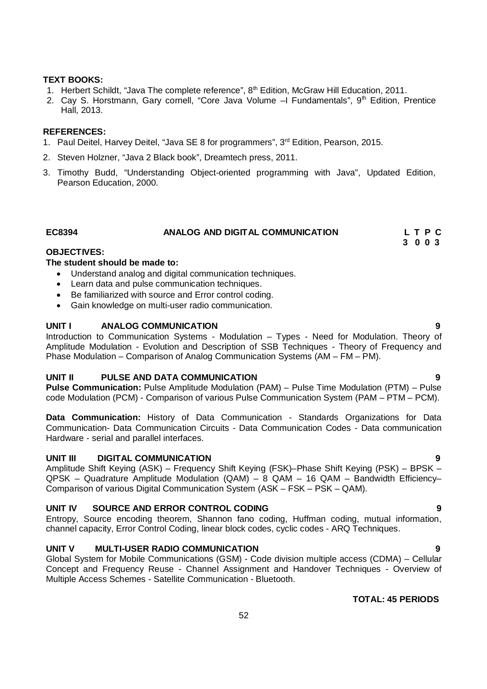#### **TEXT BOOKS:**

- 1. Herbert Schildt, "Java The complete reference",  $8<sup>th</sup>$  Edition, McGraw Hill Education, 2011.
- 2. Cay S. Horstmann, Gary cornell, "Core Java Volume  $-1$  Fundamentals",  $9<sup>th</sup>$  Edition, Prentice Hall, 2013.

#### **REFERENCES:**

- 1. Paul Deitel, Harvey Deitel, "Java SE 8 for programmers", 3rd Edition, Pearson, 2015.
- 2. Steven Holzner, "Java 2 Black book", Dreamtech press, 2011.
- 3. Timothy Budd, "Understanding Object-oriented programming with Java", Updated Edition, Pearson Education, 2000.

#### **EC8394 ANALOG AND DIGITAL COMMUNICATION L T P C 3 0 0 3**

#### **OBJECTIVES:**

#### **The student should be made to:**

- Understand analog and digital communication techniques.
- Learn data and pulse communication techniques.
- Be familiarized with source and Error control coding.
- Gain knowledge on multi-user radio communication.

#### **UNIT I ANALOG COMMUNICATION 9**

Introduction to Communication Systems - Modulation – Types - Need for Modulation. Theory of Amplitude Modulation - Evolution and Description of SSB Techniques - Theory of Frequency and Phase Modulation – Comparison of Analog Communication Systems (AM – FM – PM).

#### **UNIT II PULSE AND DATA COMMUNICATION 9**

**Pulse Communication:** Pulse Amplitude Modulation (PAM) – Pulse Time Modulation (PTM) – Pulse code Modulation (PCM) - Comparison of various Pulse Communication System (PAM – PTM – PCM).

**Data Communication:** History of Data Communication - Standards Organizations for Data Communication- Data Communication Circuits - Data Communication Codes - Data communication Hardware - serial and parallel interfaces.

#### **UNIT III DIGITAL COMMUNICATION 9**

Amplitude Shift Keying (ASK) – Frequency Shift Keying (FSK)–Phase Shift Keying (PSK) – BPSK – QPSK – Quadrature Amplitude Modulation (QAM) – 8 QAM – 16 QAM – Bandwidth Efficiency– Comparison of various Digital Communication System (ASK – FSK – PSK – QAM).

#### **UNIT IV SOURCE AND ERROR CONTROL CODING 9**

Entropy, Source encoding theorem, Shannon fano coding, Huffman coding, mutual information, channel capacity, Error Control Coding, linear block codes, cyclic codes - ARQ Techniques.

#### **UNIT V MULTI-USER RADIO COMMUNICATION 9**

Global System for Mobile Communications (GSM) - Code division multiple access (CDMA) – Cellular Concept and Frequency Reuse - Channel Assignment and Handover Techniques - Overview of Multiple Access Schemes - Satellite Communication - Bluetooth.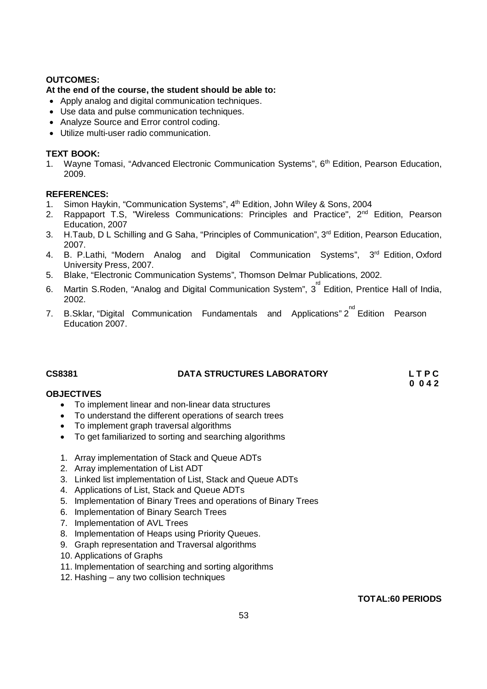### **OUTCOMES:**

### **At the end of the course, the student should be able to:**

- Apply analog and digital communication techniques.
- Use data and pulse communication techniques.
- Analyze Source and Error control coding.
- Utilize multi-user radio communication.

### **TEXT BOOK:**

1. Wayne Tomasi, "Advanced Electronic Communication Systems", 6<sup>th</sup> Edition, Pearson Education, 2009.

### **REFERENCES:**

- 1. Simon Haykin, "Communication Systems", 4<sup>th</sup> Edition, John Wiley & Sons, 2004
- 2. Rappaport T.S, "Wireless Communications: Principles and Practice", 2<sup>nd</sup> Edition, Pearson Education, 2007
- 3. H. Taub, D L Schilling and G Saha, "Principles of Communication", 3<sup>rd</sup> Edition, Pearson Education, 2007.
- 4. B. P.Lathi, "Modern Analog and Digital Communication Systems", 3<sup>rd</sup> Edition, Oxford University Press, 2007.
- 5. Blake, "Electronic Communication Systems", Thomson Delmar Publications, 2002.
- 6. Martin S.Roden, "Analog and Digital Communication System", 3<sup>rd</sup> Edition, Prentice Hall of India, 2002.
- 7. B.Sklar, "Digital Communication Fundamentals and Applications" 2<sup>nd</sup> Edition Pearson Education 2007.

## **CS8381 DATA STRUCTURES LABORATORY L T P C**

 **0 0 4 2**

### **OBJECTIVES**

- To implement linear and non-linear data structures
- To understand the different operations of search trees
- To implement graph traversal algorithms
- To get familiarized to sorting and searching algorithms
- 1. Array implementation of Stack and Queue ADTs
- 2. Array implementation of List ADT
- 3. Linked list implementation of List, Stack and Queue ADTs
- 4. Applications of List, Stack and Queue ADTs
- 5. Implementation of Binary Trees and operations of Binary Trees
- 6. Implementation of Binary Search Trees
- 7. Implementation of AVL Trees
- 8. Implementation of Heaps using Priority Queues.
- 9. Graph representation and Traversal algorithms
- 10. Applications of Graphs
- 11. Implementation of searching and sorting algorithms
- 12. Hashing any two collision techniques

**TOTAL:60 PERIODS**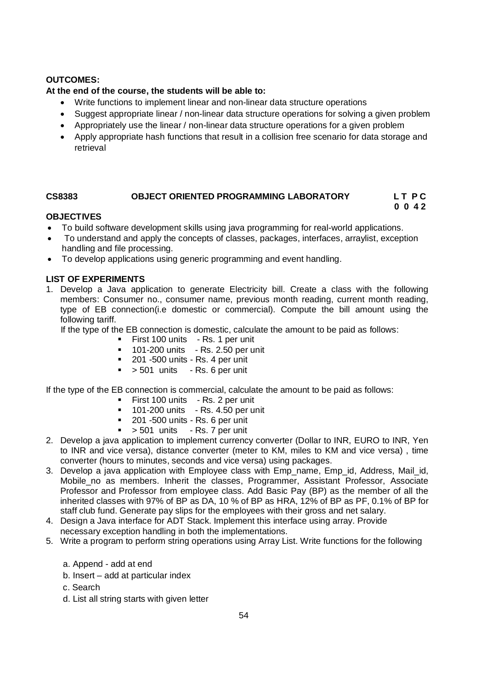### **OUTCOMES:**

### **At the end of the course, the students will be able to:**

- Write functions to implement linear and non-linear data structure operations
- Suggest appropriate linear / non-linear data structure operations for solving a given problem
- Appropriately use the linear / non-linear data structure operations for a given problem
- Apply appropriate hash functions that result in a collision free scenario for data storage and retrieval

# **CS8383 OBJECT ORIENTED PROGRAMMING LABORATORY L T P C**

# **0 0 4 2**

### **OBJECTIVES**

- To build software development skills using java programming for real-world applications.
- To understand and apply the concepts of classes, packages, interfaces, arraylist, exception handling and file processing.
- To develop applications using generic programming and event handling.

### **LIST OF EXPERIMENTS**

1. Develop a Java application to generate Electricity bill. Create a class with the following members: Consumer no., consumer name, previous month reading, current month reading, type of EB connection(i.e domestic or commercial). Compute the bill amount using the following tariff.

If the type of the EB connection is domestic, calculate the amount to be paid as follows:

- **First 100 units Rs. 1 per unit**
- **101-200 units** Rs. 2.50 per unit
- <sup>201</sup> -500 units Rs. 4 per unit
- $\bullet$  > 501 units Rs. 6 per unit

If the type of the EB connection is commercial, calculate the amount to be paid as follows:

- **First 100 units Rs. 2 per unit**
- **101-200 units** Rs. 4.50 per unit
- $\blacksquare$  201 -500 units Rs. 6 per unit
- $\bullet$  > 501 units Rs. 7 per unit
- 2. Develop a java application to implement currency converter (Dollar to INR, EURO to INR, Yen to INR and vice versa), distance converter (meter to KM, miles to KM and vice versa) , time converter (hours to minutes, seconds and vice versa) using packages.
- 3. Develop a java application with Employee class with Emp\_name, Emp\_id, Address, Mail\_id, Mobile no as members. Inherit the classes, Programmer, Assistant Professor, Associate Professor and Professor from employee class. Add Basic Pay (BP) as the member of all the inherited classes with 97% of BP as DA, 10 % of BP as HRA, 12% of BP as PF, 0.1% of BP for staff club fund. Generate pay slips for the employees with their gross and net salary.
- 4. Design a Java interface for ADT Stack. Implement this interface using array. Provide necessary exception handling in both the implementations.
- 5. Write a program to perform string operations using Array List. Write functions for the following
	- a. Append add at end
	- b. Insert add at particular index
	- c. Search
	- d. List all string starts with given letter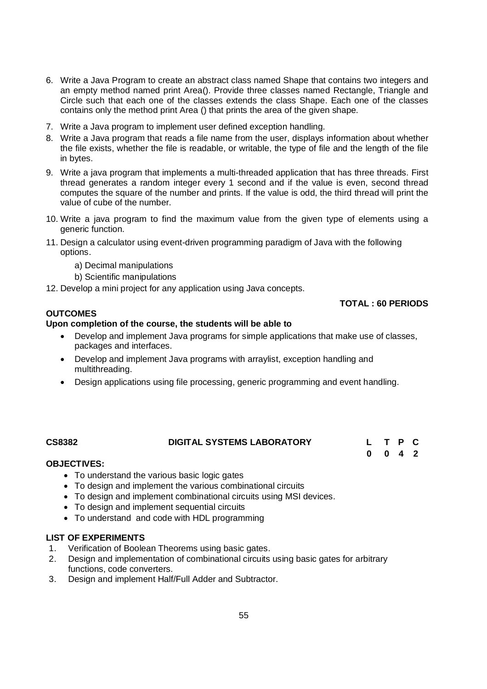- 6. Write a Java Program to create an abstract class named Shape that contains two integers and an empty method named print Area(). Provide three classes named Rectangle, Triangle and Circle such that each one of the classes extends the class Shape. Each one of the classes contains only the method print Area () that prints the area of the given shape.
- 7. Write a Java program to implement user defined exception handling.
- 8. Write a Java program that reads a file name from the user, displays information about whether the file exists, whether the file is readable, or writable, the type of file and the length of the file in bytes.
- 9. Write a java program that implements a multi-threaded application that has three threads. First thread generates a random integer every 1 second and if the value is even, second thread computes the square of the number and prints. If the value is odd, the third thread will print the value of cube of the number.
- 10. Write a java program to find the maximum value from the given type of elements using a generic function.
- 11. Design a calculator using event-driven programming paradigm of Java with the following options.
	- a) Decimal manipulations
	- b) Scientific manipulations
- 12. Develop a mini project for any application using Java concepts.

#### **OUTCOMES**

#### **Upon completion of the course, the students will be able to**

- Develop and implement Java programs for simple applications that make use of classes, packages and interfaces.
- Develop and implement Java programs with arraylist, exception handling and multithreading.
- Design applications using file processing, generic programming and event handling.

#### **CS8382 DIGITAL SYSTEMS LABORATORY L T P C**

**0 0 4 2**

#### **OBJECTIVES:**

- To understand the various basic logic gates
- To design and implement the various combinational circuits
- To design and implement combinational circuits using MSI devices.
- To design and implement sequential circuits
- To understand and code with HDL programming

#### **LIST OF EXPERIMENTS**

- 1. Verification of Boolean Theorems using basic gates.
- 2. Design and implementation of combinational circuits using basic gates for arbitrary functions, code converters.
- 3. Design and implement Half/Full Adder and Subtractor.

#### **TOTAL : 60 PERIODS**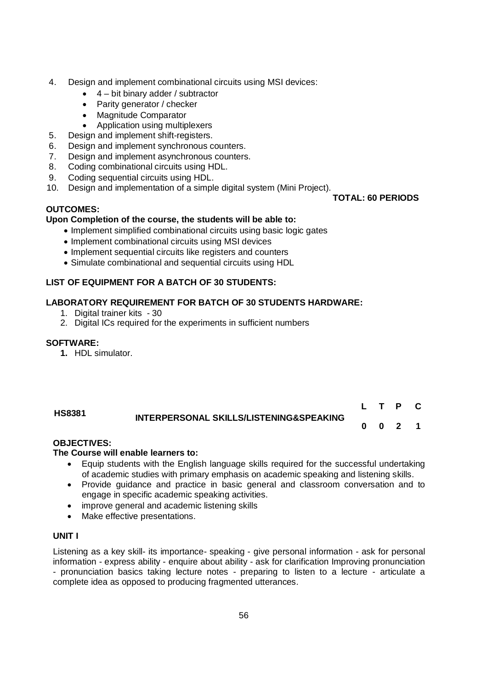- 4. Design and implement combinational circuits using MSI devices:
	- $\bullet$  4 bit binary adder / subtractor
	- Parity generator / checker
	- Magnitude Comparator
	- Application using multiplexers
- 5. Design and implement shift-registers.
- 6. Design and implement synchronous counters.
- 7. Design and implement asynchronous counters.
- 8. Coding combinational circuits using HDL.
- 9. Coding sequential circuits using HDL.
- 10. Design and implementation of a simple digital system (Mini Project).

#### **OUTCOMES:**

#### **Upon Completion of the course, the students will be able to:**

- Implement simplified combinational circuits using basic logic gates
- Implement combinational circuits using MSI devices
- Implement sequential circuits like registers and counters
- Simulate combinational and sequential circuits using HDL

### **LIST OF EQUIPMENT FOR A BATCH OF 30 STUDENTS:**

#### **LABORATORY REQUIREMENT FOR BATCH OF 30 STUDENTS HARDWARE:**

- 1. Digital trainer kits 30
- 2. Digital ICs required for the experiments in sufficient numbers

#### **SOFTWARE:**

**1.** HDL simulator.

#### **HS8381 INTERPERSONAL SKILLS/LISTENING&SPEAKING L T P C 0 0 2 1**

#### **OBJECTIVES:**

#### **The Course will enable learners to:**

- Equip students with the English language skills required for the successful undertaking of academic studies with primary emphasis on academic speaking and listening skills.
- Provide guidance and practice in basic general and classroom conversation and to engage in specific academic speaking activities.
- improve general and academic listening skills
- Make effective presentations.

#### **UNIT I**

Listening as a key skill- its importance- speaking - give personal information - ask for personal information - express ability - enquire about ability - ask for clarification Improving pronunciation - pronunciation basics taking lecture notes - preparing to listen to a lecture - articulate a complete idea as opposed to producing fragmented utterances.

**TOTAL: 60 PERIODS**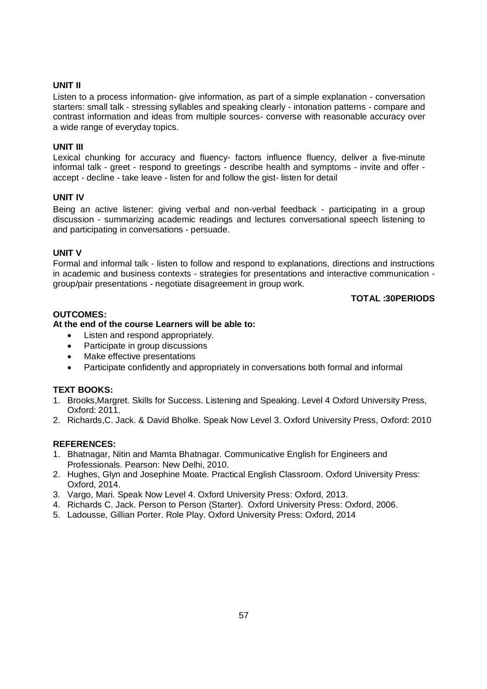#### **UNIT II**

Listen to a process information- give information, as part of a simple explanation - conversation starters: small talk - stressing syllables and speaking clearly - intonation patterns - compare and contrast information and ideas from multiple sources- converse with reasonable accuracy over a wide range of everyday topics.

#### **UNIT III**

Lexical chunking for accuracy and fluency- factors influence fluency, deliver a five-minute informal talk - greet - respond to greetings - describe health and symptoms - invite and offer accept - decline - take leave - listen for and follow the gist- listen for detail

#### **UNIT IV**

Being an active listener: giving verbal and non-verbal feedback - participating in a group discussion - summarizing academic readings and lectures conversational speech listening to and participating in conversations - persuade.

#### **UNIT V**

Formal and informal talk - listen to follow and respond to explanations, directions and instructions in academic and business contexts - strategies for presentations and interactive communication group/pair presentations - negotiate disagreement in group work.

#### **TOTAL :30PERIODS**

#### **OUTCOMES:**

#### **At the end of the course Learners will be able to:**

- Listen and respond appropriately.
- Participate in group discussions
- Make effective presentations
- Participate confidently and appropriately in conversations both formal and informal

#### **TEXT BOOKS:**

- 1. Brooks,Margret. Skills for Success. Listening and Speaking. Level 4 Oxford University Press, Oxford: 2011.
- 2. Richards,C. Jack. & David Bholke. Speak Now Level 3. Oxford University Press, Oxford: 2010

#### **REFERENCES:**

- 1. Bhatnagar, Nitin and Mamta Bhatnagar. Communicative English for Engineers and Professionals. Pearson: New Delhi, 2010.
- 2. Hughes, Glyn and Josephine Moate. Practical English Classroom. Oxford University Press: Oxford, 2014.
- 3. Vargo, Mari. Speak Now Level 4. Oxford University Press: Oxford, 2013.
- 4. Richards C. Jack. Person to Person (Starter). Oxford University Press: Oxford, 2006.
- 5. Ladousse, Gillian Porter. Role Play. Oxford University Press: Oxford, 2014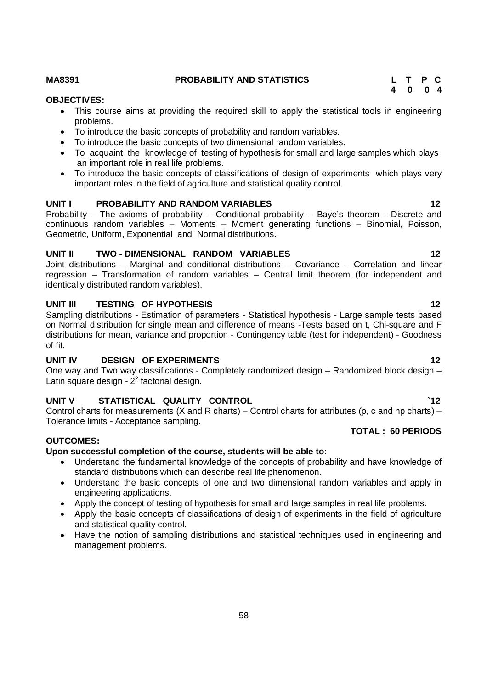#### **MA8391 PROBABILITY AND STATISTICS L T P C**

 **4 0 0 4**

#### **OBJECTIVES:**

- This course aims at providing the required skill to apply the statistical tools in engineering problems.
- To introduce the basic concepts of probability and random variables.
- To introduce the basic concepts of two dimensional random variables.
- To acquaint the knowledge of testing of hypothesis for small and large samples which plays an important role in real life problems.
- To introduce the basic concepts of classifications of design of experiments which plays very important roles in the field of agriculture and statistical quality control.

#### **UNIT I PROBABILITY AND RANDOM VARIABLES 12**

Probability – The axioms of probability – Conditional probability – Baye's theorem - Discrete and continuous random variables – Moments – Moment generating functions – Binomial, Poisson, Geometric, Uniform, Exponential and Normal distributions.

#### **UNIT II TWO - DIMENSIONAL RANDOM VARIABLES 12**

Joint distributions – Marginal and conditional distributions – Covariance – Correlation and linear regression – Transformation of random variables – Central limit theorem (for independent and identically distributed random variables).

#### **UNIT III** TESTING OF HYPOTHESIS 12

Sampling distributions - Estimation of parameters - Statistical hypothesis - Large sample tests based on Normal distribution for single mean and difference of means -Tests based on t, Chi-square and F distributions for mean, variance and proportion - Contingency table (test for independent) - Goodness of fit.

#### **UNIT IV DESIGN OF EXPERIMENTS** 12

One way and Two way classifications - Completely randomized design – Randomized block design – Latin square design -  $2<sup>2</sup>$  factorial design.

### **UNIT V STATISTICAL QUALITY CONTROL `12**

Control charts for measurements (X and R charts) – Control charts for attributes (p, c and np charts) – Tolerance limits - Acceptance sampling.

#### **OUTCOMES:**

#### **Upon successful completion of the course, students will be able to:**

- Understand the fundamental knowledge of the concepts of probability and have knowledge of standard distributions which can describe real life phenomenon.
- Understand the basic concepts of one and two dimensional random variables and apply in engineering applications.
- Apply the concept of testing of hypothesis for small and large samples in real life problems.
- Apply the basic concepts of classifications of design of experiments in the field of agriculture and statistical quality control.
- Have the notion of sampling distributions and statistical techniques used in engineering and management problems.

 **TOTAL : 60 PERIODS**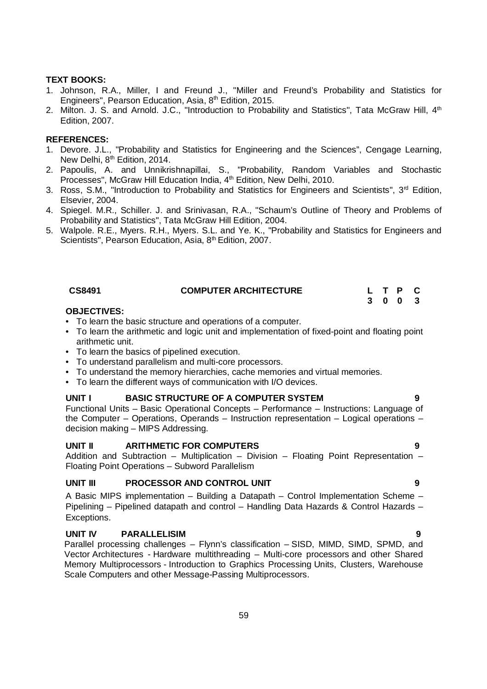#### **TEXT BOOKS:**

- 1. Johnson, R.A., Miller, I and Freund J., "Miller and Freund's Probability and Statistics for Engineers", Pearson Education, Asia, 8<sup>th</sup> Edition, 2015.
- 2. Milton. J. S. and Arnold. J.C., "Introduction to Probability and Statistics", Tata McGraw Hill, 4th Edition, 2007.

#### **REFERENCES:**

- 1. Devore. J.L., "Probability and Statistics for Engineering and the Sciences", Cengage Learning, New Delhi, 8<sup>th</sup> Edition, 2014.
- 2. Papoulis, A. and Unnikrishnapillai, S., "Probability, Random Variables and Stochastic Processes", McGraw Hill Education India, 4<sup>th</sup> Edition, New Delhi, 2010.
- 3. Ross, S.M., "Introduction to Probability and Statistics for Engineers and Scientists",  $3<sup>rd</sup>$  Edition, Elsevier, 2004.
- 4. Spiegel. M.R., Schiller. J. and Srinivasan, R.A., "Schaum's Outline of Theory and Problems of Probability and Statistics", Tata McGraw Hill Edition, 2004.
- 5. Walpole. R.E., Myers. R.H., Myers. S.L. and Ye. K., "Probability and Statistics for Engineers and Scientists", Pearson Education, Asia, 8<sup>th</sup> Edition, 2007.

| CS8491 | <b>COMPUTER ARCHITECTURE</b> |  | L T P C |  |
|--------|------------------------------|--|---------|--|
|        |                              |  | 3 0 0 3 |  |

#### **OBJECTIVES:**

- To learn the basic structure and operations of a computer.
- To learn the arithmetic and logic unit and implementation of fixed-point and floating point arithmetic unit.
- To learn the basics of pipelined execution.
- To understand parallelism and multi-core processors.
- To understand the memory hierarchies, cache memories and virtual memories.
- To learn the different ways of communication with I/O devices.

#### **UNIT I BASIC STRUCTURE OF A COMPUTER SYSTEM 9**

Functional Units – Basic Operational Concepts – Performance – Instructions: Language of the Computer – Operations, Operands – Instruction representation – Logical operations – decision making – MIPS Addressing.

#### **UNIT II ARITHMETIC FOR COMPUTERS 9**

Addition and Subtraction – Multiplication – Division – Floating Point Representation – Floating Point Operations – Subword Parallelism

#### **UNIT III PROCESSOR AND CONTROL UNIT 9**

A Basic MIPS implementation – Building a Datapath – Control Implementation Scheme – Pipelining – Pipelined datapath and control – Handling Data Hazards & Control Hazards – Exceptions.

#### **UNIT IV PARALLELISIM 9**

Parallel processing challenges – Flynn's classification – SISD, MIMD, SIMD, SPMD, and Vector Architectures - Hardware multithreading – Multi-core processors and other Shared Memory Multiprocessors - Introduction to Graphics Processing Units, Clusters, Warehouse Scale Computers and other Message-Passing Multiprocessors.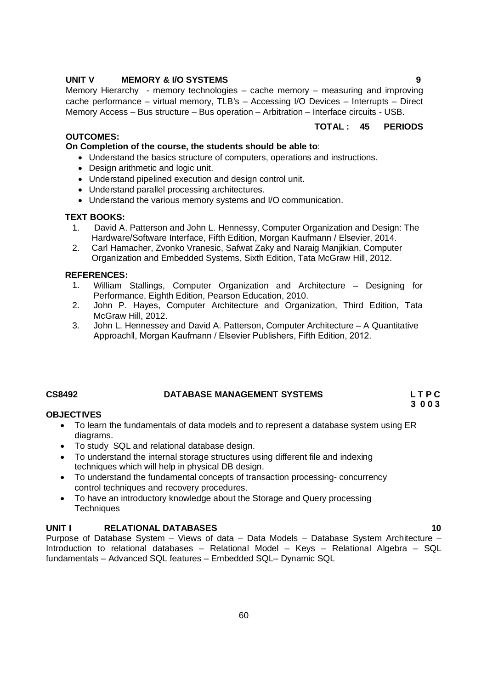#### **UNIT V MEMORY & I/O SYSTEMS 9**

Memory Hierarchy - memory technologies – cache memory – measuring and improving cache performance – virtual memory, TLB's – Accessing I/O Devices – Interrupts – Direct Memory Access – Bus structure – Bus operation – Arbitration – Interface circuits - USB.

#### **OUTCOMES:**

#### **On Completion of the course, the students should be able to**:

- Understand the basics structure of computers, operations and instructions.
- Design arithmetic and logic unit.
- Understand pipelined execution and design control unit.
- Understand parallel processing architectures.
- Understand the various memory systems and I/O communication.

#### **TEXT BOOKS:**

- 1. David A. Patterson and John L. Hennessy, Computer Organization and Design: The Hardware/Software Interface, Fifth Edition, Morgan Kaufmann / Elsevier, 2014.
- 2. Carl Hamacher, Zvonko Vranesic, Safwat Zaky and Naraig Manjikian, Computer Organization and Embedded Systems, Sixth Edition, Tata McGraw Hill, 2012.

#### **REFERENCES:**

- 1. William Stallings, Computer Organization and Architecture Designing for Performance, Eighth Edition, Pearson Education, 2010.
- 2. John P. Hayes, Computer Architecture and Organization, Third Edition, Tata McGraw Hill, 2012.
- 3. John L. Hennessey and David A. Patterson, Computer Architecture A Quantitative Approachǁ, Morgan Kaufmann / Elsevier Publishers, Fifth Edition, 2012.

#### **CS8492 DATABASE MANAGEMENT SYSTEMS L T P C**

 **3 0 0 3**

#### **OBJECTIVES**

- To learn the fundamentals of data models and to represent a database system using ER diagrams.
- To study SQL and relational database design.
- To understand the internal storage structures using different file and indexing techniques which will help in physical DB design.
- To understand the fundamental concepts of transaction processing- concurrency control techniques and recovery procedures.
- To have an introductory knowledge about the Storage and Query processing **Techniques**

#### **UNIT I** RELATIONAL DATABASES 10

Purpose of Database System – Views of data – Data Models – Database System Architecture – Introduction to relational databases – Relational Model – Keys – Relational Algebra – SQL fundamentals – Advanced SQL features – Embedded SQL– Dynamic SQL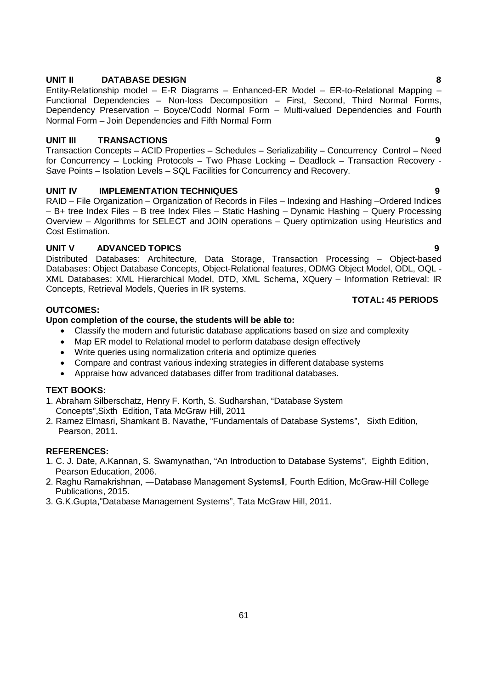Concepts, Retrieval Models, Queries in IR systems.

**OUTCOMES: Upon completion of the course, the students will be able to:**

- Classify the modern and futuristic database applications based on size and complexity
- Map ER model to Relational model to perform database design effectively
- Write queries using normalization criteria and optimize queries
- Compare and contrast various indexing strategies in different database systems
- Appraise how advanced databases differ from traditional databases.

#### **TEXT BOOKS:**

- 1. Abraham Silberschatz, Henry F. Korth, S. Sudharshan, "Database System Concepts",Sixth Edition, Tata McGraw Hill, 2011
- 2. Ramez Elmasri, Shamkant B. Navathe, "Fundamentals of Database Systems", Sixth Edition, Pearson, 2011.

#### **REFERENCES:**

- 1. C. J. Date, A.Kannan, S. Swamynathan, "An Introduction to Database Systems", Eighth Edition, Pearson Education, 2006.
- 2. Raghu Ramakrishnan, ―Database Management Systemsǁ, Fourth Edition, McGraw-Hill College Publications, 2015.
- 3. G.K.Gupta,"Database Management Systems", Tata McGraw Hill, 2011.

### **UNIT II DATABASE DESIGN 8**

Entity-Relationship model – E-R Diagrams – Enhanced-ER Model – ER-to-Relational Mapping – Functional Dependencies – Non-loss Decomposition – First, Second, Third Normal Forms, Dependency Preservation – Boyce/Codd Normal Form – Multi-valued Dependencies and Fourth Normal Form – Join Dependencies and Fifth Normal Form

#### **UNIT III TRANSACTIONS 9**

Transaction Concepts – ACID Properties – Schedules – Serializability – Concurrency Control – Need for Concurrency – Locking Protocols – Two Phase Locking – Deadlock – Transaction Recovery - Save Points – Isolation Levels – SQL Facilities for Concurrency and Recovery.

#### **UNIT IV IMPLEMENTATION TECHNIQUES 9**

RAID – File Organization – Organization of Records in Files – Indexing and Hashing –Ordered Indices – B+ tree Index Files – B tree Index Files – Static Hashing – Dynamic Hashing – Query Processing Overview – Algorithms for SELECT and JOIN operations – Query optimization using Heuristics and Cost Estimation.

#### **UNIT V ADVANCED TOPICS 9**

Distributed Databases: Architecture, Data Storage, Transaction Processing – Object-based Databases: Object Database Concepts, Object-Relational features, ODMG Object Model, ODL, OQL - XML Databases: XML Hierarchical Model, DTD, XML Schema, XQuery – Information Retrieval: IR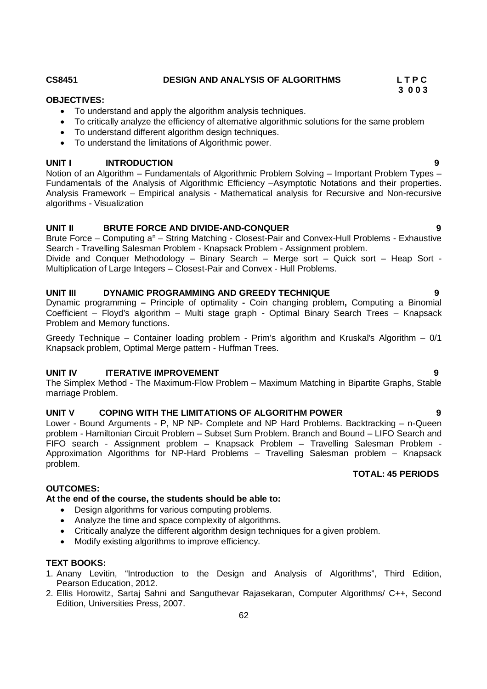Notion of an Algorithm – Fundamentals of Algorithmic Problem Solving – Important Problem Types – Fundamentals of the Analysis of Algorithmic Efficiency –Asymptotic Notations and their properties.

# Analysis Framework – Empirical analysis - Mathematical analysis for Recursive and Non-recursive algorithms - Visualization

### **UNIT II BRUTE FORCE AND DIVIDE-AND-CONQUER 9**

Brute Force – Computing a<sup>n</sup> – String Matching - Closest-Pair and Convex-Hull Problems - Exhaustive Search - Travelling Salesman Problem - Knapsack Problem - Assignment problem.

Divide and Conquer Methodology – Binary Search – Merge sort – Quick sort – Heap Sort - Multiplication of Large Integers – Closest-Pair and Convex - Hull Problems.

### **UNIT III DYNAMIC PROGRAMMING AND GREEDY TECHNIQUE 9**

Dynamic programming **–** Principle of optimality **-** Coin changing problem**,** Computing a Binomial Coefficient – Floyd's algorithm – Multi stage graph - Optimal Binary Search Trees – Knapsack Problem and Memory functions.

Greedy Technique – Container loading problem - Prim's algorithm and Kruskal's Algorithm – 0/1 Knapsack problem, Optimal Merge pattern - Huffman Trees.

# **UNIT IV ITERATIVE IMPROVEMENT** 9

The Simplex Method - The Maximum-Flow Problem – Maximum Matching in Bipartite Graphs, Stable marriage Problem.

# **UNIT V COPING WITH THE LIMITATIONS OF ALGORITHM POWER 9**

Lower - Bound Arguments - P, NP NP- Complete and NP Hard Problems. Backtracking – n-Queen problem - Hamiltonian Circuit Problem – Subset Sum Problem. Branch and Bound – LIFO Search and FIFO search - Assignment problem – Knapsack Problem – Travelling Salesman Problem - Approximation Algorithms for NP-Hard Problems – Travelling Salesman problem – Knapsack problem. **TOTAL: 45 PERIODS**

### **At the end of the course, the students should be able to:**

- Design algorithms for various computing problems.
- Analyze the time and space complexity of algorithms.
- Critically analyze the different algorithm design techniques for a given problem.
- Modify existing algorithms to improve efficiency.

### **TEXT BOOKS:**

**OUTCOMES:**

- 1. Anany Levitin, "Introduction to the Design and Analysis of Algorithms", Third Edition, Pearson Education, 2012.
- 2. Ellis Horowitz, Sartaj Sahni and Sanguthevar Rajasekaran, Computer Algorithms/ C++, Second Edition, Universities Press, 2007.

### **CS8451 DESIGN AND ANALYSIS OF ALGORITHMS L T P C**

To critically analyze the efficiency of alternative algorithmic solutions for the same problem

# **3 0 0 3**

To understand and apply the algorithm analysis techniques.

 To understand different algorithm design techniques. To understand the limitations of Algorithmic power.

**OBJECTIVES:**

# **UNIT I INTRODUCTION 9**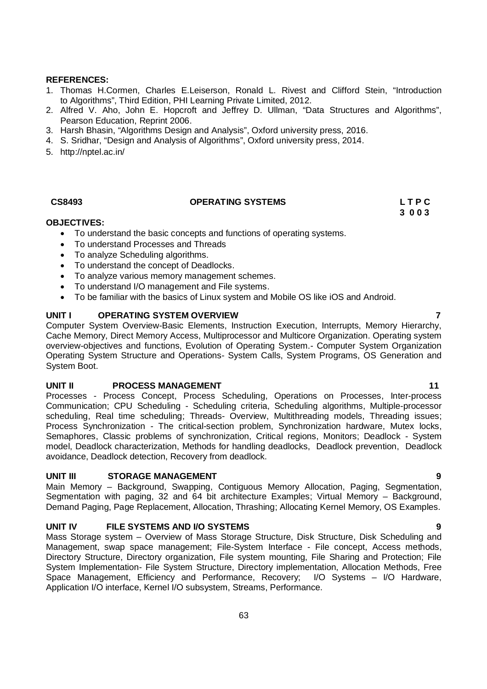#### **REFERENCES:**

- 1. Thomas H.Cormen, Charles E.Leiserson, Ronald L. Rivest and Clifford Stein, "Introduction to Algorithms", Third Edition, PHI Learning Private Limited, 2012.
- 2. Alfred V. Aho, John E. Hopcroft and Jeffrey D. Ullman, "Data Structures and Algorithms", Pearson Education, Reprint 2006.
- 3. Harsh Bhasin, "Algorithms Design and Analysis", Oxford university press, 2016.
- 4. S. Sridhar, "Design and Analysis of Algorithms", Oxford university press, 2014.
- 5. http://nptel.ac.in/

# CS8493 **OPERATING SYSTEMS** L T P C **CS8493**

**3 0 0 3**

#### **OBJECTIVES:**

- To understand the basic concepts and functions of operating systems.
- To understand Processes and Threads
- To analyze Scheduling algorithms.
- To understand the concept of Deadlocks.
- To analyze various memory management schemes.
- To understand I/O management and File systems.
- To be familiar with the basics of Linux system and Mobile OS like iOS and Android.

#### **UNIT I OPERATING SYSTEM OVERVIEW 7**

Computer System Overview-Basic Elements, Instruction Execution, Interrupts, Memory Hierarchy, Cache Memory, Direct Memory Access, Multiprocessor and Multicore Organization. Operating system overview-objectives and functions, Evolution of Operating System.- Computer System Organization Operating System Structure and Operations- System Calls, System Programs, OS Generation and System Boot.

#### **UNIT II PROCESS MANAGEMENT 11** 11

Processes - Process Concept, Process Scheduling, Operations on Processes, Inter-process Communication; CPU Scheduling - Scheduling criteria, Scheduling algorithms, Multiple-processor scheduling, Real time scheduling; Threads- Overview, Multithreading models, Threading issues; Process Synchronization - The critical-section problem, Synchronization hardware, Mutex locks, Semaphores, Classic problems of synchronization, Critical regions, Monitors; Deadlock - System model, Deadlock characterization, Methods for handling deadlocks, Deadlock prevention, Deadlock avoidance, Deadlock detection, Recovery from deadlock.

#### **UNIT III STORAGE MANAGEMENT 9**

Main Memory – Background, Swapping, Contiguous Memory Allocation, Paging, Segmentation, Segmentation with paging, 32 and 64 bit architecture Examples; Virtual Memory – Background, Demand Paging, Page Replacement, Allocation, Thrashing; Allocating Kernel Memory, OS Examples.

#### **UNIT IV FILE SYSTEMS AND I/O SYSTEMS 9**

Mass Storage system – Overview of Mass Storage Structure, Disk Structure, Disk Scheduling and Management, swap space management; File-System Interface - File concept, Access methods, Directory Structure, Directory organization, File system mounting, File Sharing and Protection; File System Implementation- File System Structure, Directory implementation, Allocation Methods, Free Space Management, Efficiency and Performance, Recovery; I/O Systems – I/O Hardware, Application I/O interface, Kernel I/O subsystem, Streams, Performance.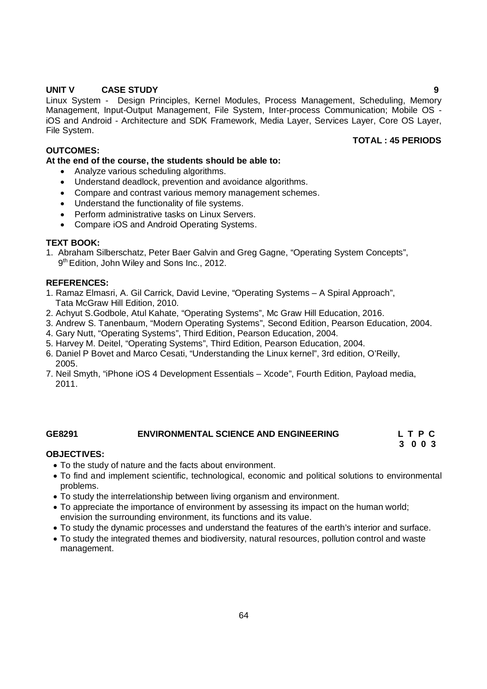#### **UNIT V CASE STUDY 9**

Linux System - Design Principles, Kernel Modules, Process Management, Scheduling, Memory Management, Input-Output Management, File System, Inter-process Communication; Mobile OS iOS and Android - Architecture and SDK Framework, Media Layer, Services Layer, Core OS Layer, File System.

#### **OUTCOMES:**

#### **At the end of the course, the students should be able to:**

- Analyze various scheduling algorithms.
- Understand deadlock, prevention and avoidance algorithms.
- Compare and contrast various memory management schemes.
- Understand the functionality of file systems.
- Perform administrative tasks on Linux Servers.
- Compare iOS and Android Operating Systems.

#### **TEXT BOOK:**

1. Abraham Silberschatz, Peter Baer Galvin and Greg Gagne, "Operating System Concepts", 9<sup>th</sup> Edition, John Wiley and Sons Inc., 2012.

#### **REFERENCES:**

- 1. Ramaz Elmasri, A. Gil Carrick, David Levine, "Operating Systems A Spiral Approach", Tata McGraw Hill Edition, 2010.
- 2. Achyut S.Godbole, Atul Kahate, "Operating Systems", Mc Graw Hill Education, 2016.
- 3. Andrew S. Tanenbaum, "Modern Operating Systems", Second Edition, Pearson Education, 2004.
- 4. Gary Nutt, "Operating Systems", Third Edition, Pearson Education, 2004.
- 5. Harvey M. Deitel, "Operating Systems", Third Edition, Pearson Education, 2004.
- 6. Daniel P Bovet and Marco Cesati, "Understanding the Linux kernel", 3rd edition, O'Reilly, 2005.
- 7. Neil Smyth, "iPhone iOS 4 Development Essentials Xcode", Fourth Edition, Payload media, 2011.

### **GE8291 ENVIRONMENTAL SCIENCE AND ENGINEERING L T P C**

# **3 0 0 3**

### **OBJECTIVES:**

- To the study of nature and the facts about environment.
- To find and implement scientific, technological, economic and political solutions to environmental problems.
- To study the interrelationship between living organism and environment.
- To appreciate the importance of environment by assessing its impact on the human world; envision the surrounding environment, its functions and its value.
- To study the dynamic processes and understand the features of the earth's interior and surface.
- To study the integrated themes and biodiversity, natural resources, pollution control and waste management.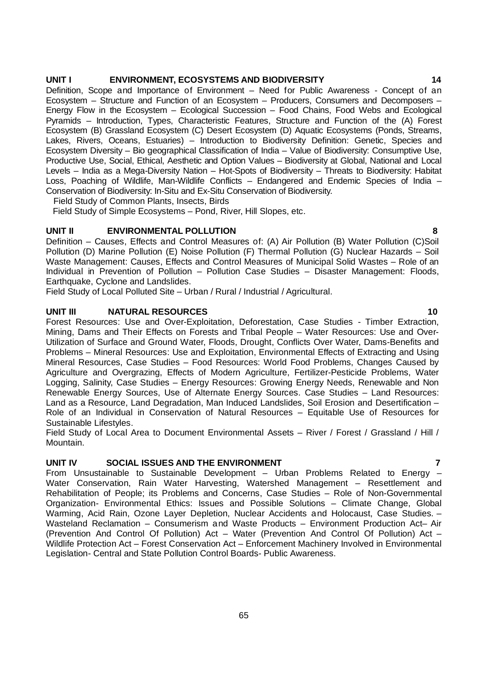#### **UNIT I ENVIRONMENT, ECOSYSTEMS AND BIODIVERSITY 14**

Definition, Scope and Importance of Environment – Need for Public Awareness - Concept of an Ecosystem – Structure and Function of an Ecosystem – Producers, Consumers and Decomposers – Energy Flow in the Ecosystem – Ecological Succession – Food Chains, Food Webs and Ecological Pyramids – Introduction, Types, Characteristic Features, Structure and Function of the (A) Forest Ecosystem (B) Grassland Ecosystem (C) Desert Ecosystem (D) Aquatic Ecosystems (Ponds, Streams, Lakes, Rivers, Oceans, Estuaries) – Introduction to Biodiversity Definition: Genetic, Species and Ecosystem Diversity – Bio geographical Classification of India – Value of Biodiversity: Consumptive Use, Productive Use, Social, Ethical, Aesthetic and Option Values – Biodiversity at Global, National and Local Levels – India as a Mega-Diversity Nation – Hot-Spots of Biodiversity – Threats to Biodiversity: Habitat Loss, Poaching of Wildlife, Man-Wildlife Conflicts – Endangered and Endemic Species of India – Conservation of Biodiversity: In-Situ and Ex-Situ Conservation of Biodiversity.

Field Study of Common Plants, Insects, Birds

Field Study of Simple Ecosystems – Pond, River, Hill Slopes, etc.

#### **UNIT II ENVIRONMENTAL POLLUTION 8**

Definition – Causes, Effects and Control Measures of: (A) Air Pollution (B) Water Pollution (C)Soil Pollution (D) Marine Pollution (E) Noise Pollution (F) Thermal Pollution (G) Nuclear Hazards – Soil Waste Management: Causes, Effects and Control Measures of Municipal Solid Wastes – Role of an Individual in Prevention of Pollution – Pollution Case Studies – Disaster Management: Floods, Earthquake, Cyclone and Landslides.

Field Study of Local Polluted Site – Urban / Rural / Industrial / Agricultural.

#### **UNIT III NATURAL RESOURCES 10**

Forest Resources: Use and Over-Exploitation, Deforestation, Case Studies - Timber Extraction, Mining, Dams and Their Effects on Forests and Tribal People – Water Resources: Use and Over-Utilization of Surface and Ground Water, Floods, Drought, Conflicts Over Water, Dams-Benefits and Problems – Mineral Resources: Use and Exploitation, Environmental Effects of Extracting and Using Mineral Resources, Case Studies – Food Resources: World Food Problems, Changes Caused by Agriculture and Overgrazing, Effects of Modern Agriculture, Fertilizer-Pesticide Problems, Water Logging, Salinity, Case Studies – Energy Resources: Growing Energy Needs, Renewable and Non Renewable Energy Sources, Use of Alternate Energy Sources. Case Studies – Land Resources: Land as a Resource, Land Degradation, Man Induced Landslides, Soil Erosion and Desertification – Role of an Individual in Conservation of Natural Resources – Equitable Use of Resources for Sustainable Lifestyles.

Field Study of Local Area to Document Environmental Assets – River / Forest / Grassland / Hill / Mountain.

#### **UNIT IV SOCIAL ISSUES AND THE ENVIRONMENT 7**

From Unsustainable to Sustainable Development – Urban Problems Related to Energy – Water Conservation, Rain Water Harvesting, Watershed Management – Resettlement and Rehabilitation of People; its Problems and Concerns, Case Studies – Role of Non-Governmental Organization- Environmental Ethics: Issues and Possible Solutions – Climate Change, Global Warming, Acid Rain, Ozone Layer Depletion, Nuclear Accidents and Holocaust, Case Studies. – Wasteland Reclamation – Consumerism and Waste Products – Environment Production Act– Air (Prevention And Control Of Pollution) Act – Water (Prevention And Control Of Pollution) Act – Wildlife Protection Act – Forest Conservation Act – Enforcement Machinery Involved in Environmental Legislation- Central and State Pollution Control Boards- Public Awareness.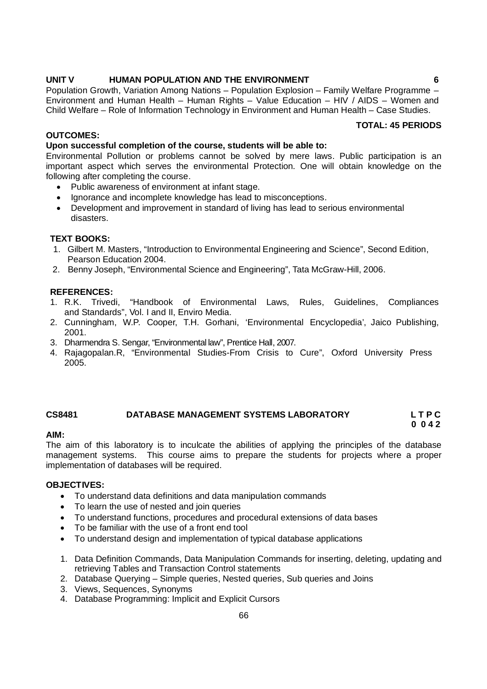#### **UNIT V HUMAN POPULATION AND THE ENVIRONMENT 6**

Population Growth, Variation Among Nations – Population Explosion – Family Welfare Programme – Environment and Human Health – Human Rights – Value Education – HIV / AIDS – Women and Child Welfare – Role of Information Technology in Environment and Human Health – Case Studies.

#### **TOTAL: 45 PERIODS**

#### **OUTCOMES:**

#### **Upon successful completion of the course, students will be able to:**

Environmental Pollution or problems cannot be solved by mere laws. Public participation is an important aspect which serves the environmental Protection. One will obtain knowledge on the following after completing the course.

- Public awareness of environment at infant stage.
- Ignorance and incomplete knowledge has lead to misconceptions.
- Development and improvement in standard of living has lead to serious environmental disasters.

#### **TEXT BOOKS:**

- 1. Gilbert M. Masters, "Introduction to Environmental Engineering and Science", Second Edition, Pearson Education 2004.
- 2. Benny Joseph, "Environmental Science and Engineering", Tata McGraw-Hill, 2006.

#### **REFERENCES:**

- 1. R.K. Trivedi, "Handbook of Environmental Laws, Rules, Guidelines, Compliances and Standards", Vol. I and II, Enviro Media.
- 2. Cunningham, W.P. Cooper, T.H. Gorhani, 'Environmental Encyclopedia', Jaico Publishing, 2001.
- 3. Dharmendra S. Sengar, "Environmental law", Prentice Hall, 2007.
- 4. Rajagopalan.R, "Environmental Studies-From Crisis to Cure", Oxford University Press 2005.

#### **CS8481 DATABASE MANAGEMENT SYSTEMS LABORATORY L T P C 0 0 4 2**

#### **AIM:**

The aim of this laboratory is to inculcate the abilities of applying the principles of the database management systems. This course aims to prepare the students for projects where a proper implementation of databases will be required.

#### **OBJECTIVES:**

- To understand data definitions and data manipulation commands
- To learn the use of nested and join queries
- To understand functions, procedures and procedural extensions of data bases
- To be familiar with the use of a front end tool
- To understand design and implementation of typical database applications
- 1. Data Definition Commands, Data Manipulation Commands for inserting, deleting, updating and retrieving Tables and Transaction Control statements
- 2. Database Querying Simple queries, Nested queries, Sub queries and Joins
- 3. Views, Sequences, Synonyms
- 4. Database Programming: Implicit and Explicit Cursors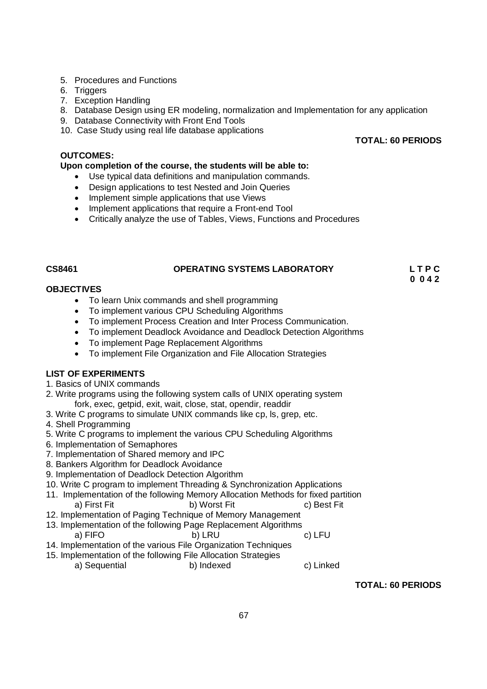67

 **TOTAL: 60 PERIODS**

# **TOTAL: 60 PERIODS**

#### **OUTCOMES: Upon completion of the course, the students will be able to:**

9. Database Connectivity with Front End Tools 10. Case Study using real life database applications

5. Procedures and Functions

7. Exception Handling

6. Triggers

- Use typical data definitions and manipulation commands.
- Design applications to test Nested and Join Queries
- Implement simple applications that use Views
- Implement applications that require a Front-end Tool
- Critically analyze the use of Tables, Views, Functions and Procedures

# **CS8461 OPERATING SYSTEMS LABORATORY L T P C**

8. Database Design using ER modeling, normalization and Implementation for any application

 **0 0 4 2**

### **OBJECTIVES**

- To learn Unix commands and shell programming
- To implement various CPU Scheduling Algorithms
- To implement Process Creation and Inter Process Communication.
- To implement Deadlock Avoidance and Deadlock Detection Algorithms
- To implement Page Replacement Algorithms<br>• To implement File Organization and File Alloc
- To implement File Organization and File Allocation Strategies

### **LIST OF EXPERIMENTS**

- 1. Basics of UNIX commands
- 2. Write programs using the following system calls of UNIX operating system fork, exec, getpid, exit, wait, close, stat, opendir, readdir
- 3. Write C programs to simulate UNIX commands like cp, ls, grep, etc.
- 4. Shell Programming
- 5. Write C programs to implement the various CPU Scheduling Algorithms
- 6. Implementation of Semaphores
- 7. Implementation of Shared memory and IPC
- 8. Bankers Algorithm for Deadlock Avoidance
- 9. Implementation of Deadlock Detection Algorithm
- 10. Write C program to implement Threading & Synchronization Applications
- 11. Implementation of the following Memory Allocation Methods for fixed partition a) First Fit b) Worst Fit c) Best Fit
- 12. Implementation of Paging Technique of Memory Management
- 13. Implementation of the following Page Replacement Algorithms a) FIFO b) LRU c) LFU
- 14. Implementation of the various File Organization Techniques
- 15. Implementation of the following File Allocation Strategies a) Sequential b) Indexed c) Linked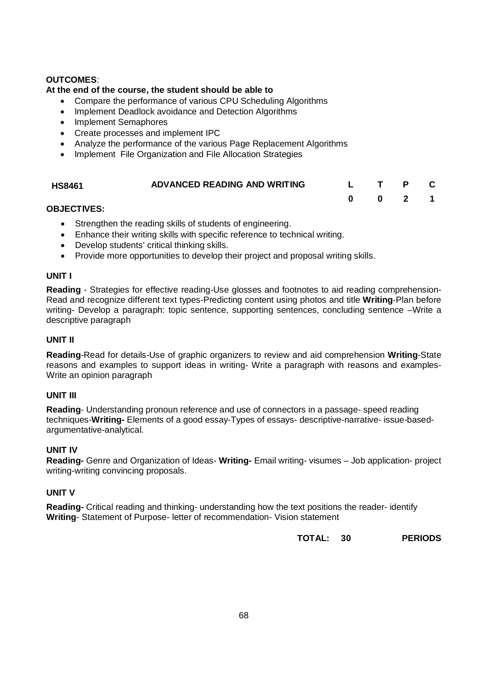### **OUTCOMES**:

#### **At the end of the course, the student should be able to**

- Compare the performance of various CPU Scheduling Algorithms
- Implement Deadlock avoidance and Detection Algorithms
- Implement Semaphores
- Create processes and implement IPC
- Analyze the performance of the various Page Replacement Algorithms
- Implement File Organization and File Allocation Strategies

| <b>HS8461</b> | ADVANCED READING AND WRITING |  |  |
|---------------|------------------------------|--|--|
|               |                              |  |  |

#### **OBJECTIVES:**

- Strengthen the reading skills of students of engineering.
- Enhance their writing skills with specific reference to technical writing.
- Develop students' critical thinking skills.
- Provide more opportunities to develop their project and proposal writing skills.

#### **UNIT I**

**Reading** - Strategies for effective reading-Use glosses and footnotes to aid reading comprehension-Read and recognize different text types-Predicting content using photos and title **Writing**-Plan before writing- Develop a paragraph: topic sentence, supporting sentences, concluding sentence –Write a descriptive paragraph

#### **UNIT II**

**Reading**-Read for details-Use of graphic organizers to review and aid comprehension **Writing**-State reasons and examples to support ideas in writing- Write a paragraph with reasons and examples-Write an opinion paragraph

#### **UNIT III**

**Reading**- Understanding pronoun reference and use of connectors in a passage- speed reading techniques-**Writing-** Elements of a good essay-Types of essays- descriptive-narrative- issue-basedargumentative-analytical.

#### **UNIT IV**

**Reading-** Genre and Organization of Ideas- **Writing-** Email writing- visumes – Job application- project writing-writing convincing proposals.

#### **UNIT V**

**Reading-** Critical reading and thinking- understanding how the text positions the reader- identify **Writing**- Statement of Purpose- letter of recommendation- Vision statement

**TOTAL: 30 PERIODS**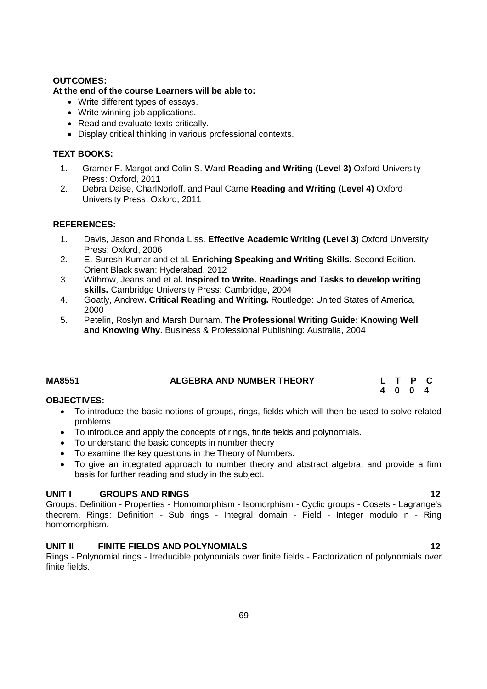#### **OUTCOMES:**

#### **At the end of the course Learners will be able to:**

- Write different types of essays.
- Write winning job applications.
- Read and evaluate texts critically.
- Display critical thinking in various professional contexts.

#### **TEXT BOOKS:**

- 1. Gramer F. Margot and Colin S. Ward **Reading and Writing (Level 3)** Oxford University Press: Oxford, 2011
- 2. Debra Daise, CharlNorloff, and Paul Carne **Reading and Writing (Level 4)** Oxford University Press: Oxford, 2011

#### **REFERENCES:**

- 1. Davis, Jason and Rhonda LIss. **Effective Academic Writing (Level 3)** Oxford University Press: Oxford, 2006
- 2. E. Suresh Kumar and et al. **Enriching Speaking and Writing Skills.** Second Edition. Orient Black swan: Hyderabad, 2012
- 3. Withrow, Jeans and et al**. Inspired to Write. Readings and Tasks to develop writing skills.** Cambridge University Press: Cambridge, 2004
- 4. Goatly, Andrew**. Critical Reading and Writing.** Routledge: United States of America, 2000
- 5. Petelin, Roslyn and Marsh Durham**. The Professional Writing Guide: Knowing Well and Knowing Why.** Business & Professional Publishing: Australia, 2004

| <b>MA8551</b> | <b>ALGEBRA AND NUMBER THEORY</b> | L T P C |  |
|---------------|----------------------------------|---------|--|
|               |                                  | 4004    |  |

#### **OBJECTIVES:**

- To introduce the basic notions of groups, rings, fields which will then be used to solve related problems.
- To introduce and apply the concepts of rings, finite fields and polynomials.
- To understand the basic concepts in number theory
- To examine the key questions in the Theory of Numbers.
- To give an integrated approach to number theory and abstract algebra, and provide a firm basis for further reading and study in the subject.

#### **UNIT I GROUPS AND RINGS 12**

Groups: Definition - Properties - Homomorphism - Isomorphism - Cyclic groups - Cosets - Lagrange's theorem. Rings: Definition - Sub rings - Integral domain - Field - Integer modulo n - Ring homomorphism.

#### **UNIT II FINITE FIELDS AND POLYNOMIALS 12**

Rings - Polynomial rings - Irreducible polynomials over finite fields - Factorization of polynomials over finite fields.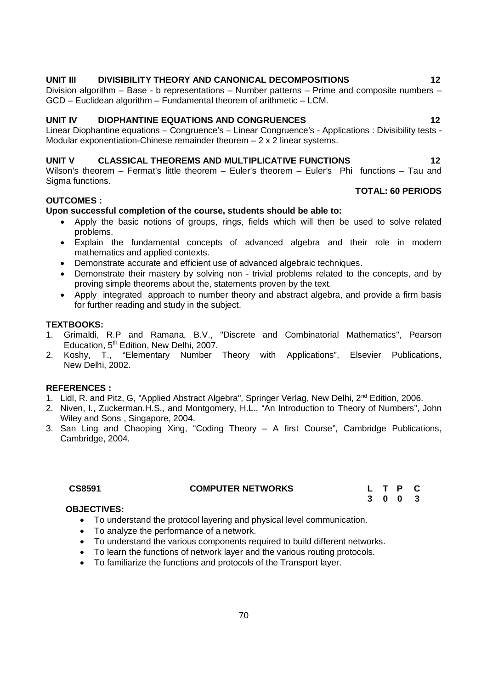#### 70

# **UNIT III DIVISIBILITY THEORY AND CANONICAL DECOMPOSITIONS 12**

Division algorithm – Base - b representations – Number patterns – Prime and composite numbers – GCD – Euclidean algorithm – Fundamental theorem of arithmetic – LCM.

### **UNIT IV DIOPHANTINE EQUATIONS AND CONGRUENCES 12**

Linear Diophantine equations – Congruence's – Linear Congruence's - Applications : Divisibility tests - Modular exponentiation-Chinese remainder theorem – 2 x 2 linear systems.

### **UNIT V CLASSICAL THEOREMS AND MULTIPLICATIVE FUNCTIONS 12**

Wilson's theorem – Fermat's little theorem – Euler's theorem – Euler's Phi functions – Tau and Sigma functions.

#### **OUTCOMES :**

#### **Upon successful completion of the course, students should be able to:**

- Apply the basic notions of groups, rings, fields which will then be used to solve related problems.
- Explain the fundamental concepts of advanced algebra and their role in modern mathematics and applied contexts.
- Demonstrate accurate and efficient use of advanced algebraic techniques.
- Demonstrate their mastery by solving non trivial problems related to the concepts, and by proving simple theorems about the, statements proven by the text.
- Apply integrated approach to number theory and abstract algebra, and provide a firm basis for further reading and study in the subject.

#### **TEXTBOOKS:**

- 1. Grimaldi, R.P and Ramana, B.V., "Discrete and Combinatorial Mathematics", Pearson Education, 5<sup>th</sup> Edition, New Delhi, 2007.
- 2. Koshy, T., "Elementary Number Theory with Applications", Elsevier Publications, New Delhi, 2002.

#### **REFERENCES :**

- 1. Lidl, R. and Pitz, G, "Applied Abstract Algebra", Springer Verlag, New Delhi, 2<sup>nd</sup> Edition, 2006.
- 2. Niven, I., Zuckerman.H.S., and Montgomery, H.L., "An Introduction to Theory of Numbers", John Wiley and Sons , Singapore, 2004.
- 3. San Ling and Chaoping Xing, "Coding Theory A first Course", Cambridge Publications, Cambridge, 2004.

### **CS8591 COMPUTER NETWORKS L T P C**

### **OBJECTIVES:**

- To understand the protocol layering and physical level communication.
- To analyze the performance of a network.
- To understand the various components required to build different networks.
- To learn the functions of network layer and the various routing protocols.
- To familiarize the functions and protocols of the Transport layer.

**TOTAL: 60 PERIODS**

**3 0 0 3**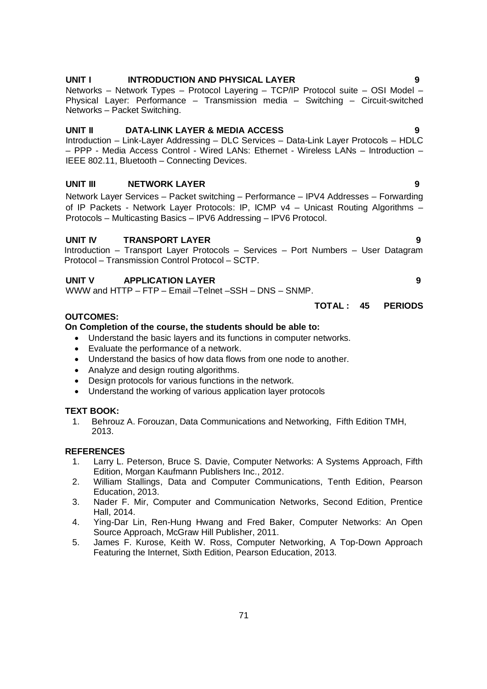### **UNIT I INTRODUCTION AND PHYSICAL LAYER 9**

Networks – Network Types – Protocol Layering – TCP/IP Protocol suite – OSI Model – Physical Layer: Performance – Transmission media – Switching – Circuit-switched Networks – Packet Switching.

### **UNIT II DATA-LINK LAYER & MEDIA ACCESS 9**

Introduction – Link-Layer Addressing – DLC Services – Data-Link Layer Protocols – HDLC – PPP - Media Access Control - Wired LANs: Ethernet - Wireless LANs – Introduction – IEEE 802.11, Bluetooth – Connecting Devices.

### **UNIT III NETWORK LAYER 9**

Network Layer Services – Packet switching – Performance – IPV4 Addresses – Forwarding of IP Packets - Network Layer Protocols: IP, ICMP v4 – Unicast Routing Algorithms – Protocols – Multicasting Basics – IPV6 Addressing – IPV6 Protocol.

### **UNIT IV TRANSPORT LAYER 9**

Introduction – Transport Layer Protocols – Services – Port Numbers – User Datagram Protocol – Transmission Control Protocol – SCTP.

#### **UNIT V APPLICATION LAYER 9**

WWW and HTTP – FTP – Email –Telnet –SSH – DNS – SNMP.

#### **OUTCOMES:**

#### **On Completion of the course, the students should be able to:**

- Understand the basic layers and its functions in computer networks.
- Evaluate the performance of a network.
- Understand the basics of how data flows from one node to another.
- Analyze and design routing algorithms.
- Design protocols for various functions in the network.
- Understand the working of various application layer protocols

#### **TEXT BOOK:**

1. Behrouz A. Forouzan, Data Communications and Networking, Fifth Edition TMH, 2013.

#### **REFERENCES**

- 1. Larry L. Peterson, Bruce S. Davie, Computer Networks: A Systems Approach, Fifth Edition, Morgan Kaufmann Publishers Inc., 2012.
- 2. William Stallings, Data and Computer Communications, Tenth Edition, Pearson Education, 2013.
- 3. Nader F. Mir, Computer and Communication Networks, Second Edition, Prentice Hall, 2014.
- 4. Ying-Dar Lin, Ren-Hung Hwang and Fred Baker, Computer Networks: An Open Source Approach, McGraw Hill Publisher, 2011.
- 5. James F. Kurose, Keith W. Ross, Computer Networking, A Top-Down Approach Featuring the Internet, Sixth Edition, Pearson Education, 2013.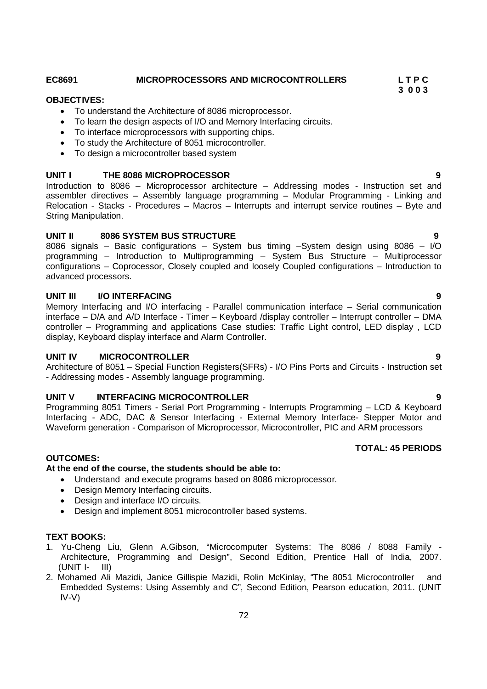#### **EC8691 MICROPROCESSORS AND MICROCONTROLLERS L T P C**

#### **3 0 0 3 OBJECTIVES:**

- To understand the Architecture of 8086 microprocessor.
- To learn the design aspects of I/O and Memory Interfacing circuits.
- To interface microprocessors with supporting chips.
- To study the Architecture of 8051 microcontroller.
- To design a microcontroller based system

#### **UNIT I THE 8086 MICROPROCESSOR 9**

Introduction to 8086 – Microprocessor architecture – Addressing modes - Instruction set and assembler directives – Assembly language programming – Modular Programming - Linking and Relocation - Stacks - Procedures – Macros – Interrupts and interrupt service routines – Byte and String Manipulation.

#### **UNIT II 8086 SYSTEM BUS STRUCTURE 9**

8086 signals – Basic configurations – System bus timing –System design using 8086 – I/O programming – Introduction to Multiprogramming – System Bus Structure – Multiprocessor configurations – Coprocessor, Closely coupled and loosely Coupled configurations – Introduction to advanced processors.

#### **UNIT III I/O INTERFACING 9**

Memory Interfacing and I/O interfacing - Parallel communication interface – Serial communication interface – D/A and A/D Interface - Timer – Keyboard /display controller – Interrupt controller – DMA controller – Programming and applications Case studies: Traffic Light control, LED display , LCD display, Keyboard display interface and Alarm Controller.

#### **UNIT IV MICROCONTROLLER 9**

Architecture of 8051 – Special Function Registers(SFRs) - I/O Pins Ports and Circuits - Instruction set - Addressing modes - Assembly language programming.

#### **UNIT V INTERFACING MICROCONTROLLER 9**

Programming 8051 Timers - Serial Port Programming - Interrupts Programming – LCD & Keyboard Interfacing - ADC, DAC & Sensor Interfacing - External Memory Interface- Stepper Motor and Waveform generation - Comparison of Microprocessor, Microcontroller, PIC and ARM processors

# **TOTAL: 45 PERIODS**

#### **OUTCOMES:**

#### **At the end of the course, the students should be able to:**

- Understand and execute programs based on 8086 microprocessor.
- Design Memory Interfacing circuits.
- Design and interface I/O circuits.
- Design and implement 8051 microcontroller based systems.

#### **TEXT BOOKS:**

- 1. Yu-Cheng Liu, Glenn A.Gibson, "Microcomputer Systems: The 8086 / 8088 Family Architecture, Programming and Design", Second Edition, Prentice Hall of India, 2007. (UNIT I- III)
- 2. Mohamed Ali Mazidi, Janice Gillispie Mazidi, Rolin McKinlay, "The 8051 Microcontroller and Embedded Systems: Using Assembly and C", Second Edition, Pearson education, 2011. (UNIT IV-V)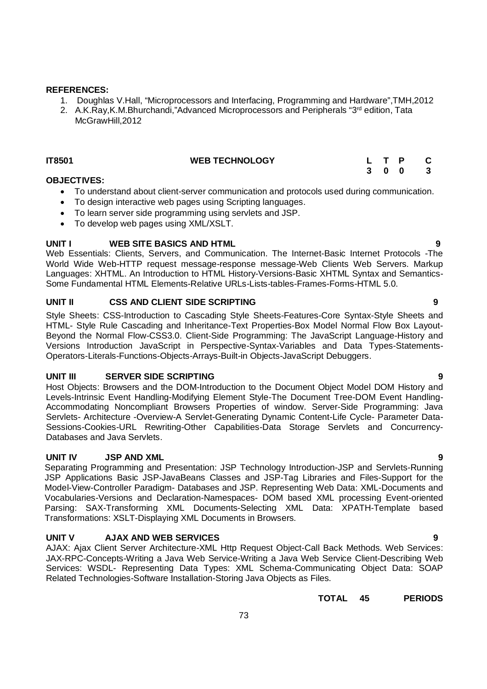# **REFERENCES:**

- 1. Doughlas V.Hall, "Microprocessors and Interfacing, Programming and Hardware",TMH,2012
- 2. A.K.Ray, K.M.Bhurchandi, "Advanced Microprocessors and Peripherals "3<sup>rd</sup> edition, Tata McGrawHill,2012

# **IT8501 WEB TECHNOLOGY L T P C**

# **OBJECTIVES:**

- To understand about client-server communication and protocols used during communication.
- To design interactive web pages using Scripting languages.
- To learn server side programming using servlets and JSP.
- To develop web pages using XML/XSLT.

# **UNIT I WEB SITE BASICS AND HTML**

Web Essentials: Clients, Servers, and Communication. The Internet-Basic Internet Protocols -The World Wide Web-HTTP request message-response message-Web Clients Web Servers. Markup Languages: XHTML. An Introduction to HTML History-Versions-Basic XHTML Syntax and Semantics-Some Fundamental HTML Elements-Relative URLs-Lists-tables-Frames-Forms-HTML 5.0.

# **UNIT II CSS AND CLIENT SIDE SCRIPTING 9**

Style Sheets: CSS-Introduction to Cascading Style Sheets-Features-Core Syntax-Style Sheets and HTML- Style Rule Cascading and Inheritance-Text Properties-Box Model Normal Flow Box Layout-Beyond the Normal Flow-CSS3.0. Client-Side Programming: The JavaScript Language-History and Versions Introduction JavaScript in Perspective-Syntax-Variables and Data Types-Statements-Operators-Literals-Functions-Objects-Arrays-Built-in Objects-JavaScript Debuggers.

# **UNIT III SERVER SIDE SCRIPTING 9**

Host Objects: Browsers and the DOM-Introduction to the Document Object Model DOM History and Levels-Intrinsic Event Handling-Modifying Element Style-The Document Tree-DOM Event Handling-Accommodating Noncompliant Browsers Properties of window. Server-Side Programming: Java Servlets- Architecture -Overview-A Servlet-Generating Dynamic Content-Life Cycle- Parameter Data-Sessions-Cookies-URL Rewriting-Other Capabilities-Data Storage Servlets and Concurrency-Databases and Java Servlets.

# **UNIT IV JSP AND XML 9**

Separating Programming and Presentation: JSP Technology Introduction-JSP and Servlets-Running JSP Applications Basic JSP-JavaBeans Classes and JSP-Tag Libraries and Files-Support for the Model-View-Controller Paradigm- Databases and JSP. Representing Web Data: XML-Documents and Vocabularies-Versions and Declaration-Namespaces- DOM based XML processing Event-oriented Parsing: SAX-Transforming XML Documents-Selecting XML Data: XPATH-Template based Transformations: XSLT-Displaying XML Documents in Browsers.

# **UNIT V AJAX AND WEB SERVICES 9**

AJAX: Ajax Client Server Architecture-XML Http Request Object-Call Back Methods. Web Services: JAX-RPC-Concepts-Writing a Java Web Service-Writing a Java Web Service Client-Describing Web Services: WSDL- Representing Data Types: XML Schema-Communicating Object Data: SOAP Related Technologies-Software Installation-Storing Java Objects as Files.

**TOTAL 45 PERIODS**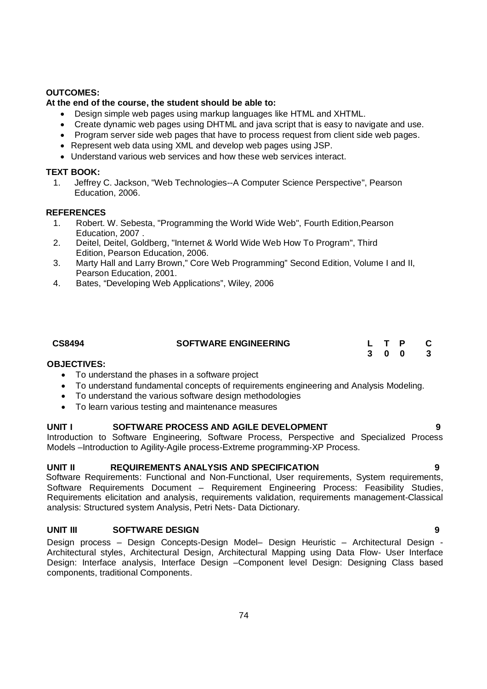# **OUTCOMES:**

# **At the end of the course, the student should be able to:**

- Design simple web pages using markup languages like HTML and XHTML.
- Create dynamic web pages using DHTML and java script that is easy to navigate and use.
- Program server side web pages that have to process request from client side web pages.
- Represent web data using XML and develop web pages using JSP.
- Understand various web services and how these web services interact.

# **TEXT BOOK:**

1. Jeffrey C. Jackson, "Web Technologies--A Computer Science Perspective", Pearson Education, 2006.

# **REFERENCES**

- 1. Robert. W. Sebesta, "Programming the World Wide Web", Fourth Edition,Pearson Education, 2007 .
- 2. Deitel, Deitel, Goldberg, "Internet & World Wide Web How To Program", Third Edition, Pearson Education, 2006.
- 3. Marty Hall and Larry Brown," Core Web Programming" Second Edition, Volume I and II, Pearson Education, 2001.
- 4. Bates, "Developing Web Applications", Wiley, 2006

| CS8494 | <b>SOFTWARE ENGINEERING</b> |  | L T P C |  |
|--------|-----------------------------|--|---------|--|
|        |                             |  | 3 0 0 3 |  |

# **OBJECTIVES:**

- To understand the phases in a software project
- To understand fundamental concepts of requirements engineering and Analysis Modeling.
- To understand the various software design methodologies
- To learn various testing and maintenance measures

# **UNIT I SOFTWARE PROCESS AND AGILE DEVELOPMENT 9**

Introduction to Software Engineering, Software Process, Perspective and Specialized Process Models –Introduction to Agility-Agile process-Extreme programming-XP Process.

# **UNIT II REQUIREMENTS ANALYSIS AND SPECIFICATION 9**

Software Requirements: Functional and Non-Functional, User requirements, System requirements, Software Requirements Document – Requirement Engineering Process: Feasibility Studies, Requirements elicitation and analysis, requirements validation, requirements management-Classical analysis: Structured system Analysis, Petri Nets- Data Dictionary.

# **UNIT III SOFTWARE DESIGN 9**

Design process – Design Concepts-Design Model– Design Heuristic – Architectural Design - Architectural styles, Architectural Design, Architectural Mapping using Data Flow- User Interface Design: Interface analysis, Interface Design –Component level Design: Designing Class based components, traditional Components.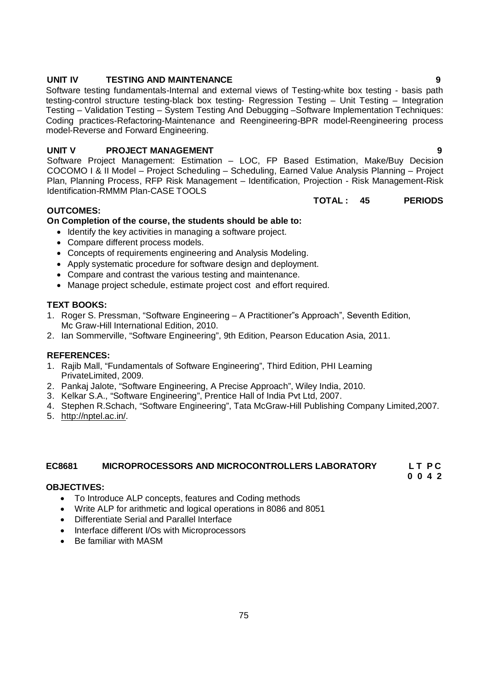# **UNIT IV TESTING AND MAINTENANCE 9**

Software testing fundamentals-Internal and external views of Testing-white box testing - basis path testing-control structure testing-black box testing- Regression Testing – Unit Testing – Integration Testing – Validation Testing – System Testing And Debugging –Software Implementation Techniques: Coding practices-Refactoring-Maintenance and Reengineering-BPR model-Reengineering process model-Reverse and Forward Engineering.

# **UNIT V PROJECT MANAGEMENT 9**

Software Project Management: Estimation – LOC, FP Based Estimation, Make/Buy Decision COCOMO I & II Model – Project Scheduling – Scheduling, Earned Value Analysis Planning – Project Plan, Planning Process, RFP Risk Management – Identification, Projection - Risk Management-Risk Identification-RMMM Plan-CASE TOOLS

# **OUTCOMES:**

# **On Completion of the course, the students should be able to:**

- Identify the key activities in managing a software project.
- Compare different process models.
- Concepts of requirements engineering and Analysis Modeling.
- Apply systematic procedure for software design and deployment.
- Compare and contrast the various testing and maintenance.
- Manage project schedule, estimate project cost and effort required.

# **TEXT BOOKS:**

- 1. Roger S. Pressman, "Software Engineering A Practitioner"s Approach", Seventh Edition, Mc Graw-Hill International Edition, 2010.
- 2. Ian Sommerville, "Software Engineering", 9th Edition, Pearson Education Asia, 2011.

# **REFERENCES:**

- 1. Rajib Mall, "Fundamentals of Software Engineering", Third Edition, PHI Learning PrivateLimited, 2009.
- 2. Pankaj Jalote, "Software Engineering, A Precise Approach", Wiley India, 2010.
- 3. Kelkar S.A., "Software Engineering", Prentice Hall of India Pvt Ltd, 2007.
- 4. Stephen R.Schach, "Software Engineering", Tata McGraw-Hill Publishing Company Limited,2007.
- 5. http://nptel.ac.in/.

# **EC8681 MICROPROCESSORS AND MICROCONTROLLERS LABORATORY L T P C**

**0 0 4 2**

# **OBJECTIVES:**

- To Introduce ALP concepts, features and Coding methods
- Write ALP for arithmetic and logical operations in 8086 and 8051
- Differentiate Serial and Parallel Interface
- Interface different I/Os with Microprocessors
- Be familiar with MASM

**TOTAL : 45 PERIODS**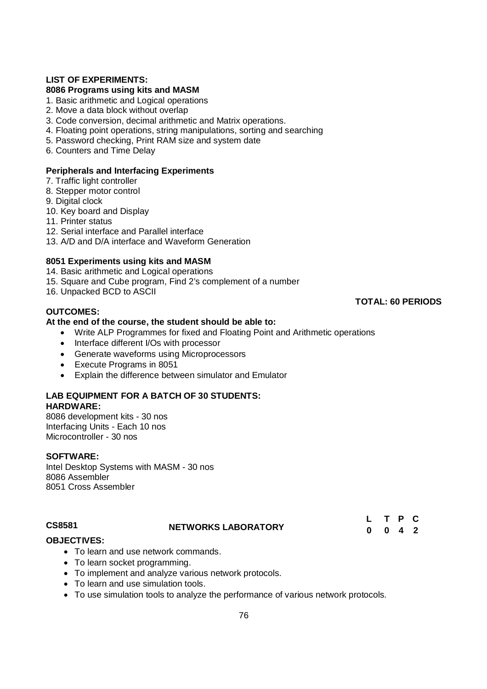# **LIST OF EXPERIMENTS:**

# **8086 Programs using kits and MASM**

- 1. Basic arithmetic and Logical operations
- 2. Move a data block without overlap
- 3. Code conversion, decimal arithmetic and Matrix operations.
- 4. Floating point operations, string manipulations, sorting and searching
- 5. Password checking, Print RAM size and system date
- 6. Counters and Time Delay

### **Peripherals and Interfacing Experiments**

- 7. Traffic light controller
- 8. Stepper motor control
- 9. Digital clock
- 10. Key board and Display
- 11. Printer status
- 12. Serial interface and Parallel interface
- 13. A/D and D/A interface and Waveform Generation

### **8051 Experiments using kits and MASM**

14. Basic arithmetic and Logical operations

- 15. Square and Cube program, Find 2's complement of a number
- 16. Unpacked BCD to ASCII

# **OUTCOMES:**

### **At the end of the course, the student should be able to:**

- Write ALP Programmes for fixed and Floating Point and Arithmetic operations
- Interface different I/Os with processor
- Generate waveforms using Microprocessors
- Execute Programs in 8051
- Explain the difference between simulator and Emulator

### **LAB EQUIPMENT FOR A BATCH OF 30 STUDENTS: HARDWARE:**

8086 development kits - 30 nos Interfacing Units - Each 10 nos Microcontroller - 30 nos

### **SOFTWARE:**

Intel Desktop Systems with MASM - 30 nos 8086 Assembler 8051 Cross Assembler

# **CS8581 NETWORKS LABORATORY**

**L T P C 0 0 4 2**

### **OBJECTIVES:**

- To learn and use network commands.
- To learn socket programming.
- To implement and analyze various network protocols.
- To learn and use simulation tools.
- To use simulation tools to analyze the performance of various network protocols.

**TOTAL: 60 PERIODS**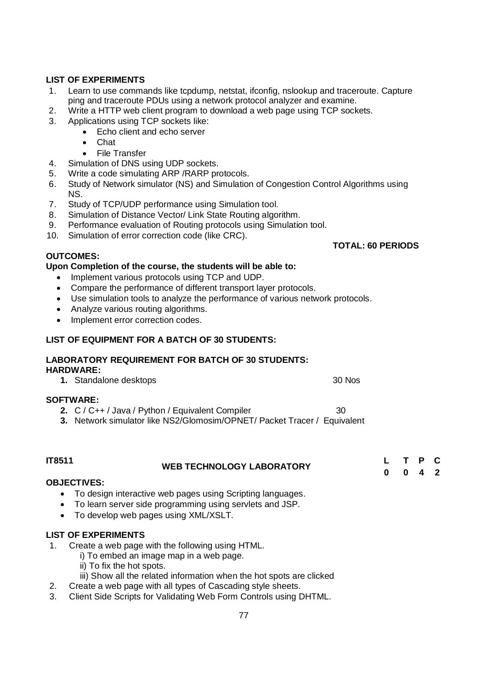# **LIST OF EXPERIMENTS**

- 1. Learn to use commands like tcpdump, netstat, ifconfig, nslookup and traceroute. Capture ping and traceroute PDUs using a network protocol analyzer and examine.
- 2. Write a HTTP web client program to download a web page using TCP sockets.
- 3. Applications using TCP sockets like:
	- Echo client and echo server
	- Chat
	- File Transfer
- 4. Simulation of DNS using UDP sockets.
- 5. Write a code simulating ARP /RARP protocols.
- 6. Study of Network simulator (NS) and Simulation of Congestion Control Algorithms using NS.

**TOTAL: 60 PERIODS**

- 7. Study of TCP/UDP performance using Simulation tool.
- 8. Simulation of Distance Vector/ Link State Routing algorithm.
- 9. Performance evaluation of Routing protocols using Simulation tool.
- 10. Simulation of error correction code (like CRC).

# **OUTCOMES:**

# **Upon Completion of the course, the students will be able to:**

- Implement various protocols using TCP and UDP.
- Compare the performance of different transport layer protocols.
- Use simulation tools to analyze the performance of various network protocols.
- Analyze various routing algorithms.
- Implement error correction codes.

# **LIST OF EQUIPMENT FOR A BATCH OF 30 STUDENTS:**

# **LABORATORY REQUIREMENT FOR BATCH OF 30 STUDENTS:**

# **HARDWARE:**

**1.** Standalone desktops 30 Nos

# **SOFTWARE:**

- **2.**  $C / C++ / Java / Python / Equivalent Complier$  30
- **3.** Network simulator like NS2/Glomosim/OPNET/ Packet Tracer / Equivalent

| <b>IT8511</b> | <b>WEB TECHNOLOGY LABORATORY</b> | T P C               |  |
|---------------|----------------------------------|---------------------|--|
|               |                                  | $0 \quad 4 \quad 2$ |  |

# **OBJECTIVES:**

- To design interactive web pages using Scripting languages.
- To learn server side programming using servlets and JSP.
- To develop web pages using XML/XSLT.

# **LIST OF EXPERIMENTS**

- 1. Create a web page with the following using HTML.
	- i) To embed an image map in a web page.
		- ii) To fix the hot spots.
	- iii) Show all the related information when the hot spots are clicked
- 2. Create a web page with all types of Cascading style sheets.
- 3. Client Side Scripts for Validating Web Form Controls using DHTML.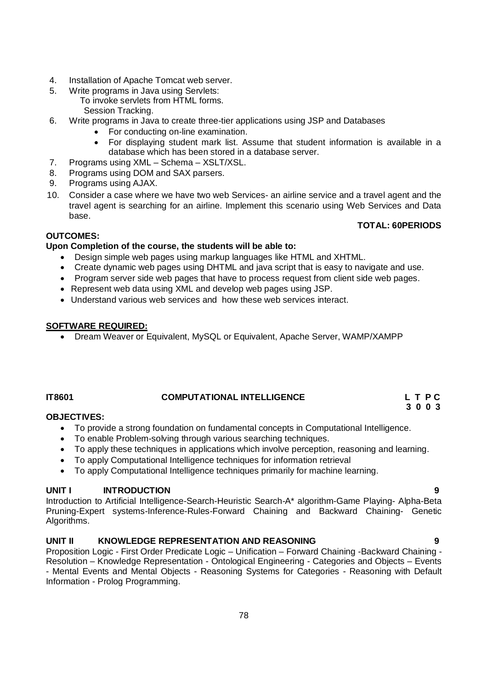- 4. Installation of Apache Tomcat web server.
- 5. Write programs in Java using Servlets:

To invoke servlets from HTML forms. Session Tracking.

- 6. Write programs in Java to create three-tier applications using JSP and Databases
	- For conducting on-line examination.
	- For displaying student mark list. Assume that student information is available in a database which has been stored in a database server.
- 7. Programs using XML Schema XSLT/XSL.
- 8. Programs using DOM and SAX parsers.
- 9. Programs using AJAX.
- 10. Consider a case where we have two web Services- an airline service and a travel agent and the travel agent is searching for an airline. Implement this scenario using Web Services and Data base.

# **OUTCOMES:**

# **TOTAL: 60PERIODS**

# **Upon Completion of the course, the students will be able to:**

- Design simple web pages using markup languages like HTML and XHTML.
- Create dynamic web pages using DHTML and java script that is easy to navigate and use.
- Program server side web pages that have to process request from client side web pages.
- Represent web data using XML and develop web pages using JSP.
- Understand various web services and how these web services interact.

# **SOFTWARE REQUIRED:**

Dream Weaver or Equivalent, MySQL or Equivalent, Apache Server, WAMP/XAMPP

# IT8601 **COMPUTATIONAL INTELLIGENCE** L T P C L T P C 2

### **3 0 0 3 OBJECTIVES:**

- To provide a strong foundation on fundamental concepts in Computational Intelligence.
- To enable Problem-solving through various searching techniques.
- To apply these techniques in applications which involve perception, reasoning and learning.
- To apply Computational Intelligence techniques for information retrieval
- To apply Computational Intelligence techniques primarily for machine learning.

# **UNIT I INTRODUCTION 9**

Introduction to Artificial Intelligence-Search-Heuristic Search-A\* algorithm-Game Playing- Alpha-Beta Pruning-Expert systems-Inference-Rules-Forward Chaining and Backward Chaining- Genetic Algorithms.

# **UNIT II KNOWLEDGE REPRESENTATION AND REASONING 9**

Proposition Logic - First Order Predicate Logic – Unification – Forward Chaining -Backward Chaining - Resolution – Knowledge Representation - Ontological Engineering - Categories and Objects – Events - Mental Events and Mental Objects - Reasoning Systems for Categories - Reasoning with Default Information - Prolog Programming.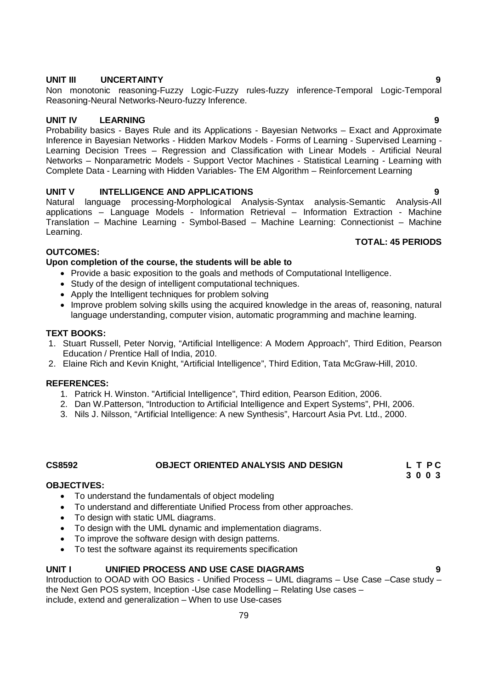# **UNIT V INTELLIGENCE AND APPLICATIONS 9**

Natural language processing-Morphological Analysis-Syntax analysis-Semantic Analysis-AIl applications – Language Models - Information Retrieval – Information Extraction - Machine Translation – Machine Learning - Symbol-Based – Machine Learning: Connectionist – Machine Learning.

# **OUTCOMES:**

# **Upon completion of the course, the students will be able to**

- Provide a basic exposition to the goals and methods of Computational Intelligence.
- Study of the design of intelligent computational techniques.
- Apply the Intelligent techniques for problem solving
- Improve problem solving skills using the acquired knowledge in the areas of, reasoning, natural language understanding, computer vision, automatic programming and machine learning.

# **TEXT BOOKS:**

- 1. Stuart Russell, Peter Norvig, "Artificial Intelligence: A Modern Approach", Third Edition, Pearson Education / Prentice Hall of India, 2010.
- 2. Elaine Rich and Kevin Knight, "Artificial Intelligence", Third Edition, Tata McGraw-Hill, 2010.

# **REFERENCES:**

- 1. Patrick H. Winston. "Artificial Intelligence", Third edition, Pearson Edition, 2006.
- 2. Dan W.Patterson, "Introduction to Artificial Intelligence and Expert Systems", PHI, 2006.
- 3. Nils J. Nilsson, "Artificial Intelligence: A new Synthesis", Harcourt Asia Pvt. Ltd., 2000.

# **CS8592 OBJECT ORIENTED ANALYSIS AND DESIGN L T P C**

# **OBJECTIVES:**

- To understand the fundamentals of object modeling
- To understand and differentiate Unified Process from other approaches.
- To design with static UML diagrams.
- To design with the UML dynamic and implementation diagrams.
- To improve the software design with design patterns.
- To test the software against its requirements specification

# **UNIT I UNIFIED PROCESS AND USE CASE DIAGRAMS 9**

Introduction to OOAD with OO Basics - Unified Process – UML diagrams – Use Case –Case study – the Next Gen POS system, Inception -Use case Modelling – Relating Use cases – include, extend and generalization – When to use Use-cases

# **UNIT III UNCERTAINTY 9**

Non monotonic reasoning-Fuzzy Logic-Fuzzy rules-fuzzy inference-Temporal Logic-Temporal Reasoning-Neural Networks-Neuro-fuzzy Inference.

**UNIT IV LEARNING 9** Probability basics - Bayes Rule and its Applications - Bayesian Networks – Exact and Approximate Inference in Bayesian Networks - Hidden Markov Models - Forms of Learning - Supervised Learning - Learning Decision Trees – Regression and Classification with Linear Models - Artificial Neural Networks – Nonparametric Models - Support Vector Machines - Statistical Learning - Learning with Complete Data - Learning with Hidden Variables- The EM Algorithm – Reinforcement Learning

**TOTAL: 45 PERIODS**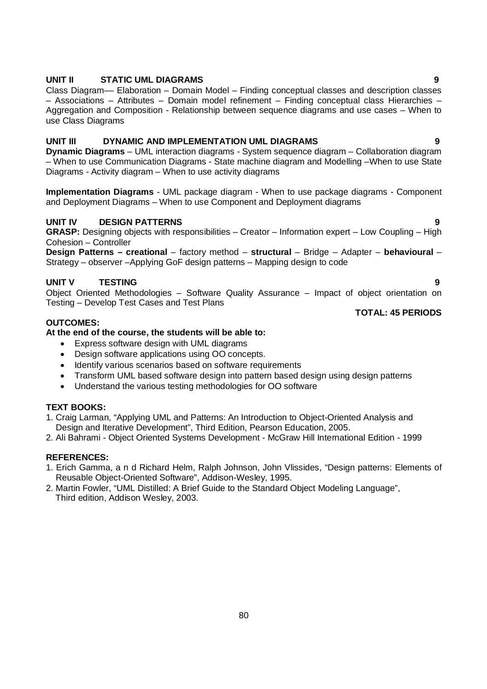# **UNIT II STATIC UML DIAGRAMS 9**

Class Diagram–– Elaboration – Domain Model – Finding conceptual classes and description classes – Associations – Attributes – Domain model refinement – Finding conceptual class Hierarchies – Aggregation and Composition - Relationship between sequence diagrams and use cases – When to use Class Diagrams

### **UNIT III DYNAMIC AND IMPLEMENTATION UML DIAGRAMS 9**

**Dynamic Diagrams** – UML interaction diagrams - System sequence diagram – Collaboration diagram – When to use Communication Diagrams - State machine diagram and Modelling –When to use State Diagrams - Activity diagram – When to use activity diagrams

**Implementation Diagrams** - UML package diagram - When to use package diagrams - Component and Deployment Diagrams – When to use Component and Deployment diagrams

# **UNIT IV DESIGN PATTERNS 9**

**GRASP:** Designing objects with responsibilities – Creator – Information expert – Low Coupling – High Cohesion – Controller

**Design Patterns – creational** – factory method – **structural** – Bridge – Adapter – **behavioural** – Strategy – observer –Applying GoF design patterns – Mapping design to code

# **UNIT V TESTING 9**

Object Oriented Methodologies – Software Quality Assurance – Impact of object orientation on Testing – Develop Test Cases and Test Plans

### **TOTAL: 45 PERIODS**

# **OUTCOMES:**

# **At the end of the course, the students will be able to:**

- Express software design with UML diagrams
- Design software applications using OO concepts.
- Identify various scenarios based on software requirements
- Transform UML based software design into pattern based design using design patterns
- Understand the various testing methodologies for OO software

# **TEXT BOOKS:**

1. Craig Larman, "Applying UML and Patterns: An Introduction to Object-Oriented Analysis and Design and Iterative Development", Third Edition, Pearson Education, 2005.

2. Ali Bahrami - Object Oriented Systems Development - McGraw Hill International Edition - 1999

# **REFERENCES:**

- 1. Erich Gamma, a n d Richard Helm, Ralph Johnson, John Vlissides, "Design patterns: Elements of Reusable Object-Oriented Software", Addison-Wesley, 1995.
- 2. Martin Fowler, "UML Distilled: A Brief Guide to the Standard Object Modeling Language", Third edition, Addison Wesley, 2003.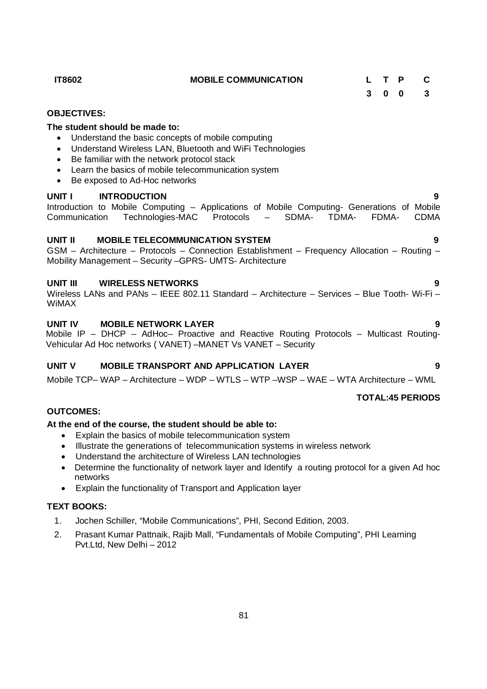81

- **OUTCOMES: At the end of the course, the student should be able to:**
	- Explain the basics of mobile telecommunication system
	- Illustrate the generations of telecommunication systems in wireless network
	- Understand the architecture of Wireless LAN technologies
	- Determine the functionality of network layer and Identify a routing protocol for a given Ad hoc networks
	- Explain the functionality of Transport and Application layer

# **TEXT BOOKS:**

**OBJECTIVES:**

**The student should be made to:**

- 1. Jochen Schiller, "Mobile Communications", PHI, Second Edition, 2003.
- 2. Prasant Kumar Pattnaik, Rajib Mall, "Fundamentals of Mobile Computing", PHI Learning Pvt.Ltd, New Delhi – 2012

# Introduction to Mobile Computing – Applications of Mobile Computing- Generations of Mobile<br>Communication Technologies-MAC Protocols – SDMA- TDMA- FDMA- CDMA Communication Technologies-MAC Protocols – SDMA- TDMA- FDMA- CDMA

Be exposed to Ad-Hoc networks

• Be familiar with the network protocol stack

# **UNIT II MOBILE TELECOMMUNICATION SYSTEM 9**

 Understand the basic concepts of mobile computing Understand Wireless LAN, Bluetooth and WiFi Technologies

Learn the basics of mobile telecommunication system

GSM – Architecture – Protocols – Connection Establishment – Frequency Allocation – Routing – Mobility Management – Security –GPRS- UMTS- Architecture

**IT8602 MOBILE COMMUNICATION L T P C**

# **UNIT III WIRELESS NETWORKS 9**

Wireless LANs and PANs – IEEE 802.11 Standard – Architecture – Services – Blue Tooth- Wi-Fi – WiMAX

# **UNIT IV MOBILE NETWORK LAYER 9**

Mobile IP – DHCP – AdHoc– Proactive and Reactive Routing Protocols – Multicast Routing-Vehicular Ad Hoc networks ( VANET) –MANET Vs VANET – Security

# **UNIT V MOBILE TRANSPORT AND APPLICATION LAYER 9**

Mobile TCP– WAP – Architecture – WDP – WTLS – WTP –WSP – WAE – WTA Architecture – WML

# **TOTAL:45 PERIODS**

**3 0 0 3**

# **UNIT I INTRODUCTION 9**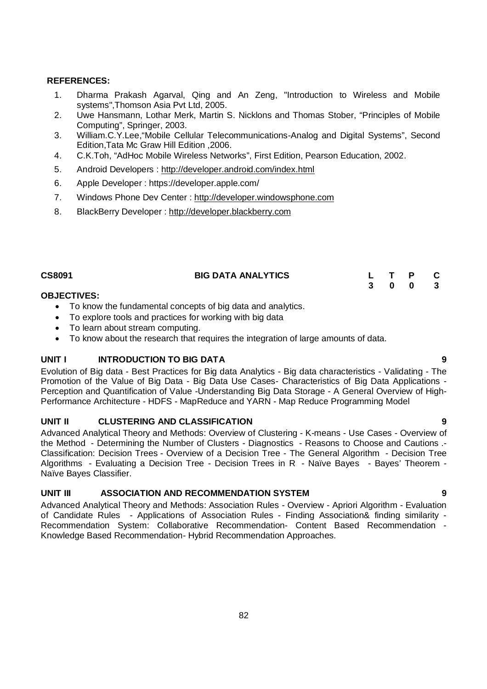# **REFERENCES:**

- 1. Dharma Prakash Agarval, Qing and An Zeng, "Introduction to Wireless and Mobile systems",Thomson Asia Pvt Ltd, 2005.
- 2. Uwe Hansmann, Lothar Merk, Martin S. Nicklons and Thomas Stober, "Principles of Mobile Computing", Springer, 2003.
- 3. William.C.Y.Lee,"Mobile Cellular Telecommunications-Analog and Digital Systems", Second Edition,Tata Mc Graw Hill Edition ,2006.
- 4. C.K.Toh, "AdHoc Mobile Wireless Networks", First Edition, Pearson Education, 2002.
- 5. Android Developers : http://developer.android.com/index.html
- 6. Apple Developer : https://developer.apple.com/
- 7. Windows Phone Dev Center : http://developer.windowsphone.com
- 8. BlackBerry Developer : http://developer.blackberry.com

| CS8091 | <b>BIG DATA ANALYTICS</b> |  | L T P C |  |
|--------|---------------------------|--|---------|--|
|        |                           |  | 3 0 0 3 |  |

# **OBJECTIVES:**

- To know the fundamental concepts of big data and analytics.
- To explore tools and practices for working with big data
- To learn about stream computing.
- To know about the research that requires the integration of large amounts of data.

# **UNIT I INTRODUCTION TO BIG DATA 9**

Evolution of Big data - Best Practices for Big data Analytics - Big data characteristics - Validating - The Promotion of the Value of Big Data - Big Data Use Cases- Characteristics of Big Data Applications - Perception and Quantification of Value -Understanding Big Data Storage - A General Overview of High-Performance Architecture - HDFS - MapReduce and YARN - Map Reduce Programming Model

# **UNIT II CLUSTERING AND CLASSIFICATION 9**

Advanced Analytical Theory and Methods: Overview of Clustering - K-means - Use Cases - Overview of the Method - Determining the Number of Clusters - Diagnostics - Reasons to Choose and Cautions .- Classification: Decision Trees - Overview of a Decision Tree - The General Algorithm - Decision Tree Algorithms - Evaluating a Decision Tree - Decision Trees in R - Naïve Bayes - Bayes' Theorem -Naïve Bayes Classifier.

# **UNIT III ASSOCIATION AND RECOMMENDATION SYSTEM 9**

Advanced Analytical Theory and Methods: Association Rules - Overview - Apriori Algorithm - Evaluation of Candidate Rules - Applications of Association Rules - Finding Association& finding similarity - Recommendation System: Collaborative Recommendation- Content Based Recommendation - Knowledge Based Recommendation- Hybrid Recommendation Approaches.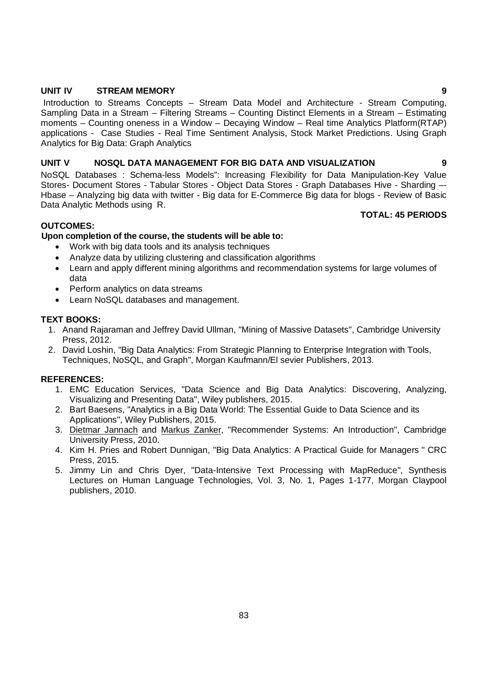# **UNIT IV STREAM MEMORY** 9

Introduction to Streams Concepts – Stream Data Model and Architecture - Stream Computing, Sampling Data in a Stream – Filtering Streams – Counting Distinct Elements in a Stream – Estimating moments – Counting oneness in a Window – Decaying Window – Real time Analytics Platform(RTAP) applications - Case Studies - Real Time Sentiment Analysis, Stock Market Predictions. Using Graph Analytics for Big Data: Graph Analytics

# **UNIT V NOSQL DATA MANAGEMENT FOR BIG DATA AND VISUALIZATION 9**

NoSQL Databases : Schema-less Models": Increasing Flexibility for Data Manipulation-Key Value Stores- Document Stores - Tabular Stores - Object Data Stores - Graph Databases Hive - Sharding –- Hbase – Analyzing big data with twitter - Big data for E-Commerce Big data for blogs - Review of Basic Data Analytic Methods using R.

### **TOTAL: 45 PERIODS**

# **OUTCOMES:**

### **Upon completion of the course, the students will be able to:**

- Work with big data tools and its analysis techniques
- Analyze data by utilizing clustering and classification algorithms
- Learn and apply different mining algorithms and recommendation systems for large volumes of data
- Perform analytics on data streams
- Learn NoSQL databases and management.

### **TEXT BOOKS:**

- 1. Anand Rajaraman and Jeffrey David Ullman, "Mining of Massive Datasets", Cambridge University Press, 2012.
- 2. David Loshin, "Big Data Analytics: From Strategic Planning to Enterprise Integration with Tools, Techniques, NoSQL, and Graph", Morgan Kaufmann/El sevier Publishers, 2013.

# **REFERENCES:**

- 1. EMC Education Services, "Data Science and Big Data Analytics: Discovering, Analyzing, Visualizing and Presenting Data", Wiley publishers, 2015.
- 2. Bart Baesens, "Analytics in a Big Data World: The Essential Guide to Data Science and its Applications", Wiley Publishers, 2015.
- 3. Dietmar Jannach and Markus Zanker, "Recommender Systems: An Introduction", Cambridge University Press, 2010.
- 4. Kim H. Pries and Robert Dunnigan, "Big Data Analytics: A Practical Guide for Managers " CRC Press, 2015.
- 5. Jimmy Lin and Chris Dyer, "Data-Intensive Text Processing with MapReduce", Synthesis Lectures on Human Language Technologies, Vol. 3, No. 1, Pages 1-177, Morgan Claypool publishers, 2010.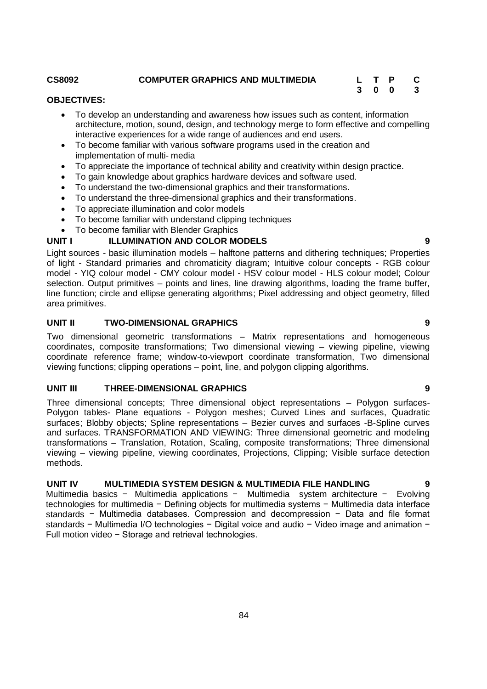### **CS8092 COMPUTER GRAPHICS AND MULTIMEDIA L T P C**

# **3 0 0 3**

# **OBJECTIVES:**

- To develop an understanding and awareness how issues such as content, information architecture, motion, sound, design, and technology merge to form effective and compelling interactive experiences for a wide range of audiences and end users.
- To become familiar with various software programs used in the creation and implementation of multi- media
- To appreciate the importance of technical ability and creativity within design practice.
- To gain knowledge about graphics hardware devices and software used.
- To understand the two-dimensional graphics and their transformations.
- To understand the three-dimensional graphics and their transformations.
- To appreciate illumination and color models
- To become familiar with understand clipping techniques
- To become familiar with Blender Graphics

# **UNIT I ILLUMINATION AND COLOR MODELS 9**

Light sources - basic illumination models – halftone patterns and dithering techniques; Properties of light - Standard primaries and chromaticity diagram; Intuitive colour concepts - RGB colour model - YIQ colour model - CMY colour model - HSV colour model - HLS colour model; Colour selection. Output primitives – points and lines, line drawing algorithms, loading the frame buffer, line function; circle and ellipse generating algorithms; Pixel addressing and object geometry, filled area primitives.

# **UNIT II TWO-DIMENSIONAL GRAPHICS 9**

Two dimensional geometric transformations – Matrix representations and homogeneous coordinates, composite transformations; Two dimensional viewing – viewing pipeline, viewing coordinate reference frame; window-to-viewport coordinate transformation, Two dimensional viewing functions; clipping operations – point, line, and polygon clipping algorithms.

# **UNIT III THREE-DIMENSIONAL GRAPHICS 9**

Three dimensional concepts; Three dimensional object representations – Polygon surfaces-Polygon tables- Plane equations - Polygon meshes; Curved Lines and surfaces, Quadratic surfaces; Blobby objects; Spline representations – Bezier curves and surfaces -B-Spline curves and surfaces. TRANSFORMATION AND VIEWING: Three dimensional geometric and modeling transformations – Translation, Rotation, Scaling, composite transformations; Three dimensional viewing – viewing pipeline, viewing coordinates, Projections, Clipping; Visible surface detection methods.

# **UNIT IV MULTIMEDIA SYSTEM DESIGN & MULTIMEDIA FILE HANDLING 9**

Multimedia basics − Multimedia applications − Multimedia system architecture − Evolving technologies for multimedia − Defining objects for multimedia systems − Multimedia data interface standards − Multimedia databases. Compression and decompression − Data and file format standards − Multimedia I/O technologies − Digital voice and audio − Video image and animation − Full motion video − Storage and retrieval technologies.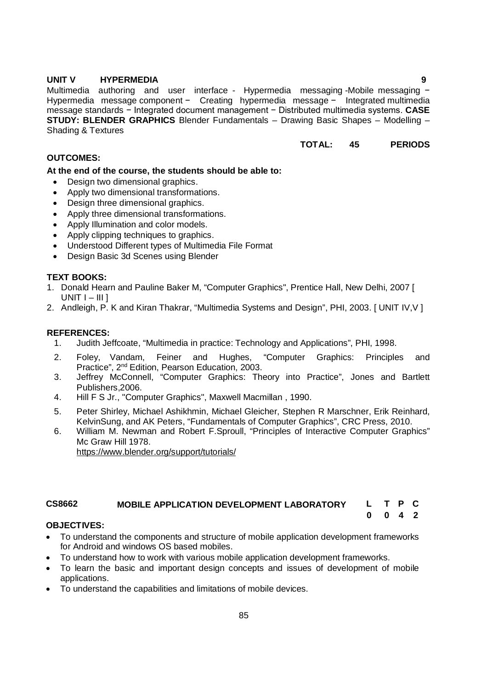# **UNIT V HYPERMEDIA 9**

Multimedia authoring and user interface - Hypermedia messaging -Mobile messaging − Hypermedia message component − Creating hypermedia message − Integrated multimedia message standards − Integrated document management − Distributed multimedia systems. **CASE STUDY: BLENDER GRAPHICS** Blender Fundamentals – Drawing Basic Shapes – Modelling – Shading & Textures

# **TOTAL: 45 PERIODS**

**0 0 4 2**

# **OUTCOMES:**

**At the end of the course, the students should be able to:**

- Design two dimensional graphics.
- Apply two dimensional transformations.
- Design three dimensional graphics.
- Apply three dimensional transformations.
- Apply Illumination and color models.
- Apply clipping techniques to graphics.
- Understood Different types of Multimedia File Format
- Design Basic 3d Scenes using Blender

# **TEXT BOOKS:**

- 1. Donald Hearn and Pauline Baker M, "Computer Graphics", Prentice Hall, New Delhi, 2007 [  $UNIT I - III$ ]
- 2. Andleigh, P. K and Kiran Thakrar, "Multimedia Systems and Design", PHI, 2003. [ UNIT IV,V ]

# **REFERENCES:**

- 1. Judith Jeffcoate, "Multimedia in practice: Technology and Applications", PHI, 1998.
- 2. Foley, Vandam, Feiner and Hughes, "Computer Graphics: Principles and Practice", 2nd Edition, Pearson Education, 2003.
- 3. Jeffrey McConnell, "Computer Graphics: Theory into Practice", Jones and Bartlett Publishers,2006.
- 4. Hill F S Jr., "Computer Graphics", Maxwell Macmillan , 1990.
- 5. Peter Shirley, Michael Ashikhmin, Michael Gleicher, Stephen R Marschner, Erik Reinhard, KelvinSung, and AK Peters, "Fundamentals of Computer Graphics", CRC Press, 2010.
- 6. William M. Newman and Robert F.Sproull, "Principles of Interactive Computer Graphics" Mc Graw Hill 1978.

https://www.blender.org/support/tutorials/

# **CS8662 MOBILE APPLICATION DEVELOPMENT LABORATORY L T P C**

# **OBJECTIVES:**

- To understand the components and structure of mobile application development frameworks for Android and windows OS based mobiles.
- To understand how to work with various mobile application development frameworks.
- To learn the basic and important design concepts and issues of development of mobile applications.
- To understand the capabilities and limitations of mobile devices.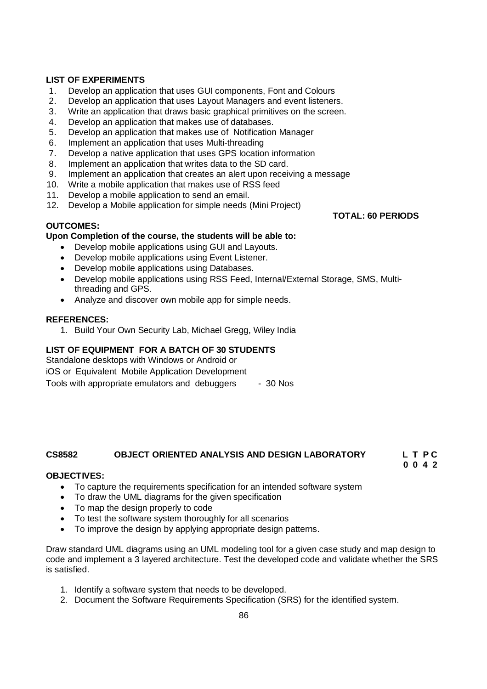# **LIST OF EXPERIMENTS**

- 1. Develop an application that uses GUI components, Font and Colours
- 2. Develop an application that uses Layout Managers and event listeners.
- 3. Write an application that draws basic graphical primitives on the screen.
- 4. Develop an application that makes use of databases.
- 5. Develop an application that makes use of Notification Manager
- 6. Implement an application that uses Multi-threading
- 7. Develop a native application that uses GPS location information
- 8. Implement an application that writes data to the SD card.
- 9. Implement an application that creates an alert upon receiving a message
- 10. Write a mobile application that makes use of RSS feed
- 11. Develop a mobile application to send an email.
- 12. Develop a Mobile application for simple needs (Mini Project)

# **OUTCOMES:**

# **Upon Completion of the course, the students will be able to:**

- Develop mobile applications using GUI and Layouts.
- Develop mobile applications using Event Listener.
- Develop mobile applications using Databases.
- Develop mobile applications using RSS Feed, Internal/External Storage, SMS, Multithreading and GPS.
- Analyze and discover own mobile app for simple needs.

### **REFERENCES:**

1. Build Your Own Security Lab, Michael Gregg, Wiley India

# **LIST OF EQUIPMENT FOR A BATCH OF 30 STUDENTS**

Standalone desktops with Windows or Android or iOS or Equivalent Mobile Application Development Tools with appropriate emulators and debuggers - 30 Nos

# **CS8582 OBJECT ORIENTED ANALYSIS AND DESIGN LABORATORY L T P C**

# **0 0 4 2**

# **OBJECTIVES:**

- To capture the requirements specification for an intended software system
- To draw the UML diagrams for the given specification
- To map the design properly to code
- To test the software system thoroughly for all scenarios
- To improve the design by applying appropriate design patterns.

Draw standard UML diagrams using an UML modeling tool for a given case study and map design to code and implement a 3 layered architecture. Test the developed code and validate whether the SRS is satisfied.

- 1. Identify a software system that needs to be developed.
- 2. Document the Software Requirements Specification (SRS) for the identified system.

**TOTAL: 60 PERIODS**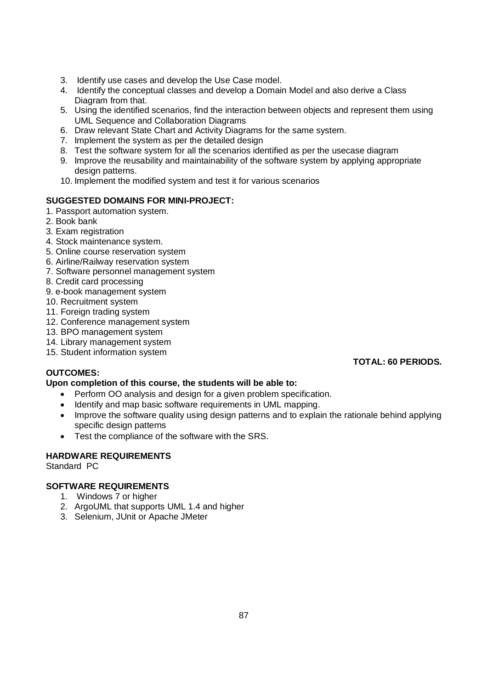- 3. Identify use cases and develop the Use Case model.
- 4. Identify the conceptual classes and develop a Domain Model and also derive a Class Diagram from that.
- 5. Using the identified scenarios, find the interaction between objects and represent them using UML Sequence and Collaboration Diagrams
- 6. Draw relevant State Chart and Activity Diagrams for the same system.
- 7. Implement the system as per the detailed design
- 8. Test the software system for all the scenarios identified as per the usecase diagram
- 9. Improve the reusability and maintainability of the software system by applying appropriate design patterns.
- 10. Implement the modified system and test it for various scenarios

# **SUGGESTED DOMAINS FOR MINI-PROJECT:**

- 1. Passport automation system.
- 2. Book bank
- 3. Exam registration
- 4. Stock maintenance system.
- 5. Online course reservation system
- 6. Airline/Railway reservation system
- 7. Software personnel management system
- 8. Credit card processing
- 9. e-book management system
- 10. Recruitment system
- 11. Foreign trading system
- 12. Conference management system
- 13. BPO management system
- 14. Library management system
- 15. Student information system

# **OUTCOMES:**

# **Upon completion of this course, the students will be able to:**

- Perform OO analysis and design for a given problem specification.
- Identify and map basic software requirements in UML mapping.
- Improve the software quality using design patterns and to explain the rationale behind applying specific design patterns
- Test the compliance of the software with the SRS.

# **HARDWARE REQUIREMENTS**

Standard PC

# **SOFTWARE REQUIREMENTS**

- 1. Windows 7 or higher
- 2. ArgoUML that supports UML 1.4 and higher
- 3. Selenium, JUnit or Apache JMeter

# **TOTAL: 60 PERIODS.**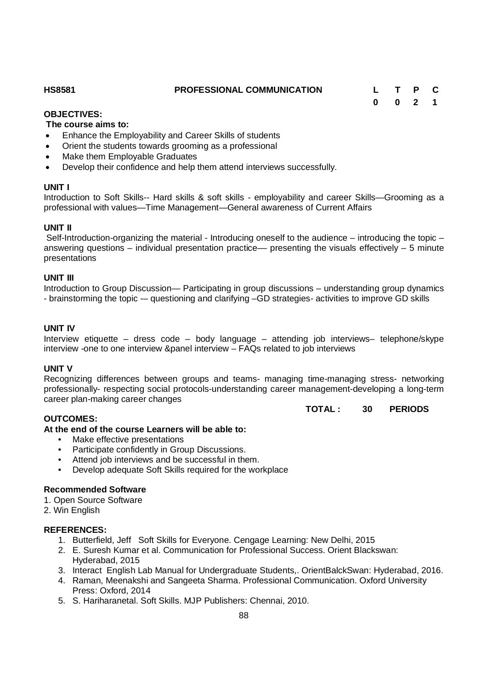# **OBJECTIVES:**

### **The course aims to:**

- Enhance the Employability and Career Skills of students
- Orient the students towards grooming as a professional
- Make them Employable Graduates
- Develop their confidence and help them attend interviews successfully.

# **UNIT I**

Introduction to Soft Skills-- Hard skills & soft skills - employability and career Skills—Grooming as a professional with values—Time Management—General awareness of Current Affairs

# **UNIT II**

Self-Introduction-organizing the material - Introducing oneself to the audience – introducing the topic – answering questions – individual presentation practice— presenting the visuals effectively – 5 minute presentations

# **UNIT III**

Introduction to Group Discussion— Participating in group discussions – understanding group dynamics - brainstorming the topic -– questioning and clarifying –GD strategies- activities to improve GD skills

# **UNIT IV**

Interview etiquette – dress code – body language – attending job interviews– telephone/skype interview -one to one interview &panel interview – FAQs related to job interviews

# **UNIT V**

Recognizing differences between groups and teams- managing time-managing stress- networking professionally- respecting social protocols-understanding career management-developing a long-term career plan-making career changes

# **TOTAL : 30 PERIODS**

# **OUTCOMES:**

**At the end of the course Learners will be able to:**

- Make effective presentations
- Participate confidently in Group Discussions.
- Attend job interviews and be successful in them.
- Develop adequate Soft Skills required for the workplace

# **Recommended Software**

1. Open Source Software

2. Win English

# **REFERENCES:**

- 1. Butterfield, Jeff Soft Skills for Everyone. Cengage Learning: New Delhi, 2015
- 2. E. Suresh Kumar et al. Communication for Professional Success. Orient Blackswan: Hyderabad, 2015
- 3. Interact English Lab Manual for Undergraduate Students,. OrientBalckSwan: Hyderabad, 2016.
- 4. Raman, Meenakshi and Sangeeta Sharma. Professional Communication. Oxford University Press: Oxford, 2014
- 5. S. Hariharanetal. Soft Skills. MJP Publishers: Chennai, 2010.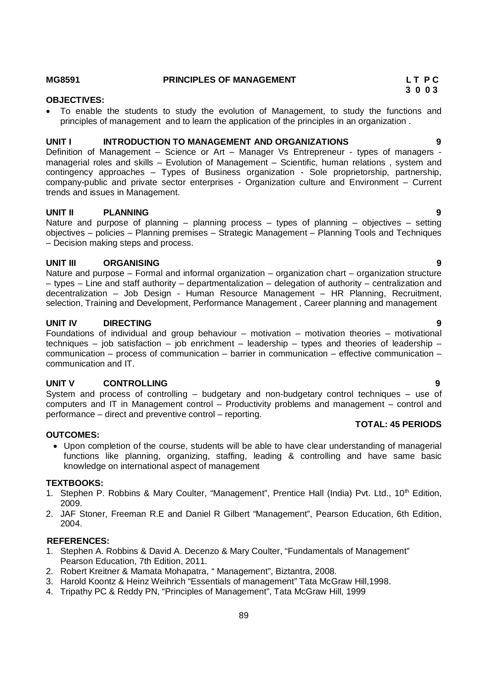Foundations of individual and group behaviour – motivation – motivation theories – motivational techniques – job satisfaction – job enrichment – leadership – types and theories of leadership – communication – process of communication – barrier in communication – effective communication – communication and IT.

System and process of controlling – budgetary and non-budgetary control techniques – use of

### **OUTCOMES:**

 Upon completion of the course, students will be able to have clear understanding of managerial functions like planning, organizing, staffing, leading & controlling and have same basic knowledge on international aspect of management

### **TEXTBOOKS:**

- 1. Stephen P. Robbins & Mary Coulter, "Management", Prentice Hall (India) Pvt. Ltd., 10<sup>th</sup> Edition, 2009.
- 2. JAF Stoner, Freeman R.E and Daniel R Gilbert "Management", Pearson Education, 6th Edition, 2004.

### **REFERENCES:**

- 1. Stephen A. Robbins & David A. Decenzo & Mary Coulter, "Fundamentals of Management" Pearson Education, 7th Edition, 2011.
- 2. Robert Kreitner & Mamata Mohapatra, " Management", Biztantra, 2008.
- 3. Harold Koontz & Heinz Weihrich "Essentials of management" Tata McGraw Hill,1998.
- 4. Tripathy PC & Reddy PN, "Principles of Management", Tata McGraw Hill, 1999

principles of management and to learn the application of the principles in an organization .

**UNIT I INTRODUCTION TO MANAGEMENT AND ORGANIZATIONS 9**  Definition of Management – Science or Art – Manager Vs Entrepreneur - types of managers managerial roles and skills – Evolution of Management – Scientific, human relations , system and contingency approaches – Types of Business organization - Sole proprietorship, partnership, company-public and private sector enterprises - Organization culture and Environment – Current

# **UNIT II PLANNING 9**

Nature and purpose of planning – planning process – types of planning – objectives – setting objectives – policies – Planning premises – Strategic Management – Planning Tools and Techniques – Decision making steps and process.

# **UNIT III ORGANISING 9**

Nature and purpose – Formal and informal organization – organization chart – organization structure – types – Line and staff authority – departmentalization – delegation of authority – centralization and decentralization – Job Design - Human Resource Management – HR Planning, Recruitment, selection, Training and Development, Performance Management , Career planning and management

# **UNIT IV DIRECTING 9**

**UNIT V CONTROLLING 9**

computers and IT in Management control – Productivity problems and management – control and performance – direct and preventive control – reporting. **TOTAL: 45 PERIODS**

trends and issues in Management.

# **OBJECTIVES:**

# **3 0 0 3**

To enable the students to study the evolution of Management, to study the functions and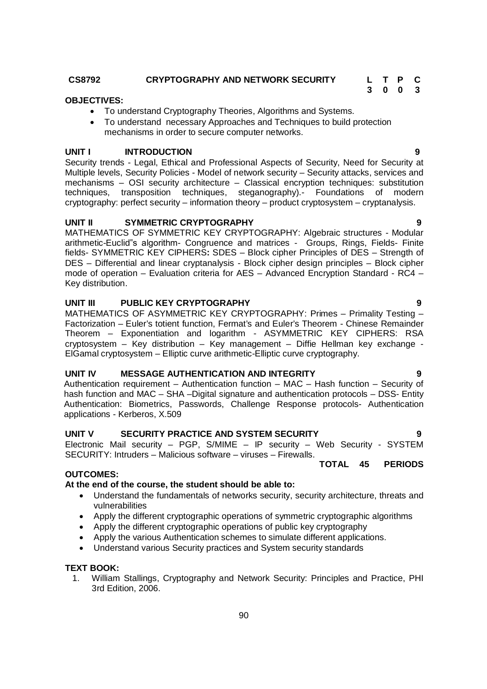# **OBJECTIVES:**

- To understand Cryptography Theories, Algorithms and Systems.
- To understand necessary Approaches and Techniques to build protection mechanisms in order to secure computer networks.

# UNIT **I** INTRODUCTION

Security trends - Legal, Ethical and Professional Aspects of Security, Need for Security at Multiple levels, Security Policies - Model of network security – Security attacks, services and mechanisms – OSI security architecture – Classical encryption techniques: substitution techniques, transposition techniques, steganography).- Foundations of modern cryptography: perfect security – information theory – product cryptosystem – cryptanalysis.

# **UNIT II SYMMETRIC CRYPTOGRAPHY 9**

MATHEMATICS OF SYMMETRIC KEY CRYPTOGRAPHY: Algebraic structures - Modular arithmetic-Euclid"s algorithm- Congruence and matrices - Groups, Rings, Fields- Finite fields- SYMMETRIC KEY CIPHERS**:** SDES – Block cipher Principles of DES – Strength of DES – Differential and linear cryptanalysis - Block cipher design principles – Block cipher mode of operation – Evaluation criteria for AES – Advanced Encryption Standard - RC4 – Key distribution.

# **UNIT III PUBLIC KEY CRYPTOGRAPHY 9**

MATHEMATICS OF ASYMMETRIC KEY CRYPTOGRAPHY: Primes – Primality Testing – Factorization – Euler's totient function, Fermat's and Euler's Theorem - Chinese Remainder Theorem – Exponentiation and logarithm - ASYMMETRIC KEY CIPHERS: RSA cryptosystem – Key distribution – Key management – Diffie Hellman key exchange - ElGamal cryptosystem – Elliptic curve arithmetic-Elliptic curve cryptography.

# **UNIT IV MESSAGE AUTHENTICATION AND INTEGRITY 9**

Authentication requirement – Authentication function – MAC – Hash function – Security of hash function and MAC – SHA –Digital signature and authentication protocols – DSS- Entity Authentication: Biometrics, Passwords, Challenge Response protocols- Authentication applications - Kerberos, X.509

# **UNIT V SECURITY PRACTICE AND SYSTEM SECURITY 9**

Electronic Mail security – PGP, S/MIME – IP security – Web Security - SYSTEM SECURITY: Intruders – Malicious software – viruses – Firewalls.

# **TOTAL 45 PERIODS**

# **OUTCOMES:**

# **At the end of the course, the student should be able to:**

- Understand the fundamentals of networks security, security architecture, threats and vulnerabilities
- Apply the different cryptographic operations of symmetric cryptographic algorithms
- Apply the different cryptographic operations of public key cryptography
- Apply the various Authentication schemes to simulate different applications.
- Understand various Security practices and System security standards

# **TEXT BOOK:**

1. William Stallings, Cryptography and Network Security: Principles and Practice, PHI 3rd Edition, 2006.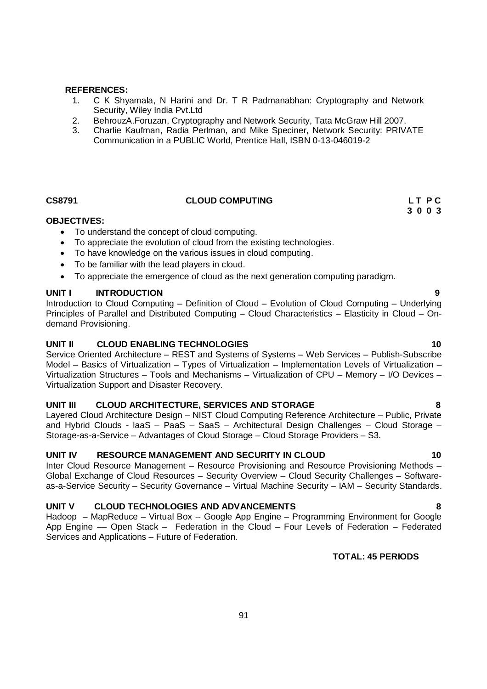### **REFERENCES:**

- 1. C K Shyamala, N Harini and Dr. T R Padmanabhan: Cryptography and Network Security, Wiley India Pvt.Ltd
- 2. BehrouzA.Foruzan, Cryptography and Network Security, Tata McGraw Hill 2007.
- 3. Charlie Kaufman, Radia Perlman, and Mike Speciner, Network Security: PRIVATE Communication in a PUBLIC World, Prentice Hall, ISBN 0-13-046019-2

# **CS8791 CLOUD COMPUTING L T P C**

# **OBJECTIVES:**

- To understand the concept of cloud computing.
- To appreciate the evolution of cloud from the existing technologies.
- To have knowledge on the various issues in cloud computing.
- To be familiar with the lead players in cloud.
- To appreciate the emergence of cloud as the next generation computing paradigm.

### **UNIT I INTRODUCTION 9**

Introduction to Cloud Computing – Definition of Cloud – Evolution of Cloud Computing – Underlying Principles of Parallel and Distributed Computing – Cloud Characteristics – Elasticity in Cloud – Ondemand Provisioning.

# **UNIT II CLOUD ENABLING TECHNOLOGIES 10**

Service Oriented Architecture – REST and Systems of Systems – Web Services – Publish-Subscribe Model – Basics of Virtualization – Types of Virtualization – Implementation Levels of Virtualization – Virtualization Structures – Tools and Mechanisms – Virtualization of CPU – Memory – I/O Devices – Virtualization Support and Disaster Recovery.

# **UNIT III CLOUD ARCHITECTURE, SERVICES AND STORAGE 8**

Layered Cloud Architecture Design – NIST Cloud Computing Reference Architecture – Public, Private and Hybrid Clouds - laaS – PaaS – SaaS – Architectural Design Challenges – Cloud Storage – Storage-as-a-Service – Advantages of Cloud Storage – Cloud Storage Providers – S3.

### **UNIT IV RESOURCE MANAGEMENT AND SECURITY IN CLOUD 10**

Inter Cloud Resource Management – Resource Provisioning and Resource Provisioning Methods – Global Exchange of Cloud Resources – Security Overview – Cloud Security Challenges – Softwareas-a-Service Security – Security Governance – Virtual Machine Security – IAM – Security Standards.

# **UNIT V CLOUD TECHNOLOGIES AND ADVANCEMENTS 8**

Hadoop – MapReduce – Virtual Box -- Google App Engine – Programming Environment for Google App Engine –– Open Stack – Federation in the Cloud – Four Levels of Federation – Federated Services and Applications – Future of Federation.

**TOTAL: 45 PERIODS**

# 91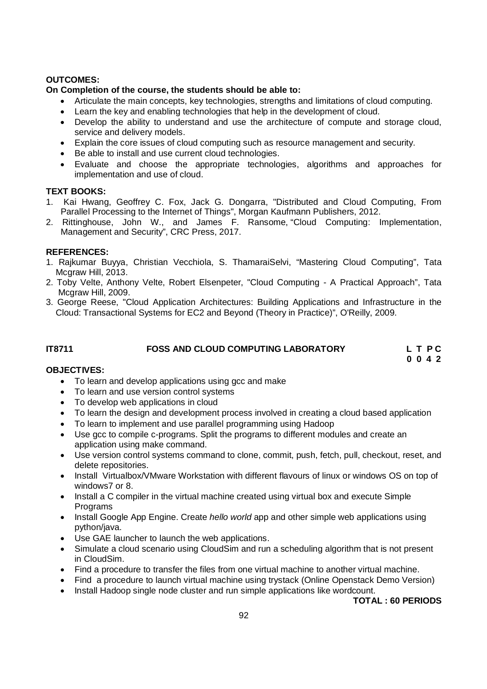# **OUTCOMES:**

# **On Completion of the course, the students should be able to:**

- Articulate the main concepts, key technologies, strengths and limitations of cloud computing.
- Learn the key and enabling technologies that help in the development of cloud.
- Develop the ability to understand and use the architecture of compute and storage cloud. service and delivery models.
- Explain the core issues of cloud computing such as resource management and security.
- Be able to install and use current cloud technologies.
- Evaluate and choose the appropriate technologies, algorithms and approaches for implementation and use of cloud.

# **TEXT BOOKS:**

- 1. Kai Hwang, Geoffrey C. Fox, Jack G. Dongarra, "Distributed and Cloud Computing, From Parallel Processing to the Internet of Things", Morgan Kaufmann Publishers, 2012.
- 2. Rittinghouse, John W., and James F. Ransome, "Cloud Computing: Implementation, Management and Security", CRC Press, 2017.

# **REFERENCES:**

- 1. Rajkumar Buyya, Christian Vecchiola, S. ThamaraiSelvi, "Mastering Cloud Computing", Tata Mcgraw Hill, 2013.
- 2. Toby Velte, Anthony Velte, Robert Elsenpeter, "Cloud Computing A Practical Approach", Tata Mcgraw Hill, 2009.
- 3. George Reese, "Cloud Application Architectures: Building Applications and Infrastructure in the Cloud: Transactional Systems for EC2 and Beyond (Theory in Practice)", O'Reilly, 2009.

# **IT8711 FOSS AND CLOUD COMPUTING LABORATORY L T P C 0 0 4 2**

# **OBJECTIVES:**

- To learn and develop applications using gcc and make
- To learn and use version control systems
- To develop web applications in cloud
- To learn the design and development process involved in creating a cloud based application
- To learn to implement and use parallel programming using Hadoop
- Use gcc to compile c-programs. Split the programs to different modules and create an application using make command.
- Use version control systems command to clone, commit, push, fetch, pull, checkout, reset, and delete repositories.
- Install Virtualbox/VMware Workstation with different flavours of linux or windows OS on top of windows7 or 8.
- Install a C compiler in the virtual machine created using virtual box and execute Simple **Programs**
- Install Google App Engine. Create *hello world* app and other simple web applications using python/java.
- Use GAE launcher to launch the web applications.
- Simulate a cloud scenario using CloudSim and run a scheduling algorithm that is not present in CloudSim.
- Find a procedure to transfer the files from one virtual machine to another virtual machine.
- Find a procedure to launch virtual machine using trystack (Online Openstack Demo Version)
- Install Hadoop single node cluster and run simple applications like wordcount.

**TOTAL : 60 PERIODS**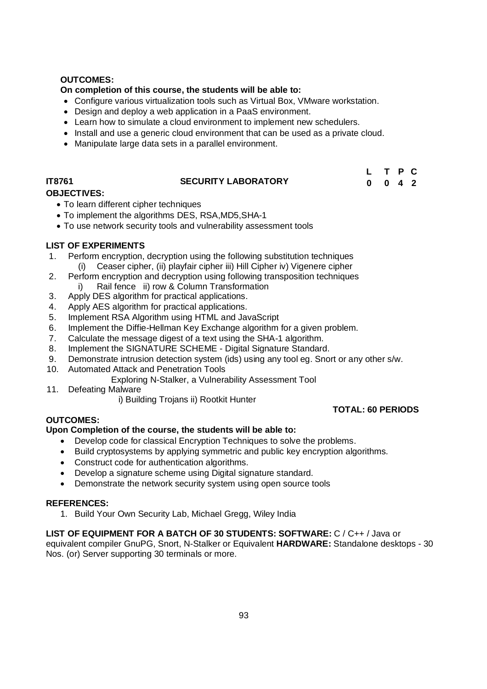# **OUTCOMES:**

# **On completion of this course, the students will be able to:**

- Configure various virtualization tools such as Virtual Box, VMware workstation.
- Design and deploy a web application in a PaaS environment.
- Learn how to simulate a cloud environment to implement new schedulers.
- Install and use a generic cloud environment that can be used as a private cloud.
- Manipulate large data sets in a parallel environment.

# **IT8761 SECURITY LABORATORY**

| $\mathbf{L}$ |   | T P | <b>C</b> |
|--------------|---|-----|----------|
| - 0          | 0 | 4 2 |          |

# **OBJECTIVES:**

- To learn different cipher techniques
- To implement the algorithms DES, RSA,MD5,SHA-1
- To use network security tools and vulnerability assessment tools

# **LIST OF EXPERIMENTS**

- 1. Perform encryption, decryption using the following substitution techniques (i) Ceaser cipher, (ii) playfair cipher iii) Hill Cipher iv) Vigenere cipher
- 2. Perform encryption and decryption using following transposition techniques i) Rail fence ii) row & Column Transformation
- 3. Apply DES algorithm for practical applications.
- 4. Apply AES algorithm for practical applications.
- 5. Implement RSA Algorithm using HTML and JavaScript
- 6. Implement the Diffie-Hellman Key Exchange algorithm for a given problem.
- 7. Calculate the message digest of a text using the SHA-1 algorithm.
- 8. Implement the SIGNATURE SCHEME Digital Signature Standard.
- 9. Demonstrate intrusion detection system (ids) using any tool eg. Snort or any other s/w.
- 10. Automated Attack and Penetration Tools
	- Exploring N-Stalker, a Vulnerability Assessment Tool
- 11. Defeating Malware
	- i) Building Trojans ii) Rootkit Hunter

# **TOTAL: 60 PERIODS**

# **OUTCOMES:**

# **Upon Completion of the course, the students will be able to:**

- Develop code for classical Encryption Techniques to solve the problems.
- Build cryptosystems by applying symmetric and public key encryption algorithms.
- Construct code for authentication algorithms.
- Develop a signature scheme using Digital signature standard.
- Demonstrate the network security system using open source tools

# **REFERENCES:**

1. Build Your Own Security Lab, Michael Gregg, Wiley India

# **LIST OF EQUIPMENT FOR A BATCH OF 30 STUDENTS: SOFTWARE:** C / C++ / Java or

equivalent compiler GnuPG, Snort, N-Stalker or Equivalent **HARDWARE:** Standalone desktops - 30 Nos. (or) Server supporting 30 terminals or more.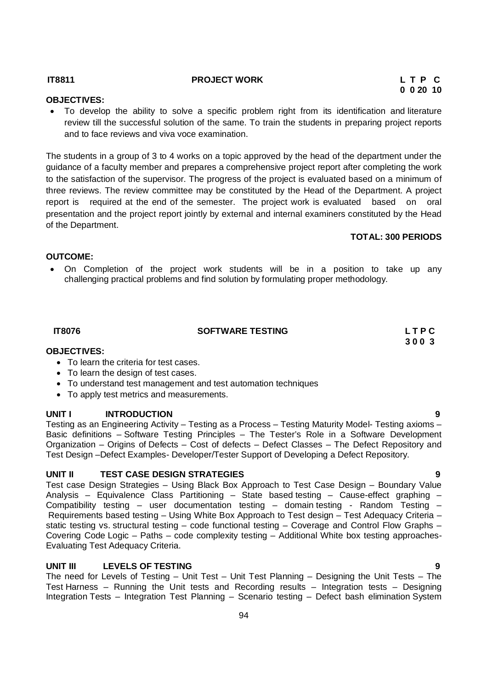### **UNIT III LEVELS OF TESTING 9** The need for Levels of Testing – Unit Test – Unit Test Planning – Designing the Unit Tests – The Test Harness – Running the Unit tests and Recording results – Integration tests – Designing Integration Tests – Integration Test Planning – Scenario testing – Defect bash elimination System

The students in a group of 3 to 4 works on a topic approved by the head of the department under the guidance of a faculty member and prepares a comprehensive project report after completing the work to the satisfaction of the supervisor. The progress of the project is evaluated based on a minimum of three reviews. The review committee may be constituted by the Head of the Department. A project report is required at the end of the semester. The project work is evaluated based on oral presentation and the project report jointly by external and internal examiners constituted by the Head of the Department.

 To develop the ability to solve a specific problem right from its identification and literature review till the successful solution of the same. To train the students in preparing project reports

# **OUTCOME:**

 On Completion of the project work students will be in a position to take up any challenging practical problems and find solution by formulating proper methodology.

 **IT8076 SOFTWARE TESTING L T P C** 

### **3 0 0 3 OBJECTIVES:**

- To learn the criteria for test cases.
- To learn the design of test cases.
- To understand test management and test automation techniques
- To apply test metrics and measurements.

and to face reviews and viva voce examination.

# **UNIT I INTRODUCTION 9**

Testing as an Engineering Activity – Testing as a Process – Testing Maturity Model- Testing axioms – Basic definitions – Software Testing Principles – The Tester's Role in a Software Development Organization – Origins of Defects – Cost of defects – Defect Classes – The Defect Repository and Test Design –Defect Examples- Developer/Tester Support of Developing a Defect Repository.

# **UNIT II TEST CASE DESIGN STRATEGIES 9**

Test case Design Strategies – Using Black Box Approach to Test Case Design – Boundary Value Analysis – Equivalence Class Partitioning – State based testing – Cause-effect graphing – Compatibility testing – user documentation testing – domain testing - Random Testing – Requirements based testing – Using White Box Approach to Test design – Test Adequacy Criteria – static testing vs. structural testing – code functional testing – Coverage and Control Flow Graphs – Covering Code Logic – Paths – code complexity testing – Additional White box testing approaches-Evaluating Test Adequacy Criteria.

**OBJECTIVES:** 

**TOTAL: 300 PERIODS**

# 94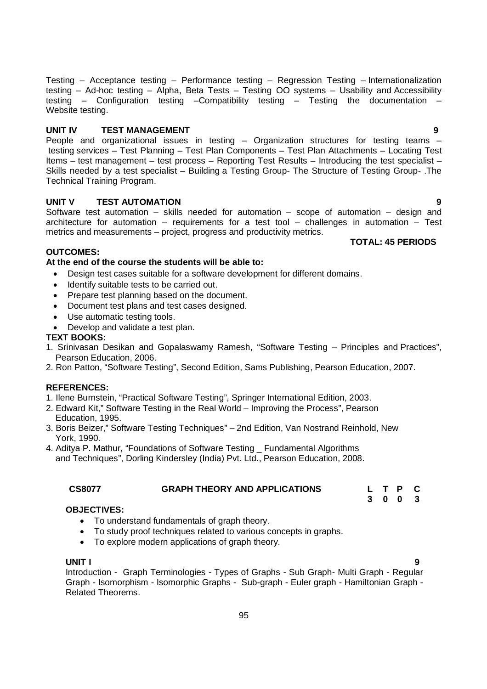95

Testing – Acceptance testing – Performance testing – Regression Testing – Internationalization testing – Ad-hoc testing – Alpha, Beta Tests – Testing OO systems – Usability and Accessibility testing – Configuration testing –Compatibility testing – Testing the documentation – Website testing.

# **UNIT IV TEST MANAGEMENT 9**

People and organizational issues in testing – Organization structures for testing teams – testing services – Test Planning – Test Plan Components – Test Plan Attachments – Locating Test Items – test management – test process – Reporting Test Results – Introducing the test specialist – Skills needed by a test specialist – Building a Testing Group- The Structure of Testing Group- .The Technical Training Program.

# **UNIT V TEST AUTOMATION 9**

Software test automation – skills needed for automation – scope of automation – design and architecture for automation – requirements for a test tool – challenges in automation – Test metrics and measurements – project, progress and productivity metrics.

# **OUTCOMES:**

# **At the end of the course the students will be able to:**

- Design test cases suitable for a software development for different domains.
- Identify suitable tests to be carried out.
- Prepare test planning based on the document.
- Document test plans and test cases designed.
- Use automatic testing tools.
- Develop and validate a test plan.

# **TEXT BOOKS:**

- 1. Srinivasan Desikan and Gopalaswamy Ramesh, "Software Testing Principles and Practices", Pearson Education, 2006.
- 2. Ron Patton, "Software Testing", Second Edition, Sams Publishing, Pearson Education, 2007.

# **REFERENCES:**

- 1. Ilene Burnstein, "Practical Software Testing", Springer International Edition, 2003.
- 2. Edward Kit," Software Testing in the Real World Improving the Process", Pearson Education, 1995.
- 3. Boris Beizer," Software Testing Techniques" 2nd Edition, Van Nostrand Reinhold, New York, 1990.
- 4. Aditya P. Mathur, "Foundations of Software Testing \_ Fundamental Algorithms and Techniques", Dorling Kindersley (India) Pvt. Ltd., Pearson Education, 2008.

# **CS8077 GRAPH THEORY AND APPLICATIONS L T P C**

# **OBJECTIVES:**

- To understand fundamentals of graph theory.
- To study proof techniques related to various concepts in graphs.
- To explore modern applications of graph theory.

# **UNIT I 9**

Introduction - Graph Terminologies - Types of Graphs - Sub Graph- Multi Graph - Regular Graph - Isomorphism - Isomorphic Graphs - Sub-graph - Euler graph - Hamiltonian Graph - Related Theorems.

 **TOTAL: 45 PERIODS**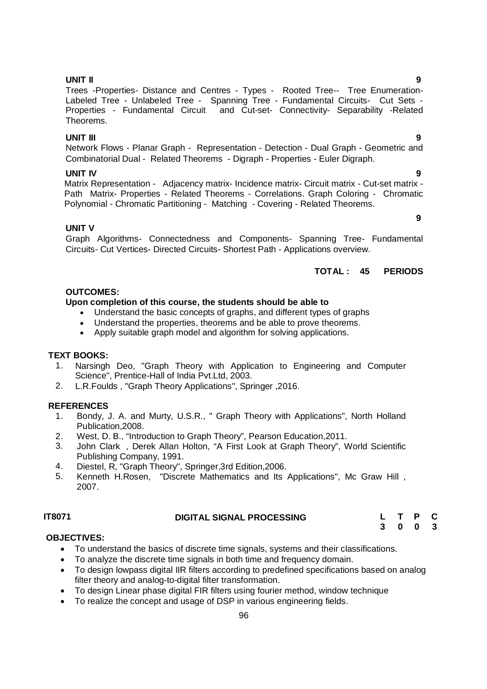# **Upon completion of this course, the students should be able to**

- Understand the basic concepts of graphs, and different types of graphs
- Understand the properties, theorems and be able to prove theorems.
- Apply suitable graph model and algorithm for solving applications.

### **TEXT BOOKS:**

- 1. Narsingh Deo, "Graph Theory with Application to Engineering and Computer Science", Prentice-Hall of India Pvt.Ltd, 2003.
- 2. L.R.Foulds , "Graph Theory Applications", Springer ,2016.

# **REFERENCES**

- 1. Bondy, J. A. and Murty, U.S.R., " Graph Theory with Applications", North Holland Publication,2008.
- 2. West, D. B., "Introduction to Graph Theory", Pearson Education,2011.
- 3. John Clark , Derek Allan Holton, "A First Look at Graph Theory", World Scientific Publishing Company, 1991.
- 4. Diestel, R, "Graph Theory", Springer,3rd Edition,2006.
- 5. Kenneth H.Rosen, "Discrete Mathematics and Its Applications", Mc Graw Hill , 2007.

# **IT8071 DIGITAL SIGNAL PROCESSING L T P C**

**3 0 0 3**

### **OBJECTIVES:**

- To understand the basics of discrete time signals, systems and their classifications.
- To analyze the discrete time signals in both time and frequency domain.
- To design lowpass digital IIR filters according to predefined specifications based on analog filter theory and analog-to-digital filter transformation.
- To design Linear phase digital FIR filters using fourier method, window technique
- To realize the concept and usage of DSP in various engineering fields.

### **UNIT II 9**

Trees -Properties- Distance and Centres - Types - Rooted Tree-- Tree Enumeration-Labeled Tree - Unlabeled Tree - Spanning Tree - Fundamental Circuits- Cut Sets - Properties - Fundamental Circuit and Cut-set- Connectivity- Separability -Related Theorems.

### **UNIT III 9**

Network Flows - Planar Graph - Representation - Detection - Dual Graph - Geometric and Combinatorial Dual - Related Theorems - Digraph - Properties - Euler Digraph.

### **UNIT IV 9**

Matrix Representation - Adjacency matrix- Incidence matrix- Circuit matrix - Cut-set matrix -Path Matrix- Properties - Related Theorems - Correlations. Graph Coloring - Chromatic Polynomial - Chromatic Partitioning - Matching - Covering - Related Theorems.

### **UNIT V**

**OUTCOMES:**

Graph Algorithms- Connectedness and Components- Spanning Tree- Fundamental Circuits- Cut Vertices- Directed Circuits- Shortest Path - Applications overview.

### **TOTAL : 45 PERIODS**

 **9**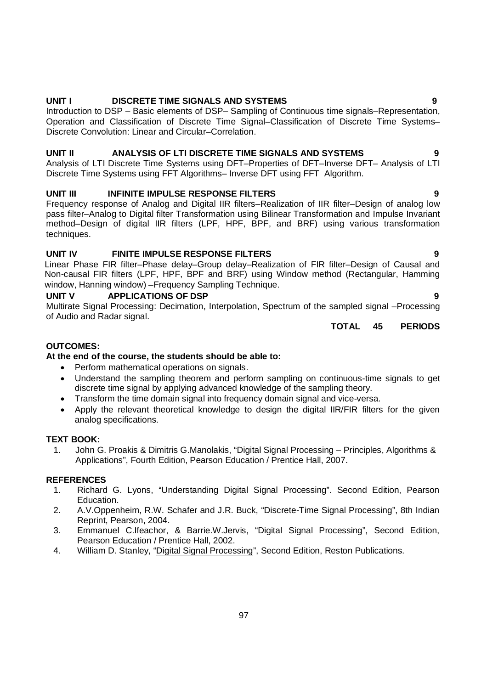97

# **UNIT I DISCRETE TIME SIGNALS AND SYSTEMS 9**

Introduction to DSP – Basic elements of DSP– Sampling of Continuous time signals–Representation, Operation and Classification of Discrete Time Signal–Classification of Discrete Time Systems– Discrete Convolution: Linear and Circular–Correlation.

# **UNIT II ANALYSIS OF LTI DISCRETE TIME SIGNALS AND SYSTEMS 9**

Analysis of LTI Discrete Time Systems using DFT–Properties of DFT–Inverse DFT– Analysis of LTI Discrete Time Systems using FFT Algorithms– Inverse DFT using FFT Algorithm.

# **UNIT III** INFINITE IMPULSE RESPONSE FILTERS **19 CONTRACTLY 100 CONTRACTLY**

Frequency response of Analog and Digital IIR filters–Realization of IIR filter–Design of analog low pass filter–Analog to Digital filter Transformation using Bilinear Transformation and Impulse Invariant method–Design of digital IIR filters (LPF, HPF, BPF, and BRF) using various transformation techniques.

# **UNIT IV FINITE IMPULSE RESPONSE FILTERS 9**

Linear Phase FIR filter–Phase delay–Group delay–Realization of FIR filter–Design of Causal and Non-causal FIR filters (LPF, HPF, BPF and BRF) using Window method (Rectangular, Hamming window, Hanning window) –Frequency Sampling Technique.

# **UNIT V APPLICATIONS OF DSP** 9

Multirate Signal Processing: Decimation, Interpolation, Spectrum of the sampled signal –Processing of Audio and Radar signal.

**TOTAL 45 PERIODS**

# **OUTCOMES:**

# **At the end of the course, the students should be able to:**

- Perform mathematical operations on signals.
- Understand the sampling theorem and perform sampling on continuous-time signals to get discrete time signal by applying advanced knowledge of the sampling theory.
- Transform the time domain signal into frequency domain signal and vice-versa.
- Apply the relevant theoretical knowledge to design the digital IIR/FIR filters for the given analog specifications.

# **TEXT BOOK:**

1. John G. Proakis & Dimitris G.Manolakis, "Digital Signal Processing – Principles, Algorithms & Applications", Fourth Edition, Pearson Education / Prentice Hall, 2007.

# **REFERENCES**

- 1. Richard G. Lyons, "Understanding Digital Signal Processing". Second Edition, Pearson Education.
- 2. A.V.Oppenheim, R.W. Schafer and J.R. Buck, "Discrete-Time Signal Processing", 8th Indian Reprint, Pearson, 2004.
- 3. Emmanuel C.Ifeachor, & Barrie.W.Jervis, "Digital Signal Processing", Second Edition, Pearson Education / Prentice Hall, 2002.
- 4. William D. Stanley, "Digital Signal Processing", Second Edition, Reston Publications.
- 
-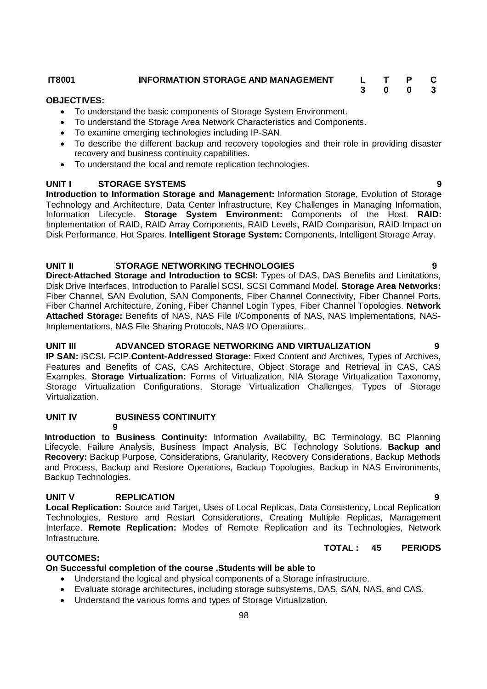**IT8001 INFORMATION STORAGE AND MANAGEMENT L T P C**

# **OBJECTIVES:**

- To understand the basic components of Storage System Environment.
- To understand the Storage Area Network Characteristics and Components.
- To examine emerging technologies including IP-SAN.
- To describe the different backup and recovery topologies and their role in providing disaster recovery and business continuity capabilities.
- To understand the local and remote replication technologies.

# **UNIT I STORAGE SYSTEMS 9**

**Introduction to Information Storage and Management:** Information Storage, Evolution of Storage Technology and Architecture, Data Center Infrastructure, Key Challenges in Managing Information, Information Lifecycle. **Storage System Environment:** Components of the Host. **RAID:** Implementation of RAID, RAID Array Components, RAID Levels, RAID Comparison, RAID Impact on Disk Performance, Hot Spares. **Intelligent Storage System:** Components, Intelligent Storage Array.

# **UNIT II STORAGE NETWORKING TECHNOLOGIES 9**

**Direct-Attached Storage and Introduction to SCSI:** Types of DAS, DAS Benefits and Limitations, Disk Drive Interfaces, Introduction to Parallel SCSI, SCSI Command Model. **Storage Area Networks:** Fiber Channel, SAN Evolution, SAN Components, Fiber Channel Connectivity, Fiber Channel Ports, Fiber Channel Architecture, Zoning, Fiber Channel Login Types, Fiber Channel Topologies. **Network Attached Storage:** Benefits of NAS, NAS File I/Components of NAS, NAS Implementations, NAS-Implementations, NAS File Sharing Protocols, NAS I/O Operations.

# **UNIT III ADVANCED STORAGE NETWORKING AND VIRTUALIZATION 9**

**IP SAN:** iSCSI, FCIP.**Content-Addressed Storage:** Fixed Content and Archives, Types of Archives, Features and Benefits of CAS, CAS Architecture, Object Storage and Retrieval in CAS, CAS Examples. **Storage Virtualization:** Forms of Virtualization, NIA Storage Virtualization Taxonomy, Storage Virtualization Configurations, Storage Virtualization Challenges, Types of Storage Virtualization.

# **UNIT IV BUSINESS CONTINUITY**

**9**

**Introduction to Business Continuity:** Information Availability, BC Terminology, BC Planning Lifecycle, Failure Analysis, Business Impact Analysis, BC Technology Solutions. **Backup and Recovery:** Backup Purpose, Considerations, Granularity, Recovery Considerations, Backup Methods and Process, Backup and Restore Operations, Backup Topologies, Backup in NAS Environments, Backup Technologies.

# **UNIT V REPLICATION 9**

**Local Replication:** Source and Target, Uses of Local Replicas, Data Consistency, Local Replication Technologies, Restore and Restart Considerations, Creating Multiple Replicas, Management Interface. **Remote Replication:** Modes of Remote Replication and its Technologies, Network Infrastructure.

# **TOTAL : 45 PERIODS**

# **OUTCOMES:**

# **On Successful completion of the course ,Students will be able to**

- Understand the logical and physical components of a Storage infrastructure.
- Evaluate storage architectures, including storage subsystems, DAS, SAN, NAS, and CAS.
- Understand the various forms and types of Storage Virtualization.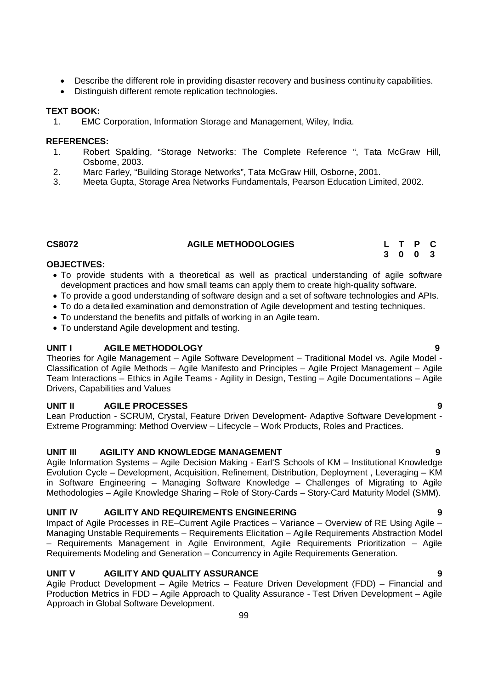- Describe the different role in providing disaster recovery and business continuity capabilities.
- Distinguish different remote replication technologies.

# **TEXT BOOK:**

1. EMC Corporation, Information Storage and Management, Wiley, India.

# **REFERENCES:**

- 1. Robert Spalding, "Storage Networks: The Complete Reference ", Tata McGraw Hill, Osborne, 2003.
- 2. Marc Farley, "Building Storage Networks", Tata McGraw Hill, Osborne, 2001.
- 3. Meeta Gupta, Storage Area Networks Fundamentals, Pearson Education Limited, 2002.

# **CS8072 AGILE METHODOLOGIES L T P C**

# **OBJECTIVES:**

- To provide students with a theoretical as well as practical understanding of agile software development practices and how small teams can apply them to create high-quality software.
- To provide a good understanding of software design and a set of software technologies and APIs.
- To do a detailed examination and demonstration of Agile development and testing techniques.
- To understand the benefits and pitfalls of working in an Agile team.
- To understand Agile development and testing.

# **UNIT I AGILE METHODOLOGY 9**

Theories for Agile Management – Agile Software Development – Traditional Model vs. Agile Model - Classification of Agile Methods – Agile Manifesto and Principles – Agile Project Management – Agile Team Interactions – Ethics in Agile Teams - Agility in Design, Testing – Agile Documentations – Agile Drivers, Capabilities and Values

# **UNIT II AGILE PROCESSES 9**

Lean Production - SCRUM, Crystal, Feature Driven Development- Adaptive Software Development - Extreme Programming: Method Overview – Lifecycle – Work Products, Roles and Practices.

# **UNIT III AGILITY AND KNOWLEDGE MANAGEMENT 9**

Agile Information Systems – Agile Decision Making - Earl'S Schools of KM – Institutional Knowledge Evolution Cycle – Development, Acquisition, Refinement, Distribution, Deployment , Leveraging – KM in Software Engineering – Managing Software Knowledge – Challenges of Migrating to Agile Methodologies – Agile Knowledge Sharing – Role of Story-Cards – Story-Card Maturity Model (SMM).

# UNIT IV AGILITY AND REQUIREMENTS ENGINEERING

Impact of Agile Processes in RE–Current Agile Practices – Variance – Overview of RE Using Agile – Managing Unstable Requirements – Requirements Elicitation – Agile Requirements Abstraction Model – Requirements Management in Agile Environment, Agile Requirements Prioritization – Agile Requirements Modeling and Generation – Concurrency in Agile Requirements Generation.

# **UNIT V AGILITY AND QUALITY ASSURANCE 9**

Agile Product Development – Agile Metrics – Feature Driven Development (FDD) – Financial and Production Metrics in FDD – Agile Approach to Quality Assurance - Test Driven Development – Agile Approach in Global Software Development.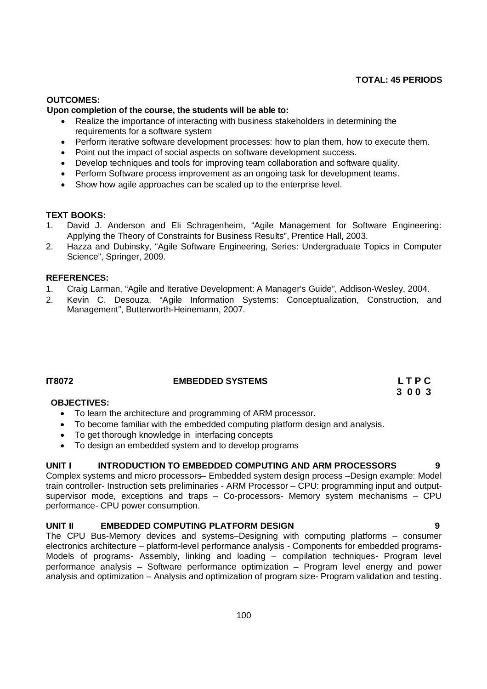# **TOTAL: 45 PERIODS**

# **OUTCOMES:**

# **Upon completion of the course, the students will be able to:**

- Realize the importance of interacting with business stakeholders in determining the requirements for a software system
- Perform iterative software development processes: how to plan them, how to execute them.
- Point out the impact of social aspects on software development success.
- Develop techniques and tools for improving team collaboration and software quality.
- Perform Software process improvement as an ongoing task for development teams.
- Show how agile approaches can be scaled up to the enterprise level.

### **TEXT BOOKS:**

- 1. David J. Anderson and Eli Schragenheim, "Agile Management for Software Engineering: Applying the Theory of Constraints for Business Results", Prentice Hall, 2003.
- 2. Hazza and Dubinsky, "Agile Software Engineering, Series: Undergraduate Topics in Computer Science", Springer, 2009.

# **REFERENCES:**

- 1. Craig Larman, "Agile and Iterative Development: A Manager's Guide", Addison-Wesley, 2004.
- 2. Kevin C. Desouza, "Agile Information Systems: Conceptualization, Construction, and Management", Butterworth-Heinemann, 2007.

# **IT8072 EMBEDDED SYSTEMS L T P C**

# **3 0 0 3**

# **OBJECTIVES:**

- To learn the architecture and programming of ARM processor.
- To become familiar with the embedded computing platform design and analysis.
- To get thorough knowledge in interfacing concepts
- To design an embedded system and to develop programs

# **UNIT I INTRODUCTION TO EMBEDDED COMPUTING AND ARM PROCESSORS 9**

Complex systems and micro processors– Embedded system design process –Design example: Model train controller- Instruction sets preliminaries - ARM Processor – CPU: programming input and outputsupervisor mode, exceptions and traps – Co-processors- Memory system mechanisms – CPU performance- CPU power consumption.

# **UNIT II EMBEDDED COMPUTING PLATFORM DESIGN 9**

The CPU Bus-Memory devices and systems–Designing with computing platforms – consumer electronics architecture – platform-level performance analysis - Components for embedded programs-Models of programs- Assembly, linking and loading – compilation techniques- Program level performance analysis – Software performance optimization – Program level energy and power analysis and optimization – Analysis and optimization of program size- Program validation and testing.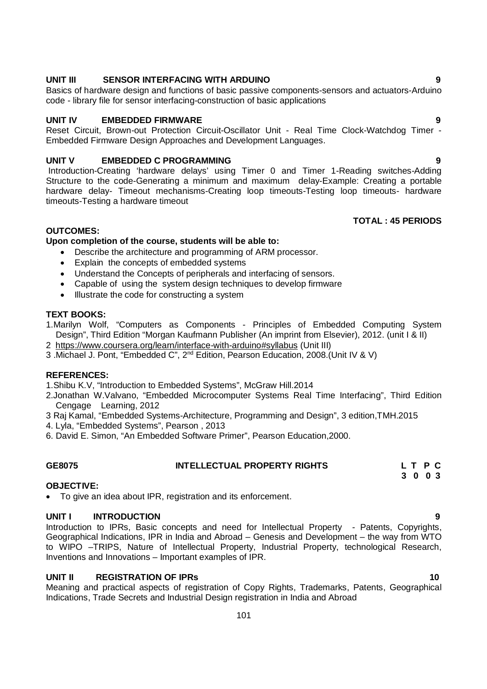# timeouts-Testing a hardware timeout

### **OUTCOMES: Upon completion of the course, students will be able to:**

- Describe the architecture and programming of ARM processor.
- Explain the concepts of embedded systems
- Understand the Concepts of peripherals and interfacing of sensors.
- Capable of using the system design techniques to develop firmware
- $\bullet$  Illustrate the code for constructing a system

### **TEXT BOOKS:**

- 1.Marilyn Wolf, "Computers as Components Principles of Embedded Computing System Design", Third Edition "Morgan Kaufmann Publisher (An imprint from Elsevier), 2012. (unit I & II)
- 2 https://www.coursera.org/learn/interface-with-arduino#syllabus (Unit III)
- 3 .Michael J. Pont, "Embedded C", 2nd Edition, Pearson Education, 2008.(Unit IV & V)

### **REFERENCES:**

1.Shibu K.V, "Introduction to Embedded Systems", McGraw Hill.2014

- 2.Jonathan W.Valvano, "Embedded Microcomputer Systems Real Time Interfacing", Third Edition Cengage Learning, 2012
- 3 Raj Kamal, "Embedded Systems-Architecture, Programming and Design", 3 edition,TMH.2015
- 4. Lyla, "Embedded Systems", Pearson , 2013
- 6. David E. Simon, "An Embedded Software Primer", Pearson Education,2000.

# **GE8075 INTELLECTUAL PROPERTY RIGHTS L T P C 3 0 0 3**

### **OBJECTIVE:**

To give an idea about IPR, registration and its enforcement.

# **UNIT I INTRODUCTION 9**

Introduction to IPRs, Basic concepts and need for Intellectual Property - Patents, Copyrights, Geographical Indications, IPR in India and Abroad – Genesis and Development – the way from WTO to WIPO –TRIPS, Nature of Intellectual Property, Industrial Property, technological Research, Inventions and Innovations – Important examples of IPR.

# **UNIT II** REGISTRATION OF IPRs 10

Meaning and practical aspects of registration of Copy Rights, Trademarks, Patents, Geographical Indications, Trade Secrets and Industrial Design registration in India and Abroad

# **UNIT III SENSOR INTERFACING WITH ARDUINO 9**

Basics of hardware design and functions of basic passive components-sensors and actuators-Arduino code - library file for sensor interfacing-construction of basic applications

# **UNIT IV EMBEDDED FIRMWARE 9**

Reset Circuit, Brown-out Protection Circuit-Oscillator Unit - Real Time Clock-Watchdog Timer - Embedded Firmware Design Approaches and Development Languages.

**UNIT V EMBEDDED C PROGRAMMING 9** Introduction-Creating 'hardware delays' using Timer 0 and Timer 1-Reading switches-Adding Structure to the code-Generating a minimum and maximum delay-Example: Creating a portable hardware delay- Timeout mechanisms-Creating loop timeouts-Testing loop timeouts- hardware

# **TOTAL : 45 PERIODS**

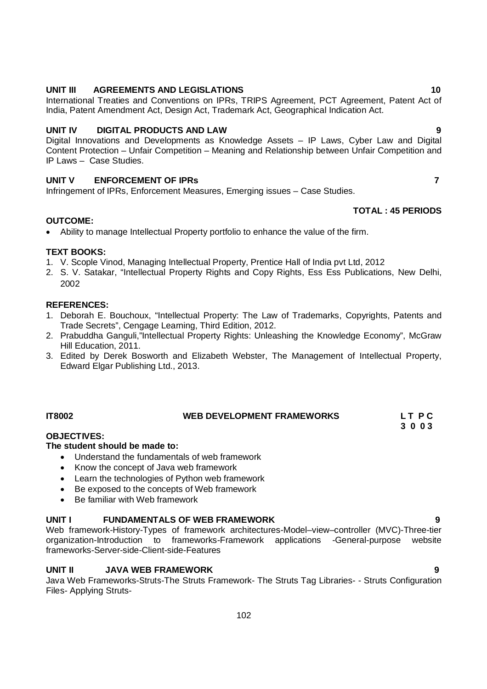# **UNIT III AGREEMENTS AND LEGISLATIONS 10**

International Treaties and Conventions on IPRs, TRIPS Agreement, PCT Agreement, Patent Act of India, Patent Amendment Act, Design Act, Trademark Act, Geographical Indication Act.

# **UNIT IV DIGITAL PRODUCTS AND LAW 9**

Digital Innovations and Developments as Knowledge Assets – IP Laws, Cyber Law and Digital Content Protection – Unfair Competition – Meaning and Relationship between Unfair Competition and IP Laws – Case Studies.

# **UNIT V ENFORCEMENT OF IPRs 7**

Infringement of IPRs, Enforcement Measures, Emerging issues – Case Studies.

# Ability to manage Intellectual Property portfolio to enhance the value of the firm.

**OUTCOME:**

# **TEXT BOOKS:**

- 1. V. Scople Vinod, Managing Intellectual Property, Prentice Hall of India pvt Ltd, 2012
- 2. S. V. Satakar, "Intellectual Property Rights and Copy Rights, Ess Ess Publications, New Delhi, 2002

# **REFERENCES:**

- 1. Deborah E. Bouchoux, "Intellectual Property: The Law of Trademarks, Copyrights, Patents and Trade Secrets", Cengage Learning, Third Edition, 2012.
- 2. Prabuddha Ganguli,"Intellectual Property Rights: Unleashing the Knowledge Economy", McGraw Hill Education, 2011.
- 3. Edited by Derek Bosworth and Elizabeth Webster, The Management of Intellectual Property, Edward Elgar Publishing Ltd., 2013.

# **OBJECTIVES:**

# **The student should be made to:**

- Understand the fundamentals of web framework
- Know the concept of Java web framework
- Learn the technologies of Python web framework
- Be exposed to the concepts of Web framework
- Be familiar with Web framework

# **UNIT I FUNDAMENTALS OF WEB FRAMEWORK 9**

Web framework-History-Types of framework architectures-Model–view–controller (MVC)-Three-tier organization-Introduction to frameworks-Framework applications -General-purpose website frameworks-Server-side-Client-side-Features

# **UNIT II JAVA WEB FRAMEWORK 9**

Java Web Frameworks-Struts-The Struts Framework- The Struts Tag Libraries- - Struts Configuration Files- Applying Struts-

# **IT8002 WEB DEVELOPMENT FRAMEWORKS L T P C**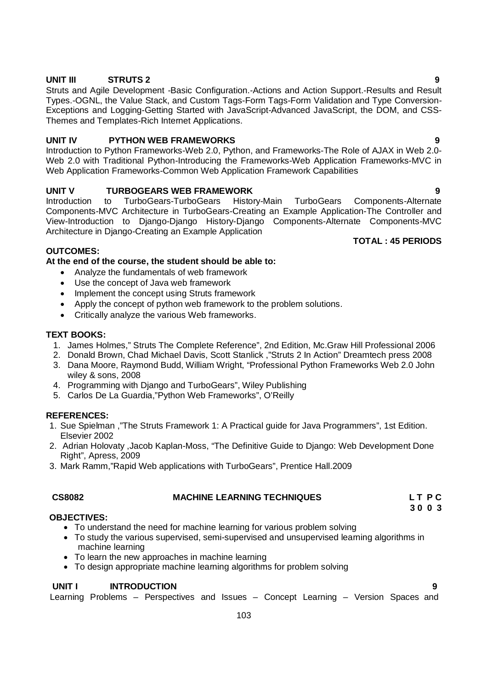# **UNIT III STRUTS 2 9**

Struts and Agile Development -Basic Configuration.-Actions and Action Support.-Results and Result Types.-OGNL, the Value Stack, and Custom Tags-Form Tags-Form Validation and Type Conversion-Exceptions and Logging-Getting Started with JavaScript-Advanced JavaScript, the DOM, and CSS-Themes and Templates-Rich Internet Applications.

# **UNIT IV PYTHON WEB FRAMEWORKS 9**

Introduction to Python Frameworks-Web 2.0, Python, and Frameworks-The Role of AJAX in Web 2.0- Web 2.0 with Traditional Python-Introducing the Frameworks-Web Application Frameworks-MVC in Web Application Frameworks-Common Web Application Framework Capabilities

# **UNIT V TURBOGEARS WEB FRAMEWORK 9**

Introduction to TurboGears-TurboGears History-Main TurboGears Components-Alternate Components-MVC Architecture in TurboGears-Creating an Example Application-The Controller and View-Introduction to Django-Django History-Django Components-Alternate Components-MVC Architecture in Django-Creating an Example Application **TOTAL : 45 PERIODS**

# **OUTCOMES:**

# **At the end of the course, the student should be able to:**

- Analyze the fundamentals of web framework
- Use the concept of Java web framework
- Implement the concept using Struts framework
- Apply the concept of python web framework to the problem solutions.
- Critically analyze the various Web frameworks.

# **TEXT BOOKS:**

- 1. James Holmes," Struts The Complete Reference", 2nd Edition, Mc.Graw Hill Professional 2006
- 2. Donald Brown, Chad Michael Davis, Scott Stanlick ,"Struts 2 In Action" Dreamtech press 2008
- 3. Dana Moore, Raymond Budd, William Wright, "Professional Python Frameworks Web 2.0 John wiley & sons, 2008
- 4. Programming with Django and TurboGears", Wiley Publishing
- 5. Carlos De La Guardia,"Python Web Frameworks", O'Reilly

# **REFERENCES:**

- 1. Sue Spielman ,"The Struts Framework 1: A Practical guide for Java Programmers", 1st Edition. Elsevier 2002
- 2. Adrian Holovaty ,Jacob Kaplan-Moss, "The Definitive Guide to Django: Web Development Done Right", Apress, 2009
- 3. Mark Ramm,"Rapid Web applications with TurboGears", Prentice Hall.2009

# **CS8082 MACHINE LEARNING TECHNIQUES L T P C**

**3 0 0 3**

# **OBJECTIVES:**

- To understand the need for machine learning for various problem solving
- To study the various supervised, semi-supervised and unsupervised learning algorithms in machine learning
- To learn the new approaches in machine learning
- To design appropriate machine learning algorithms for problem solving

# **UNIT I INTRODUCTION 9**

Learning Problems – Perspectives and Issues – Concept Learning – Version Spaces and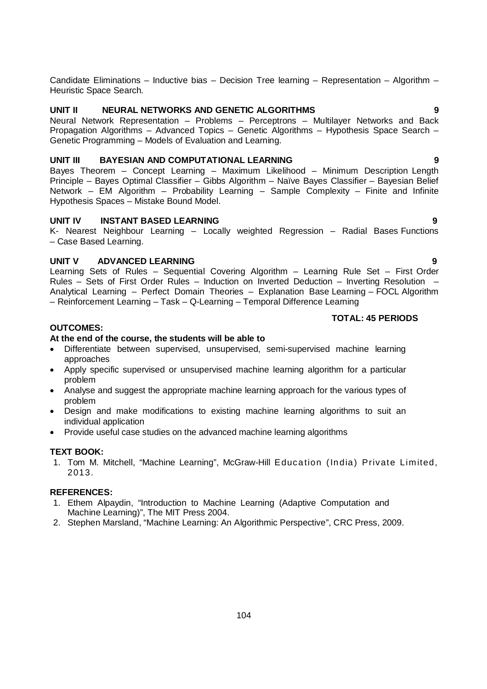Candidate Eliminations – Inductive bias – Decision Tree learning – Representation – Algorithm – Heuristic Space Search.

# **UNIT II NEURAL NETWORKS AND GENETIC ALGORITHMS 9**

Neural Network Representation – Problems – Perceptrons – Multilayer Networks and Back Propagation Algorithms – Advanced Topics – Genetic Algorithms – Hypothesis Space Search – Genetic Programming – Models of Evaluation and Learning.

# **UNIT III BAYESIAN AND COMPUTATIONAL LEARNING 9**

Bayes Theorem – Concept Learning – Maximum Likelihood – Minimum Description Length Principle – Bayes Optimal Classifier – Gibbs Algorithm – Naïve Bayes Classifier – Bayesian Belief Network – EM Algorithm – Probability Learning – Sample Complexity – Finite and Infinite Hypothesis Spaces – Mistake Bound Model.

# **UNIT IV INSTANT BASED LEARNING 9**

K- Nearest Neighbour Learning – Locally weighted Regression – Radial Bases Functions – Case Based Learning.

# **UNIT V ADVANCED LEARNING 9**

Learning Sets of Rules – Sequential Covering Algorithm – Learning Rule Set – First Order Rules – Sets of First Order Rules – Induction on Inverted Deduction – Inverting Resolution – Analytical Learning – Perfect Domain Theories – Explanation Base Learning – FOCL Algorithm – Reinforcement Learning – Task – Q-Learning – Temporal Difference Learning

# **TOTAL: 45 PERIODS**

# **OUTCOMES:**

# **At the end of the course, the students will be able to**

- Differentiate between supervised, unsupervised, semi-supervised machine learning approaches
- Apply specific supervised or unsupervised machine learning algorithm for a particular problem
- Analyse and suggest the appropriate machine learning approach for the various types of problem
- Design and make modifications to existing machine learning algorithms to suit an individual application
- Provide useful case studies on the advanced machine learning algorithms

# **TEXT BOOK:**

1. Tom M. Mitchell, "Machine Learning", McGraw-Hill Education (India) Private Limited, 2013.

# **REFERENCES:**

- 1. Ethem Alpaydin, "Introduction to Machine Learning (Adaptive Computation and Machine Learning)", The MIT Press 2004.
- 2. Stephen Marsland, "Machine Learning: An Algorithmic Perspective", CRC Press, 2009.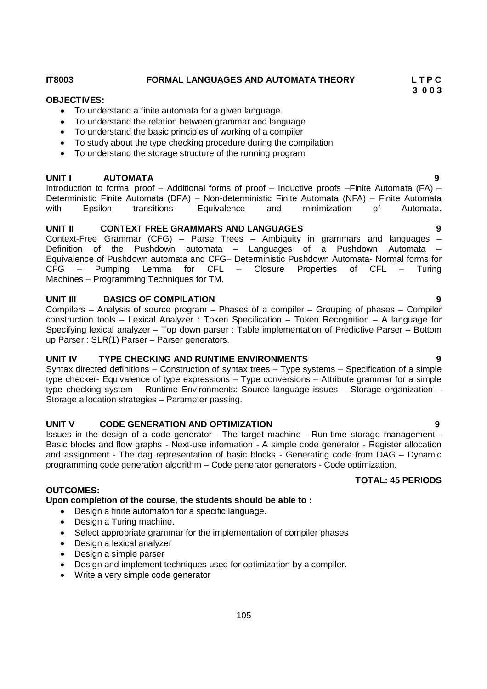# **IT8003 FORMAL LANGUAGES AND AUTOMATA THEORY L T P C**

### **OBJECTIVES:**

- To understand a finite automata for a given language.
- To understand the relation between grammar and language
- To understand the basic principles of working of a compiler
- To study about the type checking procedure during the compilation
- To understand the storage structure of the running program

# **UNIT I AUTOMATA 9**

Introduction to formal proof – Additional forms of proof – Inductive proofs –Finite Automata (FA) – Deterministic Finite Automata (DFA) – Non-deterministic Finite Automata (NFA) – Finite Automata with Epsilon transitions- Equivalence and minimization of Automata**.**

# **UNIT II CONTEXT FREE GRAMMARS AND LANGUAGES 9**

Context-Free Grammar (CFG) – Parse Trees – Ambiguity in grammars and languages – Definition of the Pushdown automata – Languages of a Pushdown Automata – Equivalence of Pushdown automata and CFG– Deterministic Pushdown Automata- Normal forms for CFG – Pumping Lemma for CFL – Closure Properties of CFL – Turing Machines – Programming Techniques for TM.

### **UNIT III BASICS OF COMPILATION 9**

Compilers – Analysis of source program – Phases of a compiler – Grouping of phases – Compiler construction tools – Lexical Analyzer : Token Specification – Token Recognition – A language for Specifying lexical analyzer – Top down parser : Table implementation of Predictive Parser – Bottom up Parser : SLR(1) Parser – Parser generators.

# **UNIT IV TYPE CHECKING AND RUNTIME ENVIRONMENTS 9**

Syntax directed definitions – Construction of syntax trees – Type systems – Specification of a simple type checker- Equivalence of type expressions – Type conversions – Attribute grammar for a simple type checking system – Runtime Environments: Source language issues – Storage organization – Storage allocation strategies – Parameter passing.

### **UNIT V CODE GENERATION AND OPTIMIZATION 9**

Issues in the design of a code generator - The target machine - Run-time storage management - Basic blocks and flow graphs - Next-use information - A simple code generator - Register allocation and assignment - The dag representation of basic blocks - Generating code from DAG – Dynamic programming code generation algorithm – Code generator generators - Code optimization.

### **TOTAL: 45 PERIODS**

# **OUTCOMES:**

**Upon completion of the course, the students should be able to :**

- Design a finite automaton for a specific language.
- Design a Turing machine.
- Select appropriate grammar for the implementation of compiler phases
- Design a lexical analyzer
- Design a simple parser
- Design and implement techniques used for optimization by a compiler.
- Write a very simple code generator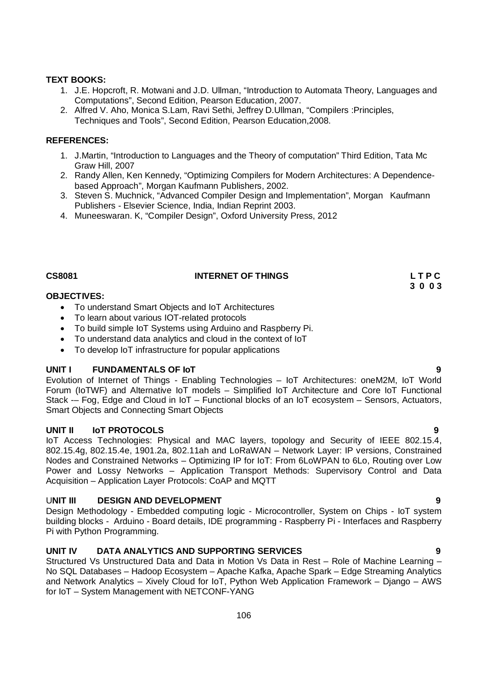# **TEXT BOOKS:**

- 1. J.E. Hopcroft, R. Motwani and J.D. Ullman, "Introduction to Automata Theory, Languages and Computations", Second Edition, Pearson Education, 2007.
- 2. Alfred V. Aho, Monica S.Lam, Ravi Sethi, Jeffrey D.Ullman, "Compilers :Principles, Techniques and Tools", Second Edition, Pearson Education,2008.

# **REFERENCES:**

- 1. J.Martin, "Introduction to Languages and the Theory of computation" Third Edition, Tata Mc Graw Hill, 2007
- 2. Randy Allen, Ken Kennedy, "Optimizing Compilers for Modern Architectures: A Dependencebased Approach", Morgan Kaufmann Publishers, 2002.
- 3. Steven S. Muchnick, "Advanced Compiler Design and Implementation", Morgan Kaufmann Publishers - Elsevier Science, India, Indian Reprint 2003.
- 4. Muneeswaran. K, "Compiler Design", Oxford University Press, 2012

# **CS8081 INTERNET OF THINGS L T P C**

# **OBJECTIVES:**

- To understand Smart Objects and IoT Architectures
- To learn about various IOT-related protocols
- To build simple IoT Systems using Arduino and Raspberry Pi.
- To understand data analytics and cloud in the context of IoT
- To develop IoT infrastructure for popular applications

# **UNIT I FUNDAMENTALS OF IoT 9**

Evolution of Internet of Things - Enabling Technologies – IoT Architectures: oneM2M, IoT World Forum (IoTWF) and Alternative IoT models – Simplified IoT Architecture and Core IoT Functional Stack -– Fog, Edge and Cloud in IoT – Functional blocks of an IoT ecosystem – Sensors, Actuators, Smart Objects and Connecting Smart Objects

# **UNIT II IoT PROTOCOLS 9**

IoT Access Technologies: Physical and MAC layers, topology and Security of IEEE 802.15.4, 802.15.4g, 802.15.4e, 1901.2a, 802.11ah and LoRaWAN – Network Layer: IP versions, Constrained Nodes and Constrained Networks – Optimizing IP for IoT: From 6LoWPAN to 6Lo, Routing over Low Power and Lossy Networks – Application Transport Methods: Supervisory Control and Data Acquisition – Application Layer Protocols: CoAP and MQTT

# U**NIT III DESIGN AND DEVELOPMENT 9**

Design Methodology - Embedded computing logic - Microcontroller, System on Chips - IoT system building blocks - Arduino - Board details, IDE programming - Raspberry Pi - Interfaces and Raspberry Pi with Python Programming.

# **UNIT IV DATA ANALYTICS AND SUPPORTING SERVICES 9**

Structured Vs Unstructured Data and Data in Motion Vs Data in Rest – Role of Machine Learning – No SQL Databases – Hadoop Ecosystem – Apache Kafka, Apache Spark – Edge Streaming Analytics and Network Analytics – Xively Cloud for IoT, Python Web Application Framework – Django – AWS for IoT – System Management with NETCONF-YANG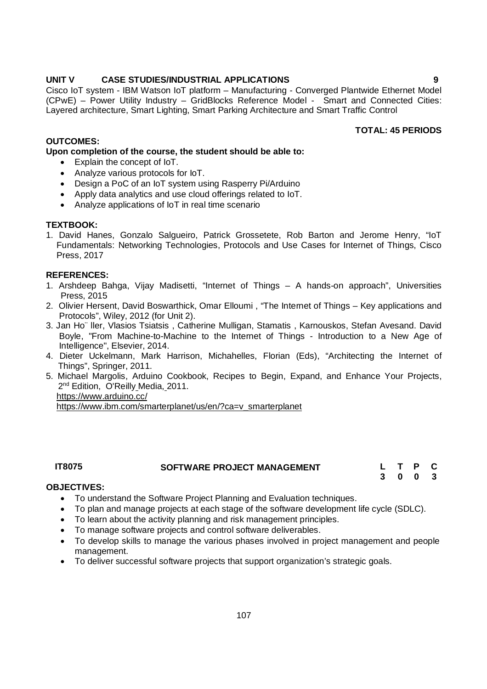# **UNIT V CASE STUDIES/INDUSTRIAL APPLICATIONS 9**

Cisco IoT system - IBM Watson IoT platform – Manufacturing - Converged Plantwide Ethernet Model (CPwE) – Power Utility Industry – GridBlocks Reference Model - Smart and Connected Cities: Layered architecture, Smart Lighting, Smart Parking Architecture and Smart Traffic Control

# **OUTCOMES:**

**Upon completion of the course, the student should be able to:** 

- Explain the concept of IoT.
- Analyze various protocols for IoT.
- Design a PoC of an IoT system using Rasperry Pi/Arduino
- Apply data analytics and use cloud offerings related to IoT.
- Analyze applications of IoT in real time scenario

# **TEXTBOOK:**

1. David Hanes, Gonzalo Salgueiro, Patrick Grossetete, Rob Barton and Jerome Henry, "IoT Fundamentals: Networking Technologies, Protocols and Use Cases for Internet of Things, Cisco Press, 2017

# **REFERENCES:**

- 1. Arshdeep Bahga, Vijay Madisetti, "Internet of Things A hands-on approach", Universities Press, 2015
- 2. Olivier Hersent, David Boswarthick, Omar Elloumi , "The Internet of Things Key applications and Protocols", Wiley, 2012 (for Unit 2).
- 3. Jan Ho¨ ller, Vlasios Tsiatsis , Catherine Mulligan, Stamatis , Karnouskos, Stefan Avesand. David Boyle, "From Machine-to-Machine to the Internet of Things - Introduction to a New Age of Intelligence", Elsevier, 2014.
- 4. Dieter Uckelmann, Mark Harrison, Michahelles, Florian (Eds), "Architecting the Internet of Things", Springer, 2011.
- 5. Michael Margolis, Arduino Cookbook, Recipes to Begin, Expand, and Enhance Your Projects, 2<sup>nd</sup> Edition, O'Reilly Media, 2011. https://www.arduino.cc/

https://www.ibm.com/smarterplanet/us/en/?ca=v\_smarterplanet

# **IT8075 SOFTWARE PROJECT MANAGEMENT L T P C**

**3 0 0 3**

# **OBJECTIVES:**

- To understand the Software Project Planning and Evaluation techniques.
- To plan and manage projects at each stage of the software development life cycle (SDLC).
- To learn about the activity planning and risk management principles.
- To manage software projects and control software deliverables.
- To develop skills to manage the various phases involved in project management and people management.
- To deliver successful software projects that support organization's strategic goals.

**TOTAL: 45 PERIODS**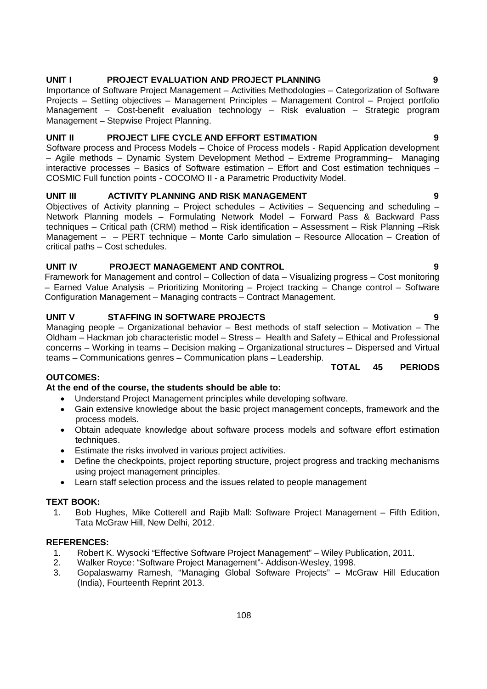# **UNIT IV PROJECT MANAGEMENT AND CONTROL 9**

Framework for Management and control – Collection of data – Visualizing progress – Cost monitoring – Earned Value Analysis – Prioritizing Monitoring – Project tracking – Change control – Software Configuration Management – Managing contracts – Contract Management.

# **UNIT V STAFFING IN SOFTWARE PROJECTS 9**

Managing people – Organizational behavior – Best methods of staff selection – Motivation – The Oldham – Hackman job characteristic model – Stress – Health and Safety – Ethical and Professional concerns – Working in teams – Decision making – Organizational structures – Dispersed and Virtual teams – Communications genres – Communication plans – Leadership.

# **OUTCOMES:**

# **At the end of the course, the students should be able to:**

- Understand Project Management principles while developing software.
- Gain extensive knowledge about the basic project management concepts, framework and the process models.
- Obtain adequate knowledge about software process models and software effort estimation techniques.
- Estimate the risks involved in various project activities.
- Define the checkpoints, project reporting structure, project progress and tracking mechanisms using project management principles.
- Learn staff selection process and the issues related to people management

### **TEXT BOOK:**

1. Bob Hughes, Mike Cotterell and Rajib Mall: Software Project Management – Fifth Edition, Tata McGraw Hill, New Delhi, 2012.

### **REFERENCES:**

- 1. Robert K. Wysocki "Effective Software Project Management" Wiley Publication, 2011.
- 2. Walker Royce: "Software Project Management"- Addison-Wesley, 1998.
- 3. Gopalaswamy Ramesh, "Managing Global Software Projects" McGraw Hill Education (India), Fourteenth Reprint 2013.

### **UNIT II PROJECT LIFE CYCLE AND EFFORT ESTIMATION 9**

Software process and Process Models – Choice of Process models - Rapid Application development – Agile methods – Dynamic System Development Method – Extreme Programming– Managing interactive processes – Basics of Software estimation – Effort and Cost estimation techniques – COSMIC Full function points - COCOMO II - a Parametric Productivity Model.

### **UNIT III ACTIVITY PLANNING AND RISK MANAGEMENT 9**

Objectives of Activity planning – Project schedules – Activities – Sequencing and scheduling – Network Planning models – Formulating Network Model – Forward Pass & Backward Pass techniques – Critical path (CRM) method – Risk identification – Assessment – Risk Planning –Risk Management – – PERT technique – Monte Carlo simulation – Resource Allocation – Creation of critical paths – Cost schedules.

Importance of Software Project Management – Activities Methodologies – Categorization of Software Projects – Setting objectives – Management Principles – Management Control – Project portfolio Management – Cost-benefit evaluation technology – Risk evaluation – Strategic program Management – Stepwise Project Planning.

# **UNIT I PROJECT EVALUATION AND PROJECT PLANNING 9**

# **TOTAL 45 PERIODS**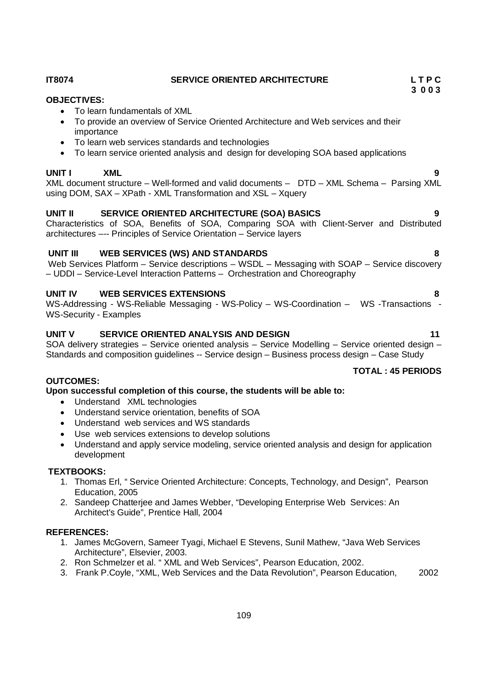# 109

# **IT8074 SERVICE ORIENTED ARCHITECTURE L T P C**

# **OBJECTIVES:**

- To learn fundamentals of XML
- To provide an overview of Service Oriented Architecture and Web services and their importance
- To learn web services standards and technologies
- To learn service oriented analysis and design for developing SOA based applications

# **UNIT I XML 9**

XML document structure – Well-formed and valid documents – DTD – XML Schema – Parsing XML using DOM, SAX – XPath - XML Transformation and XSL – Xquery

# **UNIT II SERVICE ORIENTED ARCHITECTURE (SOA) BASICS 9**

Characteristics of SOA, Benefits of SOA, Comparing SOA with Client-Server and Distributed architectures –-- Principles of Service Orientation – Service layers

# **UNIT III WEB SERVICES (WS) AND STANDARDS 8**

Web Services Platform – Service descriptions – WSDL – Messaging with SOAP – Service discovery – UDDI – Service-Level Interaction Patterns – Orchestration and Choreography

# **UNIT IV WEB SERVICES EXTENSIONS 8**

WS-Addressing - WS-Reliable Messaging - WS-Policy – WS-Coordination – WS -Transactions - WS-Security - Examples

# UNIT V SERVICE ORIENTED ANALYSIS AND DESIGN 41

SOA delivery strategies – Service oriented analysis – Service Modelling – Service oriented design – Standards and composition guidelines -- Service design – Business process design – Case Study

# **TOTAL : 45 PERIODS**

### **OUTCOMES:**

**Upon successful completion of this course, the students will be able to:**

- Understand XML technologies
- Understand service orientation, benefits of SOA
- Understand web services and WS standards
- Use web services extensions to develop solutions
- Understand and apply service modeling, service oriented analysis and design for application development

### **TEXTBOOKS:**

- 1. Thomas Erl, " Service Oriented Architecture: Concepts, Technology, and Design", Pearson Education, 2005
- 2. Sandeep Chatterjee and James Webber, "Developing Enterprise Web Services: An Architect's Guide", Prentice Hall, 2004

### **REFERENCES:**

- 1. James McGovern, Sameer Tyagi, Michael E Stevens, Sunil Mathew, "Java Web Services Architecture", Elsevier, 2003.
- 2. Ron Schmelzer et al. " XML and Web Services", Pearson Education, 2002.
- 3. Frank P.Coyle, "XML, Web Services and the Data Revolution", Pearson Education, 2002

 **3 0 0 3**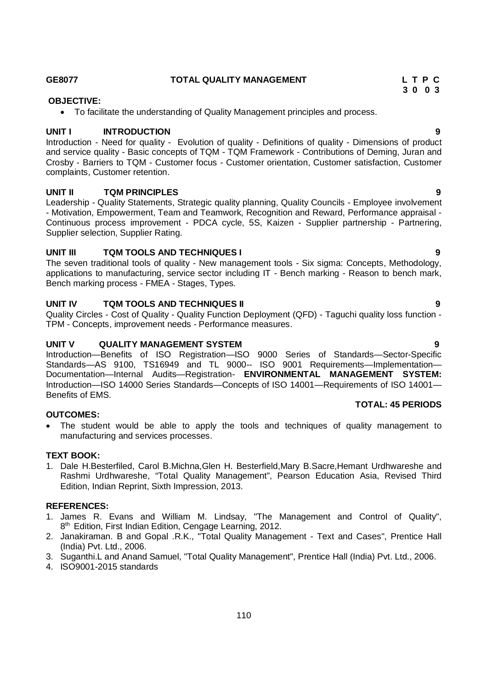### **GE8077 TOTAL QUALITY MANAGEMENT L T P C**

# **OBJECTIVE:**

To facilitate the understanding of Quality Management principles and process.

# **UNIT I INTRODUCTION 9**

Introduction - Need for quality - Evolution of quality - Definitions of quality - Dimensions of product and service quality - Basic concepts of TQM - TQM Framework - Contributions of Deming, Juran and Crosby - Barriers to TQM - Customer focus - Customer orientation, Customer satisfaction, Customer complaints, Customer retention.

# **UNIT II TQM PRINCIPLES 9**

Leadership - Quality Statements, Strategic quality planning, Quality Councils - Employee involvement - Motivation, Empowerment, Team and Teamwork, Recognition and Reward, Performance appraisal - Continuous process improvement - PDCA cycle, 5S, Kaizen - Supplier partnership - Partnering, Supplier selection, Supplier Rating.

# **UNIT III TQM TOOLS AND TECHNIQUES I 9**

The seven traditional tools of quality - New management tools - Six sigma: Concepts, Methodology, applications to manufacturing, service sector including IT - Bench marking - Reason to bench mark, Bench marking process - FMEA - Stages, Types.

# **UNIT IV TQM TOOLS AND TECHNIQUES II 9**

Quality Circles - Cost of Quality - Quality Function Deployment (QFD) - Taguchi quality loss function - TPM - Concepts, improvement needs - Performance measures.

# **UNIT V QUALITY MANAGEMENT SYSTEM 9**

Introduction—Benefits of ISO Registration—ISO 9000 Series of Standards—Sector-Specific Standards—AS 9100, TS16949 and TL 9000-- ISO 9001 Requirements—Implementation— Documentation—Internal Audits—Registration- **ENVIRONMENTAL MANAGEMENT SYSTEM:**  Introduction—ISO 14000 Series Standards—Concepts of ISO 14001—Requirements of ISO 14001— Benefits of EMS.

### **OUTCOMES:**

• The student would be able to apply the tools and techniques of quality management to manufacturing and services processes.

# **TEXT BOOK:**

1. Dale H.Besterfiled, Carol B.Michna,Glen H. Besterfield,Mary B.Sacre,Hemant Urdhwareshe and Rashmi Urdhwareshe, "Total Quality Management", Pearson Education Asia, Revised Third Edition, Indian Reprint, Sixth Impression, 2013.

### **REFERENCES:**

- 1. James R. Evans and William M. Lindsay, "The Management and Control of Quality", 8<sup>th</sup> Edition, First Indian Edition, Cengage Learning, 2012.
- 2. Janakiraman. B and Gopal .R.K., "Total Quality Management Text and Cases", Prentice Hall (India) Pvt. Ltd., 2006.
- 3. Suganthi.L and Anand Samuel, "Total Quality Management", Prentice Hall (India) Pvt. Ltd., 2006.
- 4. ISO9001-2015 standards

### **TOTAL: 45 PERIODS**

 **3 0 0 3**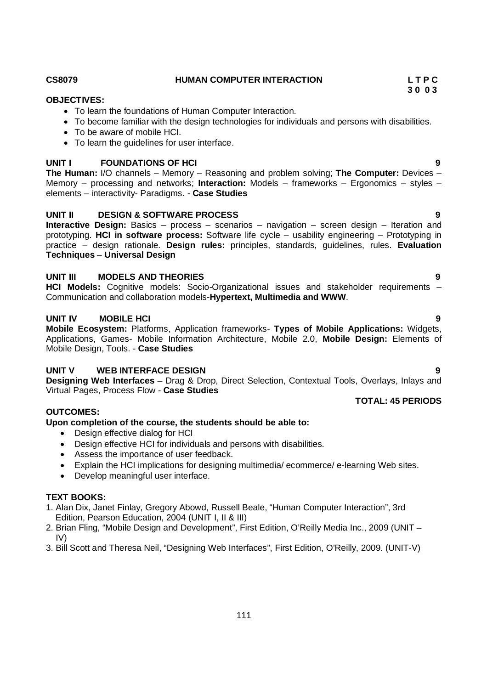**Interactive Design:** Basics – process – scenarios – navigation – screen design – Iteration and prototyping. **HCI in software process:** Software life cycle – usability engineering – Prototyping in practice – design rationale. **Design rules:** principles, standards, guidelines, rules. **Evaluation Techniques** – **Universal Design**

**UNIT II DESIGN & SOFTWARE PROCESS 9**

• To become familiar with the design technologies for individuals and persons with disabilities.

**UNIT I FOUNDATIONS OF HCI 9 The Human:** I/O channels – Memory – Reasoning and problem solving; **The Computer:** Devices –

### **UNIT III MODELS AND THEORIES 9**

To be aware of mobile HCI.

• To learn the quidelines for user interface.

elements – interactivity- Paradigms. - **Case Studies**

**HCI Models:** Cognitive models: Socio-Organizational issues and stakeholder requirements – Communication and collaboration models-**Hypertext, Multimedia and WWW**.

# **UNIT IV MOBILE HCI** 9

**Mobile Ecosystem:** Platforms, Application frameworks- **Types of Mobile Applications:** Widgets, Applications, Games- Mobile Information Architecture, Mobile 2.0, **Mobile Design:** Elements of Mobile Design, Tools. - **Case Studies**

### **UNIT V WEB INTERFACE DESIGN 9**

**Designing Web Interfaces** – Drag & Drop, Direct Selection, Contextual Tools, Overlays, Inlays and Virtual Pages, Process Flow - **Case Studies**

#### **OUTCOMES:**

# **Upon completion of the course, the students should be able to:**

- Design effective dialog for HCI
- Design effective HCI for individuals and persons with disabilities.
- Assess the importance of user feedback.
- Explain the HCI implications for designing multimedia/ ecommerce/ e-learning Web sites.
- Develop meaningful user interface.

# **TEXT BOOKS:**

- 1. Alan Dix, Janet Finlay, Gregory Abowd, Russell Beale, "Human Computer Interaction", 3rd Edition, Pearson Education, 2004 (UNIT I, II & III)
- 2. Brian Fling, "Mobile Design and Development", First Edition, O'Reilly Media Inc., 2009 (UNIT IV)
- 3. Bill Scott and Theresa Neil, "Designing Web Interfaces", First Edition, O'Reilly, 2009. (UNIT-V)

# **CS8079 HUMAN COMPUTER INTERACTION L T P C**

To learn the foundations of Human Computer Interaction.

**OBJECTIVES:**

 **3 0 0 3**

# Memory – processing and networks; **Interaction:** Models – frameworks – Ergonomics – styles –

# **TOTAL: 45 PERIODS**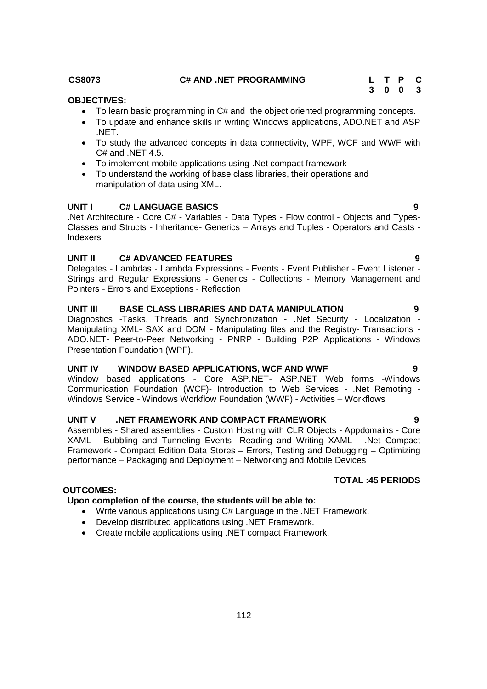To learn basic programming in C# and the object oriented programming concepts. To update and enhance skills in writing Windows applications, ADO.NET and ASP

To study the advanced concepts in data connectivity, WPF, WCF and WWF with

 To implement mobile applications using .Net compact framework To understand the working of base class libraries, their operations and manipulation of data using XML.

# **UNIT I C# LANGUAGE BASICS**

C# and .NET 4.5.

.Net Architecture - Core C# - Variables - Data Types - Flow control - Objects and Types-Classes and Structs - Inheritance- Generics – Arrays and Tuples - Operators and Casts - Indexers

# **UNIT II C# ADVANCED FEATURES 9**

Delegates - Lambdas - Lambda Expressions - Events - Event Publisher - Event Listener -Strings and Regular Expressions - Generics - Collections - Memory Management and Pointers - Errors and Exceptions - Reflection

# **UNIT III BASE CLASS LIBRARIES AND DATA MANIPULATION 9**

Diagnostics -Tasks, Threads and Synchronization - .Net Security - Localization - Manipulating XML- SAX and DOM - Manipulating files and the Registry- Transactions - ADO.NET- Peer-to-Peer Networking - PNRP - Building P2P Applications - Windows Presentation Foundation (WPF).

# UNIT IV WINDOW BASED APPLICATIONS, WCF AND WWF 9

Window based applications - Core ASP.NET- ASP.NET Web forms -Windows Communication Foundation (WCF)- Introduction to Web Services - .Net Remoting - Windows Service - Windows Workflow Foundation (WWF) - Activities – Workflows

# **UNIT V .NET FRAMEWORK AND COMPACT FRAMEWORK 9**

Assemblies - Shared assemblies - Custom Hosting with CLR Objects - Appdomains - Core XAML - Bubbling and Tunneling Events- Reading and Writing XAML - .Net Compact Framework - Compact Edition Data Stores – Errors, Testing and Debugging – Optimizing performance – Packaging and Deployment – Networking and Mobile Devices

# **TOTAL :45 PERIODS**

# **OUTCOMES:**

# **Upon completion of the course, the students will be able to:**

- Write various applications using C# Language in the .NET Framework.
- Develop distributed applications using .NET Framework.
- Create mobile applications using .NET compact Framework.

# **CS8073 C# AND .NET PROGRAMMING L T P C**

 **OBJECTIVES:**

.NET.

**3 0 0 3**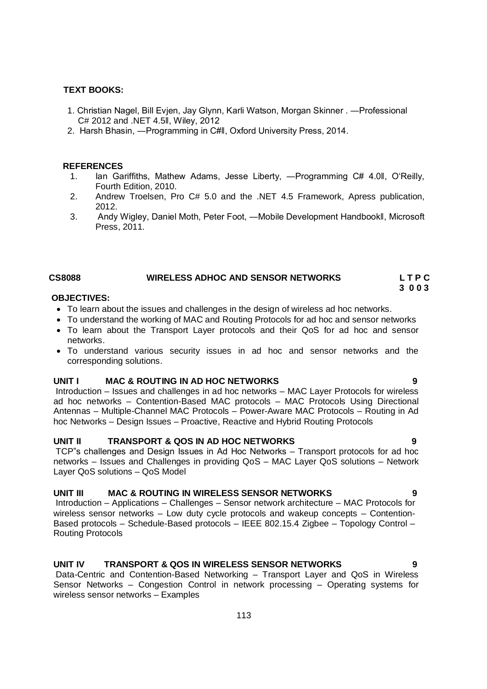#### **TEXT BOOKS:**

- 1. Christian Nagel, Bill Evjen, Jay Glynn, Karli Watson, Morgan Skinner . ―Professional C# 2012 and .NET 4.5ǁ, Wiley, 2012
- 2. Harsh Bhasin, ―Programming in C#ǁ, Oxford University Press, 2014.

#### **REFERENCES**

- 1. Ian Gariffiths, Mathew Adams, Jesse Liberty, ―Programming C# 4.0ǁ, O'Reilly, Fourth Edition, 2010.
- 2. Andrew Troelsen, Pro C# 5.0 and the .NET 4.5 Framework, Apress publication, 2012.
- 3. Andy Wigley, Daniel Moth, Peter Foot, ―Mobile Development Handbookǁ, Microsoft Press, 2011.

# CS8088 **WIRELESS ADHOC AND SENSOR NETWORKS** L T P C

#### **3 0 0 3 OBJECTIVES:**

- To learn about the issues and challenges in the design of wireless ad hoc networks.
- To understand the working of MAC and Routing Protocols for ad hoc and sensor networks
- To learn about the Transport Laver protocols and their QoS for ad hoc and sensor networks.
- To understand various security issues in ad hoc and sensor networks and the corresponding solutions.

#### **UNIT I MAC & ROUTING IN AD HOC NETWORKS 9**

Introduction – Issues and challenges in ad hoc networks – MAC Layer Protocols for wireless ad hoc networks – Contention-Based MAC protocols – MAC Protocols Using Directional Antennas – Multiple-Channel MAC Protocols – Power-Aware MAC Protocols – Routing in Ad hoc Networks – Design Issues – Proactive, Reactive and Hybrid Routing Protocols

### **UNIT II TRANSPORT & QOS IN AD HOC NETWORKS 9**

TCP"s challenges and Design Issues in Ad Hoc Networks – Transport protocols for ad hoc networks – Issues and Challenges in providing QoS – MAC Layer QoS solutions – Network Layer QoS solutions – QoS Model

#### **UNIT III MAC & ROUTING IN WIRELESS SENSOR NETWORKS 9**

Introduction – Applications – Challenges – Sensor network architecture – MAC Protocols for wireless sensor networks – Low duty cycle protocols and wakeup concepts – Contention-Based protocols – Schedule-Based protocols – IEEE 802.15.4 Zigbee – Topology Control – Routing Protocols

### **UNIT IV TRANSPORT & QOS IN WIRELESS SENSOR NETWORKS 9**

Data-Centric and Contention-Based Networking – Transport Layer and QoS in Wireless Sensor Networks – Congestion Control in network processing – Operating systems for wireless sensor networks – Examples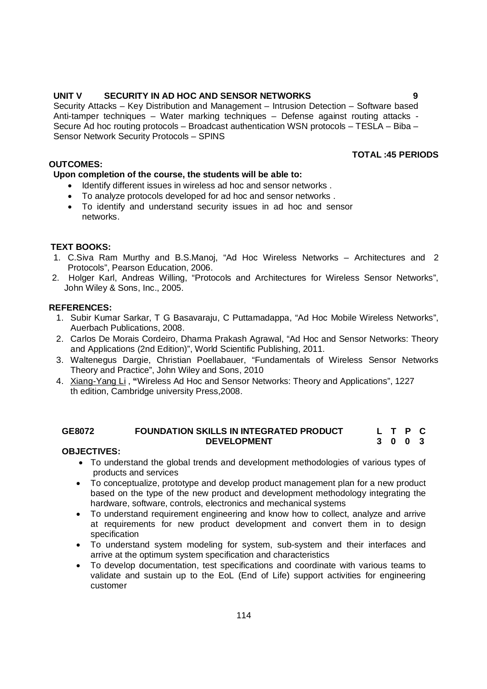# **UNIT V SECURITY IN AD HOC AND SENSOR NETWORKS 9**

Security Attacks – Key Distribution and Management – Intrusion Detection – Software based Anti-tamper techniques – Water marking techniques – Defense against routing attacks - Secure Ad hoc routing protocols – Broadcast authentication WSN protocols – TESLA – Biba – Sensor Network Security Protocols – SPINS

### **OUTCOMES:**

# **TOTAL :45 PERIODS**

# **Upon completion of the course, the students will be able to:**

- Identify different issues in wireless ad hoc and sensor networks.
- To analyze protocols developed for ad hoc and sensor networks .
- To identify and understand security issues in ad hoc and sensor networks.

# **TEXT BOOKS:**

- 1. C.Siva Ram Murthy and B.S.Manoj, "Ad Hoc Wireless Networks Architectures and 2. Protocols", Pearson Education, 2006.
- 2. Holger Karl, Andreas Willing, "Protocols and Architectures for Wireless Sensor Networks", John Wiley & Sons, Inc., 2005.

### **REFERENCES:**

- 1. Subir Kumar Sarkar, T G Basavaraju, C Puttamadappa, "Ad Hoc Mobile Wireless Networks", Auerbach Publications, 2008.
- 2. Carlos De Morais Cordeiro, Dharma Prakash Agrawal, "Ad Hoc and Sensor Networks: Theory and Applications (2nd Edition)", World Scientific Publishing, 2011.
- 3. Waltenegus Dargie, Christian Poellabauer, "Fundamentals of Wireless Sensor Networks Theory and Practice", John Wiley and Sons, 2010
- 4. Xiang-Yang Li , **"**Wireless Ad Hoc and Sensor Networks: Theory and Applications", 1227 th edition, Cambridge university Press,2008.

#### **GE8072 FOUNDATION SKILLS IN INTEGRATED PRODUCT DEVELOPMENT L T P C 3 0 0 3**

### **OBJECTIVES:**

- To understand the global trends and development methodologies of various types of products and services
- To conceptualize, prototype and develop product management plan for a new product based on the type of the new product and development methodology integrating the hardware, software, controls, electronics and mechanical systems
- To understand requirement engineering and know how to collect, analyze and arrive at requirements for new product development and convert them in to design specification
- To understand system modeling for system, sub-system and their interfaces and arrive at the optimum system specification and characteristics
- To develop documentation, test specifications and coordinate with various teams to validate and sustain up to the EoL (End of Life) support activities for engineering customer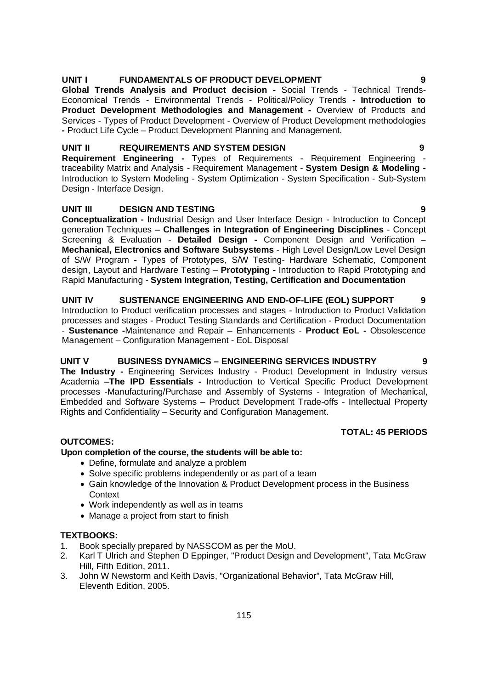# **UNIT I FUNDAMENTALS OF PRODUCT DEVELOPMENT 9**

**Global Trends Analysis and Product decision -** Social Trends - Technical Trends-Economical Trends - Environmental Trends - Political/Policy Trends **- Introduction to Product Development Methodologies and Management -** Overview of Products and Services - Types of Product Development - Overview of Product Development methodologies **-** Product Life Cycle – Product Development Planning and Management.

# **UNIT II REQUIREMENTS AND SYSTEM DESIGN 9**

**Requirement Engineering -** Types of Requirements - Requirement Engineering traceability Matrix and Analysis - Requirement Management - **System Design & Modeling -** Introduction to System Modeling - System Optimization - System Specification - Sub-System Design - Interface Design.

# **UNIT III DESIGN AND TESTING 9**

**Conceptualization -** Industrial Design and User Interface Design - Introduction to Concept generation Techniques – **Challenges in Integration of Engineering Disciplines** - Concept Screening & Evaluation - **Detailed Design -** Component Design and Verification – **Mechanical, Electronics and Software Subsystems** - High Level Design/Low Level Design of S/W Program **-** Types of Prototypes, S/W Testing- Hardware Schematic, Component design, Layout and Hardware Testing – **Prototyping -** Introduction to Rapid Prototyping and Rapid Manufacturing - **System Integration, Testing, Certification and Documentation**

**UNIT IV SUSTENANCE ENGINEERING AND END-OF-LIFE (EOL) SUPPORT 9** Introduction to Product verification processes and stages - Introduction to Product Validation processes and stages - Product Testing Standards and Certification - Product Documentation - **Sustenance -**Maintenance and Repair – Enhancements - **Product EoL -** Obsolescence Management – Configuration Management - EoL Disposal

# **UNIT V BUSINESS DYNAMICS – ENGINEERING SERVICES INDUSTRY 9**

**The Industry -** Engineering Services Industry - Product Development in Industry versus Academia –**The IPD Essentials -** Introduction to Vertical Specific Product Development processes -Manufacturing/Purchase and Assembly of Systems - Integration of Mechanical, Embedded and Software Systems – Product Development Trade-offs - Intellectual Property Rights and Confidentiality – Security and Configuration Management.

# **TOTAL: 45 PERIODS**

# **OUTCOMES:**

# **Upon completion of the course, the students will be able to:**

- Define, formulate and analyze a problem
- Solve specific problems independently or as part of a team
- Gain knowledge of the Innovation & Product Development process in the Business Context
- Work independently as well as in teams
- Manage a project from start to finish

### **TEXTBOOKS:**

- 1. Book specially prepared by NASSCOM as per the MoU.
- 2. Karl T Ulrich and Stephen D Eppinger, "Product Design and Development", Tata McGraw Hill, Fifth Edition, 2011.
- 3. John W Newstorm and Keith Davis, "Organizational Behavior", Tata McGraw Hill, Eleventh Edition, 2005.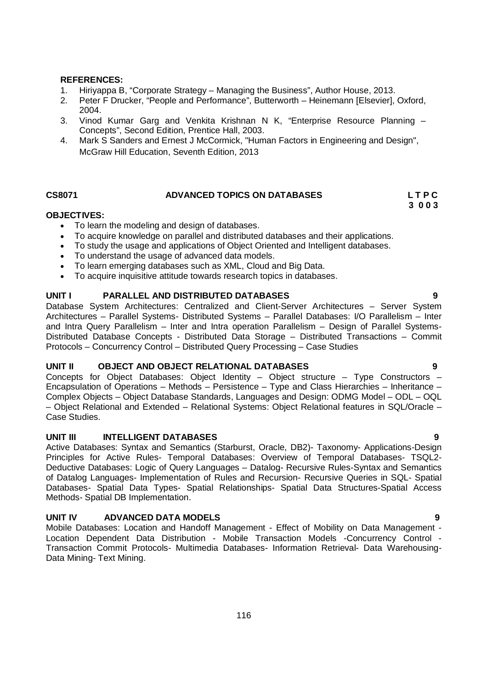#### **REFERENCES:**

- 1. Hiriyappa B, "Corporate Strategy Managing the Business", Author House, 2013.
- 2. Peter F Drucker, "People and Performance", Butterworth Heinemann [Elsevier], Oxford, 2004.
- 3. Vinod Kumar Garg and Venkita Krishnan N K, "Enterprise Resource Planning Concepts", Second Edition, Prentice Hall, 2003.
- 4. Mark S Sanders and Ernest J McCormick, "Human Factors in Engineering and Design", McGraw Hill Education, Seventh Edition, 2013

### **CS8071 ADVANCED TOPICS ON DATABASES L T P C**

# **3 0 0 3**

### **OBJECTIVES:**

- To learn the modeling and design of databases.
- To acquire knowledge on parallel and distributed databases and their applications.
- To study the usage and applications of Object Oriented and Intelligent databases.
- To understand the usage of advanced data models.
- To learn emerging databases such as XML, Cloud and Big Data.
- To acquire inquisitive attitude towards research topics in databases.

# **UNIT I PARALLEL AND DISTRIBUTED DATABASES 9**

Database System Architectures: Centralized and Client-Server Architectures – Server System Architectures – Parallel Systems- Distributed Systems – Parallel Databases: I/O Parallelism – Inter and Intra Query Parallelism – Inter and Intra operation Parallelism – Design of Parallel Systems-Distributed Database Concepts - Distributed Data Storage – Distributed Transactions – Commit Protocols – Concurrency Control – Distributed Query Processing – Case Studies

### **UNIT II OBJECT AND OBJECT RELATIONAL DATABASES 9**

Concepts for Object Databases: Object Identity – Object structure – Type Constructors – Encapsulation of Operations – Methods – Persistence – Type and Class Hierarchies – Inheritance – Complex Objects – Object Database Standards, Languages and Design: ODMG Model – ODL – OQL – Object Relational and Extended – Relational Systems: Object Relational features in SQL/Oracle – Case Studies.

### **UNIT III INTELLIGENT DATABASES 9**

Active Databases: Syntax and Semantics (Starburst, Oracle, DB2)- Taxonomy- Applications-Design Principles for Active Rules- Temporal Databases: Overview of Temporal Databases- TSQL2- Deductive Databases: Logic of Query Languages – Datalog- Recursive Rules-Syntax and Semantics of Datalog Languages- Implementation of Rules and Recursion- Recursive Queries in SQL- Spatial Databases- Spatial Data Types- Spatial Relationships- Spatial Data Structures-Spatial Access Methods- Spatial DB Implementation.

# **UNIT IV ADVANCED DATA MODELS 9**

Mobile Databases: Location and Handoff Management - Effect of Mobility on Data Management - Location Dependent Data Distribution - Mobile Transaction Models -Concurrency Control - Transaction Commit Protocols- Multimedia Databases- Information Retrieval- Data Warehousing-Data Mining- Text Mining.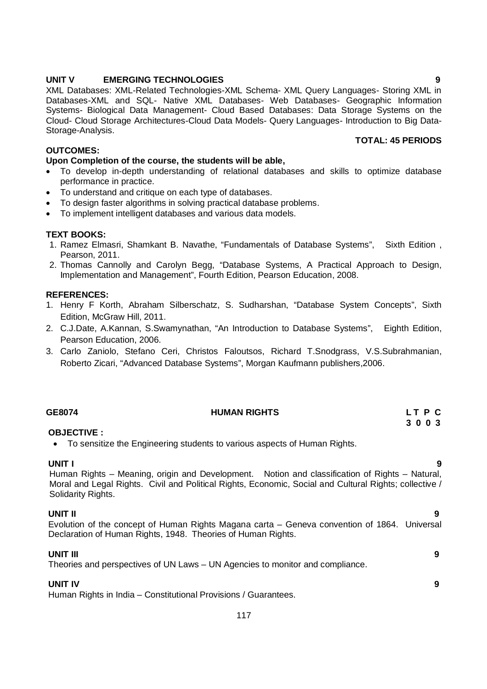### **UNIT V EMERGING TECHNOLOGIES 9**

XML Databases: XML-Related Technologies-XML Schema- XML Query Languages- Storing XML in Databases-XML and SQL- Native XML Databases- Web Databases- Geographic Information Systems- Biological Data Management- Cloud Based Databases: Data Storage Systems on the Cloud- Cloud Storage Architectures-Cloud Data Models- Query Languages- Introduction to Big Data-Storage-Analysis.

# **OUTCOMES:**

# **Upon Completion of the course, the students will be able,**

- To develop in-depth understanding of relational databases and skills to optimize database performance in practice.
- To understand and critique on each type of databases.
- To design faster algorithms in solving practical database problems.
- To implement intelligent databases and various data models.

# **TEXT BOOKS:**

- 1. Ramez Elmasri, Shamkant B. Navathe, "Fundamentals of Database Systems", Sixth Edition , Pearson, 2011.
- 2. Thomas Cannolly and Carolyn Begg, "Database Systems, A Practical Approach to Design, Implementation and Management", Fourth Edition, Pearson Education, 2008.

### **REFERENCES:**

- 1. Henry F Korth, Abraham Silberschatz, S. Sudharshan, "Database System Concepts", Sixth Edition, McGraw Hill, 2011.
- 2. C.J.Date, A.Kannan, S.Swamynathan, "An Introduction to Database Systems", Eighth Edition, Pearson Education, 2006.
- 3. Carlo Zaniolo, Stefano Ceri, Christos Faloutsos, Richard T.Snodgrass, V.S.Subrahmanian, Roberto Zicari, "Advanced Database Systems", Morgan Kaufmann publishers,2006.

### **GE8074 HUMAN RIGHTS L T P C**

# **3 0 0 3**

### **OBJECTIVE :**

To sensitize the Engineering students to various aspects of Human Rights.

**UNIT I 9** Human Rights – Meaning, origin and Development. Notion and classification of Rights – Natural, Moral and Legal Rights. Civil and Political Rights, Economic, Social and Cultural Rights; collective / Solidarity Rights.

### **UNIT II 9**

Evolution of the concept of Human Rights Magana carta – Geneva convention of 1864. Universal Declaration of Human Rights, 1948. Theories of Human Rights.

### **UNIT III 9**

Theories and perspectives of UN Laws – UN Agencies to monitor and compliance.

### **UNIT IV 9**

Human Rights in India – Constitutional Provisions / Guarantees.

 **TOTAL: 45 PERIODS**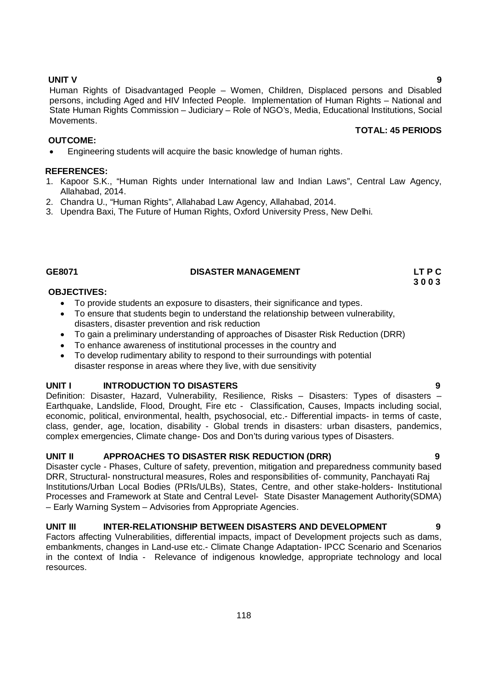**UNIT V 9** Human Rights of Disadvantaged People – Women, Children, Displaced persons and Disabled persons, including Aged and HIV Infected People. Implementation of Human Rights – National and State Human Rights Commission – Judiciary – Role of NGO's, Media, Educational Institutions, Social Movements. **TOTAL: 45 PERIODS**

# **OUTCOME:**

Engineering students will acquire the basic knowledge of human rights.

### **REFERENCES:**

- 1. Kapoor S.K., "Human Rights under International law and Indian Laws", Central Law Agency, Allahabad, 2014.
- 2. Chandra U., "Human Rights", Allahabad Law Agency, Allahabad, 2014.
- 3. Upendra Baxi, The Future of Human Rights, Oxford University Press, New Delhi.

# GE8071 DISASTER MANAGEMENT LT P C<br>3 0 0 3

 **3 0 0 3**

# **OBJECTIVES:**

- To provide students an exposure to disasters, their significance and types.
- To ensure that students begin to understand the relationship between vulnerability, disasters, disaster prevention and risk reduction
- To gain a preliminary understanding of approaches of Disaster Risk Reduction (DRR)
- To enhance awareness of institutional processes in the country and
- To develop rudimentary ability to respond to their surroundings with potential disaster response in areas where they live, with due sensitivity

### **UNIT I INTRODUCTION TO DISASTERS 9**

Definition: Disaster, Hazard, Vulnerability, Resilience, Risks – Disasters: Types of disasters – Earthquake, Landslide, Flood, Drought, Fire etc - Classification, Causes, Impacts including social, economic, political, environmental, health, psychosocial, etc.- Differential impacts- in terms of caste, class, gender, age, location, disability - Global trends in disasters: urban disasters, pandemics, complex emergencies, Climate change- Dos and Don'ts during various types of Disasters.

# **UNIT II APPROACHES TO DISASTER RISK REDUCTION (DRR) 9**

Disaster cycle - Phases, Culture of safety, prevention, mitigation and preparedness community based DRR, Structural- nonstructural measures, Roles and responsibilities of- community, Panchayati Raj Institutions/Urban Local Bodies (PRIs/ULBs), States, Centre, and other stake-holders- Institutional Processes and Framework at State and Central Level- State Disaster Management Authority(SDMA) – Early Warning System – Advisories from Appropriate Agencies.

### **UNIT III INTER-RELATIONSHIP BETWEEN DISASTERS AND DEVELOPMENT 9**

Factors affecting Vulnerabilities, differential impacts, impact of Development projects such as dams, embankments, changes in Land-use etc.- Climate Change Adaptation- IPCC Scenario and Scenarios in the context of India - Relevance of indigenous knowledge, appropriate technology and local resources.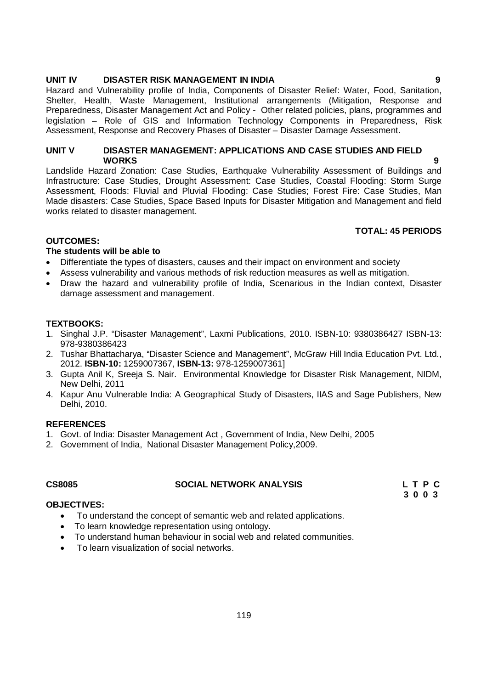#### **UNIT IV DISASTER RISK MANAGEMENT IN INDIA 9**

Hazard and Vulnerability profile of India, Components of Disaster Relief: Water, Food, Sanitation, Shelter, Health, Waste Management, Institutional arrangements (Mitigation, Response and Preparedness, Disaster Management Act and Policy - Other related policies, plans, programmes and legislation – Role of GIS and Information Technology Components in Preparedness, Risk Assessment, Response and Recovery Phases of Disaster – Disaster Damage Assessment.

# **UNIT V DISASTER MANAGEMENT: APPLICATIONS AND CASE STUDIES AND FIELD WORKS 9**

Landslide Hazard Zonation: Case Studies, Earthquake Vulnerability Assessment of Buildings and Infrastructure: Case Studies, Drought Assessment: Case Studies, Coastal Flooding: Storm Surge Assessment, Floods: Fluvial and Pluvial Flooding: Case Studies; Forest Fire: Case Studies, Man Made disasters: Case Studies, Space Based Inputs for Disaster Mitigation and Management and field works related to disaster management.

# **TOTAL: 45 PERIODS**

# **OUTCOMES:**

# **The students will be able to**

- Differentiate the types of disasters, causes and their impact on environment and society
- Assess vulnerability and various methods of risk reduction measures as well as mitigation.
- Draw the hazard and vulnerability profile of India, Scenarious in the Indian context, Disaster damage assessment and management.

### **TEXTBOOKS:**

- 1. Singhal J.P. "Disaster Management", Laxmi Publications, 2010. ISBN-10: 9380386427 ISBN-13: 978-9380386423
- 2. Tushar Bhattacharya, "Disaster Science and Management", McGraw Hill India Education Pvt. Ltd., 2012. **ISBN-10:** 1259007367, **ISBN-13:** 978-1259007361]
- 3. Gupta Anil K, Sreeja S. Nair. Environmental Knowledge for Disaster Risk Management, NIDM, New Delhi, 2011
- 4. Kapur Anu Vulnerable India: A Geographical Study of Disasters, IIAS and Sage Publishers, New Delhi, 2010.

### **REFERENCES**

- 1. Govt. of India: Disaster Management Act , Government of India, New Delhi, 2005
- 2. Government of India, National Disaster Management Policy,2009.

# **CS8085 SOCIAL NETWORK ANALYSIS L T P C**

 **3 0 0 3**

### **OBJECTIVES:**

- To understand the concept of semantic web and related applications.
- To learn knowledge representation using ontology.
- To understand human behaviour in social web and related communities.
- To learn visualization of social networks.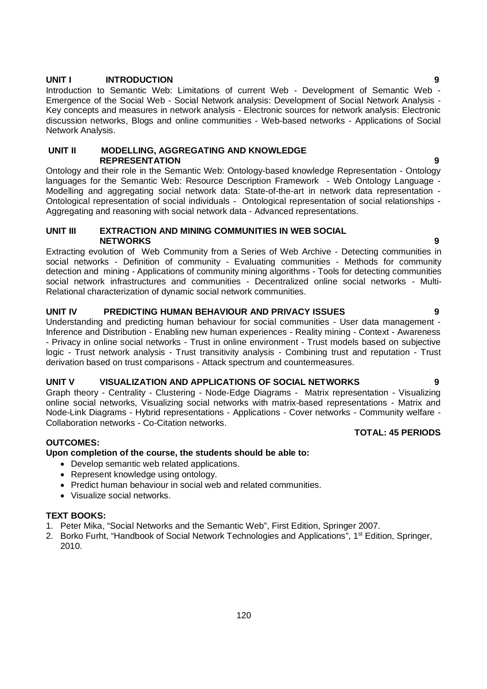### **UNIT I INTRODUCTION 9**

Introduction to Semantic Web: Limitations of current Web - Development of Semantic Web - Emergence of the Social Web - Social Network analysis: Development of Social Network Analysis - Key concepts and measures in network analysis - Electronic sources for network analysis: Electronic discussion networks, Blogs and online communities - Web-based networks - Applications of Social Network Analysis.

# **UNIT II MODELLING, AGGREGATING AND KNOWLEDGE REPRESENTATION 9**

Ontology and their role in the Semantic Web: Ontology-based knowledge Representation - Ontology languages for the Semantic Web: Resource Description Framework - Web Ontology Language - Modelling and aggregating social network data: State-of-the-art in network data representation - Ontological representation of social individuals - Ontological representation of social relationships - Aggregating and reasoning with social network data - Advanced representations.

### **UNIT III EXTRACTION AND MINING COMMUNITIES IN WEB SOCIAL NETWORKS 9**

Extracting evolution of Web Community from a Series of Web Archive - Detecting communities in social networks - Definition of community - Evaluating communities - Methods for community detection and mining - Applications of community mining algorithms - Tools for detecting communities social network infrastructures and communities - Decentralized online social networks - Multi-Relational characterization of dynamic social network communities.

# **UNIT IV PREDICTING HUMAN BEHAVIOUR AND PRIVACY ISSUES 9**

Understanding and predicting human behaviour for social communities - User data management - Inference and Distribution - Enabling new human experiences - Reality mining - Context - Awareness - Privacy in online social networks - Trust in online environment - Trust models based on subjective logic - Trust network analysis - Trust transitivity analysis - Combining trust and reputation - Trust derivation based on trust comparisons - Attack spectrum and countermeasures.

# **UNIT V VISUALIZATION AND APPLICATIONS OF SOCIAL NETWORKS 9**

Graph theory - Centrality - Clustering - Node-Edge Diagrams - Matrix representation - Visualizing online social networks, Visualizing social networks with matrix-based representations - Matrix and Node-Link Diagrams - Hybrid representations - Applications - Cover networks - Community welfare - Collaboration networks - Co-Citation networks.

# **OUTCOMES:**

# **Upon completion of the course, the students should be able to:**

- Develop semantic web related applications.
- Represent knowledge using ontology.
- Predict human behaviour in social web and related communities.
- Visualize social networks.

# **TEXT BOOKS:**

- 1. Peter Mika, "Social Networks and the Semantic Web", First Edition, Springer 2007.
- 2. Borko Furht, "Handbook of Social Network Technologies and Applications", 1<sup>st</sup> Edition, Springer, 2010.

# **TOTAL: 45 PERIODS**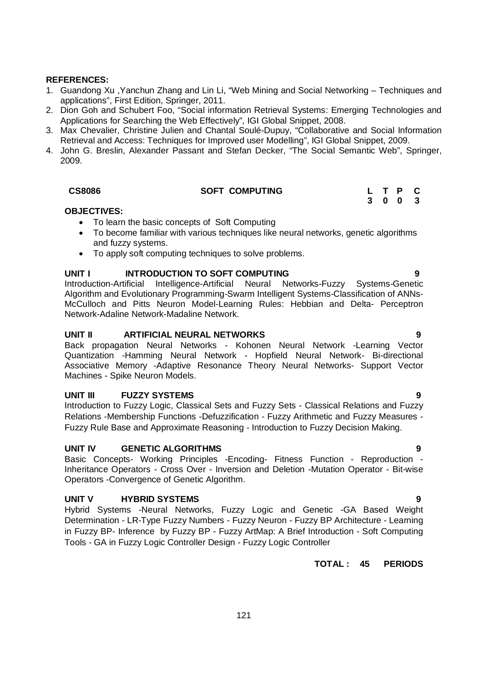### **REFERENCES:**

- 1. Guandong Xu ,Yanchun Zhang and Lin Li, "Web Mining and Social Networking Techniques and applications", First Edition, Springer, 2011.
- 2. Dion Goh and Schubert Foo, "Social information Retrieval Systems: Emerging Technologies and Applications for Searching the Web Effectively", IGI Global Snippet, 2008.
- 3. Max Chevalier, Christine Julien and Chantal Soulé-Dupuy, "Collaborative and Social Information Retrieval and Access: Techniques for Improved user Modelling", IGI Global Snippet, 2009.
- 4. John G. Breslin, Alexander Passant and Stefan Decker, "The Social Semantic Web", Springer, 2009.

| <b>CS8086</b> | <b>SOFT COMPUTING</b> | L T P C |
|---------------|-----------------------|---------|
|               |                       | 3 0 0 3 |

### **OBJECTIVES:**

- To learn the basic concepts of Soft Computing
- To become familiar with various techniques like neural networks, genetic algorithms and fuzzy systems.
- To apply soft computing techniques to solve problems.

# **UNIT I INTRODUCTION TO SOFT COMPUTING 9**

Introduction-Artificial Intelligence-Artificial Neural Networks-Fuzzy Systems-Genetic Algorithm and Evolutionary Programming-Swarm Intelligent Systems-Classification of ANNs-McCulloch and Pitts Neuron Model-Learning Rules: Hebbian and Delta- Perceptron Network-Adaline Network-Madaline Network.

### **UNIT II ARTIFICIAL NEURAL NETWORKS 9**

Back propagation Neural Networks - Kohonen Neural Network -Learning Vector Quantization -Hamming Neural Network - Hopfield Neural Network- Bi-directional Associative Memory -Adaptive Resonance Theory Neural Networks- Support Vector Machines - Spike Neuron Models.

### **UNIT III FUZZY SYSTEMS 9**

Introduction to Fuzzy Logic, Classical Sets and Fuzzy Sets - Classical Relations and Fuzzy Relations -Membership Functions -Defuzzification - Fuzzy Arithmetic and Fuzzy Measures - Fuzzy Rule Base and Approximate Reasoning - Introduction to Fuzzy Decision Making.

# **UNIT IV GENETIC ALGORITHMS 9**

Basic Concepts- Working Principles -Encoding- Fitness Function - Reproduction - Inheritance Operators - Cross Over - Inversion and Deletion -Mutation Operator - Bit-wise Operators -Convergence of Genetic Algorithm.

# **UNIT V HYBRID SYSTEMS 9**

Hybrid Systems -Neural Networks, Fuzzy Logic and Genetic -GA Based Weight Determination - LR-Type Fuzzy Numbers - Fuzzy Neuron - Fuzzy BP Architecture - Learning in Fuzzy BP- Inference by Fuzzy BP - Fuzzy ArtMap: A Brief Introduction - Soft Computing Tools - GA in Fuzzy Logic Controller Design - Fuzzy Logic Controller

# **TOTAL : 45 PERIODS**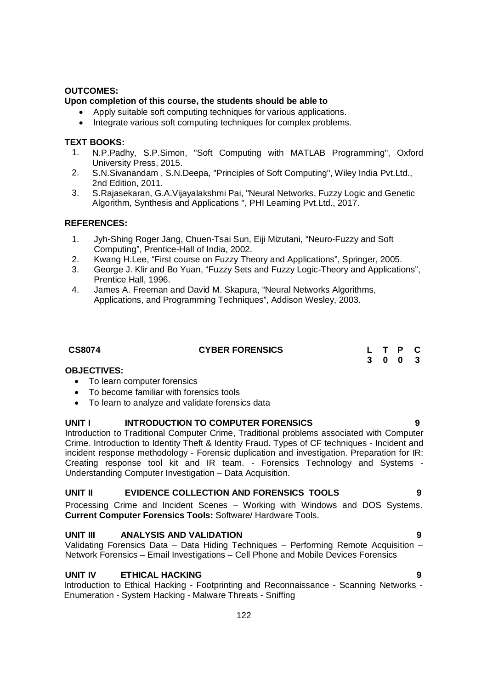# **OUTCOMES:**

# **Upon completion of this course, the students should be able to**

- Apply suitable soft computing techniques for various applications.
	- Integrate various soft computing techniques for complex problems.

# **TEXT BOOKS:**

- 1. N.P.Padhy, S.P.Simon, "Soft Computing with MATLAB Programming", Oxford University Press, 2015.
- 2. S.N.Sivanandam , S.N.Deepa, "Principles of Soft Computing", Wiley India Pvt.Ltd., 2nd Edition, 2011.
- 3. S.Rajasekaran, G.A.Vijayalakshmi Pai, "Neural Networks, Fuzzy Logic and Genetic Algorithm, Synthesis and Applications ", PHI Learning Pvt.Ltd., 2017.

# **REFERENCES:**

- 1. Jyh-Shing Roger Jang, Chuen-Tsai Sun, Eiji Mizutani, "Neuro-Fuzzy and Soft Computing", Prentice-Hall of India, 2002.
- 2. Kwang H.Lee, "First course on Fuzzy Theory and Applications", Springer, 2005.
- 3. George J. Klir and Bo Yuan, "Fuzzy Sets and Fuzzy Logic-Theory and Applications", Prentice Hall, 1996.
- 4. James A. Freeman and David M. Skapura, "Neural Networks Algorithms, Applications, and Programming Techniques", Addison Wesley, 2003.

| <b>CS8074</b> | <b>CYBER FORENSICS</b> | L T P C |
|---------------|------------------------|---------|
|               |                        | 3 0 0 3 |

### **OBJECTIVES:**

- To learn computer forensics
- To become familiar with forensics tools
- To learn to analyze and validate forensics data

# **UNIT I INTRODUCTION TO COMPUTER FORENSICS 9**

Introduction to Traditional Computer Crime, Traditional problems associated with Computer Crime. Introduction to Identity Theft & Identity Fraud. Types of CF techniques - Incident and incident response methodology - Forensic duplication and investigation. Preparation for IR: Creating response tool kit and IR team. - Forensics Technology and Systems - Understanding Computer Investigation – Data Acquisition.

# **UNIT II EVIDENCE COLLECTION AND FORENSICS TOOLS 9**

Processing Crime and Incident Scenes – Working with Windows and DOS Systems. **Current Computer Forensics Tools:** Software/ Hardware Tools.

# **UNIT III ANALYSIS AND VALIDATION 9**

Validating Forensics Data – Data Hiding Techniques – Performing Remote Acquisition – Network Forensics – Email Investigations – Cell Phone and Mobile Devices Forensics

# **UNIT IV ETHICAL HACKING 9**

Introduction to Ethical Hacking - Footprinting and Reconnaissance - Scanning Networks - Enumeration - System Hacking - Malware Threats - Sniffing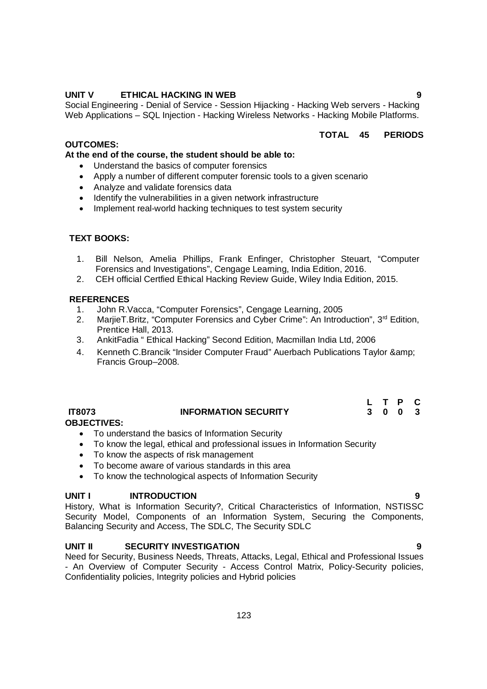# **UNIT V ETHICAL HACKING IN WEB 9**

Social Engineering - Denial of Service - Session Hijacking - Hacking Web servers - Hacking Web Applications – SQL Injection - Hacking Wireless Networks - Hacking Mobile Platforms.

## **TOTAL 45 PERIODS**

# **OUTCOMES:**

### **At the end of the course, the student should be able to:**

- Understand the basics of computer forensics
- Apply a number of different computer forensic tools to a given scenario
- Analyze and validate forensics data
- Identify the vulnerabilities in a given network infrastructure
- Implement real-world hacking techniques to test system security

# **TEXT BOOKS:**

- 1. Bill Nelson, Amelia Phillips, Frank Enfinger, Christopher Steuart, "Computer Forensics and Investigations", Cengage Learning, India Edition, 2016.
- 2. CEH official Certfied Ethical Hacking Review Guide, Wiley India Edition, 2015.

# **REFERENCES**

- 1. John R.Vacca, "Computer Forensics", Cengage Learning, 2005
- 2. MarjieT.Britz, "Computer Forensics and Cyber Crime": An Introduction", 3<sup>rd</sup> Edition, Prentice Hall, 2013.
- 3. AnkitFadia " Ethical Hacking" Second Edition, Macmillan India Ltd, 2006
- 4. Kenneth C.Brancik "Insider Computer Fraud" Auerbach Publications Taylor & amp; Francis Group–2008.

|               |                             |  | L T P C |  |
|---------------|-----------------------------|--|---------|--|
| <b>IT8073</b> | <b>INFORMATION SECURITY</b> |  | 3 0 0 3 |  |

# **OBJECTIVES:**

- To understand the basics of Information Security
- To know the legal, ethical and professional issues in Information Security
- To know the aspects of risk management
- To become aware of various standards in this area
- To know the technological aspects of Information Security

### UNIT **INTRODUCTION**

History, What is Information Security?, Critical Characteristics of Information, NSTISSC Security Model, Components of an Information System, Securing the Components, Balancing Security and Access, The SDLC, The Security SDLC

# **UNIT II SECURITY INVESTIGATION 9**

Need for Security, Business Needs, Threats, Attacks, Legal, Ethical and Professional Issues - An Overview of Computer Security - Access Control Matrix, Policy-Security policies, Confidentiality policies, Integrity policies and Hybrid policies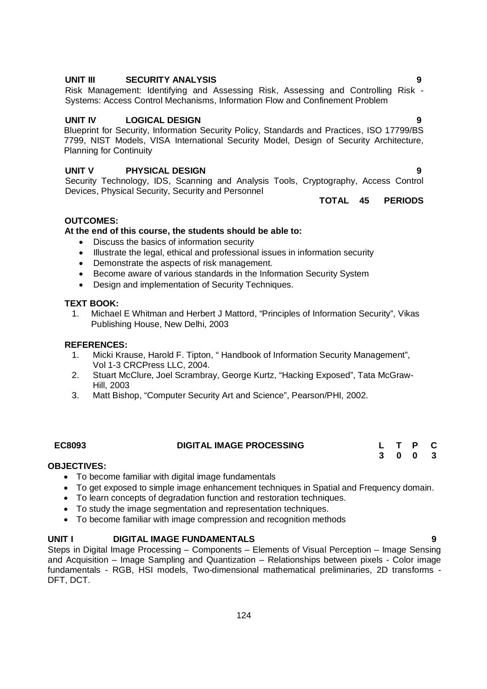# **UNIT V PHYSICAL DESIGN 9**

Security Technology, IDS, Scanning and Analysis Tools, Cryptography, Access Control Devices, Physical Security, Security and Personnel

**UNIT IV LOGICAL DESIGN 9** Blueprint for Security, Information Security Policy, Standards and Practices, ISO 17799/BS

**TOTAL 45 PERIODS**

# **OUTCOMES:**

Planning for Continuity

# **At the end of this course, the students should be able to:**

- Discuss the basics of information security
- Illustrate the legal, ethical and professional issues in information security

Systems: Access Control Mechanisms, Information Flow and Confinement Problem

- Demonstrate the aspects of risk management.
- Become aware of various standards in the Information Security System
- Design and implementation of Security Techniques.

#### **TEXT BOOK:**

1. Michael E Whitman and Herbert J Mattord, "Principles of Information Security", Vikas Publishing House, New Delhi, 2003

#### **REFERENCES:**

- 1. Micki Krause, Harold F. Tipton, " Handbook of Information Security Management", Vol 1-3 CRCPress LLC, 2004.
- 2. Stuart McClure, Joel Scrambray, George Kurtz, "Hacking Exposed", Tata McGraw-Hill, 2003
- 3. Matt Bishop, "Computer Security Art and Science", Pearson/PHI, 2002.

| <b>EC8093</b> | <b>DIGITAL IMAGE PROCESSING</b> |  |  |  |
|---------------|---------------------------------|--|--|--|
|               |                                 |  |  |  |

#### **OBJECTIVES:**

- To become familiar with digital image fundamentals
- To get exposed to simple image enhancement techniques in Spatial and Frequency domain.
- To learn concepts of degradation function and restoration techniques.
- To study the image segmentation and representation techniques.
- To become familiar with image compression and recognition methods

### **UNIT I DIGITAL IMAGE FUNDAMENTALS 9**

Steps in Digital Image Processing – Components – Elements of Visual Perception – Image Sensing and Acquisition – Image Sampling and Quantization – Relationships between pixels - Color image fundamentals - RGB, HSI models, Two-dimensional mathematical preliminaries, 2D transforms - DFT, DCT.

**UNIT III SECURITY ANALYSIS 9**

Risk Management: Identifying and Assessing Risk, Assessing and Controlling Risk -

7799, NIST Models, VISA International Security Model, Design of Security Architecture,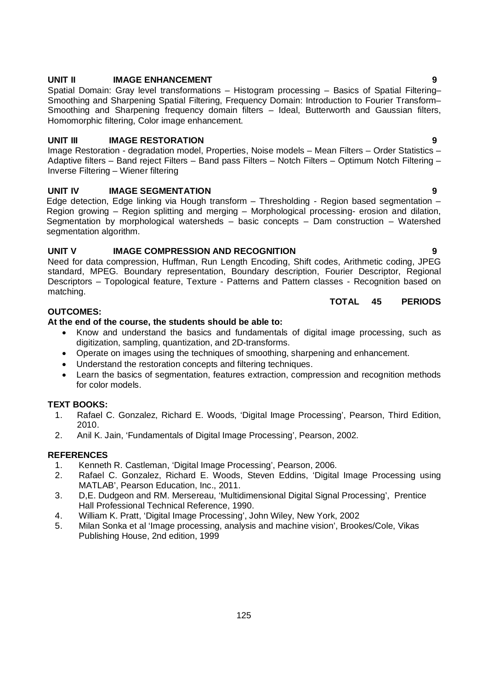#### 125

### **UNIT II** IMAGE ENHANCEMENT 9

Spatial Domain: Gray level transformations – Histogram processing – Basics of Spatial Filtering– Smoothing and Sharpening Spatial Filtering, Frequency Domain: Introduction to Fourier Transform– Smoothing and Sharpening frequency domain filters – Ideal, Butterworth and Gaussian filters, Homomorphic filtering, Color image enhancement.

# **UNIT III** IMAGE RESTORATION 9

Image Restoration - degradation model, Properties, Noise models – Mean Filters – Order Statistics – Adaptive filters – Band reject Filters – Band pass Filters – Notch Filters – Optimum Notch Filtering – Inverse Filtering – Wiener filtering

### **UNIT IV IMAGE SEGMENTATION 9**

Edge detection, Edge linking via Hough transform – Thresholding - Region based segmentation – Region growing – Region splitting and merging – Morphological processing- erosion and dilation, Segmentation by morphological watersheds – basic concepts – Dam construction – Watershed segmentation algorithm.

# **UNIT V IMAGE COMPRESSION AND RECOGNITION 9**

Need for data compression, Huffman, Run Length Encoding, Shift codes, Arithmetic coding, JPEG standard, MPEG. Boundary representation, Boundary description, Fourier Descriptor, Regional Descriptors – Topological feature, Texture - Patterns and Pattern classes - Recognition based on matching.

# **TOTAL 45 PERIODS**

# **OUTCOMES:**

# **At the end of the course, the students should be able to:**

- Know and understand the basics and fundamentals of digital image processing, such as digitization, sampling, quantization, and 2D-transforms.
- Operate on images using the techniques of smoothing, sharpening and enhancement.
- Understand the restoration concepts and filtering techniques.
- Learn the basics of segmentation, features extraction, compression and recognition methods for color models.

# **TEXT BOOKS:**

- 1. Rafael C. Gonzalez, Richard E. Woods, 'Digital Image Processing', Pearson, Third Edition, 2010.
- 2. Anil K. Jain, 'Fundamentals of Digital Image Processing', Pearson, 2002.

# **REFERENCES**

- 1. Kenneth R. Castleman, 'Digital Image Processing', Pearson, 2006.
- 2. Rafael C. Gonzalez, Richard E. Woods, Steven Eddins, 'Digital Image Processing using MATLAB', Pearson Education, Inc., 2011.
- 3. D,E. Dudgeon and RM. Mersereau, 'Multidimensional Digital Signal Processing', Prentice Hall Professional Technical Reference, 1990.
- 4. William K. Pratt, 'Digital Image Processing', John Wiley, New York, 2002
- 5. Milan Sonka et al 'Image processing, analysis and machine vision', Brookes/Cole, Vikas Publishing House, 2nd edition, 1999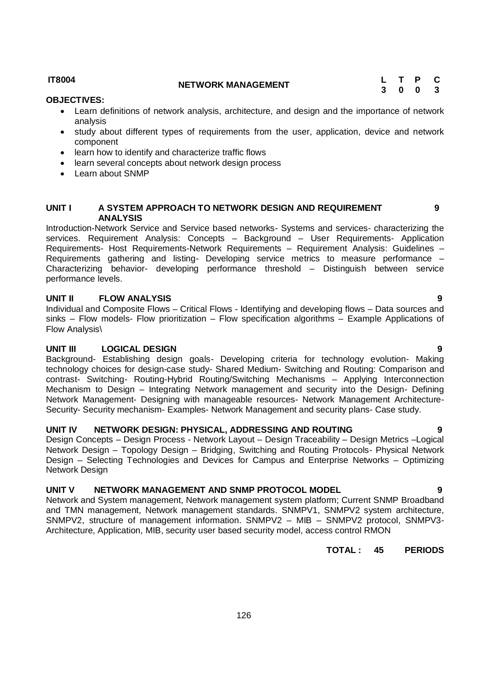# **IT8004 NETWORK MANAGEMENT <sup>L</sup> <sup>T</sup> <sup>P</sup> <sup>C</sup>**

### **OBJECTIVES:**

- Learn definitions of network analysis, architecture, and design and the importance of network analysis
- study about different types of requirements from the user, application, device and network component
- learn how to identify and characterize traffic flows
- learn several concepts about network design process
- Learn about SNMP

### **UNIT I A SYSTEM APPROACH TO NETWORK DESIGN AND REQUIREMENT ANALYSIS**

Introduction-Network Service and Service based networks- Systems and services- characterizing the services. Requirement Analysis: Concepts – Background – User Requirements- Application Requirements- Host Requirements-Network Requirements – Requirement Analysis: Guidelines – Requirements gathering and listing- Developing service metrics to measure performance – Characterizing behavior- developing performance threshold – Distinguish between service performance levels.

# **UNIT II FLOW ANALYSIS 9**

Individual and Composite Flows – Critical Flows - Identifying and developing flows – Data sources and sinks – Flow models- Flow prioritization – Flow specification algorithms – Example Applications of Flow Analysis\

# **UNIT III LOGICAL DESIGN 9**

Background- Establishing design goals- Developing criteria for technology evolution- Making technology choices for design-case study- Shared Medium- Switching and Routing: Comparison and contrast- Switching- Routing-Hybrid Routing/Switching Mechanisms – Applying Interconnection Mechanism to Design – Integrating Network management and security into the Design- Defining Network Management- Designing with manageable resources- Network Management Architecture-Security- Security mechanism- Examples- Network Management and security plans- Case study.

### **UNIT IV NETWORK DESIGN: PHYSICAL, ADDRESSING AND ROUTING 9**

Design Concepts – Design Process - Network Layout – Design Traceability – Design Metrics –Logical Network Design – Topology Design – Bridging, Switching and Routing Protocols- Physical Network Design – Selecting Technologies and Devices for Campus and Enterprise Networks – Optimizing Network Design

# **UNIT V NETWORK MANAGEMENT AND SNMP PROTOCOL MODEL 9**

Network and System management, Network management system platform; Current SNMP Broadband and TMN management, Network management standards. SNMPV1, SNMPV2 system architecture, SNMPV2, structure of management information. SNMPV2 – MIB – SNMPV2 protocol, SNMPV3- Architecture, Application, MIB, security user based security model, access control RMON

**TOTAL : 45 PERIODS**

**9**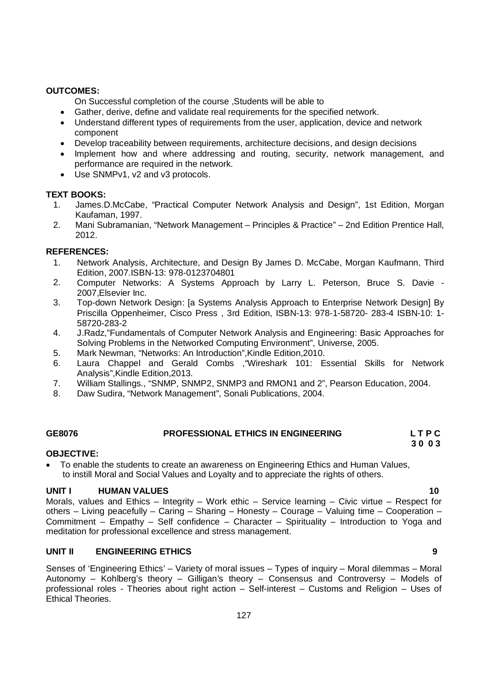# **OUTCOMES:**

On Successful completion of the course ,Students will be able to

- Gather, derive, define and validate real requirements for the specified network.
- Understand different types of requirements from the user, application, device and network component
- Develop traceability between requirements, architecture decisions, and design decisions
- Implement how and where addressing and routing, security, network management, and performance are required in the network.
- Use SNMPv1, v2 and v3 protocols.

# **TEXT BOOKS:**

- 1. James.D.McCabe, "Practical Computer Network Analysis and Design", 1st Edition, Morgan Kaufaman, 1997.
- 2. Mani Subramanian, "Network Management Principles & Practice" 2nd Edition Prentice Hall, 2012.

# **REFERENCES:**

- 1. Network Analysis, Architecture, and Design By James D. McCabe, Morgan Kaufmann, Third Edition, 2007.ISBN-13: 978-0123704801
- 2. Computer Networks: A Systems Approach by Larry L. Peterson, Bruce S. Davie 2007,Elsevier Inc.
- 3. Top-down Network Design: [a Systems Analysis Approach to Enterprise Network Design] By Priscilla Oppenheimer, Cisco Press , 3rd Edition, ISBN-13: 978-1-58720- 283-4 ISBN-10: 1- 58720-283-2
- 4. J.Radz,"Fundamentals of Computer Network Analysis and Engineering: Basic Approaches for Solving Problems in the Networked Computing Environment", Universe, 2005.
- 5. Mark Newman, "Networks: An Introduction",Kindle Edition,2010.
- 6. Laura Chappel and Gerald Combs ,"Wireshark 101: Essential Skills for Network Analysis",Kindle Edition,2013.
- 7. William Stallings., "SNMP, SNMP2, SNMP3 and RMON1 and 2", Pearson Education, 2004.
- 8. Daw Sudira, "Network Management", Sonali Publications, 2004.

# **GE8076 PROFESSIONAL ETHICS IN ENGINEERING L T P C**

#### **3 0 0 3 OBJECTIVE:**

 To enable the students to create an awareness on Engineering Ethics and Human Values, to instill Moral and Social Values and Loyalty and to appreciate the rights of others.

# **UNIT I** HUMAN VALUES 10

Morals, values and Ethics – Integrity – Work ethic – Service learning – Civic virtue – Respect for others – Living peacefully – Caring – Sharing – Honesty – Courage – Valuing time – Cooperation – Commitment – Empathy – Self confidence – Character – Spirituality – Introduction to Yoga and meditation for professional excellence and stress management.

### **UNIT II ENGINEERING ETHICS 9**

Senses of 'Engineering Ethics' – Variety of moral issues – Types of inquiry – Moral dilemmas – Moral Autonomy – Kohlberg's theory – Gilligan's theory – Consensus and Controversy – Models of professional roles - Theories about right action – Self-interest – Customs and Religion – Uses of Ethical Theories.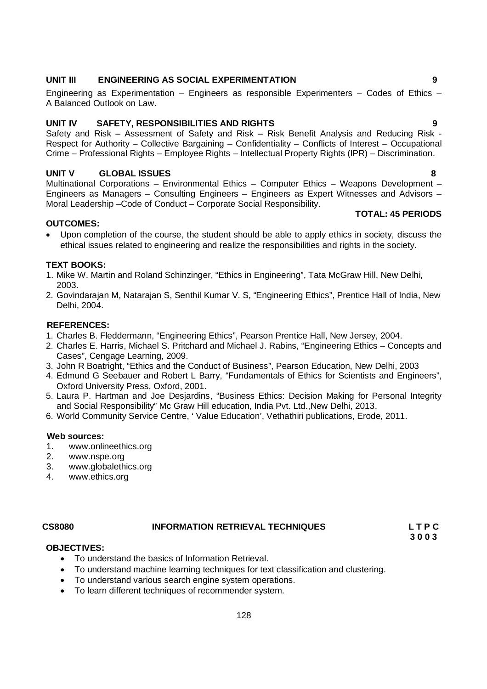#### **UNIT III ENGINEERING AS SOCIAL EXPERIMENTATION 9**

Engineering as Experimentation – Engineers as responsible Experimenters – Codes of Ethics – A Balanced Outlook on Law.

### **UNIT IV SAFETY, RESPONSIBILITIES AND RIGHTS 9**

Safety and Risk – Assessment of Safety and Risk – Risk Benefit Analysis and Reducing Risk - Respect for Authority – Collective Bargaining – Confidentiality – Conflicts of Interest – Occupational Crime – Professional Rights – Employee Rights – Intellectual Property Rights (IPR) – Discrimination.

#### **UNIT V GLOBAL ISSUES 8**

Multinational Corporations – Environmental Ethics – Computer Ethics – Weapons Development – Engineers as Managers – Consulting Engineers – Engineers as Expert Witnesses and Advisors – Moral Leadership –Code of Conduct – Corporate Social Responsibility.

#### **OUTCOMES:**

- **TOTAL: 45 PERIODS**
- Upon completion of the course, the student should be able to apply ethics in society, discuss the ethical issues related to engineering and realize the responsibilities and rights in the society.

### **TEXT BOOKS:**

- 1. Mike W. Martin and Roland Schinzinger, "Ethics in Engineering", Tata McGraw Hill, New Delhi, 2003.
- 2. Govindarajan M, Natarajan S, Senthil Kumar V. S, "Engineering Ethics", Prentice Hall of India, New Delhi, 2004.

#### **REFERENCES:**

- 1. Charles B. Fleddermann, "Engineering Ethics", Pearson Prentice Hall, New Jersey, 2004.
- 2. Charles E. Harris, Michael S. Pritchard and Michael J. Rabins, "Engineering Ethics Concepts and Cases", Cengage Learning, 2009.
- 3. John R Boatright, "Ethics and the Conduct of Business", Pearson Education, New Delhi, 2003
- 4. Edmund G Seebauer and Robert L Barry, "Fundamentals of Ethics for Scientists and Engineers", Oxford University Press, Oxford, 2001.
- 5. Laura P. Hartman and Joe Desjardins, "Business Ethics: Decision Making for Personal Integrity and Social Responsibility" Mc Graw Hill education, India Pvt. Ltd.,New Delhi, 2013.
- 6. World Community Service Centre, ' Value Education', Vethathiri publications, Erode, 2011.

#### **Web sources:**

- 1. www.onlineethics.org
- 2. www.nspe.org
- 3. www.globalethics.org
- 4. www.ethics.org

#### **CS8080 INFORMATION RETRIEVAL TECHNIQUES L T P C**

 **3 0 0 3** 

### **OBJECTIVES:**

- To understand the basics of Information Retrieval.
- To understand machine learning techniques for text classification and clustering.
- To understand various search engine system operations.
- To learn different techniques of recommender system.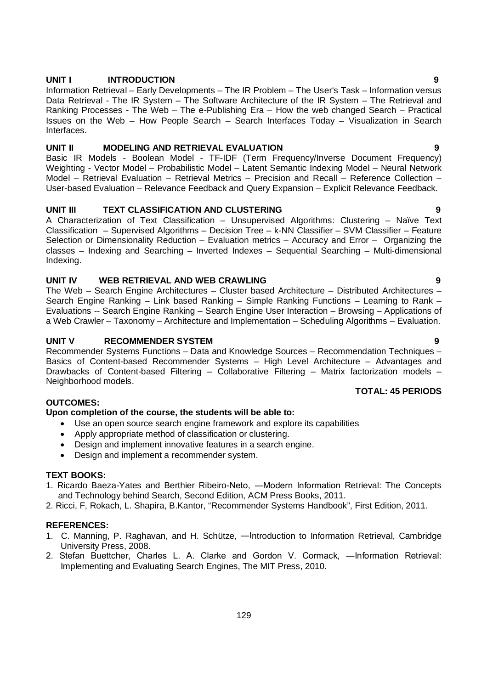### **UNIT I INTRODUCTION 9**

Information Retrieval – Early Developments – The IR Problem – The User's Task – Information versus Data Retrieval - The IR System – The Software Architecture of the IR System – The Retrieval and Ranking Processes - The Web – The e-Publishing Era – How the web changed Search – Practical Issues on the Web – How People Search – Search Interfaces Today – Visualization in Search Interfaces.

# **UNIT II MODELING AND RETRIEVAL EVALUATION 9**

Basic IR Models - Boolean Model - TF-IDF (Term Frequency/Inverse Document Frequency) Weighting - Vector Model – Probabilistic Model – Latent Semantic Indexing Model – Neural Network Model – Retrieval Evaluation – Retrieval Metrics – Precision and Recall – Reference Collection – User-based Evaluation – Relevance Feedback and Query Expansion – Explicit Relevance Feedback.

# **UNIT III TEXT CLASSIFICATION AND CLUSTERING 9**

A Characterization of Text Classification – Unsupervised Algorithms: Clustering – Naïve Text Classification – Supervised Algorithms – Decision Tree – k-NN Classifier – SVM Classifier – Feature Selection or Dimensionality Reduction – Evaluation metrics – Accuracy and Error – Organizing the classes – Indexing and Searching – Inverted Indexes – Sequential Searching – Multi-dimensional Indexing.

# **UNIT IV WEB RETRIEVAL AND WEB CRAWLING 9**

The Web – Search Engine Architectures – Cluster based Architecture – Distributed Architectures – Search Engine Ranking – Link based Ranking – Simple Ranking Functions – Learning to Rank – Evaluations -- Search Engine Ranking – Search Engine User Interaction – Browsing – Applications of a Web Crawler – Taxonomy – Architecture and Implementation – Scheduling Algorithms – Evaluation.

# **UNIT V RECOMMENDER SYSTEM 9**

Recommender Systems Functions – Data and Knowledge Sources – Recommendation Techniques – Basics of Content-based Recommender Systems – High Level Architecture – Advantages and Drawbacks of Content-based Filtering – Collaborative Filtering – Matrix factorization models – Neighborhood models.

# **TOTAL: 45 PERIODS**

# **OUTCOMES:**

### **Upon completion of the course, the students will be able to:**

- Use an open source search engine framework and explore its capabilities
- Apply appropriate method of classification or clustering.
- Design and implement innovative features in a search engine.
- Design and implement a recommender system.

### **TEXT BOOKS:**

- 1. Ricardo Baeza-Yates and Berthier Ribeiro-Neto, ―Modern Information Retrieval: The Concepts and Technology behind Search, Second Edition, ACM Press Books, 2011.
- 2. Ricci, F, Rokach, L. Shapira, B.Kantor, "Recommender Systems Handbook", First Edition, 2011.

### **REFERENCES:**

- 1. C. Manning, P. Raghavan, and H. Schütze, ―Introduction to Information Retrieval, Cambridge University Press, 2008.
- 2. Stefan Buettcher, Charles L. A. Clarke and Gordon V. Cormack, ―Information Retrieval: Implementing and Evaluating Search Engines, The MIT Press, 2010.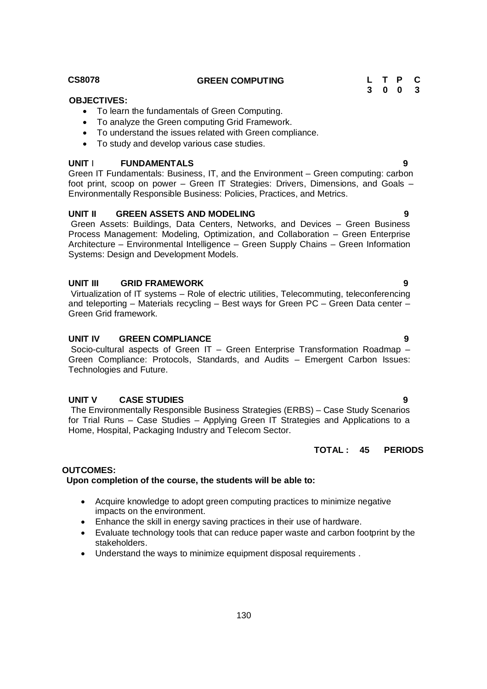To analyze the Green computing Grid Framework. To understand the issues related with Green compliance.

• To study and develop various case studies.

To learn the fundamentals of Green Computing.

# **UNIT** I **FUNDAMENTALS 9**

Green IT Fundamentals: Business, IT, and the Environment – Green computing: carbon foot print, scoop on power – Green IT Strategies: Drivers, Dimensions, and Goals – Environmentally Responsible Business: Policies, Practices, and Metrics.

# **UNIT II GREEN ASSETS AND MODELING 9**

Green Assets: Buildings, Data Centers, Networks, and Devices – Green Business Process Management: Modeling, Optimization, and Collaboration – Green Enterprise Architecture – Environmental Intelligence – Green Supply Chains – Green Information Systems: Design and Development Models.

# **UNIT III GRID FRAMEWORK 9**

Virtualization of IT systems – Role of electric utilities, Telecommuting, teleconferencing and teleporting – Materials recycling – Best ways for Green PC – Green Data center – Green Grid framework.

# **UNIT IV GREEN COMPLIANCE 9**

Socio-cultural aspects of Green IT – Green Enterprise Transformation Roadmap – Green Compliance: Protocols, Standards, and Audits – Emergent Carbon Issues: Technologies and Future.

# **UNIT V CASE STUDIES 9**

The Environmentally Responsible Business Strategies (ERBS) – Case Study Scenarios for Trial Runs – Case Studies – Applying Green IT Strategies and Applications to a Home, Hospital, Packaging Industry and Telecom Sector.

# **TOTAL : 45 PERIODS**

# **OUTCOMES:**

# **Upon completion of the course, the students will be able to:**

- Acquire knowledge to adopt green computing practices to minimize negative impacts on the environment.
- Enhance the skill in energy saving practices in their use of hardware.
- Evaluate technology tools that can reduce paper waste and carbon footprint by the stakeholders.
- Understand the ways to minimize equipment disposal requirements .

 **OBJECTIVES:**

#### **CS8078 GREEN COMPUTING L T P C 3 0 0 3**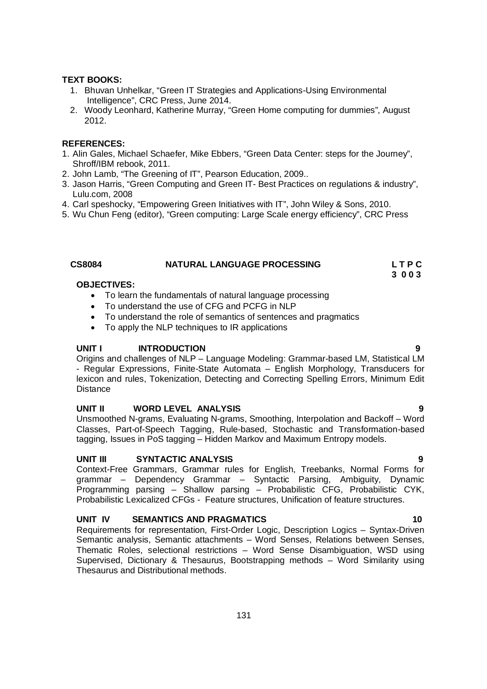#### **TEXT BOOKS:**

- 1. Bhuvan Unhelkar, "Green IT Strategies and Applications-Using Environmental Intelligence", CRC Press, June 2014.
- 2. Woody Leonhard, Katherine Murray, "Green Home computing for dummies", August 2012.

### **REFERENCES:**

- 1. Alin Gales, Michael Schaefer, Mike Ebbers, "Green Data Center: steps for the Journey", Shroff/IBM rebook, 2011.
- 2. John Lamb, "The Greening of IT", Pearson Education, 2009..
- 3. Jason Harris, "Green Computing and Green IT- Best Practices on regulations & industry", Lulu.com, 2008
- 4. Carl speshocky, "Empowering Green Initiatives with IT", John Wiley & Sons, 2010.
- 5. Wu Chun Feng (editor), "Green computing: Large Scale energy efficiency", CRC Press

# CS8084 **NATURAL LANGUAGE PROCESSING** L T P C<br>3 0 0 3

 **3 0 0 3** 

# **OBJECTIVES:**

- To learn the fundamentals of natural language processing
- To understand the use of CFG and PCFG in NLP
- To understand the role of semantics of sentences and pragmatics
- To apply the NLP techniques to IR applications

#### **UNIT I** INTRODUCTION 9

Origins and challenges of NLP – Language Modeling: Grammar-based LM, Statistical LM - Regular Expressions, Finite-State Automata – English Morphology, Transducers for lexicon and rules, Tokenization, Detecting and Correcting Spelling Errors, Minimum Edit **Distance** 

#### **UNIT II WORD LEVEL ANALYSIS 9**

Unsmoothed N-grams, Evaluating N-grams, Smoothing, Interpolation and Backoff – Word Classes, Part-of-Speech Tagging, Rule-based, Stochastic and Transformation-based tagging, Issues in PoS tagging – Hidden Markov and Maximum Entropy models.

#### **UNIT III SYNTACTIC ANALYSIS 9**

Context-Free Grammars, Grammar rules for English, Treebanks, Normal Forms for grammar – Dependency Grammar – Syntactic Parsing, Ambiguity, Dynamic Programming parsing – Shallow parsing – Probabilistic CFG, Probabilistic CYK, Probabilistic Lexicalized CFGs - Feature structures, Unification of feature structures.

### **UNIT IV SEMANTICS AND PRAGMATICS 40 10**

Requirements for representation, First-Order Logic, Description Logics – Syntax-Driven Semantic analysis, Semantic attachments – Word Senses, Relations between Senses, Thematic Roles, selectional restrictions – Word Sense Disambiguation, WSD using Supervised, Dictionary & Thesaurus, Bootstrapping methods – Word Similarity using Thesaurus and Distributional methods.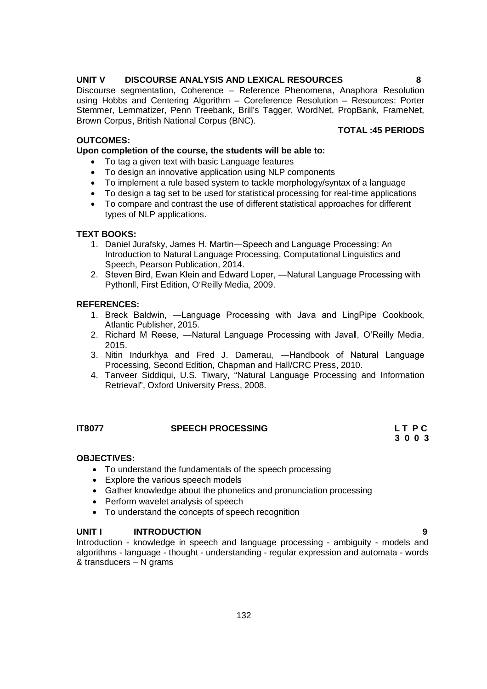# **UNIT V DISCOURSE ANALYSIS AND LEXICAL RESOURCES 8**

Discourse segmentation, Coherence – Reference Phenomena, Anaphora Resolution using Hobbs and Centering Algorithm – Coreference Resolution – Resources: Porter Stemmer, Lemmatizer, Penn Treebank, Brill's Tagger, WordNet, PropBank, FrameNet, Brown Corpus, British National Corpus (BNC). **TOTAL :45 PERIODS**

# **OUTCOMES:**

**Upon completion of the course, the students will be able to:** 

- To tag a given text with basic Language features
- To design an innovative application using NLP components
- To implement a rule based system to tackle morphology/syntax of a language
- To design a tag set to be used for statistical processing for real-time applications
- To compare and contrast the use of different statistical approaches for different types of NLP applications.

# **TEXT BOOKS:**

- 1. Daniel Jurafsky, James H. Martin―Speech and Language Processing: An Introduction to Natural Language Processing, Computational Linguistics and Speech, Pearson Publication, 2014.
- 2. Steven Bird, Ewan Klein and Edward Loper, ―Natural Language Processing with Pythonǁ, First Edition, O'Reilly Media, 2009.

# **REFERENCES:**

- 1. Breck Baldwin, ―Language Processing with Java and LingPipe Cookbook, Atlantic Publisher, 2015.
- 2. Richard M Reese, ―Natural Language Processing with Javaǁ, O'Reilly Media, 2015.
- 3. Nitin Indurkhya and Fred J. Damerau, ―Handbook of Natural Language Processing, Second Edition, Chapman and Hall/CRC Press, 2010.
- 4. Tanveer Siddiqui, U.S. Tiwary, "Natural Language Processing and Information Retrieval", Oxford University Press, 2008.

# **IT8077 SPEECH PROCESSING L T P C**

**3 0 0 3**

### **OBJECTIVES:**

- To understand the fundamentals of the speech processing
- Explore the various speech models
- Gather knowledge about the phonetics and pronunciation processing
- Perform wavelet analysis of speech
- To understand the concepts of speech recognition

### **UNIT I INTRODUCTION 9**

Introduction - knowledge in speech and language processing - ambiguity - models and algorithms - language - thought - understanding - regular expression and automata - words & transducers – N grams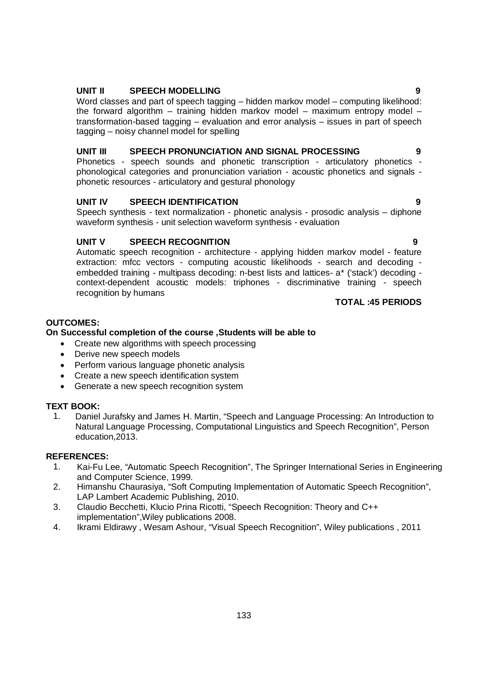- 
- Generate a new speech recognition system

#### **TEXT BOOK:**

1. Daniel Jurafsky and James H. Martin, "Speech and Language Processing: An Introduction to Natural Language Processing, Computational Linguistics and Speech Recognition", Person education,2013.

#### **REFERENCES:**

- 1. Kai-Fu Lee, "Automatic Speech Recognition", The Springer International Series in Engineering and Computer Science, 1999.
- 2. Himanshu Chaurasiya, "Soft Computing Implementation of Automatic Speech Recognition", LAP Lambert Academic Publishing, 2010.
- 3. Claudio Becchetti, Klucio Prina Ricotti, "Speech Recognition: Theory and C++ implementation",Wiley publications 2008.
- 4. Ikrami Eldirawy , Wesam Ashour, "Visual Speech Recognition", Wiley publications , 2011

# **UNIT II SPEECH MODELLING 9**

Word classes and part of speech tagging – hidden markov model – computing likelihood: the forward algorithm – training hidden markov model – maximum entropy model – transformation-based tagging – evaluation and error analysis – issues in part of speech tagging – noisy channel model for spelling

### UNIT III SPEECH PRONUNCIATION AND SIGNAL PROCESSING

Phonetics - speech sounds and phonetic transcription - articulatory phonetics phonological categories and pronunciation variation - acoustic phonetics and signals phonetic resources - articulatory and gestural phonology

### **UNIT IV SPEECH IDENTIFICATION 9**

Speech synthesis - text normalization - phonetic analysis - prosodic analysis – diphone waveform synthesis - unit selection waveform synthesis - evaluation

#### **UNIT V SPEECH RECOGNITION 9**

Automatic speech recognition - architecture - applying hidden markov model - feature extraction: mfcc vectors - computing acoustic likelihoods - search and decoding embedded training - multipass decoding: n-best lists and lattices- a\* ('stack') decoding context-dependent acoustic models: triphones - discriminative training - speech recognition by humans

# **TOTAL :45 PERIODS**

# **OUTCOMES:**

# **On Successful completion of the course ,Students will be able to**

- Create new algorithms with speech processing
- Derive new speech models
- Perform various language phonetic analysis
- Create a new speech identification system
- 

133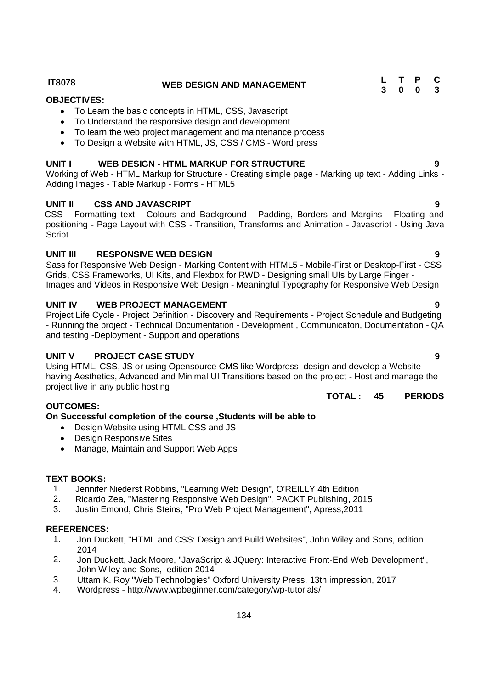**IT8078 WEB DESIGN AND MANAGEMENT <sup>L</sup> <sup>T</sup> <sup>P</sup> <sup>C</sup> 3 0 0 3**

# **OBJECTIVES:**

- To Learn the basic concepts in HTML, CSS, Javascript
- To Understand the responsive design and development
- To learn the web project management and maintenance process
- To Design a Website with HTML, JS, CSS / CMS Word press

# **UNIT I WEB DESIGN - HTML MARKUP FOR STRUCTURE 9**

Working of Web - HTML Markup for Structure - Creating simple page - Marking up text - Adding Links - Adding Images - Table Markup - Forms - HTML5

# **UNIT II CSS AND JAVASCRIPT 9**

CSS - Formatting text - Colours and Background - Padding, Borders and Margins - Floating and positioning - Page Layout with CSS - Transition, Transforms and Animation - Javascript - Using Java **Script** 

# **UNIT III RESPONSIVE WEB DESIGN 9**

Sass for Responsive Web Design - Marking Content with HTML5 - Mobile-First or Desktop-First - CSS Grids, CSS Frameworks, UI Kits, and Flexbox for RWD - Designing small UIs by Large Finger - Images and Videos in Responsive Web Design - Meaningful Typography for Responsive Web Design

# **UNIT IV WEB PROJECT MANAGEMENT 9**

Project Life Cycle - Project Definition - Discovery and Requirements - Project Schedule and Budgeting - Running the project - Technical Documentation - Development , Communicaton, Documentation - QA and testing -Deployment - Support and operations

# **UNIT V PROJECT CASE STUDY 9**

Using HTML, CSS, JS or using Opensource CMS like Wordpress, design and develop a Website having Aesthetics, Advanced and Minimal UI Transitions based on the project - Host and manage the project live in any public hosting

# **OUTCOMES:**

# **On Successful completion of the course ,Students will be able to**

- Design Website using HTML CSS and JS
- Design Responsive Sites
- Manage, Maintain and Support Web Apps

# **TEXT BOOKS:**

- 1. Jennifer Niederst Robbins, "Learning Web Design", O'REILLY 4th Edition
- 2. Ricardo Zea, "Mastering Responsive Web Design", PACKT Publishing, 2015
- 3. Justin Emond, Chris Steins, "Pro Web Project Management", Apress,2011

# **REFERENCES:**

- 1. Jon Duckett, "HTML and CSS: Design and Build Websites", John Wiley and Sons, edition 2014
- 2. Jon Duckett, Jack Moore, "JavaScript & JQuery: Interactive Front-End Web Development", John Wiley and Sons, edition 2014
- 3. Uttam K. Roy "Web Technologies" Oxford University Press, 13th impression, 2017
- 4. Wordpress http://www.wpbeginner.com/category/wp-tutorials/

# **TOTAL : 45 PERIODS**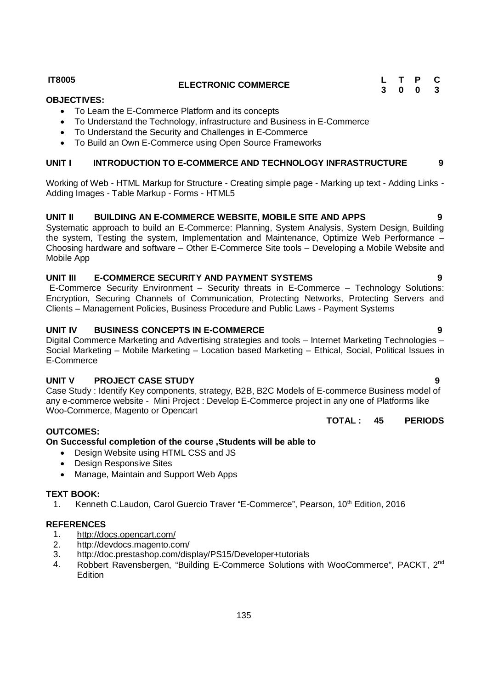**UNIT I INTRODUCTION TO E-COMMERCE AND TECHNOLOGY INFRASTRUCTURE 9**

Working of Web - HTML Markup for Structure - Creating simple page - Marking up text - Adding Links -

To Understand the Technology, infrastructure and Business in E-Commerce

**UNIT II BUILDING AN E-COMMERCE WEBSITE, MOBILE SITE AND APPS 9** Systematic approach to build an E-Commerce: Planning, System Analysis, System Design, Building the system, Testing the system, Implementation and Maintenance, Optimize Web Performance – Choosing hardware and software – Other E-Commerce Site tools – Developing a Mobile Website and Mobile App

# **UNIT III E-COMMERCE SECURITY AND PAYMENT SYSTEMS 9**

E-Commerce Security Environment – Security threats in E-Commerce – Technology Solutions: Encryption, Securing Channels of Communication, Protecting Networks, Protecting Servers and Clients – Management Policies, Business Procedure and Public Laws - Payment Systems

# **UNIT IV BUSINESS CONCEPTS IN E-COMMERCE 9**

Adding Images - Table Markup - Forms - HTML5

Digital Commerce Marketing and Advertising strategies and tools – Internet Marketing Technologies – Social Marketing – Mobile Marketing – Location based Marketing – Ethical, Social, Political Issues in E-Commerce

# **UNIT V PROJECT CASE STUDY 9**

Case Study : Identify Key components, strategy, B2B, B2C Models of E-commerce Business model of any e-commerce website - Mini Project : Develop E-Commerce project in any one of Platforms like Woo-Commerce, Magento or Opencart

**TOTAL : 45 PERIODS**

# **OUTCOMES:**

# **On Successful completion of the course ,Students will be able to**

- Design Website using HTML CSS and JS
- Design Responsive Sites
- Manage, Maintain and Support Web Apps

# **TEXT BOOK:**

1. Kenneth C.Laudon, Carol Guercio Traver "E-Commerce", Pearson, 10<sup>th</sup> Edition, 2016

# **REFERENCES**

- 1. http://docs.opencart.com/
- 2. http://devdocs.magento.com/
- 3. http://doc.prestashop.com/display/PS15/Developer+tutorials
- 4. Robbert Ravensbergen, "Building E-Commerce Solutions with WooCommerce", PACKT, 2<sup>nd</sup> **Edition**

135

# **IT8005 ELECTRONIC COMMERCE <sup>L</sup> <sup>T</sup> <sup>P</sup> <sup>C</sup>**

To Learn the E-Commerce Platform and its concepts

 To Understand the Security and Challenges in E-Commerce To Build an Own E-Commerce using Open Source Frameworks

**OBJECTIVES:**